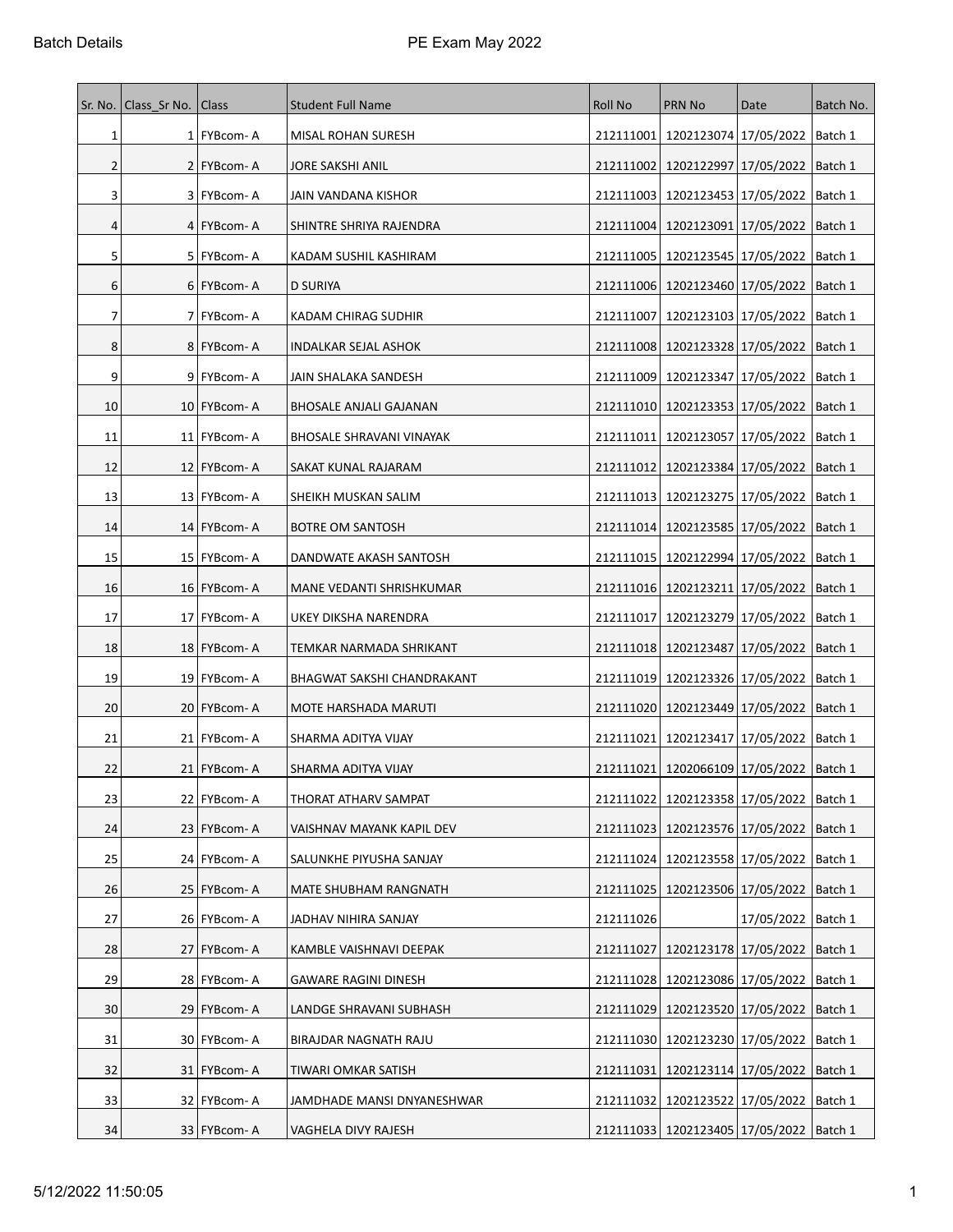| Sr. No. | Class Sr No.   Class |                | <b>Student Full Name</b>          | <b>Roll No</b> | <b>PRN No</b>                                 | Date                              | Batch No. |
|---------|----------------------|----------------|-----------------------------------|----------------|-----------------------------------------------|-----------------------------------|-----------|
| 1       |                      | 1 FYBcom-A     | MISAL ROHAN SURESH                |                | 212111001   1202123074   17/05/2022   Batch 1 |                                   |           |
| 2       |                      | 2 FYBcom-A     | JORE SAKSHI ANIL                  | 212111002      | 1202122997   17/05/2022                       |                                   | Batch 1   |
| 3       |                      | 3   FYBcom-A   | JAIN VANDANA KISHOR               | 212111003      | 1202123453   17/05/2022                       |                                   | Batch 1   |
| 4       |                      | 4   FYBcom-A   | SHINTRE SHRIYA RAJENDRA           | 212111004      | 1202123091   17/05/2022                       |                                   | Batch 1   |
| 5       |                      | 5   FYBcom-A   | KADAM SUSHIL KASHIRAM             | 212111005      | 1202123545 17/05/2022                         |                                   | Batch 1   |
| 6       |                      | 6   FYBcom-A   | D SURIYA                          |                | 212111006   1202123460   17/05/2022   Batch 1 |                                   |           |
| 7       |                      | 7   FYBcom-A   | KADAM CHIRAG SUDHIR               | 212111007      | 1202123103 17/05/2022                         |                                   | Batch 1   |
| 8       |                      | 8 FYBcom-A     | INDALKAR SEJAL ASHOK              |                | 212111008   1202123328   17/05/2022           |                                   | Batch 1   |
| 9       |                      | 9 FYBcom-A     | JAIN SHALAKA SANDESH              |                | 212111009   1202123347   17/05/2022           |                                   | Batch 1   |
| 10      |                      | 10   FYBcom- A | BHOSALE ANJALI GAJANAN            |                | 212111010   1202123353   17/05/2022           |                                   | Batch 1   |
| 11      |                      | 11   FYBcom-A  | <b>BHOSALE SHRAVANI VINAYAK</b>   |                | 212111011   1202123057   17/05/2022           |                                   | Batch 1   |
| 12      |                      | 12   FYBcom-A  | SAKAT KUNAL RAJARAM               |                | 212111012   1202123384   17/05/2022   Batch 1 |                                   |           |
| 13      |                      | 13 FYBcom-A    | SHEIKH MUSKAN SALIM               |                | 212111013   1202123275   17/05/2022           |                                   | Batch 1   |
| 14      |                      | 14   FYBcom- A | BOTRE OM SANTOSH                  |                | 212111014   1202123585   17/05/2022           |                                   | Batch 1   |
| 15      |                      | 15   FYBcom- A | DANDWATE AKASH SANTOSH            |                | 212111015   1202122994   17/05/2022           |                                   | Batch 1   |
| 16      |                      | 16 FYBcom-A    | MANE VEDANTI SHRISHKUMAR          |                | 212111016   1202123211   17/05/2022           |                                   | Batch 1   |
| 17      |                      | 17 FYBcom-A    | UKEY DIKSHA NARENDRA              | 212111017      |                                               | 1202123279 17/05/2022   Batch 1   |           |
| 18      |                      | 18 FYBcom-A    | TEMKAR NARMADA SHRIKANT           |                | 212111018   1202123487   17/05/2022           |                                   | Batch 1   |
| 19      |                      | 19 FYBcom-A    | <b>BHAGWAT SAKSHI CHANDRAKANT</b> |                | 212111019 1202123326 17/05/2022   Batch 1     |                                   |           |
| 20      |                      | 20   FYBcom-A  | MOTE HARSHADA MARUTI              |                | 212111020   1202123449   17/05/2022           |                                   | Batch 1   |
| 21      |                      | 21 FYBcom-A    | SHARMA ADITYA VIJAY               | 212111021      |                                               | 1202123417   17/05/2022   Batch 1 |           |
| 22      |                      | 21   FYBcom-A  | SHARMA ADITYA VIJAY               |                | 212111021   1202066109   17/05/2022           |                                   | Batch 1   |
| 23      |                      | 22 FYBcom-A    | THORAT ATHARV SAMPAT              |                | 212111022   1202123358   17/05/2022   Batch 1 |                                   |           |
| 24      |                      | 23 FYBcom-A    | VAISHNAV MAYANK KAPIL DEV         |                | 212111023   1202123576   17/05/2022           |                                   | Batch 1   |
| 25      |                      | 24 FYBcom- A   | SALUNKHE PIYUSHA SANJAY           |                | 212111024 1202123558 17/05/2022   Batch 1     |                                   |           |
| 26      |                      | 25   FYBcom-A  | MATE SHUBHAM RANGNATH             | 212111025      | 1202123506 17/05/2022                         |                                   | Batch 1   |
| 27      |                      | 26 FYBcom-A    | JADHAV NIHIRA SANJAY              | 212111026      |                                               | 17/05/2022   Batch 1              |           |
| 28      |                      | 27 FYBcom-A    | KAMBLE VAISHNAVI DEEPAK           | 212111027      | 1202123178 17/05/2022 Batch 1                 |                                   |           |
| 29      |                      | 28   FYBcom- A | GAWARE RAGINI DINESH              |                | 212111028 1202123086 17/05/2022               |                                   | Batch 1   |
| 30      |                      | 29 FYBcom-A    | LANDGE SHRAVANI SUBHASH           | 212111029      |                                               | 1202123520 17/05/2022             | Batch 1   |
| 31      |                      | 30   FYBcom- A | BIRAJDAR NAGNATH RAJU             |                | 212111030   1202123230   17/05/2022           |                                   | Batch 1   |
| 32      |                      | 31 FYBcom-A    | TIWARI OMKAR SATISH               | 212111031      |                                               | 1202123114 17/05/2022   Batch 1   |           |
| 33      |                      | 32   FYBcom- A | JAMDHADE MANSI DNYANESHWAR        |                | 212111032   1202123522   17/05/2022           |                                   | Batch 1   |
| 34      |                      | 33 FYBcom-A    | VAGHELA DIVY RAJESH               |                | 212111033   1202123405   17/05/2022   Batch 1 |                                   |           |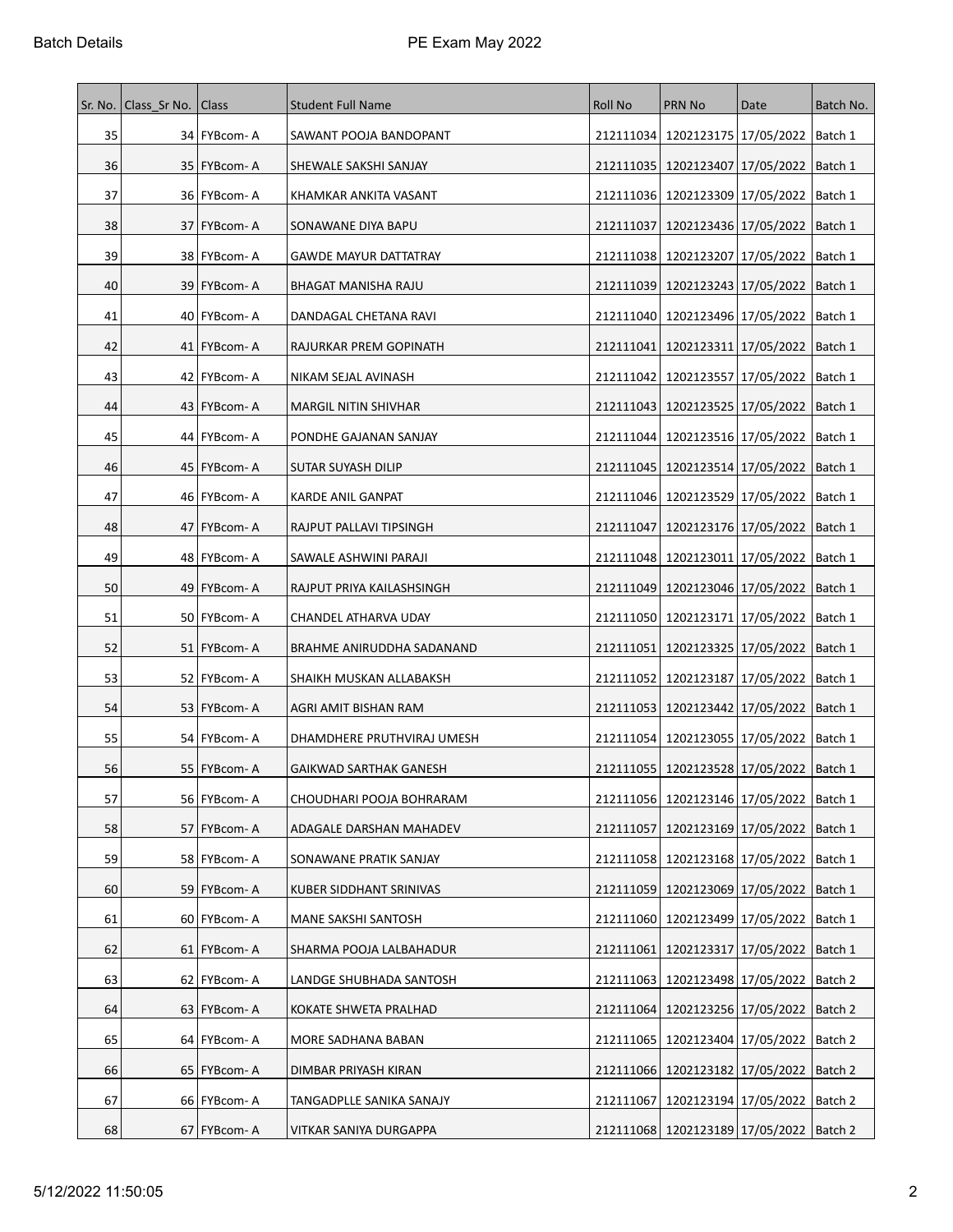| Sr. No. | Class Sr No.   Class |                | <b>Student Full Name</b>      | Roll No   | <b>PRN No</b>                                 | Date                            | Batch No. |
|---------|----------------------|----------------|-------------------------------|-----------|-----------------------------------------------|---------------------------------|-----------|
| 35      |                      | 34 FYBcom-A    | SAWANT POOJA BANDOPANT        |           | 212111034   1202123175   17/05/2022   Batch 1 |                                 |           |
| 36      |                      | 35 FYBcom-A    | SHEWALE SAKSHI SANJAY         |           | 212111035   1202123407   17/05/2022           |                                 | Batch 1   |
| 37      |                      | 36   FYBcom-A  | KHAMKAR ANKITA VASANT         |           | 212111036   1202123309   17/05/2022           |                                 | Batch 1   |
| 38      |                      | 37 FYBcom-A    | SONAWANE DIYA BAPU            | 212111037 |                                               | 1202123436 17/05/2022   Batch 1 |           |
| 39      |                      | 38 FYBcom-A    | <b>GAWDE MAYUR DATTATRAY</b>  |           | 212111038   1202123207   17/05/2022           |                                 | Batch 1   |
| 40      |                      | 39   FYBcom- A | BHAGAT MANISHA RAJU           |           | 212111039   1202123243   17/05/2022           |                                 | Batch 1   |
| 41      |                      | 40   FYBcom- A | DANDAGAL CHETANA RAVI         |           | 212111040   1202123496   17/05/2022           |                                 | Batch 1   |
| 42      |                      | 41 FYBcom-A    | RAJURKAR PREM GOPINATH        | 212111041 | 1202123311   17/05/2022                       |                                 | Batch 1   |
| 43      |                      | 42   FYBcom-A  | NIKAM SEJAL AVINASH           |           | 212111042   1202123557   17/05/2022           |                                 | Batch 1   |
| 44      |                      | 43   FYBcom- A | MARGIL NITIN SHIVHAR          |           | 212111043   1202123525   17/05/2022           |                                 | Batch 1   |
| 45      |                      | 44 FYBcom-A    | PONDHE GAJANAN SANJAY         |           | 212111044   1202123516   17/05/2022           |                                 | Batch 1   |
| 46      |                      | 45   FYBcom- A | SUTAR SUYASH DILIP            |           | 212111045   1202123514   17/05/2022   Batch 1 |                                 |           |
| 47      |                      | 46 FYBcom-A    | KARDE ANIL GANPAT             |           | 212111046   1202123529   17/05/2022           |                                 | Batch 1   |
| 48      |                      | 47   FYBcom-A  | RAJPUT PALLAVI TIPSINGH       | 212111047 | 1202123176 17/05/2022                         |                                 | Batch 1   |
| 49      |                      | 48 FYBcom-A    | SAWALE ASHWINI PARAJI         |           | 212111048   1202123011   17/05/2022   Batch 1 |                                 |           |
| 50      |                      | 49   FYBcom-A  | RAJPUT PRIYA KAILASHSINGH     | 212111049 | 1202123046 17/05/2022                         |                                 | Batch 1   |
| 51      |                      | 50 FYBcom-A    | CHANDEL ATHARVA UDAY          |           | 212111050   1202123171   17/05/2022   Batch 1 |                                 |           |
| 52      |                      | 51   FYBcom-A  | BRAHME ANIRUDDHA SADANAND     | 212111051 | 1202123325 17/05/2022                         |                                 | Batch 1   |
| 53      |                      | 52   FYBcom- A | SHAIKH MUSKAN ALLABAKSH       |           | 212111052   1202123187   17/05/2022           |                                 | Batch 1   |
| 54      |                      | 53   FYBcom-A  | AGRI AMIT BISHAN RAM          | 212111053 | 1202123442 17/05/2022                         |                                 | Batch 1   |
| 55      |                      | 54 FYBcom-A    | DHAMDHERE PRUTHVIRAJ UMESH    |           | 212111054 1202123055 17/05/2022 Batch 1       |                                 |           |
| 56      |                      | 55   FYBcom- A | <b>GAIKWAD SARTHAK GANESH</b> |           | 212111055   1202123528   17/05/2022   Batch 1 |                                 |           |
| 57      |                      | 56 FYBcom-A    | CHOUDHARI POOJA BOHRARAM      |           | 212111056 1202123146 17/05/2022 Batch 1       |                                 |           |
| 58      |                      | 57 FYBcom-A    | ADAGALE DARSHAN MAHADEV       | 212111057 | 1202123169 17/05/2022   Batch 1               |                                 |           |
| 59      |                      | 58   FYBcom- A | SONAWANE PRATIK SANJAY        |           | 212111058   1202123168   17/05/2022           |                                 | Batch 1   |
| 60      |                      | 59 FYBcom-A    | KUBER SIDDHANT SRINIVAS       | 212111059 |                                               | 1202123069 17/05/2022           | Batch 1   |
| 61      |                      | 60 FYBcom-A    | MANE SAKSHI SANTOSH           |           | 212111060 1202123499 17/05/2022   Batch 1     |                                 |           |
| 62      |                      | 61 FYBcom-A    | SHARMA POOJA LALBAHADUR       | 212111061 |                                               | 1202123317 17/05/2022   Batch 1 |           |
| 63      |                      | 62   FYBcom-A  | LANDGE SHUBHADA SANTOSH       | 212111063 | 1202123498 17/05/2022                         |                                 | Batch 2   |
| 64      |                      | 63 FYBcom-A    | KOKATE SHWETA PRALHAD         | 212111064 | 1202123256 17/05/2022                         |                                 | Batch 2   |
| 65      |                      | 64   FYBcom- A | MORE SADHANA BABAN            |           | 212111065   1202123404   17/05/2022           |                                 | Batch 2   |
| 66      |                      | 65   FYBcom-A  | DIMBAR PRIYASH KIRAN          |           | 212111066   1202123182   17/05/2022   Batch 2 |                                 |           |
| 67      |                      | 66 FYBcom-A    | TANGADPLLE SANIKA SANAJY      | 212111067 | 1202123194   17/05/2022                       |                                 | Batch 2   |
| 68      |                      | 67 FYBcom-A    | VITKAR SANIYA DURGAPPA        |           | 212111068 1202123189 17/05/2022   Batch 2     |                                 |           |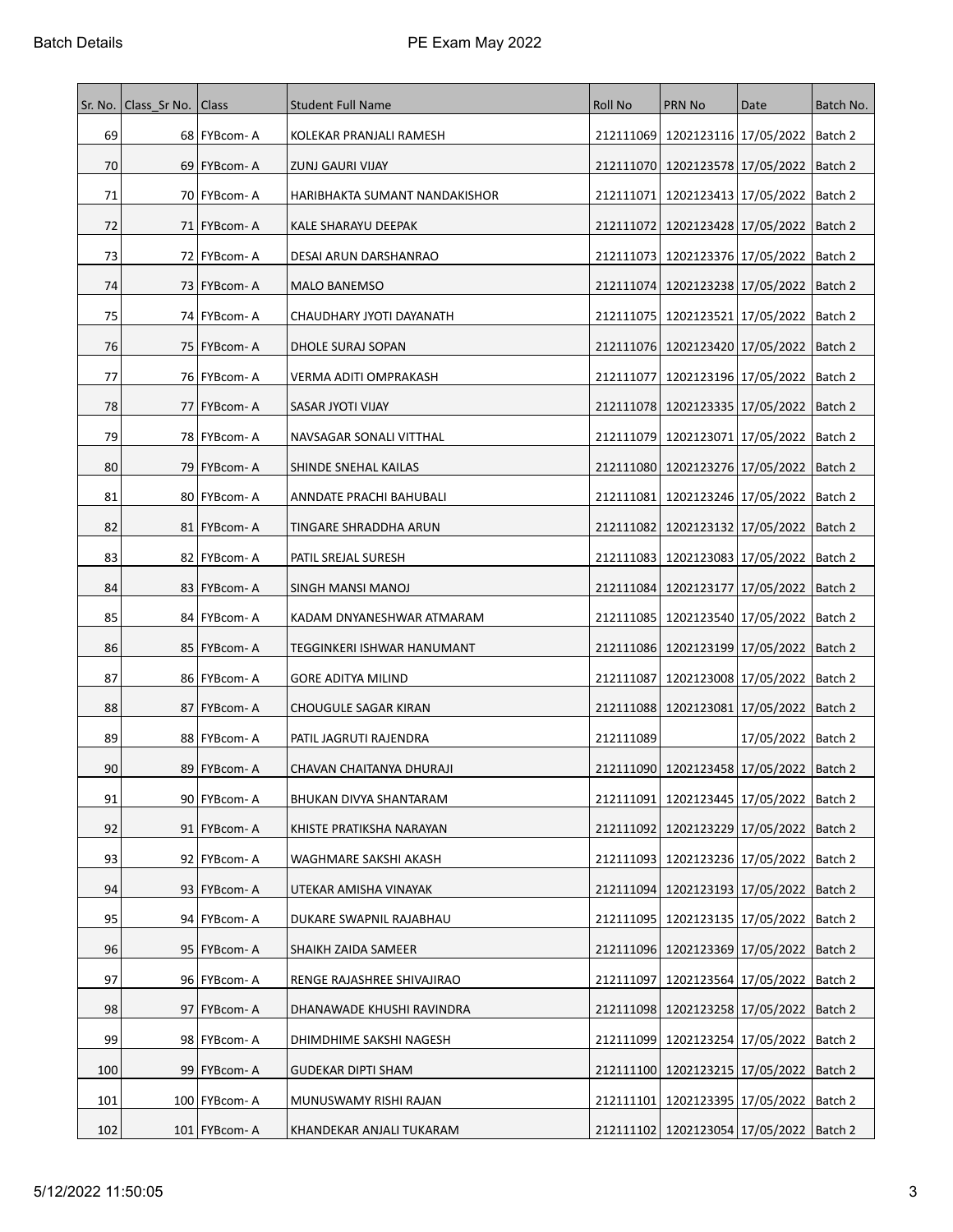| Sr. No. | Class Sr No.   Class |                | <b>Student Full Name</b>      | <b>Roll No</b> | <b>PRN No</b>                                 | Date                  | Batch No. |
|---------|----------------------|----------------|-------------------------------|----------------|-----------------------------------------------|-----------------------|-----------|
| 69      |                      | 68   FYBcom-A  | KOLEKAR PRANJALI RAMESH       |                | 212111069 1202123116 17/05/2022 Batch 2       |                       |           |
| 70      |                      | 69 FYBcom-A    | ZUNJ GAURI VIJAY              |                | 212111070   1202123578   17/05/2022           |                       | Batch 2   |
| 71      |                      | 70 FYBcom-A    | HARIBHAKTA SUMANT NANDAKISHOR | 212111071      | 1202123413   17/05/2022                       |                       | Batch 2   |
| 72      |                      | 71   FYBcom-A  | KALE SHARAYU DEEPAK           |                | 212111072   1202123428   17/05/2022   Batch 2 |                       |           |
| 73      |                      | 72   FYBcom-A  | DESAI ARUN DARSHANRAO         |                | 212111073   1202123376   17/05/2022           |                       | Batch 2   |
| 74      |                      | 73   FYBcom-A  | MALO BANEMSO                  |                | 212111074 1202123238 17/05/2022               |                       | Batch 2   |
| 75      |                      | 74   FYBcom- A | CHAUDHARY JYOTI DAYANATH      |                | 212111075   1202123521   17/05/2022           |                       | Batch 2   |
| 76      |                      | 75 FYBcom-A    | DHOLE SURAJ SOPAN             |                | 212111076   1202123420   17/05/2022           |                       | Batch 2   |
| 77      |                      | 76   FYBcom-A  | VERMA ADITI OMPRAKASH         | 212111077      | 1202123196   17/05/2022                       |                       | Batch 2   |
| 78      |                      | 77   FYBcom- A | SASAR JYOTI VIJAY             |                | 212111078   1202123335   17/05/2022           |                       | Batch 2   |
| 79      |                      | 78 FYBcom-A    | NAVSAGAR SONALI VITTHAL       |                | 212111079   1202123071   17/05/2022           |                       | Batch 2   |
| 80      |                      | 79   FYBcom-A  | SHINDE SNEHAL KAILAS          |                | 212111080 1202123276 17/05/2022   Batch 2     |                       |           |
| 81      |                      | 80 FYBcom-A    | ANNDATE PRACHI BAHUBALI       | 212111081      | 1202123246 17/05/2022                         |                       | Batch 2   |
| 82      |                      | 81   FYBcom-A  | TINGARE SHRADDHA ARUN         | 212111082      | 1202123132 17/05/2022                         |                       | Batch 2   |
| 83      |                      | 82 FYBcom-A    | PATIL SREJAL SURESH           |                | 212111083   1202123083   17/05/2022   Batch 2 |                       |           |
| 84      |                      | 83   FYBcom-A  | SINGH MANSI MANOJ             |                | 212111084   1202123177   17/05/2022           |                       | Batch 2   |
| 85      |                      | 84   FYBcom- A | KADAM DNYANESHWAR ATMARAM     |                | 212111085   1202123540   17/05/2022   Batch 2 |                       |           |
| 86      |                      | 85   FYBcom-A  | TEGGINKERI ISHWAR HANUMANT    |                | 212111086   1202123199   17/05/2022           |                       | Batch 2   |
| 87      |                      | 86 FYBcom-A    | GORE ADITYA MILIND            | 212111087      | 1202123008 17/05/2022                         |                       | Batch 2   |
| 88      |                      | 87   FYBcom-A  | CHOUGULE SAGAR KIRAN          |                | 212111088   1202123081   17/05/2022           |                       | Batch 2   |
| 89      |                      | 88 FYBcom-A    | PATIL JAGRUTI RAJENDRA        | 212111089      |                                               | 17/05/2022   Batch 2  |           |
| 90      |                      | 89 FYBcom-A    | CHAVAN CHAITANYA DHURAJI      |                | 212111090 1202123458 17/05/2022   Batch 2     |                       |           |
| 91      |                      | 90 FYBcom-A    | BHUKAN DIVYA SHANTARAM        |                | 212111091 1202123445 17/05/2022 Batch 2       |                       |           |
| 92      |                      | 91 FYBcom-A    | KHISTE PRATIKSHA NARAYAN      |                | 212111092   1202123229   17/05/2022   Batch 2 |                       |           |
| 93      |                      | 92 FYBcom-A    | WAGHMARE SAKSHI AKASH         | 212111093      | 1202123236 17/05/2022                         |                       | Batch 2   |
| 94      |                      | 93 FYBcom-A    | UTEKAR AMISHA VINAYAK         | 212111094      |                                               | 1202123193 17/05/2022 | Batch 2   |
| 95      |                      | 94 FYBcom- A   | DUKARE SWAPNIL RAJABHAU       |                | 212111095   1202123135   17/05/2022   Batch 2 |                       |           |
| 96      |                      | 95   FYBcom-A  | SHAIKH ZAIDA SAMEER           |                | 212111096 1202123369 17/05/2022 Batch 2       |                       |           |
| 97      |                      | 96   FYBcom-A  | RENGE RAJASHREE SHIVAJIRAO    | 212111097      | 1202123564 17/05/2022                         |                       | Batch 2   |
| 98      |                      | 97 FYBcom-A    | DHANAWADE KHUSHI RAVINDRA     |                | 212111098   1202123258   17/05/2022           |                       | Batch 2   |
| 99      |                      | 98   FYBcom- A | DHIMDHIME SAKSHI NAGESH       |                | 212111099   1202123254   17/05/2022           |                       | Batch 2   |
| 100     |                      | 99 FYBcom-A    | GUDEKAR DIPTI SHAM            |                | 212111100 1202123215 17/05/2022   Batch 2     |                       |           |
| 101     |                      | 100   FYBcom-A | MUNUSWAMY RISHI RAJAN         |                | 212111101   1202123395   17/05/2022           |                       | Batch 2   |
| 102     |                      | 101 FYBcom-A   | KHANDEKAR ANJALI TUKARAM      |                | 212111102   1202123054   17/05/2022   Batch 2 |                       |           |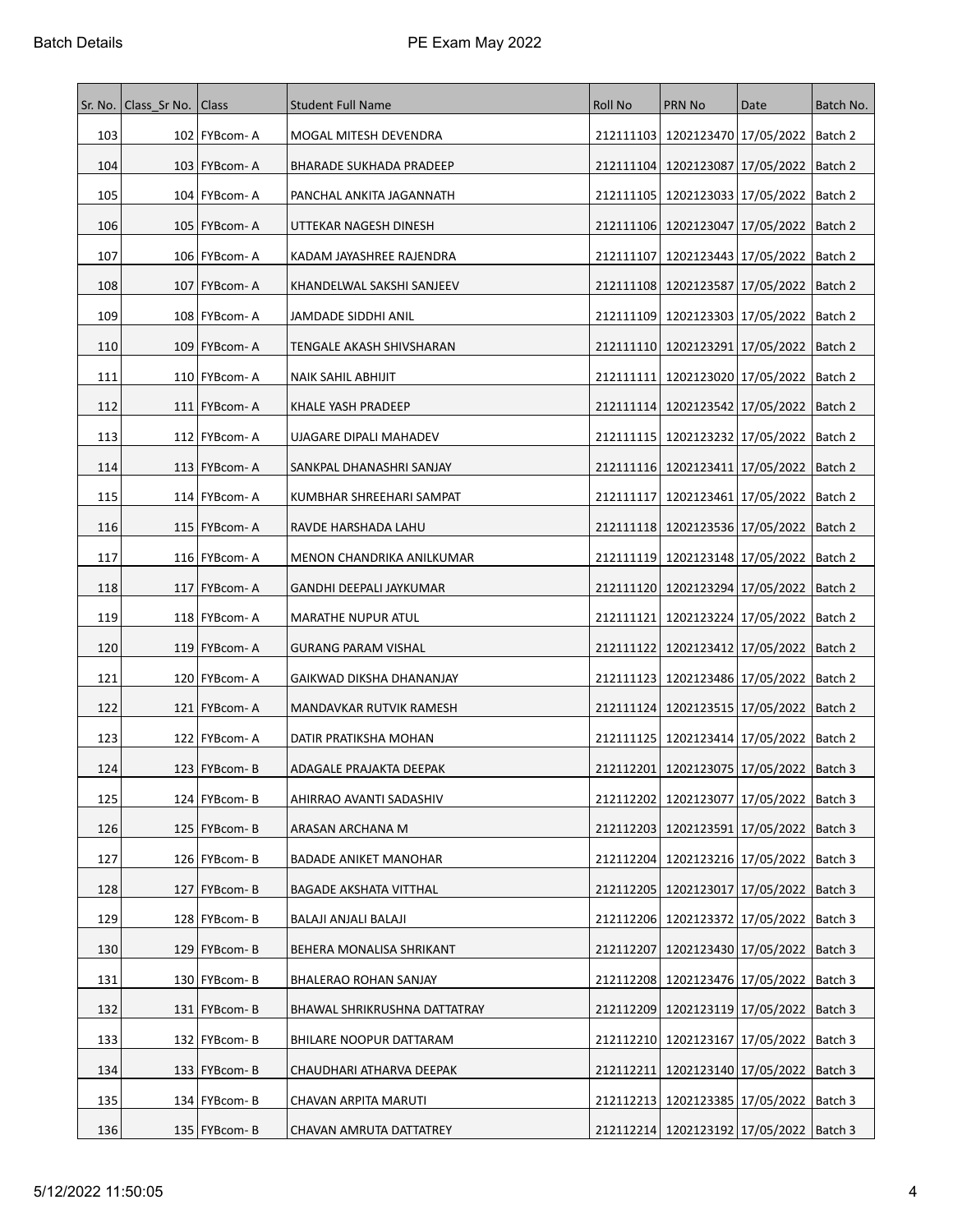| Sr. No. | Class Sr No.   Class |                    | <b>Student Full Name</b>       | Roll No   | PRN No                                        | Date                            | Batch No. |
|---------|----------------------|--------------------|--------------------------------|-----------|-----------------------------------------------|---------------------------------|-----------|
| 103     |                      | 102   FYBcom-A     | MOGAL MITESH DEVENDRA          |           | 212111103   1202123470   17/05/2022   Batch 2 |                                 |           |
| 104     |                      | 103 FYBcom-A       | <b>BHARADE SUKHADA PRADEEP</b> |           | 212111104 1202123087 17/05/2022               |                                 | Batch 2   |
| 105     |                      | 104   FYBcom-A     | PANCHAL ANKITA JAGANNATH       | 212111105 | 1202123033 17/05/2022                         |                                 | Batch 2   |
| 106     |                      | 105   FYBcom-A     | UTTEKAR NAGESH DINESH          |           | 212111106   1202123047   17/05/2022           |                                 | Batch 2   |
| 107     |                      | 106   FYBcom-A     | KADAM JAYASHREE RAJENDRA       | 212111107 | 1202123443 17/05/2022                         |                                 | Batch 2   |
| 108     |                      | 107   FYBcom-A     | KHANDELWAL SAKSHI SANJEEV      |           | 212111108 1202123587 17/05/2022   Batch 2     |                                 |           |
| 109     |                      | 108   FYBcom-A     | JAMDADE SIDDHI ANIL            | 212111109 | 1202123303 17/05/2022                         |                                 | Batch 2   |
| 110     |                      | 109 FYBcom-A       | TENGALE AKASH SHIVSHARAN       |           | 212111110   1202123291   17/05/2022           |                                 | Batch 2   |
| 111     |                      | 110   FYBcom-A     | NAIK SAHIL ABHIJIT             |           | 212111111   1202123020   17/05/2022           |                                 | Batch 2   |
| 112     |                      | $111$   FYBcom-A   | KHALE YASH PRADEEP             |           | 212111114   1202123542   17/05/2022           |                                 | Batch 2   |
| 113     |                      | 112   FYBcom-A     | UJAGARE DIPALI MAHADEV         |           | 212111115   1202123232   17/05/2022           |                                 | Batch 2   |
| 114     |                      | $113$   FYBcom- A  | SANKPAL DHANASHRI SANJAY       |           | 212111116   1202123411   17/05/2022   Batch 2 |                                 |           |
| 115     |                      | 114   FYBcom-A     | KUMBHAR SHREEHARI SAMPAT       | 212111117 | 1202123461   17/05/2022                       |                                 | Batch 2   |
| 116     |                      | $115$   FYBcom- A  | RAVDE HARSHADA LAHU            |           | 212111118   1202123536   17/05/2022           |                                 | Batch 2   |
| 117     |                      | 116 FYBcom-A       | MENON CHANDRIKA ANILKUMAR      |           | 212111119 1202123148 17/05/2022               |                                 | Batch 2   |
| 118     |                      | 117   FYBcom-A     | GANDHI DEEPALI JAYKUMAR        |           | 212111120   1202123294   17/05/2022           |                                 | Batch 2   |
| 119     |                      | 118   FYBcom-A     | MARATHE NUPUR ATUL             | 212111121 |                                               | 1202123224 17/05/2022   Batch 2 |           |
| 120     |                      | 119   FYBcom-A     | <b>GURANG PARAM VISHAL</b>     | 212111122 | 1202123412   17/05/2022                       |                                 | Batch 2   |
| 121     |                      | 120 FYBcom-A       | GAIKWAD DIKSHA DHANANJAY       |           | 212111123   1202123486   17/05/2022   Batch 2 |                                 |           |
| 122     |                      | 121   FYBcom-A     | MANDAVKAR RUTVIK RAMESH        |           | 212111124   1202123515   17/05/2022           |                                 | Batch 2   |
| 123     |                      | 122 FYBcom-A       | DATIR PRATIKSHA MOHAN          |           | 212111125   1202123414   17/05/2022   Batch 2 |                                 |           |
| 124     |                      | 123   FYBcom-B     | ADAGALE PRAJAKTA DEEPAK        |           | 212112201   1202123075   17/05/2022           |                                 | Batch 3   |
| 125     |                      | 124   FYBcom-B     | AHIRRAO AVANTI SADASHIV        |           | 212112202   1202123077   17/05/2022   Batch 3 |                                 |           |
| 126     |                      | 125   FYBcom-B     | ARASAN ARCHANA M               |           | 212112203   1202123591   17/05/2022           |                                 | Batch 3   |
| 127     |                      | 126 FYBcom-B       | BADADE ANIKET MANOHAR          |           | 212112204 1202123216 17/05/2022               |                                 | Batch 3   |
| 128     |                      | 127   FYBcom-B     | <b>BAGADE AKSHATA VITTHAL</b>  |           | 212112205   1202123017   17/05/2022           |                                 | Batch 3   |
| 129     |                      | 128 FYBcom-B       | BALAJI ANJALI BALAJI           |           | 212112206   1202123372   17/05/2022   Batch 3 |                                 |           |
| 130     |                      | $129$ FYBcom-B     | BEHERA MONALISA SHRIKANT       | 212112207 | 1202123430 17/05/2022 Batch 3                 |                                 |           |
| 131     |                      | 130 FYBcom-B       | BHALERAO ROHAN SANJAY          |           | 212112208 1202123476 17/05/2022 Batch 3       |                                 |           |
| 132     |                      | 131 FYBcom-B       | BHAWAL SHRIKRUSHNA DATTATRAY   |           | 212112209 1202123119 17/05/2022               |                                 | Batch 3   |
| 133     |                      | 132 FYBcom-B       | BHILARE NOOPUR DATTARAM        |           | 212112210 1202123167 17/05/2022               |                                 | Batch 3   |
| 134     |                      | 133   FYBcom-B     | CHAUDHARI ATHARVA DEEPAK       |           | 212112211   1202123140   17/05/2022   Batch 3 |                                 |           |
| 135     |                      | 134   FYBcom-B     | CHAVAN ARPITA MARUTI           |           | 212112213   1202123385   17/05/2022           |                                 | Batch 3   |
| 136     |                      | 135   $FYBcom - B$ | CHAVAN AMRUTA DATTATREY        |           | 212112214 1202123192 17/05/2022 Batch 3       |                                 |           |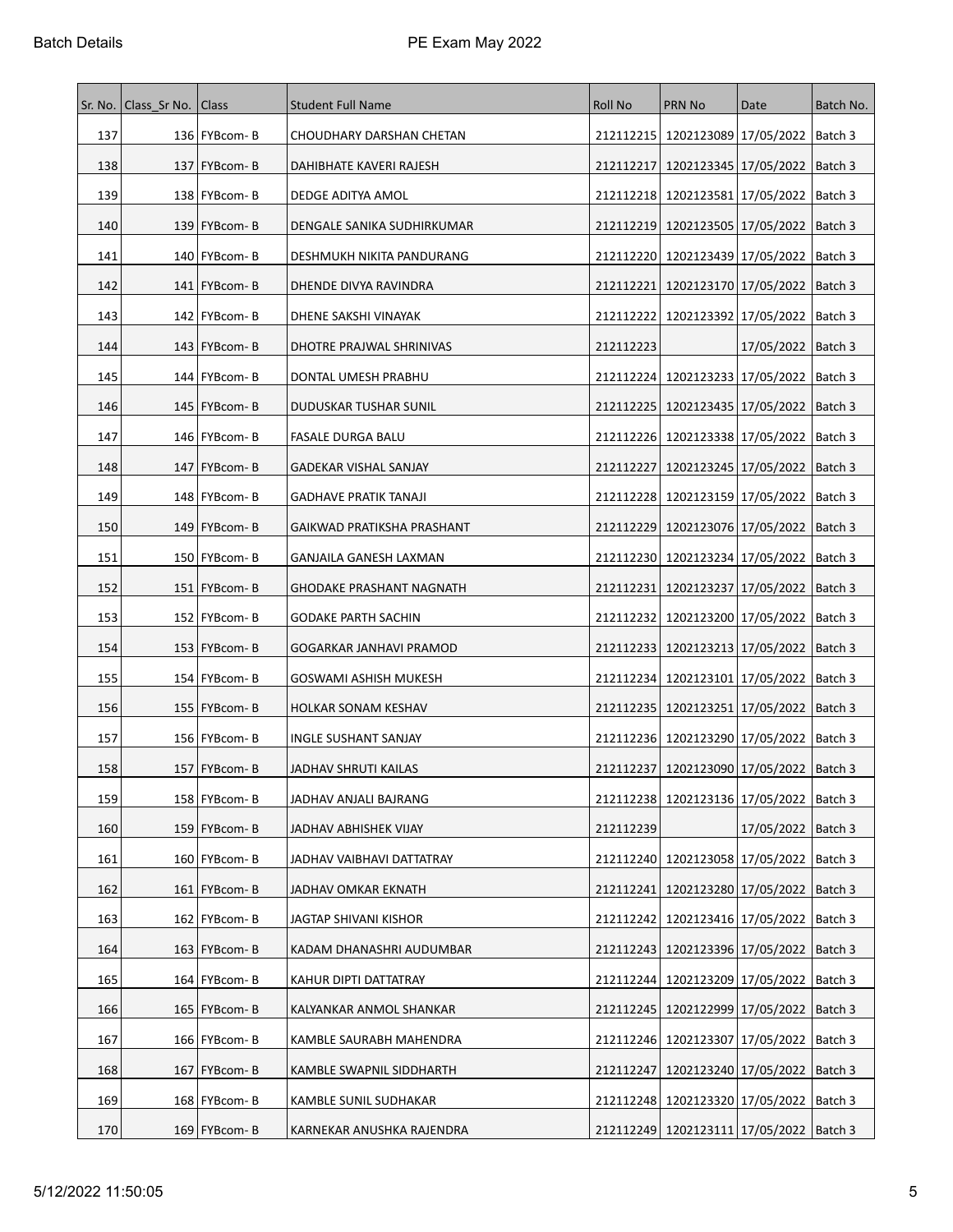| Sr. No. | Class Sr No. Class |                | <b>Student Full Name</b>     | <b>Roll No</b> | <b>PRN No</b>                                 | Date                              | Batch No. |
|---------|--------------------|----------------|------------------------------|----------------|-----------------------------------------------|-----------------------------------|-----------|
| 137     |                    | 136   FYBcom-B | CHOUDHARY DARSHAN CHETAN     |                | 212112215   1202123089   17/05/2022   Batch 3 |                                   |           |
| 138     |                    | 137   FYBcom-B | DAHIBHATE KAVERI RAJESH      | 212112217      | 1202123345   17/05/2022   Batch 3             |                                   |           |
| 139     |                    | 138   FYBcom-B | DEDGE ADITYA AMOL            |                | 212112218   1202123581   17/05/2022   Batch 3 |                                   |           |
| 140     |                    | 139   FYBcom-B | DENGALE SANIKA SUDHIRKUMAR   |                | 212112219   1202123505   17/05/2022   Batch 3 |                                   |           |
| 141     |                    | 140   FYBcom-B | DESHMUKH NIKITA PANDURANG    | 212112220      | 1202123439   17/05/2022   Batch 3             |                                   |           |
| 142     |                    | $141$ FYBcom-B | DHENDE DIVYA RAVINDRA        | 212112221      | 1202123170   17/05/2022   Batch 3             |                                   |           |
| 143     |                    | 142   FYBcom-B | DHENE SAKSHI VINAYAK         | 212112222      | 1202123392 17/05/2022  Batch 3                |                                   |           |
| 144     |                    | 143   FYBcom-B | DHOTRE PRAJWAL SHRINIVAS     | 212112223      |                                               | 17/05/2022   Batch 3              |           |
| 145     |                    | 144   FYBcom-B | DONTAL UMESH PRABHU          |                | 212112224 1202123233 17/05/2022   Batch 3     |                                   |           |
| 146     |                    | 145   FYBcom-B | DUDUSKAR TUSHAR SUNIL        |                | 212112225   1202123435   17/05/2022   Batch 3 |                                   |           |
| 147     |                    | 146   FYBcom-B | <b>FASALE DURGA BALU</b>     |                | 212112226   1202123338   17/05/2022   Batch 3 |                                   |           |
| 148     |                    | 147   FYBcom-B | GADEKAR VISHAL SANJAY        | 212112227      | 1202123245   17/05/2022   Batch 3             |                                   |           |
| 149     |                    | 148   FYBcom-B | <b>GADHAVE PRATIK TANAJI</b> |                | 212112228   1202123159   17/05/2022   Batch 3 |                                   |           |
| 150     |                    | 149   FYBcom-B | GAIKWAD PRATIKSHA PRASHANT   |                | 212112229   1202123076   17/05/2022   Batch 3 |                                   |           |
| 151     |                    | 150   FYBcom-B | GANJAILA GANESH LAXMAN       |                | 212112230   1202123234   17/05/2022   Batch 3 |                                   |           |
| 152     |                    | 151   FYBcom-B | GHODAKE PRASHANT NAGNATH     | 212112231      | 1202123237   17/05/2022   Batch 3             |                                   |           |
| 153     |                    | 152   FYBcom-B | <b>GODAKE PARTH SACHIN</b>   |                | 212112232   1202123200   17/05/2022   Batch 3 |                                   |           |
| 154     |                    | 153   FYBcom-B | GOGARKAR JANHAVI PRAMOD      |                | 212112233   1202123213   17/05/2022   Batch 3 |                                   |           |
| 155     |                    | 154 FYBcom-B   | GOSWAMI ASHISH MUKESH        |                | 212112234   1202123101   17/05/2022   Batch 3 |                                   |           |
| 156     |                    | 155   FYBcom-B | HOLKAR SONAM KESHAV          |                | 212112235   1202123251   17/05/2022   Batch 3 |                                   |           |
| 157     |                    | 156   FYBcom-B | <b>INGLE SUSHANT SANJAY</b>  |                | 212112236   1202123290   17/05/2022   Batch 3 |                                   |           |
| 158     |                    | 157   FYBcom-B | JADHAV SHRUTI KAILAS         |                | 212112237 1202123090 17/05/2022   Batch 3     |                                   |           |
| 159     |                    | 158 FYBcom-B   | JADHAV ANJALI BAJRANG        |                | 212112238 1202123136 17/05/2022   Batch 3     |                                   |           |
| 160     |                    | $159$ FYBcom-B | JADHAV ABHISHEK VIJAY        | 212112239      |                                               | 17/05/2022   Batch 3              |           |
| 161     |                    | 160   FYBcom-B | JADHAV VAIBHAVI DATTATRAY    |                | 212112240   1202123058   17/05/2022   Batch 3 |                                   |           |
| 162     |                    | 161   FYBcom-B | JADHAV OMKAR EKNATH          | 212112241      |                                               | 1202123280   17/05/2022   Batch 3 |           |
| 163     |                    | 162 FYBcom-B   | JAGTAP SHIVANI KISHOR        |                | 212112242 1202123416 17/05/2022   Batch 3     |                                   |           |
| 164     |                    | $163$ FYBcom-B | KADAM DHANASHRI AUDUMBAR     |                | 212112243   1202123396   17/05/2022   Batch 3 |                                   |           |
| 165     |                    | 164   FYBcom-B | KAHUR DIPTI DATTATRAY        |                | 212112244   1202123209   17/05/2022   Batch 3 |                                   |           |
| 166     |                    | 165   FYBcom-B | KALYANKAR ANMOL SHANKAR      |                | 212112245   1202122999   17/05/2022   Batch 3 |                                   |           |
| 167     |                    | 166   FYBcom-B | KAMBLE SAURABH MAHENDRA      |                | 212112246   1202123307   17/05/2022   Batch 3 |                                   |           |
| 168     |                    | $167$ FYBcom-B | KAMBLE SWAPNIL SIDDHARTH     | 212112247      | 1202123240   17/05/2022   Batch 3             |                                   |           |
| 169     |                    | 168   FYBcom-B | KAMBLE SUNIL SUDHAKAR        |                | 212112248   1202123320   17/05/2022           |                                   | Batch 3   |
| 170     |                    | $169$ FYBcom-B | KARNEKAR ANUSHKA RAJENDRA    |                | 212112249 1202123111 17/05/2022   Batch 3     |                                   |           |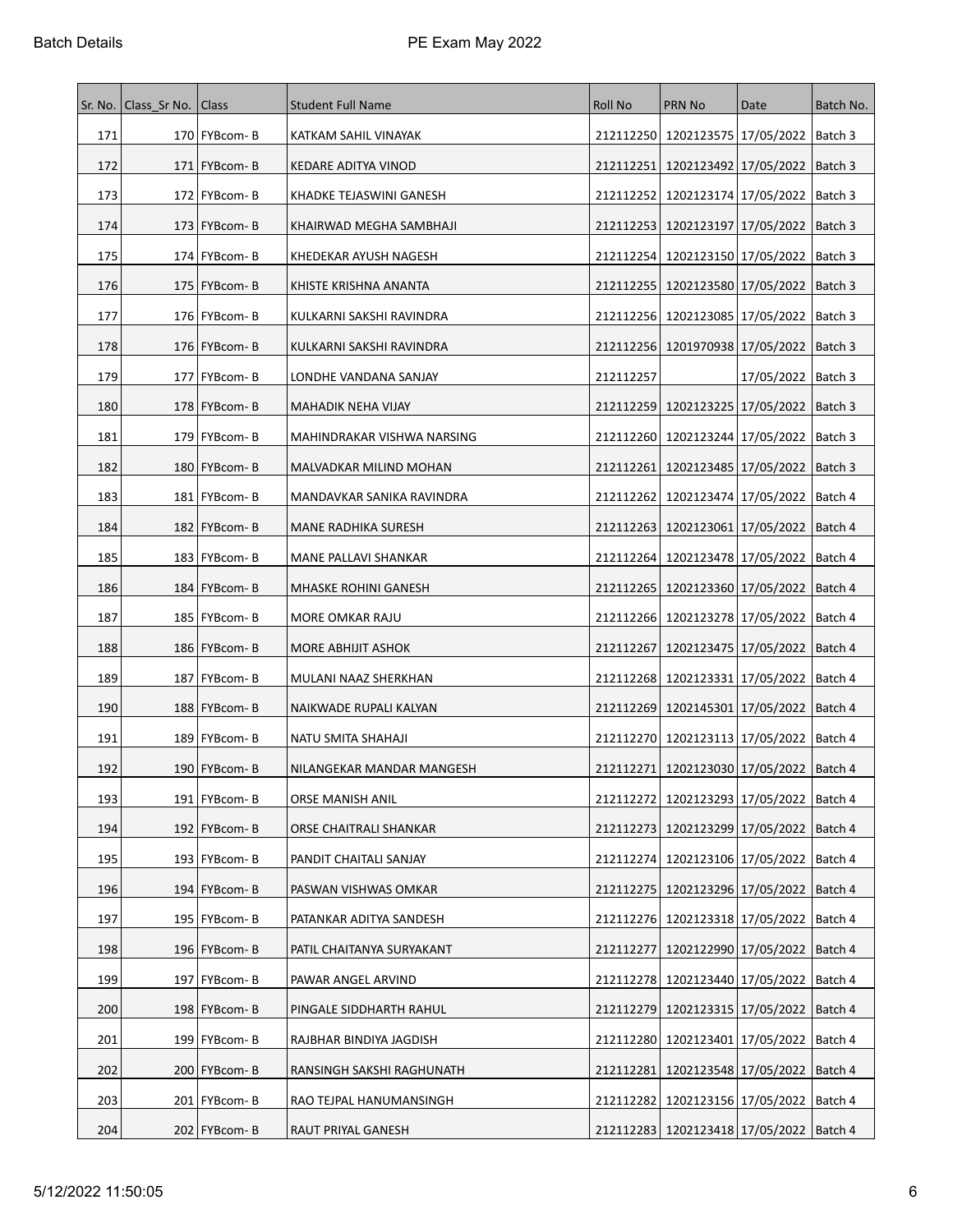|     | Sr. No.   Class_Sr No. | Class          | <b>Student Full Name</b>   | Roll No   | PRN No                                        | Date                              | Batch No. |
|-----|------------------------|----------------|----------------------------|-----------|-----------------------------------------------|-----------------------------------|-----------|
| 171 |                        | 170   FYBcom-B | KATKAM SAHIL VINAYAK       | 212112250 |                                               | 1202123575 17/05/2022   Batch 3   |           |
| 172 |                        | $171$ FYBcom-B | KEDARE ADITYA VINOD        | 212112251 | 1202123492 17/05/2022                         |                                   | Batch 3   |
| 173 |                        | 172   FYBcom-B | KHADKE TEJASWINI GANESH    | 212112252 | 1202123174 17/05/2022                         |                                   | Batch 3   |
| 174 |                        | 173   FYBcom-B | KHAIRWAD MEGHA SAMBHAJI    | 212112253 | 1202123197   17/05/2022                       |                                   | Batch 3   |
| 175 |                        | 174   FYBcom-B | KHEDEKAR AYUSH NAGESH      | 212112254 | 1202123150 17/05/2022                         |                                   | Batch 3   |
| 176 |                        | 175   FYBcom-B | KHISTE KRISHNA ANANTA      | 212112255 |                                               | 1202123580 17/05/2022   Batch 3   |           |
| 177 |                        | 176   FYBcom-B | KULKARNI SAKSHI RAVINDRA   | 212112256 | 1202123085   17/05/2022                       |                                   | Batch 3   |
| 178 |                        | 176   FYBcom-B | KULKARNI SAKSHI RAVINDRA   |           | 212112256   1201970938   17/05/2022           |                                   | Batch 3   |
| 179 |                        | 177   FYBcom-B | LONDHE VANDANA SANJAY      | 212112257 |                                               | 17/05/2022                        | Batch 3   |
| 180 |                        | $178$ FYBcom-B | MAHADIK NEHA VIJAY         | 212112259 | 1202123225   17/05/2022                       |                                   | Batch 3   |
| 181 |                        | 179   FYBcom-B | MAHINDRAKAR VISHWA NARSING | 212112260 | 1202123244 17/05/2022                         |                                   | Batch 3   |
| 182 |                        | 180   FYBcom-B | MALVADKAR MILIND MOHAN     | 212112261 |                                               | 1202123485   17/05/2022   Batch 3 |           |
| 183 |                        | 181   FYBcom-B | MANDAVKAR SANIKA RAVINDRA  | 212112262 | 1202123474 17/05/2022                         |                                   | Batch 4   |
| 184 |                        | 182   FYBcom-B | <b>MANE RADHIKA SURESH</b> | 212112263 | 1202123061 17/05/2022                         |                                   | Batch 4   |
| 185 |                        | 183   FYBcom-B | MANE PALLAVI SHANKAR       | 212112264 | 1202123478 17/05/2022                         |                                   | Batch 4   |
| 186 |                        | 184 FYBcom-B   | MHASKE ROHINI GANESH       | 212112265 | 1202123360 17/05/2022                         |                                   | Batch 4   |
| 187 |                        | 185   FYBcom-B | MORE OMKAR RAJU            | 212112266 |                                               | 1202123278 17/05/2022             | Batch 4   |
| 188 |                        | 186   FYBcom-B | MORE ABHIJIT ASHOK         | 212112267 | 1202123475   17/05/2022                       |                                   | Batch 4   |
| 189 |                        | 187   FYBcom-B | MULANI NAAZ SHERKHAN       |           | 212112268   1202123331   17/05/2022   Batch 4 |                                   |           |
| 190 |                        | 188   FYBcom-B | NAIKWADE RUPALI KALYAN     | 212112269 | 1202145301   17/05/2022                       |                                   | Batch 4   |
| 191 |                        | 189 FYBcom-B   | NATU SMITA SHAHAJI         |           | 212112270   1202123113   17/05/2022   Batch 4 |                                   |           |
| 192 |                        | 190   FYBcom-B | NILANGEKAR MANDAR MANGESH  | 212112271 | 1202123030 17/05/2022   Batch 4               |                                   |           |
| 193 |                        | 191   FYBcom-B | ORSE MANISH ANIL           |           | 212112272   1202123293   17/05/2022   Batch 4 |                                   |           |
| 194 |                        | 192   FYBcom-B | ORSE CHAITRALI SHANKAR     | 212112273 | 1202123299 17/05/2022                         |                                   | Batch 4   |
| 195 |                        | 193   FYBcom-B | PANDIT CHAITALI SANJAY     | 212112274 |                                               | 1202123106 17/05/2022             | Batch 4   |
| 196 |                        | 194   FYBcom-B | PASWAN VISHWAS OMKAR       | 212112275 | 1202123296 17/05/2022                         |                                   | Batch 4   |
| 197 |                        | 195   FYBcom-B | PATANKAR ADITYA SANDESH    |           | 212112276   1202123318   17/05/2022   Batch 4 |                                   |           |
| 198 |                        | 196 FYBcom-B   | PATIL CHAITANYA SURYAKANT  | 212112277 |                                               | 1202122990 17/05/2022 Batch 4     |           |
| 199 |                        | 197   FYBcom-B | PAWAR ANGEL ARVIND         | 212112278 |                                               | 1202123440   17/05/2022           | Batch 4   |
| 200 |                        | 198   FYBcom-B | PINGALE SIDDHARTH RAHUL    | 212112279 |                                               | 1202123315 17/05/2022             | Batch 4   |
| 201 |                        | 199   FYBcom-B | RAJBHAR BINDIYA JAGDISH    | 212112280 |                                               | 1202123401   17/05/2022           | Batch 4   |
| 202 |                        | 200   FYBcom-B | RANSINGH SAKSHI RAGHUNATH  | 212112281 |                                               | 1202123548 17/05/2022   Batch 4   |           |
| 203 |                        | 201   FYBcom-B | RAO TEJPAL HANUMANSINGH    | 212112282 | 1202123156 17/05/2022                         |                                   | Batch 4   |
| 204 |                        | 202   FYBcom-B | RAUT PRIYAL GANESH         |           | 212112283   1202123418   17/05/2022   Batch 4 |                                   |           |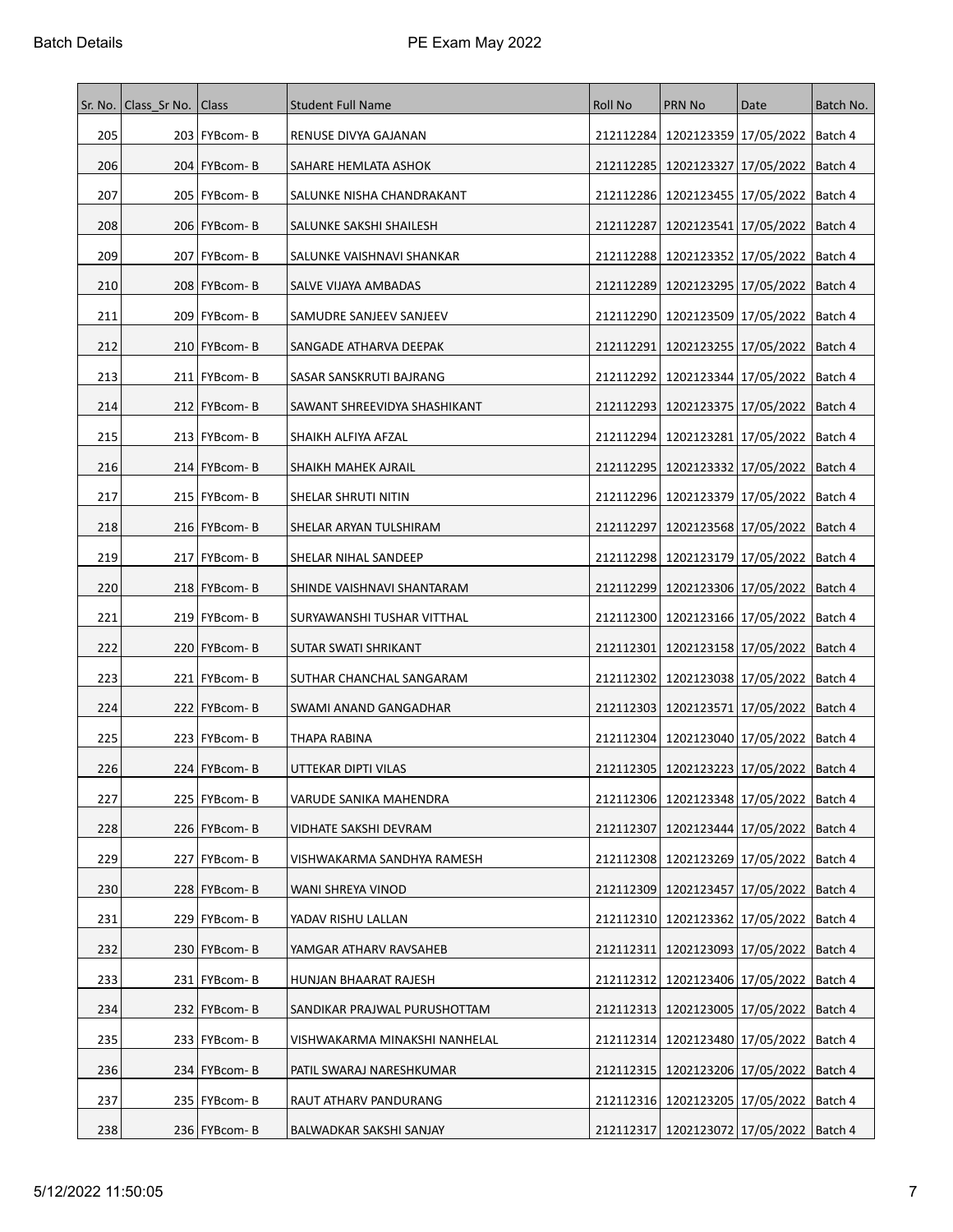| Sr. No. | Class Sr No.   Class |                | <b>Student Full Name</b>      | Roll No   | PRN No                                        | Date                              | Batch No. |
|---------|----------------------|----------------|-------------------------------|-----------|-----------------------------------------------|-----------------------------------|-----------|
| 205     |                      | 203   FYBcom-B | RENUSE DIVYA GAJANAN          |           | 212112284 1202123359 17/05/2022 Batch 4       |                                   |           |
| 206     |                      | 204   FYBcom-B | SAHARE HEMLATA ASHOK          |           | 212112285   1202123327   17/05/2022           |                                   | Batch 4   |
| 207     |                      | 205   FYBcom-B | SALUNKE NISHA CHANDRAKANT     | 212112286 | 1202123455   17/05/2022                       |                                   | Batch 4   |
| 208     |                      | 206   FYBcom-B | SALUNKE SAKSHI SHAILESH       | 212112287 |                                               | 1202123541   17/05/2022   Batch 4 |           |
| 209     |                      | 207   FYBcom-B | SALUNKE VAISHNAVI SHANKAR     |           | 212112288   1202123352   17/05/2022           |                                   | Batch 4   |
| 210     |                      | 208   FYBcom-B | SALVE VIJAYA AMBADAS          |           | 212112289 1202123295 17/05/2022               |                                   | Batch 4   |
| 211     |                      | 209   FYBcom-B | SAMUDRE SANJEEV SANJEEV       |           | 212112290   1202123509   17/05/2022           |                                   | Batch 4   |
| 212     |                      | 210   FYBcom-B | SANGADE ATHARVA DEEPAK        | 212112291 | 1202123255   17/05/2022                       |                                   | Batch 4   |
| 213     |                      | 211   FYBcom-B | SASAR SANSKRUTI BAJRANG       |           | 212112292   1202123344   17/05/2022           |                                   | Batch 4   |
| 214     |                      | 212   FYBcom-B | SAWANT SHREEVIDYA SHASHIKANT  |           | 212112293 1202123375 17/05/2022               |                                   | Batch 4   |
| 215     |                      | 213   FYBcom-B | SHAIKH ALFIYA AFZAL           |           | 212112294   1202123281   17/05/2022           |                                   | Batch 4   |
| 216     |                      | 214   FYBcom-B | SHAIKH MAHEK AJRAIL           |           | 212112295   1202123332   17/05/2022   Batch 4 |                                   |           |
| 217     |                      | 215   FYBcom-B | SHELAR SHRUTI NITIN           |           | 212112296   1202123379   17/05/2022           |                                   | Batch 4   |
| 218     |                      | 216   FYBcom-B | SHELAR ARYAN TULSHIRAM        | 212112297 | 1202123568 17/05/2022                         |                                   | Batch 4   |
| 219     |                      | 217   FYBcom-B | SHELAR NIHAL SANDEEP          |           | 212112298 1202123179 17/05/2022               |                                   | Batch 4   |
| 220     |                      | 218   FYBcom-B | SHINDE VAISHNAVI SHANTARAM    |           | 212112299   1202123306   17/05/2022           |                                   | Batch 4   |
| 221     |                      | 219   FYBcom-B | SURYAWANSHI TUSHAR VITTHAL    |           | 212112300   1202123166   17/05/2022   Batch 4 |                                   |           |
| 222     |                      | 220   FYBcom-B | SUTAR SWATI SHRIKANT          | 212112301 | 1202123158   17/05/2022                       |                                   | Batch 4   |
| 223     |                      | 221   FYBcom-B | SUTHAR CHANCHAL SANGARAM      |           | 212112302   1202123038   17/05/2022   Batch 4 |                                   |           |
| 224     |                      | 222   FYBcom-B | SWAMI ANAND GANGADHAR         |           | 212112303   1202123571   17/05/2022           |                                   | Batch 4   |
| 225     |                      | 223 FYBcom-B   | THAPA RABINA                  |           | 212112304   1202123040   17/05/2022   Batch 4 |                                   |           |
| 226     |                      | 224   FYBcom-B | UTTEKAR DIPTI VILAS           |           | 212112305   1202123223   17/05/2022   Batch 4 |                                   |           |
| 227     |                      | 225   FYBcom-B | VARUDE SANIKA MAHENDRA        |           | 212112306   1202123348   17/05/2022   Batch 4 |                                   |           |
| 228     |                      | 226   FYBcom-B | VIDHATE SAKSHI DEVRAM         |           | 212112307   1202123444   17/05/2022           |                                   | Batch 4   |
| 229     |                      | 227   FYBcom-B | VISHWAKARMA SANDHYA RAMESH    |           | 212112308   1202123269   17/05/2022           |                                   | Batch 4   |
| 230     |                      | 228 FYBcom-B   | WANI SHREYA VINOD             |           | 212112309   1202123457   17/05/2022           |                                   | Batch 4   |
| 231     |                      | 229 FYBcom-B   | YADAV RISHU LALLAN            |           | 212112310 1202123362 17/05/2022   Batch 4     |                                   |           |
| 232     |                      | 230 FYBcom-B   | YAMGAR ATHARV RAVSAHEB        |           | 212112311   1202123093   17/05/2022   Batch 4 |                                   |           |
| 233     |                      | 231   FYBcom-B | HUNJAN BHAARAT RAJESH         | 212112312 | 1202123406 17/05/2022                         |                                   | Batch 4   |
| 234     |                      | 232 FYBcom-B   | SANDIKAR PRAJWAL PURUSHOTTAM  |           | 212112313   1202123005   17/05/2022           |                                   | Batch 4   |
| 235     |                      | 233   FYBcom-B | VISHWAKARMA MINAKSHI NANHELAL |           | 212112314   1202123480   17/05/2022           |                                   | Batch 4   |
| 236     |                      | 234 FYBcom-B   | PATIL SWARAJ NARESHKUMAR      |           | 212112315   1202123206   17/05/2022   Batch 4 |                                   |           |
| 237     |                      | 235   FYBcom-B | RAUT ATHARV PANDURANG         |           | 212112316   1202123205   17/05/2022           |                                   | Batch 4   |
| 238     |                      | 236 FYBcom-B   | BALWADKAR SAKSHI SANJAY       |           | 212112317 1202123072 17/05/2022 Batch 4       |                                   |           |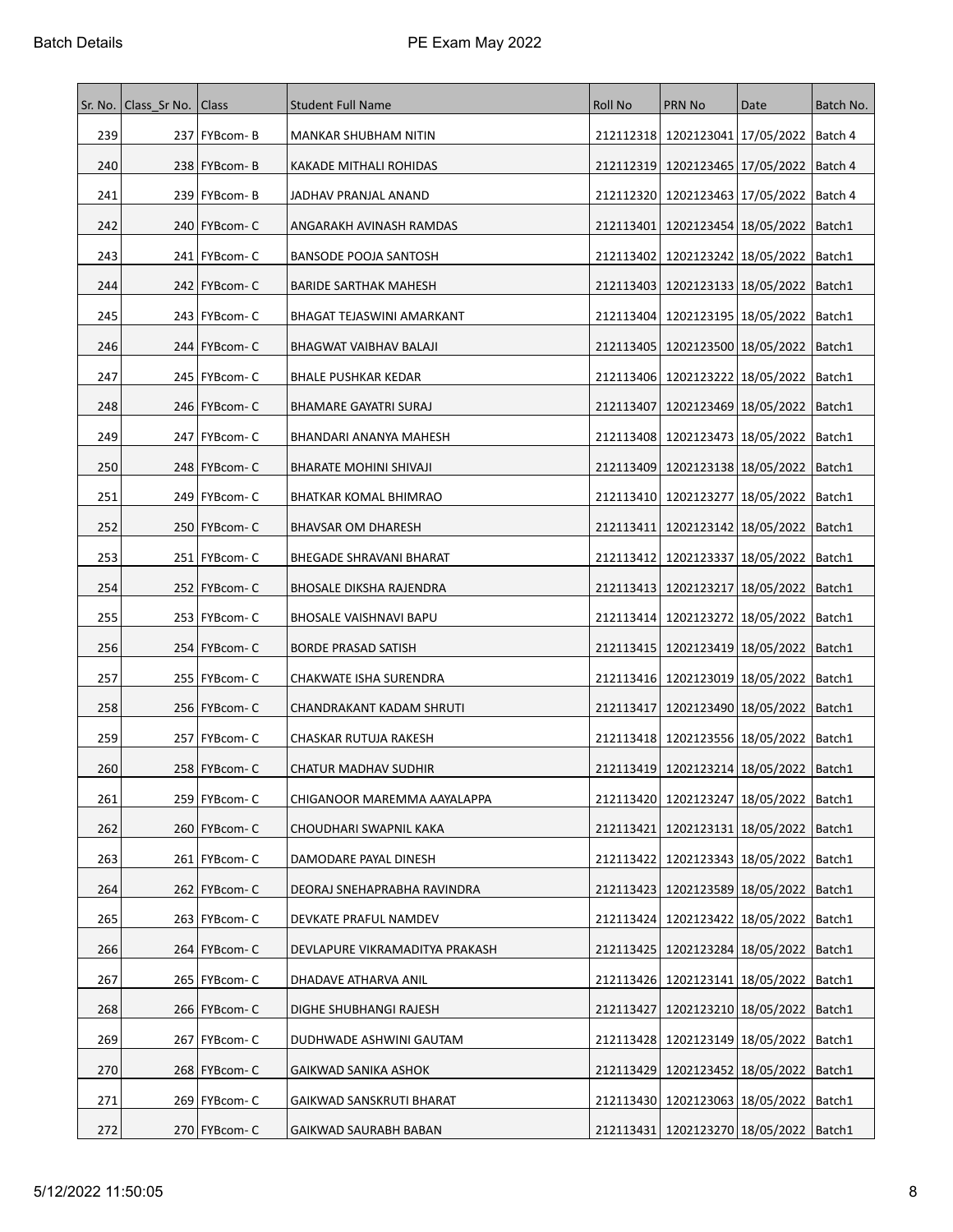| Sr. No. | Class Sr No.   Class |                 | <b>Student Full Name</b>       | Roll No   | <b>PRN No</b>                                | Date                             | Batch No. |
|---------|----------------------|-----------------|--------------------------------|-----------|----------------------------------------------|----------------------------------|-----------|
| 239     |                      | 237 FYBcom-B    | <b>MANKAR SHUBHAM NITIN</b>    |           | 212112318 1202123041 17/05/2022              |                                  | Batch 4   |
| 240     |                      | 238 FYBcom-B    | <b>KAKADE MITHALI ROHIDAS</b>  |           | 212112319   1202123465   17/05/2022          |                                  | Batch 4   |
| 241     |                      | 239   FYBcom-B  | JADHAV PRANJAL ANAND           | 212112320 | 1202123463 17/05/2022                        |                                  | Batch 4   |
| 242     |                      | 240   FYBcom-C  | ANGARAKH AVINASH RAMDAS        | 212113401 | 1202123454   18/05/2022                      |                                  | Batch1    |
| 243     |                      | 241   FYBcom-C  | BANSODE POOJA SANTOSH          | 212113402 | 1202123242   18/05/2022                      |                                  | Batch1    |
| 244     |                      | 242   FYBcom-C  | <b>BARIDE SARTHAK MAHESH</b>   | 212113403 | 1202123133   18/05/2022                      |                                  | Batch1    |
| 245     |                      | 243   FYBcom-C  | BHAGAT TEJASWINI AMARKANT      | 212113404 | 1202123195   18/05/2022                      |                                  | Batch1    |
| 246     |                      | 244   FYBcom- C | BHAGWAT VAIBHAV BALAJI         | 212113405 | 1202123500   18/05/2022                      |                                  | Batch1    |
| 247     |                      | 245   FYBcom-C  | <b>BHALE PUSHKAR KEDAR</b>     | 212113406 | 1202123222   18/05/2022                      |                                  | Batch1    |
| 248     |                      | 246   FYBcom- C | BHAMARE GAYATRI SURAJ          | 212113407 | 1202123469 18/05/2022                        |                                  | Batch1    |
| 249     |                      | 247   FYBcom- C | BHANDARI ANANYA MAHESH         | 212113408 | 1202123473   18/05/2022                      |                                  | Batch1    |
| 250     |                      | 248   FYBcom-C  | BHARATE MOHINI SHIVAJI         | 212113409 |                                              | 1202123138   18/05/2022   Batch1 |           |
| 251     |                      | 249   FYBcom-C  | BHATKAR KOMAL BHIMRAO          | 212113410 | 1202123277   18/05/2022                      |                                  | Batch1    |
| 252     |                      | 250 FYBcom- C   | BHAVSAR OM DHARESH             | 212113411 | 1202123142 18/05/2022                        |                                  | Batch1    |
| 253     |                      | 251 FYBcom- C   | BHEGADE SHRAVANI BHARAT        | 212113412 | 1202123337 18/05/2022                        |                                  | Batch1    |
| 254     |                      | 252   FYBcom- C | BHOSALE DIKSHA RAJENDRA        | 212113413 | 1202123217 18/05/2022                        |                                  | Batch1    |
| 255     |                      | 253   FYBcom-C  | BHOSALE VAISHNAVI BAPU         | 212113414 | 1202123272 18/05/2022                        |                                  | Batch1    |
| 256     |                      | 254 FYBcom-C    | <b>BORDE PRASAD SATISH</b>     | 212113415 | 1202123419   18/05/2022                      |                                  | Batch1    |
| 257     |                      | 255   FYBcom-C  | CHAKWATE ISHA SURENDRA         |           | 212113416   1202123019   18/05/2022          |                                  | Batch1    |
| 258     |                      | 256   FYBcom-C  | CHANDRAKANT KADAM SHRUTI       | 212113417 | 1202123490 18/05/2022                        |                                  | Batch1    |
| 259     |                      | 257   FYBcom-C  | CHASKAR RUTUJA RAKESH          |           | 212113418   1202123556   18/05/2022          |                                  | Batch1    |
| 260     |                      | 258   FYBcom-C  | CHATUR MADHAV SUDHIR           |           | 212113419   1202123214   18/05/2022          |                                  | Batch1    |
| 261     |                      | 259 FYBcom-C    | CHIGANOOR MAREMMA AAYALAPPA    |           | 212113420 1202123247 18/05/2022   Batch1     |                                  |           |
| 262     |                      | 260 FYBcom-C    | CHOUDHARI SWAPNIL KAKA         | 212113421 | 1202123131   18/05/2022                      |                                  | Batch1    |
| 263     |                      | 261 FYBcom-C    | DAMODARE PAYAL DINESH          | 212113422 | 1202123343 18/05/2022                        |                                  | Batch1    |
| 264     |                      | 262 FYBcom-C    | DEORAJ SNEHAPRABHA RAVINDRA    | 212113423 | 1202123589   18/05/2022                      |                                  | Batch1    |
| 265     |                      | $263$ FYBcom-C  | DEVKATE PRAFUL NAMDEV          | 212113424 | 1202123422 18/05/2022                        |                                  | Batch1    |
| 266     |                      | 264 FYBcom-C    | DEVLAPURE VIKRAMADITYA PRAKASH | 212113425 | 1202123284 18/05/2022                        |                                  | Batch1    |
| 267     |                      | 265   FYBcom-C  | DHADAVE ATHARVA ANIL           |           | 212113426   1202123141   18/05/2022          |                                  | Batch1    |
| 268     |                      | 266 FYBcom-C    | DIGHE SHUBHANGI RAJESH         | 212113427 |                                              | 1202123210   18/05/2022          | Batch1    |
| 269     |                      | 267 FYBcom-C    | DUDHWADE ASHWINI GAUTAM        |           | 212113428   1202123149   18/05/2022          |                                  | Batch1    |
| 270     |                      | 268 FYBcom-C    | GAIKWAD SANIKA ASHOK           | 212113429 |                                              | 1202123452 18/05/2022 Batch1     |           |
| 271     |                      | 269 FYBcom-C    | GAIKWAD SANSKRUTI BHARAT       |           | 212113430   1202123063   18/05/2022          |                                  | Batch1    |
| 272     |                      | 270 FYBcom-C    | GAIKWAD SAURABH BABAN          |           | 212113431   1202123270   18/05/2022   Batch1 |                                  |           |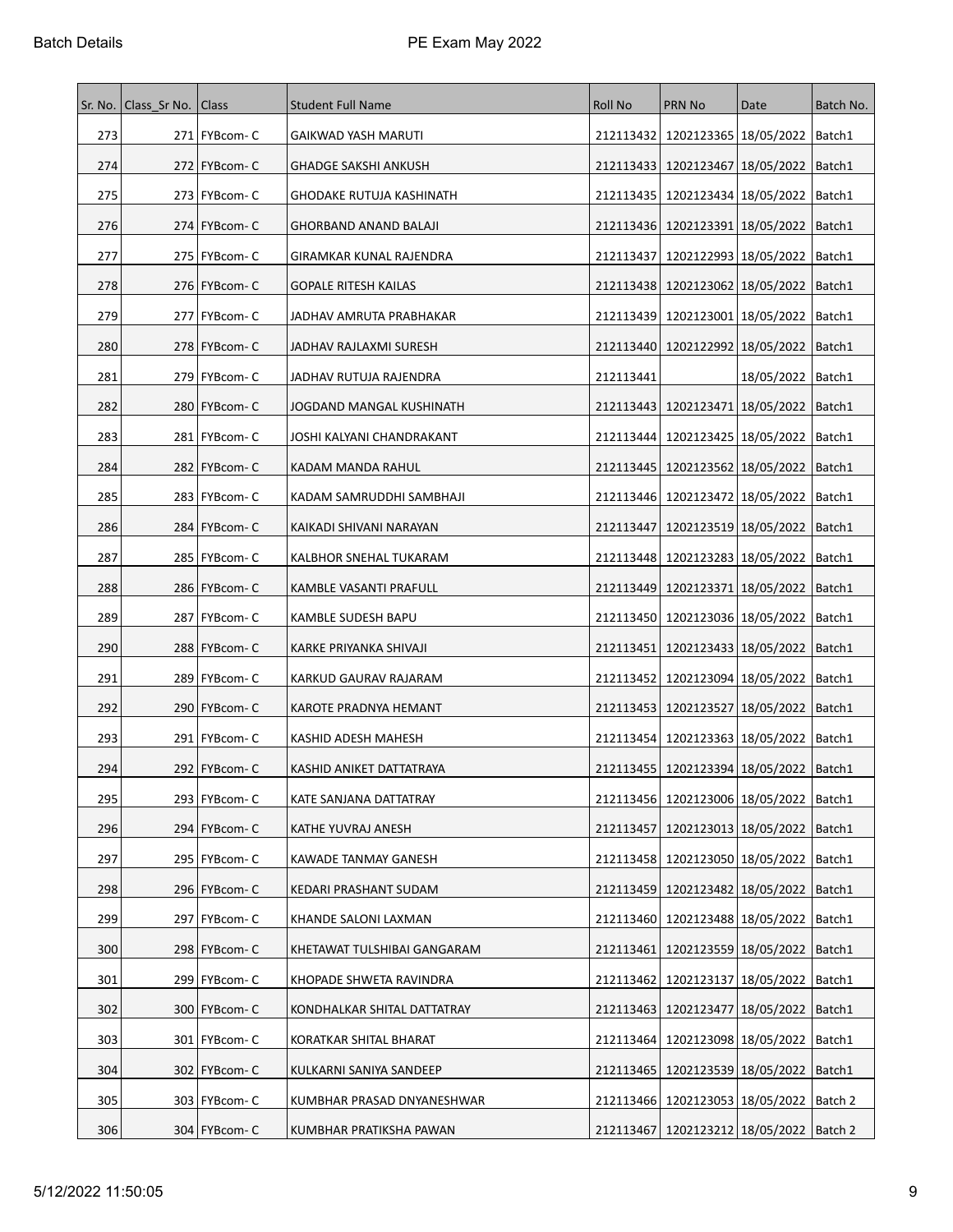| Sr. No. | Class Sr No.   Class |                 | <b>Student Full Name</b>     | Roll No   | <b>PRN No</b>                                 | Date                             | Batch No. |
|---------|----------------------|-----------------|------------------------------|-----------|-----------------------------------------------|----------------------------------|-----------|
| 273     |                      | 271 FYBcom-C    | GAIKWAD YASH MARUTI          | 212113432 | 1202123365   18/05/2022                       |                                  | Batch1    |
| 274     |                      | 272   FYBcom- C | <b>GHADGE SAKSHI ANKUSH</b>  |           | 212113433   1202123467   18/05/2022           |                                  | Batch1    |
| 275     |                      | 273   FYBcom- C | GHODAKE RUTUJA KASHINATH     | 212113435 | 1202123434 18/05/2022                         |                                  | Batch1    |
| 276     |                      | 274   FYBcom-C  | <b>GHORBAND ANAND BALAJI</b> |           | 212113436   1202123391   18/05/2022           |                                  | Batch1    |
| 277     |                      | 275   FYBcom- C | GIRAMKAR KUNAL RAJENDRA      | 212113437 | 1202122993   18/05/2022                       |                                  | Batch1    |
| 278     |                      | 276   FYBcom-C  | <b>GOPALE RITESH KAILAS</b>  |           | 212113438   1202123062   18/05/2022           |                                  | Batch1    |
| 279     |                      | 277   FYBcom- C | JADHAV AMRUTA PRABHAKAR      | 212113439 | 1202123001   18/05/2022                       |                                  | Batch1    |
| 280     |                      | 278   FYBcom-C  | JADHAV RAJLAXMI SURESH       |           | 212113440   1202122992   18/05/2022           |                                  | Batch1    |
| 281     |                      | 279   FYBcom-C  | JADHAV RUTUJA RAJENDRA       | 212113441 |                                               | 18/05/2022                       | Batch1    |
| 282     |                      | 280 FYBcom-C    | JOGDAND MANGAL KUSHINATH     | 212113443 | 1202123471   18/05/2022                       |                                  | Batch1    |
| 283     |                      | 281   FYBcom-C  | JOSHI KALYANI CHANDRAKANT    | 212113444 | 1202123425   18/05/2022                       |                                  | Batch1    |
| 284     |                      | 282   FYBcom-C  | KADAM MANDA RAHUL            |           | 212113445   1202123562   18/05/2022   Batch1  |                                  |           |
| 285     |                      | 283   FYBcom- C | KADAM SAMRUDDHI SAMBHAJI     | 212113446 | 1202123472   18/05/2022                       |                                  | Batch1    |
| 286     |                      | 284   FYBcom- C | KAIKADI SHIVANI NARAYAN      | 212113447 | 1202123519 18/05/2022                         |                                  | Batch1    |
| 287     |                      | 285   FYBcom- C | KALBHOR SNEHAL TUKARAM       | 212113448 | 1202123283   18/05/2022                       |                                  | Batch1    |
| 288     |                      | 286   FYBcom-C  | KAMBLE VASANTI PRAFULL       |           | 212113449 1202123371 18/05/2022               |                                  | Batch1    |
| 289     |                      | 287   FYBcom-C  | KAMBLE SUDESH BAPU           |           | 212113450   1202123036   18/05/2022           |                                  | Batch1    |
| 290     |                      | 288   FYBcom-C  | KARKE PRIYANKA SHIVAJI       | 212113451 | 1202123433 18/05/2022                         |                                  | Batch1    |
| 291     |                      | 289 FYBcom-C    | KARKUD GAURAV RAJARAM        | 212113452 | 1202123094 18/05/2022                         |                                  | Batch1    |
| 292     |                      | 290   FYBcom-C  | KAROTE PRADNYA HEMANT        | 212113453 | 1202123527   18/05/2022                       |                                  | Batch1    |
| 293     |                      | 291 FYBcom-C    | KASHID ADESH MAHESH          | 212113454 |                                               | 1202123363   18/05/2022   Batch1 |           |
| 294     |                      | 292   FYBcom-C  | KASHID ANIKET DATTATRAYA     | 212113455 | 1202123394   18/05/2022                       |                                  | Batch1    |
| 295     |                      | 293   FYBcom-C  | KATE SANJANA DATTATRAY       |           | 212113456   1202123006   18/05/2022   Batch1  |                                  |           |
| 296     |                      | 294 FYBcom-C    | KATHE YUVRAJ ANESH           | 212113457 | 1202123013   18/05/2022                       |                                  | Batch1    |
| 297     |                      | 295   FYBcom- C | KAWADE TANMAY GANESH         |           | 212113458   1202123050   18/05/2022           |                                  | Batch1    |
| 298     |                      | 296 FYBcom-C    | KEDARI PRASHANT SUDAM        | 212113459 | 1202123482   18/05/2022                       |                                  | Batch1    |
| 299     |                      | 297   FYBcom-C  | KHANDE SALONI LAXMAN         |           | 212113460   1202123488   18/05/2022           |                                  | Batch1    |
| 300     |                      | 298 FYBcom- C   | KHETAWAT TULSHIBAI GANGARAM  | 212113461 | 1202123559 18/05/2022                         |                                  | Batch1    |
| 301     |                      | 299   FYBcom-C  | KHOPADE SHWETA RAVINDRA      | 212113462 | 1202123137   18/05/2022                       |                                  | Batch1    |
| 302     |                      | 300   FYBcom-C  | KONDHALKAR SHITAL DATTATRAY  | 212113463 | 1202123477   18/05/2022                       |                                  | Batch1    |
| 303     |                      | 301 FYBcom-C    | KORATKAR SHITAL BHARAT       | 212113464 | 1202123098 18/05/2022                         |                                  | Batch1    |
| 304     |                      | $302$ FYBcom-C  | KULKARNI SANIYA SANDEEP      | 212113465 | 1202123539 18/05/2022                         |                                  | Batch1    |
| 305     |                      | 303   FYBcom- C | KUMBHAR PRASAD DNYANESHWAR   |           | 212113466   1202123053   18/05/2022           |                                  | Batch 2   |
| 306     |                      | 304 FYBcom-C    | KUMBHAR PRATIKSHA PAWAN      |           | 212113467   1202123212   18/05/2022   Batch 2 |                                  |           |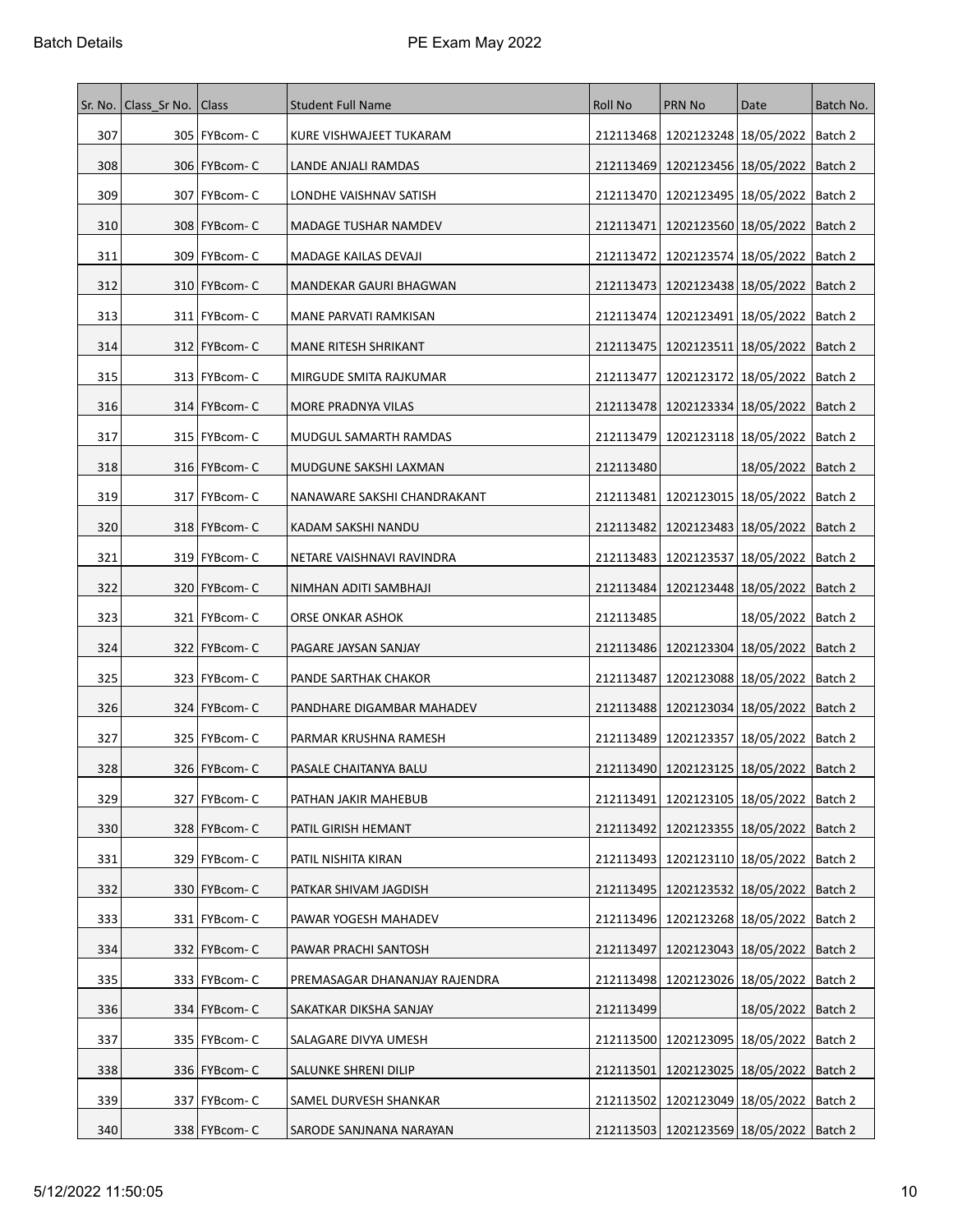| Sr. No. | Class Sr No.   Class |                 | <b>Student Full Name</b>      | <b>Roll No</b> | <b>PRN No</b>                                 | Date                 | Batch No. |
|---------|----------------------|-----------------|-------------------------------|----------------|-----------------------------------------------|----------------------|-----------|
| 307     |                      | 305   FYBcom-C  | KURE VISHWAJEET TUKARAM       |                | 212113468   1202123248   18/05/2022   Batch 2 |                      |           |
| 308     |                      | 306   FYBcom-C  | LANDE ANJALI RAMDAS           | 212113469      | 1202123456 18/05/2022                         |                      | Batch 2   |
| 309     |                      | 307   FYBcom-C  | LONDHE VAISHNAV SATISH        |                | 212113470   1202123495   18/05/2022           |                      | Batch 2   |
| 310     |                      | 308   FYBcom-C  | MADAGE TUSHAR NAMDEV          | 212113471      | 1202123560   18/05/2022                       |                      | Batch 2   |
| 311     |                      | 309   FYBcom- C | MADAGE KAILAS DEVAJI          | 212113472      | 1202123574   18/05/2022                       |                      | Batch 2   |
| 312     |                      | 310 FYBcom-C    | MANDEKAR GAURI BHAGWAN        |                | 212113473   1202123438   18/05/2022   Batch 2 |                      |           |
| 313     |                      | 311   FYBcom-C  | MANE PARVATI RAMKISAN         |                | 212113474   1202123491   18/05/2022           |                      | Batch 2   |
| 314     |                      | 312   FYBcom- C | <b>MANE RITESH SHRIKANT</b>   |                | 212113475   1202123511   18/05/2022           |                      | Batch 2   |
| 315     |                      | 313   FYBcom-C  | MIRGUDE SMITA RAJKUMAR        |                | 212113477   1202123172   18/05/2022           |                      | Batch 2   |
| 316     |                      | 314 FYBcom-C    | MORE PRADNYA VILAS            |                | 212113478   1202123334   18/05/2022           |                      | Batch 2   |
| 317     |                      | 315   FYBcom- C | MUDGUL SAMARTH RAMDAS         |                | 212113479 1202123118 18/05/2022               |                      | Batch 2   |
| 318     |                      | 316   FYBcom-C  | MUDGUNE SAKSHI LAXMAN         | 212113480      |                                               | 18/05/2022   Batch 2 |           |
| 319     |                      | 317   FYBcom-C  | NANAWARE SAKSHI CHANDRAKANT   | 212113481      | 1202123015 18/05/2022                         |                      | Batch 2   |
| 320     |                      | 318 FYBcom-C    | KADAM SAKSHI NANDU            |                | 212113482   1202123483   18/05/2022           |                      | Batch 2   |
| 321     |                      | 319   FYBcom-C  | NETARE VAISHNAVI RAVINDRA     |                | 212113483   1202123537   18/05/2022           |                      | Batch 2   |
| 322     |                      | 320   FYBcom- C | NIMHAN ADITI SAMBHAJI         | 212113484      | 1202123448 18/05/2022                         |                      | Batch 2   |
| 323     |                      | 321   FYBcom- C | ORSE ONKAR ASHOK              | 212113485      |                                               | 18/05/2022   Batch 2 |           |
| 324     |                      | 322   FYBcom- C | PAGARE JAYSAN SANJAY          |                | 212113486   1202123304   18/05/2022           |                      | Batch 2   |
| 325     |                      | 323 FYBcom-C    | PANDE SARTHAK CHAKOR          | 212113487      | 1202123088 18/05/2022   Batch 2               |                      |           |
| 326     |                      | 324   FYBcom-C  | PANDHARE DIGAMBAR MAHADEV     |                | 212113488   1202123034   18/05/2022           |                      | Batch 2   |
| 327     |                      | 325 FYBcom-C    | PARMAR KRUSHNA RAMESH         |                | 212113489   1202123357   18/05/2022   Batch 2 |                      |           |
| 328     |                      | 326   FYBcom-C  | PASALE CHAITANYA BALU         |                | 212113490 1202123125 18/05/2022   Batch 2     |                      |           |
| 329     |                      | 327   FYBcom-C  | PATHAN JAKIR MAHEBUB          |                | 212113491 1202123105 18/05/2022   Batch 2     |                      |           |
| 330     |                      | 328 FYBcom-C    | PATIL GIRISH HEMANT           |                | 212113492   1202123355   18/05/2022           |                      | Batch 2   |
| 331     |                      | 329 FYBcom-C    | PATIL NISHITA KIRAN           |                | 212113493   1202123110   18/05/2022   Batch 2 |                      |           |
| 332     |                      | 330 FYBcom-C    | PATKAR SHIVAM JAGDISH         |                | 212113495   1202123532   18/05/2022           |                      | Batch 2   |
| 333     |                      | 331 FYBcom-C    | PAWAR YOGESH MAHADEV          |                | 212113496 1202123268 18/05/2022 Batch 2       |                      |           |
| 334     |                      | 332 FYBcom-C    | PAWAR PRACHI SANTOSH          | 212113497      | 1202123043 18/05/2022 Batch 2                 |                      |           |
| 335     |                      | 333   FYBcom- C | PREMASAGAR DHANANJAY RAJENDRA |                | 212113498   1202123026   18/05/2022           |                      | Batch 2   |
| 336     |                      | 334 FYBcom-C    | SAKATKAR DIKSHA SANJAY        | 212113499      |                                               | 18/05/2022   Batch 2 |           |
| 337     |                      | 335   FYBcom-C  | SALAGARE DIVYA UMESH          |                | 212113500   1202123095   18/05/2022           |                      | Batch 2   |
| 338     |                      | 336   FYBcom-C  | SALUNKE SHRENI DILIP          | 212113501      | 1202123025   18/05/2022   Batch 2             |                      |           |
| 339     |                      | 337   FYBcom- C | SAMEL DURVESH SHANKAR         |                | 212113502   1202123049   18/05/2022           |                      | Batch 2   |
| 340     |                      | 338 FYBcom-C    | SARODE SANJNANA NARAYAN       |                | 212113503   1202123569   18/05/2022   Batch 2 |                      |           |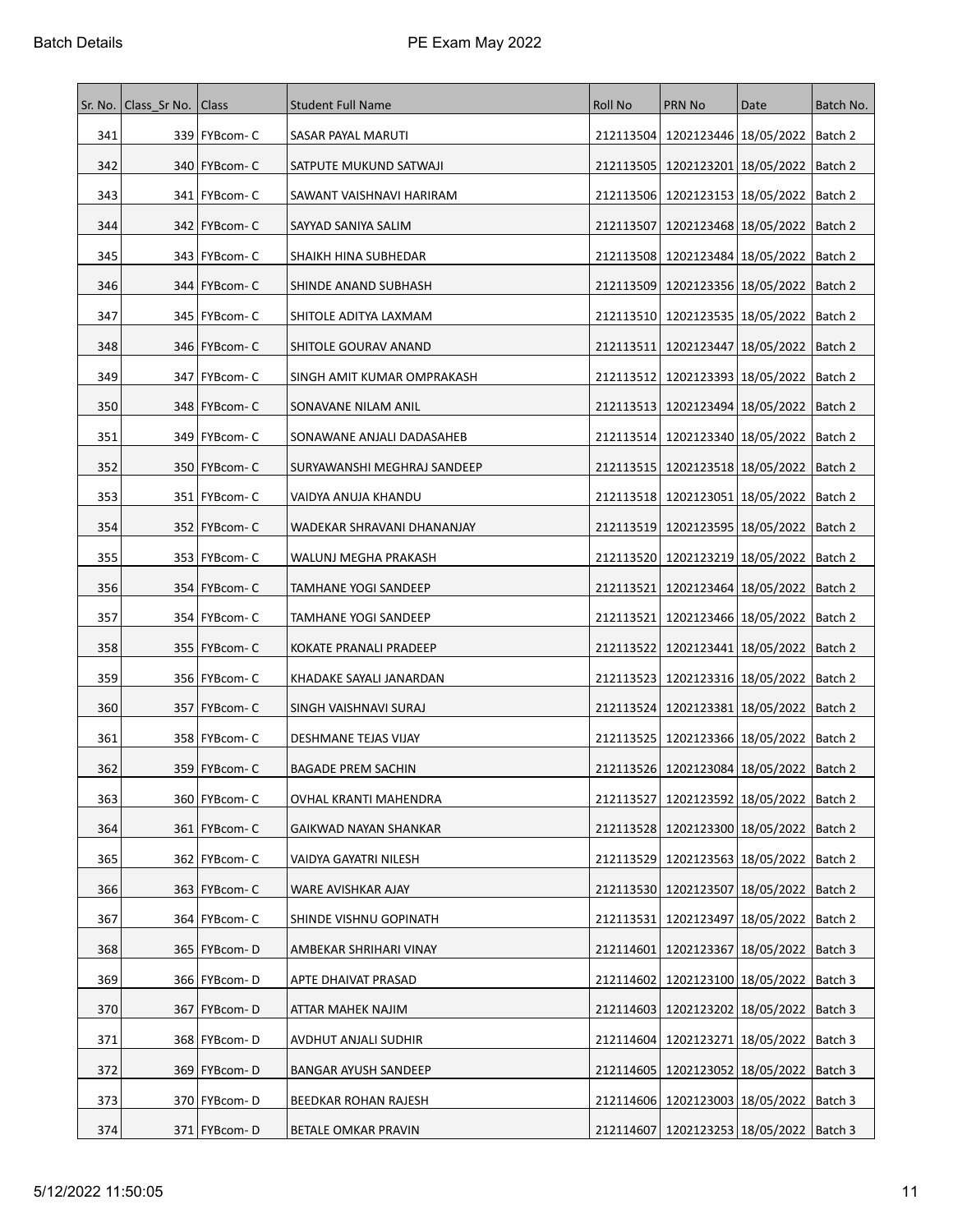| Sr. No. | Class Sr No.   Class |                 | <b>Student Full Name</b>    | <b>Roll No</b> | <b>PRN No</b>                                 | Date                              | Batch No. |
|---------|----------------------|-----------------|-----------------------------|----------------|-----------------------------------------------|-----------------------------------|-----------|
| 341     |                      | 339 FYBcom-C    | SASAR PAYAL MARUTI          | 212113504      | 1202123446   18/05/2022   Batch 2             |                                   |           |
| 342     |                      | 340   FYBcom- C | SATPUTE MUKUND SATWAJI      |                | 212113505   1202123201   18/05/2022   Batch 2 |                                   |           |
| 343     |                      | 341   FYBcom- C | SAWANT VAISHNAVI HARIRAM    |                | 212113506   1202123153   18/05/2022   Batch 2 |                                   |           |
| 344     |                      | 342   FYBcom-C  | SAYYAD SANIYA SALIM         | 212113507      |                                               | 1202123468   18/05/2022   Batch 2 |           |
| 345     |                      | 343   FYBcom-C  | SHAIKH HINA SUBHEDAR        |                | 212113508   1202123484   18/05/2022   Batch 2 |                                   |           |
| 346     |                      | 344   FYBcom- C | SHINDE ANAND SUBHASH        |                | 212113509 1202123356 18/05/2022   Batch 2     |                                   |           |
| 347     |                      | 345   FYBcom- C | SHITOLE ADITYA LAXMAM       |                | 212113510   1202123535   18/05/2022   Batch 2 |                                   |           |
| 348     |                      | 346   FYBcom- C | SHITOLE GOURAV ANAND        | 212113511      | 1202123447   18/05/2022   Batch 2             |                                   |           |
| 349     |                      | 347   FYBcom- C | SINGH AMIT KUMAR OMPRAKASH  |                | 212113512   1202123393   18/05/2022   Batch 2 |                                   |           |
| 350     |                      | 348   FYBcom- C | SONAVANE NILAM ANIL         |                | 212113513   1202123494   18/05/2022   Batch 2 |                                   |           |
| 351     |                      | 349   FYBcom- C | SONAWANE ANJALI DADASAHEB   |                | 212113514   1202123340   18/05/2022   Batch 2 |                                   |           |
| 352     |                      | 350   FYBcom-C  | SURYAWANSHI MEGHRAJ SANDEEP |                | 212113515   1202123518   18/05/2022   Batch 2 |                                   |           |
| 353     |                      | 351   FYBcom-C  | VAIDYA ANUJA KHANDU         |                | 212113518   1202123051   18/05/2022           |                                   | Batch 2   |
| 354     |                      | 352   FYBcom-C  | WADEKAR SHRAVANI DHANANJAY  |                | 212113519 1202123595 18/05/2022   Batch 2     |                                   |           |
| 355     |                      | 353   FYBcom- C | WALUNJ MEGHA PRAKASH        |                | 212113520   1202123219   18/05/2022   Batch 2 |                                   |           |
| 356     |                      | 354   FYBcom- C | TAMHANE YOGI SANDEEP        |                | 212113521   1202123464   18/05/2022   Batch 2 |                                   |           |
| 357     |                      | 354   FYBcom-C  | TAMHANE YOGI SANDEEP        | 212113521      |                                               | 1202123466   18/05/2022   Batch 2 |           |
| 358     |                      | 355   FYBcom-C  | KOKATE PRANALI PRADEEP      |                | 212113522   1202123441   18/05/2022   Batch 2 |                                   |           |
| 359     |                      | 356   FYBcom-C  | KHADAKE SAYALI JANARDAN     | 212113523      | 1202123316   18/05/2022   Batch 2             |                                   |           |
| 360     |                      | 357   FYBcom- C | SINGH VAISHNAVI SURAJ       |                | 212113524   1202123381   18/05/2022   Batch 2 |                                   |           |
| 361     |                      | 358   FYBcom- C | DESHMANE TEJAS VIJAY        | 212113525      | 1202123366   18/05/2022   Batch 2             |                                   |           |
| 362     |                      | 359   FYBcom- C | <b>BAGADE PREM SACHIN</b>   |                | 212113526   1202123084   18/05/2022   Batch 2 |                                   |           |
| 363     |                      | 360 FYBcom-C    | OVHAL KRANTI MAHENDRA       |                | 212113527   1202123592   18/05/2022   Batch 2 |                                   |           |
| 364     |                      | 361   FYBcom- C | GAIKWAD NAYAN SHANKAR       |                | 212113528   1202123300   18/05/2022   Batch 2 |                                   |           |
| 365     |                      | 362   FYBcom- C | VAIDYA GAYATRI NILESH       |                | 212113529   1202123563   18/05/2022   Batch 2 |                                   |           |
| 366     |                      | 363   FYBcom- C | WARE AVISHKAR AJAY          | 212113530      | 1202123507   18/05/2022                       |                                   | Batch 2   |
| 367     |                      | 364   FYBcom-C  | SHINDE VISHNU GOPINATH      | 212113531      | 1202123497   18/05/2022   Batch 2             |                                   |           |
| 368     |                      | 365   FYBcom-D  | AMBEKAR SHRIHARI VINAY      | 212114601      | 1202123367   18/05/2022   Batch 3             |                                   |           |
| 369     |                      | 366   FYBcom-D  | APTE DHAIVAT PRASAD         |                | 212114602   1202123100   18/05/2022   Batch 3 |                                   |           |
| 370     | 367                  | FYBcom-D        | ATTAR MAHEK NAJIM           | 212114603      | 1202123202 18/05/2022                         |                                   | Batch 3   |
| 371     |                      | 368   FYBcom-D  | AVDHUT ANJALI SUDHIR        |                | 212114604   1202123271   18/05/2022   Batch 3 |                                   |           |
| 372     |                      | 369 FYBcom-D    | BANGAR AYUSH SANDEEP        |                | 212114605   1202123052   18/05/2022   Batch 3 |                                   |           |
| 373     |                      | 370   FYBcom-D  | BEEDKAR ROHAN RAJESH        |                | 212114606   1202123003   18/05/2022   Batch 3 |                                   |           |
| 374     |                      | 371 FYBcom-D    | BETALE OMKAR PRAVIN         |                | 212114607   1202123253   18/05/2022   Batch 3 |                                   |           |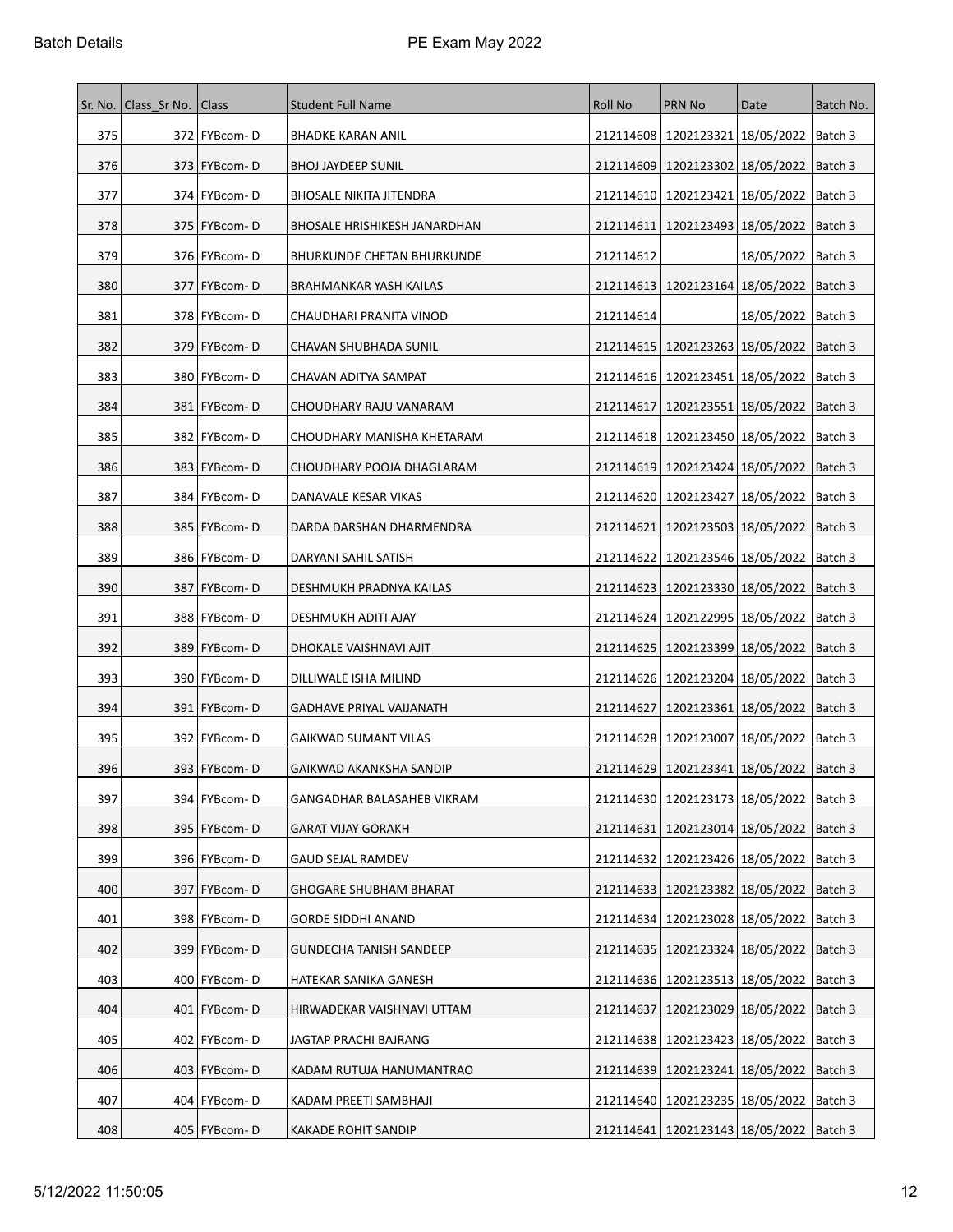| Sr. No. | Class Sr No.   Class |                | <b>Student Full Name</b>          | <b>Roll No</b> | <b>PRN No</b>                                 | Date                              | Batch No. |
|---------|----------------------|----------------|-----------------------------------|----------------|-----------------------------------------------|-----------------------------------|-----------|
| 375     |                      | 372   FYBcom-D | <b>BHADKE KARAN ANIL</b>          |                | 212114608   1202123321   18/05/2022   Batch 3 |                                   |           |
| 376     |                      | 373   FYBcom-D | <b>BHOJ JAYDEEP SUNIL</b>         | 212114609      | 1202123302   18/05/2022   Batch 3             |                                   |           |
| 377     |                      | 374 FYBcom-D   | <b>BHOSALE NIKITA JITENDRA</b>    | 212114610      | 1202123421   18/05/2022   Batch 3             |                                   |           |
| 378     |                      | 375   FYBcom-D | BHOSALE HRISHIKESH JANARDHAN      | 212114611      |                                               | 1202123493   18/05/2022   Batch 3 |           |
| 379     |                      | 376   FYBcom-D | <b>BHURKUNDE CHETAN BHURKUNDE</b> | 212114612      |                                               | 18/05/2022   Batch 3              |           |
| 380     |                      | 377   FYBcom-D | BRAHMANKAR YASH KAILAS            |                | 212114613   1202123164   18/05/2022   Batch 3 |                                   |           |
| 381     |                      | 378   FYBcom-D | CHAUDHARI PRANITA VINOD           | 212114614      |                                               | 18/05/2022   Batch 3              |           |
| 382     |                      | 379   FYBcom-D | CHAVAN SHUBHADA SUNIL             |                | 212114615   1202123263   18/05/2022   Batch 3 |                                   |           |
| 383     |                      | 380   FYBcom-D | CHAVAN ADITYA SAMPAT              |                | 212114616   1202123451   18/05/2022   Batch 3 |                                   |           |
| 384     |                      | 381   FYBcom-D | CHOUDHARY RAJU VANARAM            | 212114617      | 1202123551 18/05/2022   Batch 3               |                                   |           |
| 385     |                      | 382   FYBcom-D | CHOUDHARY MANISHA KHETARAM        |                | 212114618   1202123450   18/05/2022           |                                   | Batch 3   |
| 386     |                      | 383   FYBcom-D | CHOUDHARY POOJA DHAGLARAM         |                | 212114619   1202123424   18/05/2022   Batch 3 |                                   |           |
| 387     |                      | 384   FYBcom-D | DANAVALE KESAR VIKAS              | 212114620      | 1202123427   18/05/2022                       |                                   | Batch 3   |
| 388     |                      | 385   FYBcom-D | DARDA DARSHAN DHARMENDRA          | 212114621      | 1202123503   18/05/2022   Batch 3             |                                   |           |
| 389     |                      | 386   FYBcom-D | DARYANI SAHIL SATISH              | 212114622      | 1202123546   18/05/2022   Batch 3             |                                   |           |
| 390     |                      | 387   FYBcom-D | DESHMUKH PRADNYA KAILAS           |                | 212114623   1202123330   18/05/2022   Batch 3 |                                   |           |
| 391     |                      | 388   FYBcom-D | DESHMUKH ADITI AJAY               | 212114624      |                                               | 1202122995   18/05/2022   Batch 3 |           |
| 392     |                      | 389   FYBcom-D | DHOKALE VAISHNAVI AJIT            |                | 212114625   1202123399   18/05/2022   Batch 3 |                                   |           |
| 393     |                      | 390   FYBcom-D | DILLIWALE ISHA MILIND             |                | 212114626 1202123204 18/05/2022   Batch 3     |                                   |           |
| 394     |                      | 391   FYBcom-D | GADHAVE PRIYAL VAIJANATH          | 212114627      |                                               | 1202123361   18/05/2022   Batch 3 |           |
| 395     |                      | 392   FYBcom-D | GAIKWAD SUMANT VILAS              |                | 212114628   1202123007   18/05/2022   Batch 3 |                                   |           |
| 396     |                      | 393   FYBcom-D | GAIKWAD AKANKSHA SANDIP           |                | 212114629   1202123341   18/05/2022   Batch 3 |                                   |           |
| 397     |                      | 394   FYBcom-D | GANGADHAR BALASAHEB VIKRAM        |                | 212114630 1202123173 18/05/2022   Batch 3     |                                   |           |
| 398     |                      | 395   FYBcom-D | <b>GARAT VIJAY GORAKH</b>         | 212114631      | 1202123014   18/05/2022   Batch 3             |                                   |           |
| 399     |                      | 396   FYBcom-D | GAUD SEJAL RAMDEV                 |                | 212114632   1202123426   18/05/2022   Batch 3 |                                   |           |
| 400     |                      | 397   FYBcom-D | GHOGARE SHUBHAM BHARAT            |                | 212114633   1202123382   18/05/2022           |                                   | Batch 3   |
| 401     |                      | 398   FYBcom-D | <b>GORDE SIDDHI ANAND</b>         |                | 212114634 1202123028 18/05/2022   Batch 3     |                                   |           |
| 402     |                      | 399 FYBcom-D   | <b>GUNDECHA TANISH SANDEEP</b>    |                | 212114635   1202123324   18/05/2022   Batch 3 |                                   |           |
| 403     |                      | 400   FYBcom-D | HATEKAR SANIKA GANESH             | 212114636      | 1202123513   18/05/2022   Batch 3             |                                   |           |
| 404     |                      | 401   FYBcom-D | HIRWADEKAR VAISHNAVI UTTAM        | 212114637      |                                               | 1202123029 18/05/2022   Batch 3   |           |
| 405     |                      | 402 FYBcom-D   | JAGTAP PRACHI BAJRANG             |                | 212114638   1202123423   18/05/2022   Batch 3 |                                   |           |
| 406     |                      | 403   FYBcom-D | KADAM RUTUJA HANUMANTRAO          |                | 212114639 1202123241 18/05/2022   Batch 3     |                                   |           |
| 407     |                      | 404   FYBcom-D | KADAM PREETI SAMBHAJI             |                | 212114640   1202123235   18/05/2022   Batch 3 |                                   |           |
| 408     |                      | 405   FYBcom-D | <b>KAKADE ROHIT SANDIP</b>        |                | 212114641   1202123143   18/05/2022   Batch 3 |                                   |           |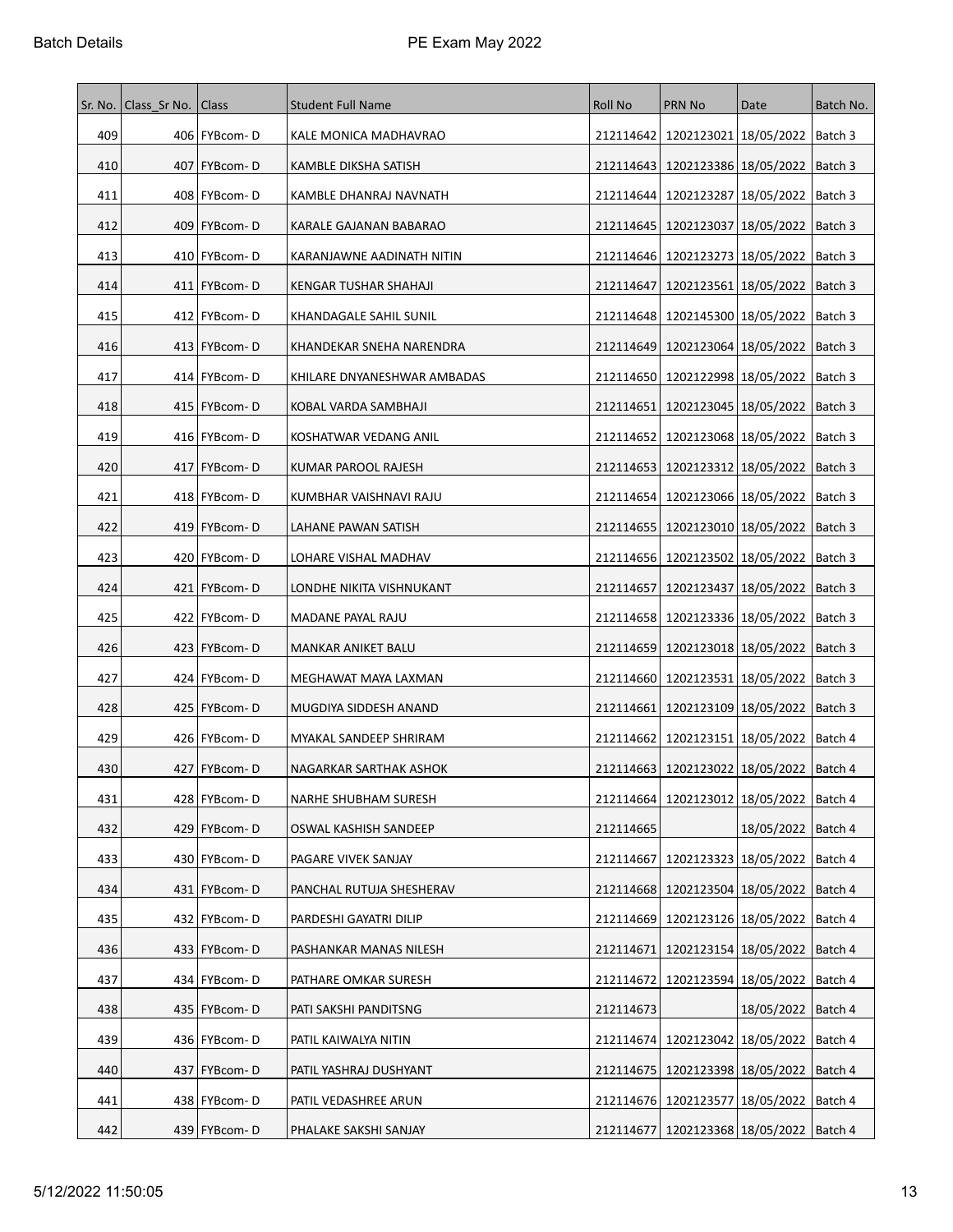| Sr. No. | Class Sr No.   Class |                | <b>Student Full Name</b>    | <b>Roll No</b> | PRN No                                        | Date                    | Batch No. |
|---------|----------------------|----------------|-----------------------------|----------------|-----------------------------------------------|-------------------------|-----------|
| 409     |                      | 406   FYBcom-D | KALE MONICA MADHAVRAO       |                | 212114642   1202123021   18/05/2022   Batch 3 |                         |           |
| 410     |                      | 407   FYBcom-D | KAMBLE DIKSHA SATISH        | 212114643      | 1202123386   18/05/2022                       |                         | Batch 3   |
| 411     |                      | 408   FYBcom-D | KAMBLE DHANRAJ NAVNATH      | 212114644      | 1202123287 18/05/2022                         |                         | Batch 3   |
| 412     |                      | 409   FYBcom-D | KARALE GAJANAN BABARAO      | 212114645      | 1202123037   18/05/2022                       |                         | Batch 3   |
| 413     |                      | 410 FYBcom-D   | KARANJAWNE AADINATH NITIN   |                | 212114646   1202123273   18/05/2022           |                         | Batch 3   |
| 414     |                      | 411   FYBcom-D | KENGAR TUSHAR SHAHAJI       | 212114647      | 1202123561   18/05/2022                       |                         | Batch 3   |
| 415     |                      | 412   FYBcom-D | KHANDAGALE SAHIL SUNIL      | 212114648      | 1202145300   18/05/2022                       |                         | Batch 3   |
| 416     |                      | 413   FYBcom-D | KHANDEKAR SNEHA NARENDRA    | 212114649      | 1202123064   18/05/2022                       |                         | Batch 3   |
| 417     |                      | 414   FYBcom-D | KHILARE DNYANESHWAR AMBADAS |                | 212114650   1202122998   18/05/2022           |                         | Batch 3   |
| 418     |                      | 415   FYBcom-D | KOBAL VARDA SAMBHAJI        | 212114651      | 1202123045   18/05/2022   Batch 3             |                         |           |
| 419     |                      | 416   FYBcom-D | KOSHATWAR VEDANG ANIL       | 212114652      | 1202123068 18/05/2022                         |                         | Batch 3   |
| 420     |                      | 417   FYBcom-D | KUMAR PAROOL RAJESH         |                | 212114653   1202123312   18/05/2022   Batch 3 |                         |           |
| 421     |                      | 418   FYBcom-D | KUMBHAR VAISHNAVI RAJU      | 212114654      | 1202123066 18/05/2022                         |                         | Batch 3   |
| 422     |                      | 419   FYBcom-D | LAHANE PAWAN SATISH         |                | 212114655   1202123010   18/05/2022           |                         | Batch 3   |
| 423     |                      | 420   FYBcom-D | LOHARE VISHAL MADHAV        |                | 212114656   1202123502   18/05/2022           |                         | Batch 3   |
| 424     |                      | 421   FYBcom-D | LONDHE NIKITA VISHNUKANT    | 212114657      | 1202123437 18/05/2022                         |                         | Batch 3   |
| 425     |                      | 422   FYBcom-D | MADANE PAYAL RAJU           |                | 212114658   1202123336   18/05/2022           |                         | Batch 3   |
| 426     |                      | 423   FYBcom-D | MANKAR ANIKET BALU          |                | 212114659   1202123018   18/05/2022           |                         | Batch 3   |
| 427     |                      | 424 FYBcom-D   | MEGHAWAT MAYA LAXMAN        |                | 212114660   1202123531   18/05/2022           |                         | Batch 3   |
| 428     |                      | 425   FYBcom-D | MUGDIYA SIDDESH ANAND       | 212114661      | 1202123109 18/05/2022                         |                         | Batch 3   |
| 429     |                      | 426   FYBcom-D | MYAKAL SANDEEP SHRIRAM      | 212114662      | 1202123151   18/05/2022                       |                         | Batch 4   |
| 430     |                      | 427   FYBcom-D | NAGARKAR SARTHAK ASHOK      |                | 212114663   1202123022   18/05/2022           |                         | Batch 4   |
| 431     |                      | 428 FYBcom-D   | NARHE SHUBHAM SURESH        |                | 212114664   1202123012   18/05/2022   Batch 4 |                         |           |
| 432     |                      | 429   FYBcom-D | OSWAL KASHISH SANDEEP       | 212114665      |                                               | 18/05/2022              | Batch 4   |
| 433     |                      | 430   FYBcom-D | PAGARE VIVEK SANJAY         | 212114667      |                                               | 1202123323   18/05/2022 | Batch 4   |
| 434     |                      | 431 FYBcom-D   | PANCHAL RUTUJA SHESHERAV    |                | 212114668   1202123504   18/05/2022           |                         | Batch 4   |
| 435     |                      | 432   FYBcom-D | PARDESHI GAYATRI DILIP      |                | 212114669   1202123126   18/05/2022           |                         | Batch 4   |
| 436     |                      | 433   FYBcom-D | PASHANKAR MANAS NILESH      | 212114671      | 1202123154 18/05/2022                         |                         | Batch 4   |
| 437     |                      | 434   FYBcom-D | PATHARE OMKAR SURESH        | 212114672      |                                               | 1202123594   18/05/2022 | Batch 4   |
| 438     |                      | 435   FYBcom-D | PATI SAKSHI PANDITSNG       | 212114673      |                                               | 18/05/2022              | Batch 4   |
| 439     |                      | 436 FYBcom-D   | PATIL KAIWALYA NITIN        |                | 212114674   1202123042   18/05/2022   Batch 4 |                         |           |
| 440     |                      | 437 FYBcom-D   | PATIL YASHRAJ DUSHYANT      |                | 212114675   1202123398   18/05/2022   Batch 4 |                         |           |
| 441     |                      | 438 FYBcom-D   | PATIL VEDASHREE ARUN        |                | 212114676 1202123577 18/05/2022               |                         | Batch 4   |
| 442     |                      | 439 FYBcom-D   | PHALAKE SAKSHI SANJAY       |                | 212114677   1202123368   18/05/2022   Batch 4 |                         |           |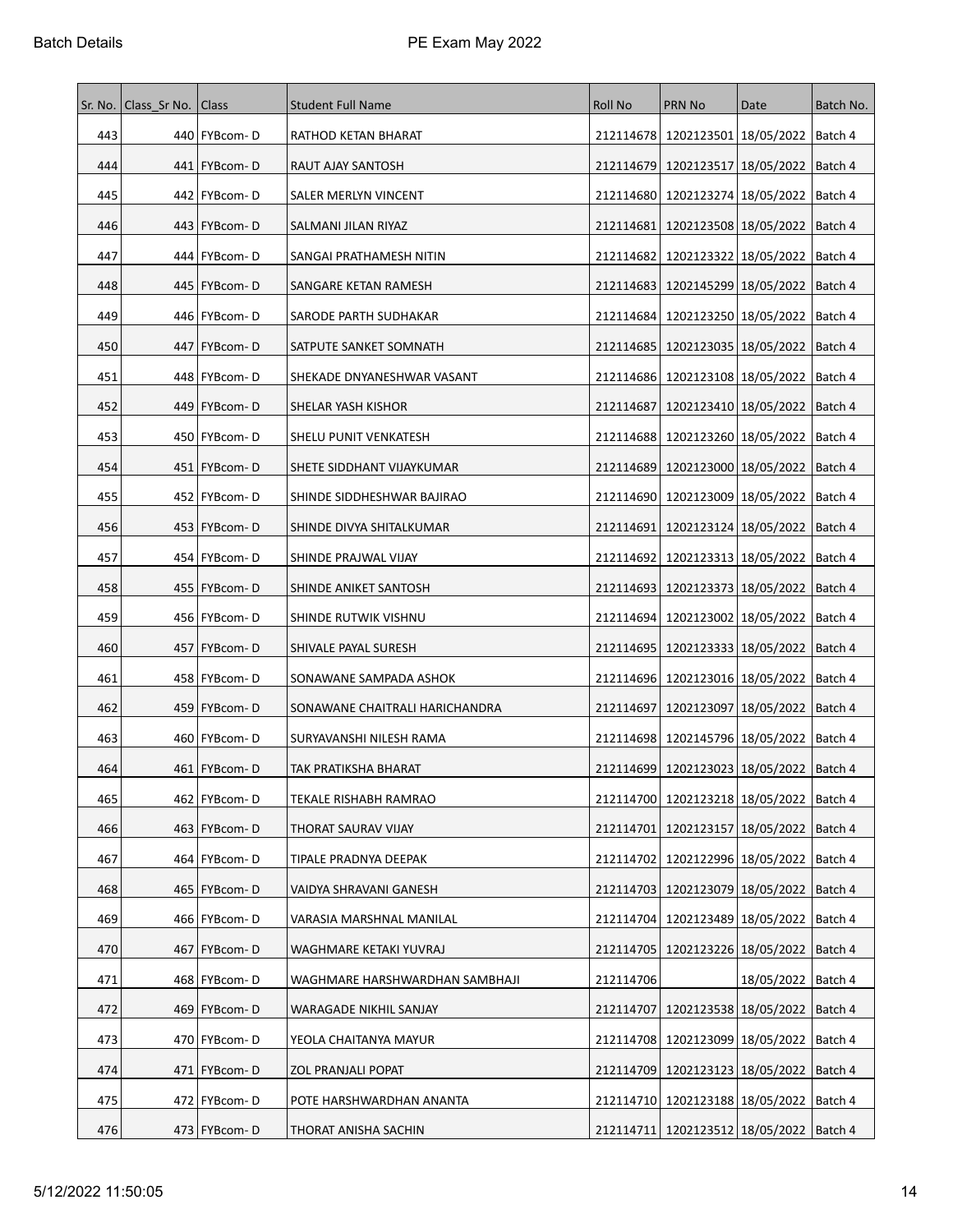| Sr. No. | Class Sr No.   Class |                 | <b>Student Full Name</b>       | Roll No   | <b>PRN No</b>                                 | Date                    | Batch No. |
|---------|----------------------|-----------------|--------------------------------|-----------|-----------------------------------------------|-------------------------|-----------|
| 443     |                      | 440   FYBcom-D  | RATHOD KETAN BHARAT            |           | 212114678   1202123501   18/05/2022   Batch 4 |                         |           |
| 444     |                      | 441   FYBcom-D  | RAUT AJAY SANTOSH              | 212114679 | 1202123517 18/05/2022                         |                         | Batch 4   |
| 445     |                      | 442   FYBcom-D  | SALER MERLYN VINCENT           | 212114680 | 1202123274   18/05/2022                       |                         | Batch 4   |
| 446     |                      | 443   FYBcom-D  | SALMANI JILAN RIYAZ            | 212114681 | 1202123508   18/05/2022                       |                         | Batch 4   |
| 447     |                      | 444   FYBcom-D  | SANGAI PRATHAMESH NITIN        | 212114682 | 1202123322   18/05/2022                       |                         | Batch 4   |
| 448     |                      | 445   FYBcom-D  | SANGARE KETAN RAMESH           |           | 212114683   1202145299   18/05/2022           |                         | Batch 4   |
| 449     |                      | 446   FYBcom-D  | SARODE PARTH SUDHAKAR          | 212114684 | 1202123250   18/05/2022                       |                         | Batch 4   |
| 450     |                      | 447   FYBcom-D  | SATPUTE SANKET SOMNATH         | 212114685 | 1202123035   18/05/2022                       |                         | Batch 4   |
| 451     |                      | 448   FYBcom-D  | SHEKADE DNYANESHWAR VASANT     |           | 212114686   1202123108   18/05/2022           |                         | Batch 4   |
| 452     |                      | 449   FYBcom-D  | SHELAR YASH KISHOR             | 212114687 | 1202123410   18/05/2022                       |                         | Batch 4   |
| 453     |                      | 450   FYBcom-D  | SHELU PUNIT VENKATESH          | 212114688 | 1202123260   18/05/2022                       |                         | Batch 4   |
| 454     |                      | 451   FYBcom-D  | SHETE SIDDHANT VIJAYKUMAR      |           | 212114689   1202123000   18/05/2022   Batch 4 |                         |           |
| 455     |                      | 452   FYBcom-D  | SHINDE SIDDHESHWAR BAJIRAO     | 212114690 | 1202123009   18/05/2022                       |                         | Batch 4   |
| 456     |                      | 453   FYBcom-D  | SHINDE DIVYA SHITALKUMAR       | 212114691 | 1202123124   18/05/2022                       |                         | Batch 4   |
| 457     |                      | 454   FYBcom-D  | SHINDE PRAJWAL VIJAY           | 212114692 | 1202123313 18/05/2022                         |                         | Batch 4   |
| 458     |                      | 455   FYBcom-D  | SHINDE ANIKET SANTOSH          | 212114693 | 1202123373 18/05/2022                         |                         | Batch 4   |
| 459     |                      | 456   FYBcom-D  | SHINDE RUTWIK VISHNU           | 212114694 |                                               | 1202123002   18/05/2022 | Batch 4   |
| 460     |                      | 457   FYBcom-D  | SHIVALE PAYAL SURESH           | 212114695 | 1202123333 18/05/2022                         |                         | Batch 4   |
| 461     |                      | 458   FYBcom-D  | SONAWANE SAMPADA ASHOK         |           | 212114696   1202123016   18/05/2022           |                         | Batch 4   |
| 462     |                      | 459   FYBcom-D  | SONAWANE CHAITRALI HARICHANDRA | 212114697 | 1202123097   18/05/2022                       |                         | Batch 4   |
| 463     |                      | 460   FYBcom-D  | SURYAVANSHI NILESH RAMA        |           | 212114698 1202145796 18/05/2022               |                         | Batch 4   |
| 464     |                      | 461   FYBcom-D  | TAK PRATIKSHA BHARAT           |           | 212114699   1202123023   18/05/2022           |                         | Batch 4   |
| 465     |                      | 462 FYBcom-D    | TEKALE RISHABH RAMRAO          |           | 212114700 1202123218 18/05/2022   Batch 4     |                         |           |
| 466     |                      | 463   FYBcom-D  | THORAT SAURAV VIJAY            | 212114701 | 1202123157   18/05/2022                       |                         | Batch 4   |
| 467     |                      | 464 FYBcom-D    | TIPALE PRADNYA DEEPAK          |           | 212114702 1202122996 18/05/2022               |                         | Batch 4   |
| 468     |                      | 465   FYBcom-D  | VAIDYA SHRAVANI GANESH         |           | 212114703   1202123079   18/05/2022           |                         | Batch 4   |
| 469     |                      | 466   FYBcom-D  | VARASIA MARSHNAL MANILAL       |           | 212114704 1202123489 18/05/2022   Batch 4     |                         |           |
| 470     | 467                  | <b>FYBcom-D</b> | WAGHMARE KETAKI YUVRAJ         |           | 212114705   1202123226   18/05/2022           |                         | Batch 4   |
| 471     |                      | 468   FYBcom-D  | WAGHMARE HARSHWARDHAN SAMBHAJI | 212114706 |                                               | 18/05/2022   Batch 4    |           |
| 472     |                      | 469 FYBcom-D    | WARAGADE NIKHIL SANJAY         | 212114707 | 1202123538 18/05/2022                         |                         | Batch 4   |
| 473     |                      | 470 FYBcom-D    | YEOLA CHAITANYA MAYUR          |           | 212114708   1202123099   18/05/2022           |                         | Batch 4   |
| 474     |                      | 471   FYBcom-D  | ZOL PRANJALI POPAT             |           | 212114709   1202123123   18/05/2022   Batch 4 |                         |           |
| 475     |                      | 472 FYBcom-D    | POTE HARSHWARDHAN ANANTA       |           | 212114710   1202123188   18/05/2022           |                         | Batch 4   |
| 476     |                      | 473 FYBcom-D    | THORAT ANISHA SACHIN           |           | 212114711   1202123512   18/05/2022   Batch 4 |                         |           |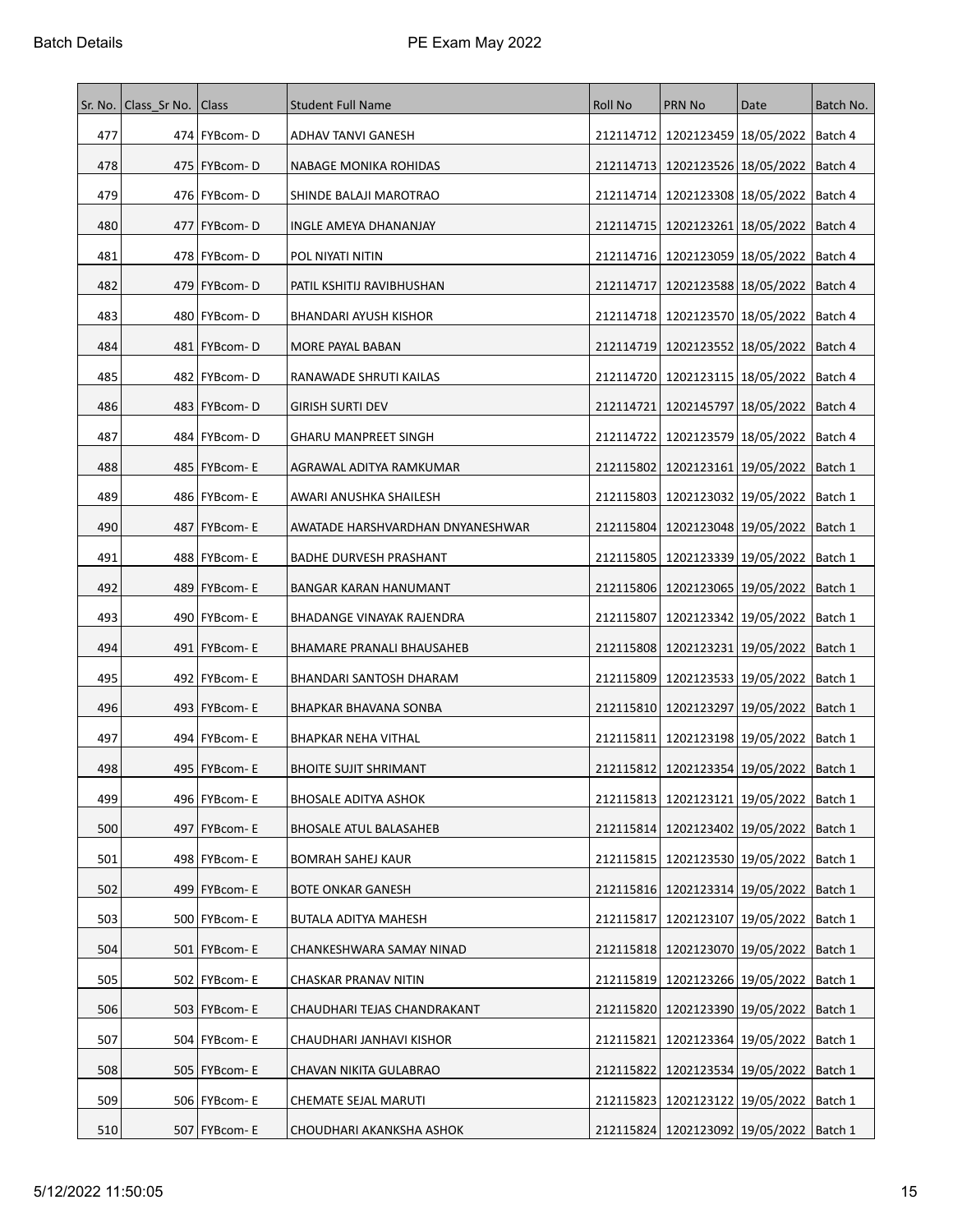| Sr. No. | Class_Sr No.   Class |                 | <b>Student Full Name</b>         | Roll No   | <b>PRN No</b>                                 | Date                            | Batch No. |
|---------|----------------------|-----------------|----------------------------------|-----------|-----------------------------------------------|---------------------------------|-----------|
| 477     |                      | 474   FYBcom-D  | ADHAV TANVI GANESH               |           | 212114712 1202123459 18/05/2022 Batch 4       |                                 |           |
| 478     |                      | 475   FYBcom-D  | NABAGE MONIKA ROHIDAS            |           | 212114713   1202123526   18/05/2022           |                                 | Batch 4   |
| 479     |                      | 476   FYBcom-D  | SHINDE BALAJI MAROTRAO           | 212114714 | 1202123308   18/05/2022                       |                                 | Batch 4   |
| 480     | 477                  | FYBcom-D        | INGLE AMEYA DHANANJAY            |           | 212114715   1202123261   18/05/2022           |                                 | Batch 4   |
| 481     |                      | 478   FYBcom-D  | POL NIYATI NITIN                 |           | 212114716   1202123059   18/05/2022           |                                 | Batch 4   |
| 482     |                      | 479   FYBcom-D  | PATIL KSHITIJ RAVIBHUSHAN        | 212114717 | 1202123588 18/05/2022                         |                                 | Batch 4   |
| 483     |                      | 480   FYBcom-D  | BHANDARI AYUSH KISHOR            |           | 212114718   1202123570   18/05/2022           |                                 | Batch 4   |
| 484     |                      | 481   FYBcom-D  | MORE PAYAL BABAN                 |           | 212114719   1202123552   18/05/2022           |                                 | Batch 4   |
| 485     |                      | 482   FYBcom-D  | RANAWADE SHRUTI KAILAS           |           | 212114720   1202123115   18/05/2022           |                                 | Batch 4   |
| 486     |                      | 483   FYBcom-D  | <b>GIRISH SURTI DEV</b>          | 212114721 | 1202145797 18/05/2022                         |                                 | Batch 4   |
| 487     |                      | 484   FYBcom-D  | <b>GHARU MANPREET SINGH</b>      | 212114722 | 1202123579 18/05/2022                         |                                 | Batch 4   |
| 488     |                      | 485   FYBcom- E | AGRAWAL ADITYA RAMKUMAR          |           | 212115802   1202123161   19/05/2022   Batch 1 |                                 |           |
| 489     |                      | 486   FYBcom-E  | AWARI ANUSHKA SHAILESH           | 212115803 | 1202123032 19/05/2022                         |                                 | Batch 1   |
| 490     |                      | 487   FYBcom- E | AWATADE HARSHVARDHAN DNYANESHWAR |           | 212115804   1202123048   19/05/2022           |                                 | Batch 1   |
| 491     |                      | 488   FYBcom-E  | <b>BADHE DURVESH PRASHANT</b>    | 212115805 | 1202123339   19/05/2022                       |                                 | Batch 1   |
| 492     |                      | 489   FYBcom-E  | BANGAR KARAN HANUMANT            | 212115806 | 1202123065   19/05/2022                       |                                 | Batch 1   |
| 493     |                      | 490   FYBcom-E  | BHADANGE VINAYAK RAJENDRA        | 212115807 |                                               | 1202123342 19/05/2022   Batch 1 |           |
| 494     |                      | 491   FYBcom-E  | BHAMARE PRANALI BHAUSAHEB        |           | 212115808   1202123231   19/05/2022           |                                 | Batch 1   |
| 495     |                      | 492   FYBcom-E  | BHANDARI SANTOSH DHARAM          |           | 212115809   1202123533   19/05/2022           |                                 | Batch 1   |
| 496     |                      | 493   FYBcom-E  | BHAPKAR BHAVANA SONBA            |           | 212115810   1202123297   19/05/2022           |                                 | Batch 1   |
| 497     |                      | 494   FYBcom- E | BHAPKAR NEHA VITHAL              | 212115811 | 1202123198 19/05/2022   Batch 1               |                                 |           |
| 498     |                      | 495   FYBcom-E  | <b>BHOITE SUJIT SHRIMANT</b>     |           | 212115812   1202123354   19/05/2022           |                                 | Batch 1   |
| 499     |                      | 496 FYBcom- E   | <b>BHOSALE ADITYA ASHOK</b>      |           | 212115813   1202123121   19/05/2022   Batch 1 |                                 |           |
| 500     |                      | 497   FYBcom- E | <b>BHOSALE ATUL BALASAHEB</b>    |           | 212115814   1202123402   19/05/2022           |                                 | Batch 1   |
| 501     |                      | 498 FYBcom- E   | BOMRAH SAHEJ KAUR                |           | 212115815   1202123530   19/05/2022   Batch 1 |                                 |           |
| 502     |                      | 499 FYBcom- E   | <b>BOTE ONKAR GANESH</b>         |           | 212115816   1202123314   19/05/2022           |                                 | Batch 1   |
| 503     |                      | 500   FYBcom- E | BUTALA ADITYA MAHESH             | 212115817 | 1202123107   19/05/2022   Batch 1             |                                 |           |
| 504     |                      | 501   FYBcom- E | CHANKESHWARA SAMAY NINAD         |           | 212115818   1202123070   19/05/2022   Batch 1 |                                 |           |
| 505     |                      | 502   FYBcom-E  | CHASKAR PRANAV NITIN             |           | 212115819 1202123266 19/05/2022   Batch 1     |                                 |           |
| 506     |                      | 503 FYBcom- E   | CHAUDHARI TEJAS CHANDRAKANT      |           | 212115820 1202123390 19/05/2022               |                                 | Batch 1   |
| 507     |                      | 504 FYBcom- E   | CHAUDHARI JANHAVI KISHOR         |           | 212115821   1202123364   19/05/2022           |                                 | Batch 1   |
| 508     |                      | 505   FYBcom- E | CHAVAN NIKITA GULABRAO           |           | 212115822   1202123534   19/05/2022   Batch 1 |                                 |           |
| 509     |                      | 506   FYBcom-E  | CHEMATE SEJAL MARUTI             |           | 212115823   1202123122   19/05/2022           |                                 | Batch 1   |
| 510     |                      | 507 FYBcom- E   | CHOUDHARI AKANKSHA ASHOK         |           | 212115824   1202123092   19/05/2022   Batch 1 |                                 |           |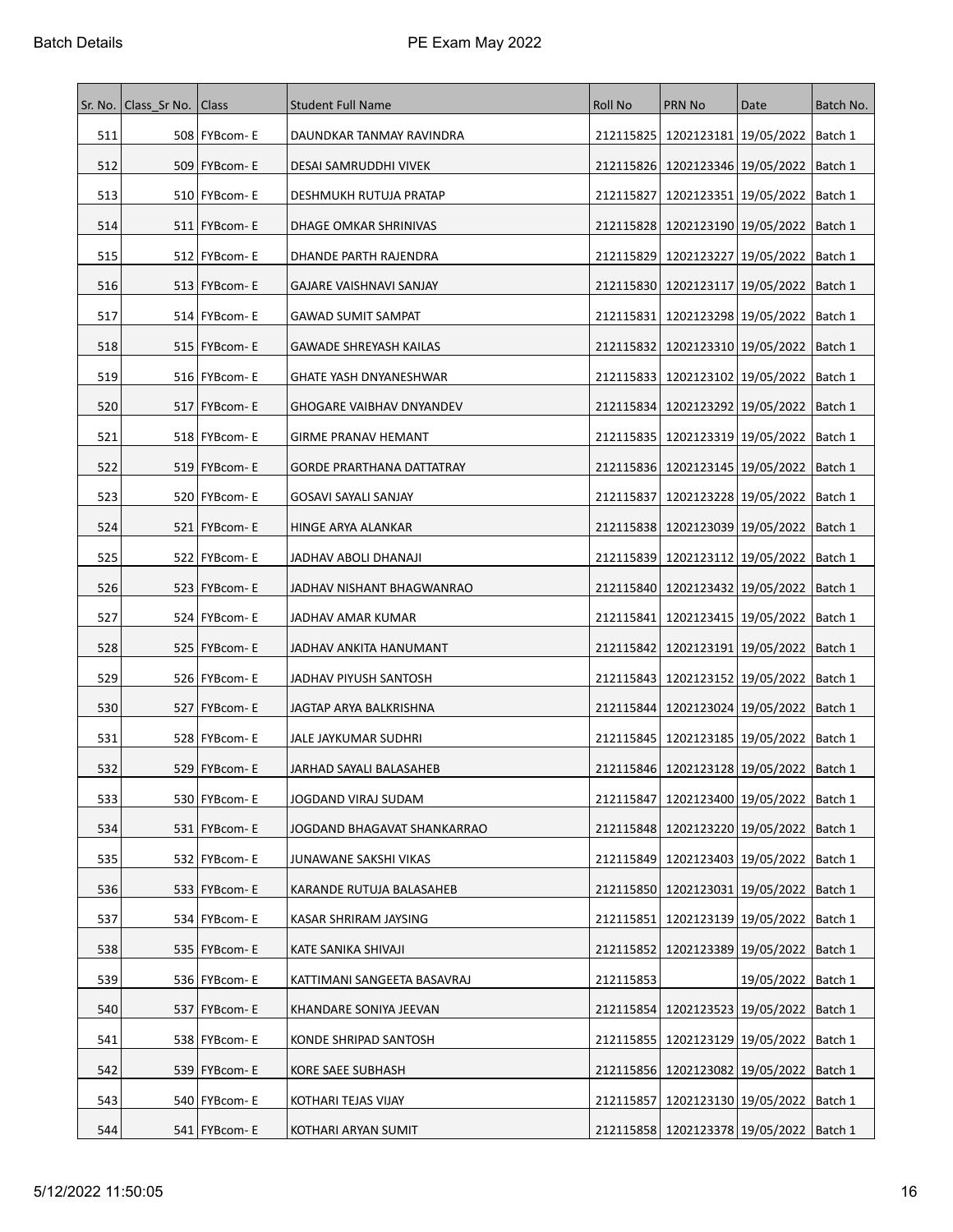| Sr. No. | Class Sr No.   Class |                 | <b>Student Full Name</b>         | Roll No   | <b>PRN No</b>                                 | Date                              | Batch No. |
|---------|----------------------|-----------------|----------------------------------|-----------|-----------------------------------------------|-----------------------------------|-----------|
| 511     |                      | 508   FYBcom-E  | DAUNDKAR TANMAY RAVINDRA         |           | 212115825   1202123181   19/05/2022   Batch 1 |                                   |           |
| 512     |                      | 509   FYBcom-E  | DESAI SAMRUDDHI VIVEK            |           | 212115826   1202123346   19/05/2022           |                                   | Batch 1   |
| 513     |                      | 510   FYBcom-E  | DESHMUKH RUTUJA PRATAP           | 212115827 | 1202123351   19/05/2022                       |                                   | Batch 1   |
| 514     |                      | 511   FYBcom-E  | DHAGE OMKAR SHRINIVAS            |           | 212115828   1202123190   19/05/2022           |                                   | Batch 1   |
| 515     |                      | 512   FYBcom-E  | DHANDE PARTH RAJENDRA            |           | 212115829   1202123227   19/05/2022           |                                   | Batch 1   |
| 516     |                      | 513   FYBcom-E  | GAJARE VAISHNAVI SANJAY          |           | 212115830 1202123117 19/05/2022   Batch 1     |                                   |           |
| 517     |                      | 514   FYBcom-E  | GAWAD SUMIT SAMPAT               | 212115831 | 1202123298 19/05/2022                         |                                   | Batch 1   |
| 518     |                      | 515   FYBcom-E  | <b>GAWADE SHREYASH KAILAS</b>    | 212115832 | 1202123310   19/05/2022                       |                                   | Batch 1   |
| 519     |                      | 516   FYBcom-E  | GHATE YASH DNYANESHWAR           |           | 212115833   1202123102   19/05/2022           |                                   | Batch 1   |
| 520     |                      | 517   FYBcom-E  | <b>GHOGARE VAIBHAV DNYANDEV</b>  |           | 212115834   1202123292   19/05/2022           |                                   | Batch 1   |
| 521     |                      | 518   FYBcom-E  | <b>GIRME PRANAV HEMANT</b>       |           | 212115835   1202123319   19/05/2022           |                                   | Batch 1   |
| 522     |                      | 519   FYBcom-E  | <b>GORDE PRARTHANA DATTATRAY</b> |           | 212115836   1202123145   19/05/2022   Batch 1 |                                   |           |
| 523     |                      | 520   FYBcom-E  | GOSAVI SAYALI SANJAY             | 212115837 | 1202123228 19/05/2022                         |                                   | Batch 1   |
| 524     |                      | 521   FYBcom-E  | HINGE ARYA ALANKAR               |           | 212115838   1202123039   19/05/2022           |                                   | Batch 1   |
| 525     |                      | 522   FYBcom-E  | JADHAV ABOLI DHANAJI             |           | 212115839   1202123112   19/05/2022           |                                   | Batch 1   |
| 526     |                      | 523   FYBcom-E  | JADHAV NISHANT BHAGWANRAO        |           | 212115840   1202123432   19/05/2022           |                                   | Batch 1   |
| 527     |                      | 524   FYBcom-E  | JADHAV AMAR KUMAR                | 212115841 |                                               | 1202123415   19/05/2022   Batch 1 |           |
| 528     |                      | 525   FYBcom-E  | JADHAV ANKITA HANUMANT           | 212115842 | 1202123191   19/05/2022                       |                                   | Batch 1   |
| 529     |                      | 526   FYBcom-E  | JADHAV PIYUSH SANTOSH            |           | 212115843   1202123152   19/05/2022   Batch 1 |                                   |           |
| 530     |                      | 527   FYBcom- E | JAGTAP ARYA BALKRISHNA           |           | 212115844   1202123024   19/05/2022           |                                   | Batch 1   |
| 531     |                      | 528 FYBcom-E    | JALE JAYKUMAR SUDHRI             |           | 212115845   1202123185   19/05/2022   Batch 1 |                                   |           |
| 532     |                      | 529   FYBcom-E  | JARHAD SAYALI BALASAHEB          |           | 212115846   1202123128   19/05/2022           |                                   | Batch 1   |
| 533     |                      | 530 FYBcom-E    | JOGDAND VIRAJ SUDAM              |           | 212115847   1202123400   19/05/2022   Batch 1 |                                   |           |
| 534     |                      | 531   FYBcom-E  | JOGDAND BHAGAVAT SHANKARRAO      |           | 212115848   1202123220   19/05/2022           |                                   | Batch 1   |
| 535     |                      | 532 FYBcom-E    | JUNAWANE SAKSHI VIKAS            |           | 212115849 1202123403 19/05/2022 Batch 1       |                                   |           |
| 536     |                      | 533 FYBcom-E    | KARANDE RUTUJA BALASAHEB         |           | 212115850   1202123031   19/05/2022           |                                   | Batch 1   |
| 537     |                      | 534 FYBcom-E    | KASAR SHRIRAM JAYSING            |           | 212115851 1202123139 19/05/2022 Batch 1       |                                   |           |
| 538     |                      | 535 FYBcom- E   | KATE SANIKA SHIVAJI              | 212115852 | 1202123389 19/05/2022 Batch 1                 |                                   |           |
| 539     |                      | 536   FYBcom-E  | KATTIMANI SANGEETA BASAVRAJ      | 212115853 |                                               | 19/05/2022   Batch 1              |           |
| 540     | 537                  | FYBcom-E        | KHANDARE SONIYA JEEVAN           | 212115854 |                                               | 1202123523 19/05/2022             | Batch 1   |
| 541     |                      | 538 FYBcom-E    | KONDE SHRIPAD SANTOSH            |           | 212115855   1202123129   19/05/2022   Batch 1 |                                   |           |
| 542     |                      | 539 FYBcom- E   | KORE SAEE SUBHASH                |           | 212115856   1202123082   19/05/2022   Batch 1 |                                   |           |
| 543     |                      | 540   FYBcom-E  | KOTHARI TEJAS VIJAY              | 212115857 | 1202123130   19/05/2022                       |                                   | Batch 1   |
| 544     |                      | 541 FYBcom-E    | KOTHARI ARYAN SUMIT              |           | 212115858 1202123378 19/05/2022   Batch 1     |                                   |           |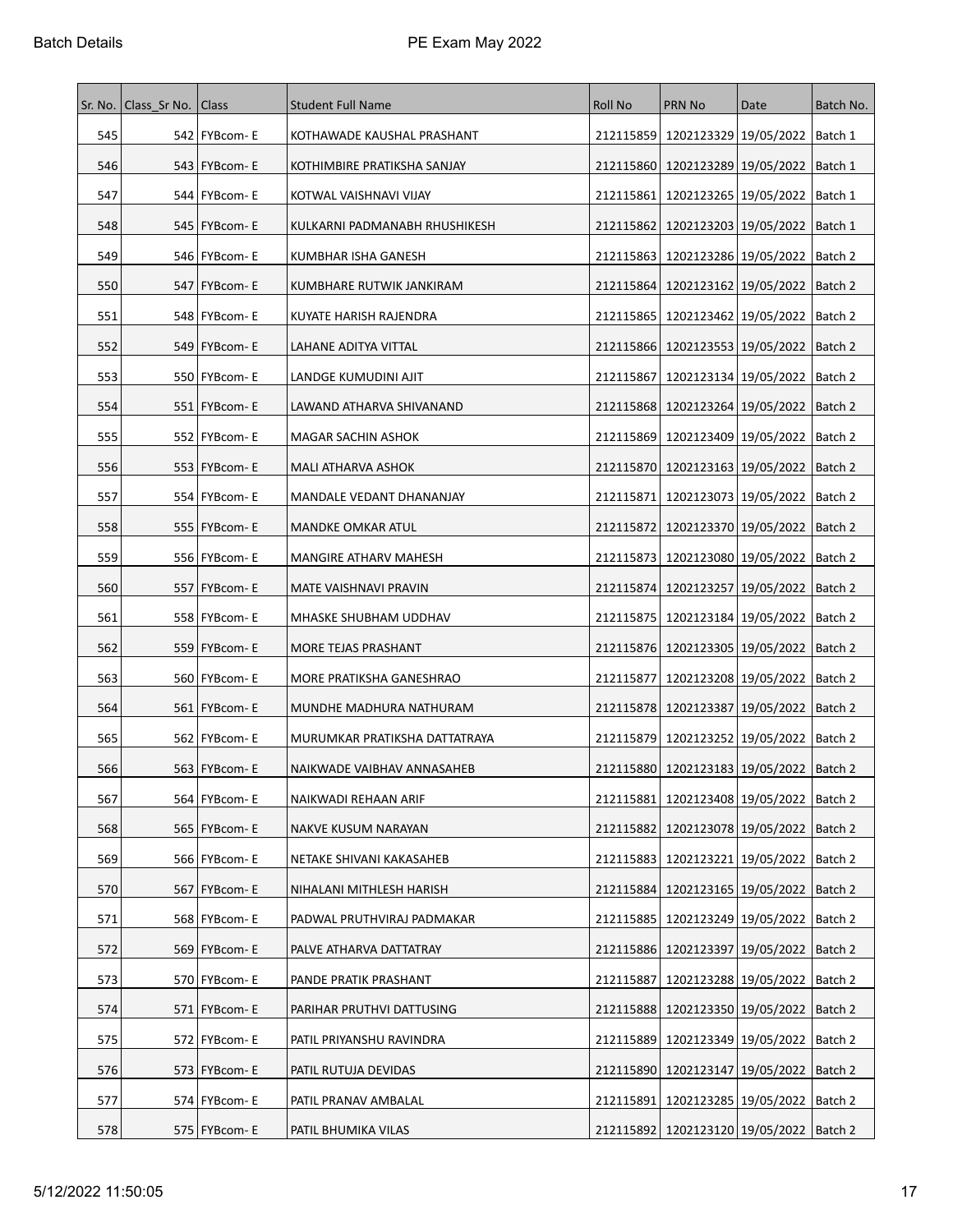| Sr. No. | Class Sr No.   Class |                 | <b>Student Full Name</b>      | <b>Roll No</b> | <b>PRN No</b>                                 | Date | Batch No. |
|---------|----------------------|-----------------|-------------------------------|----------------|-----------------------------------------------|------|-----------|
| 545     |                      | 542   FYBcom-E  | KOTHAWADE KAUSHAL PRASHANT    |                | 212115859 1202123329 19/05/2022 Batch 1       |      |           |
| 546     |                      | 543   FYBcom-E  | KOTHIMBIRE PRATIKSHA SANJAY   |                | 212115860 1202123289 19/05/2022               |      | Batch 1   |
| 547     |                      | 544   FYBcom- E | KOTWAL VAISHNAVI VIJAY        | 212115861      | 1202123265   19/05/2022                       |      | Batch 1   |
| 548     |                      | 545   FYBcom-E  | KULKARNI PADMANABH RHUSHIKESH | 212115862      | 1202123203   19/05/2022                       |      | Batch 1   |
| 549     |                      | 546   FYBcom-E  | KUMBHAR ISHA GANESH           | 212115863      | 1202123286 19/05/2022                         |      | Batch 2   |
| 550     |                      | 547   FYBcom-E  | KUMBHARE RUTWIK JANKIRAM      |                | 212115864   1202123162   19/05/2022   Batch 2 |      |           |
| 551     |                      | 548   FYBcom-E  | KUYATE HARISH RAJENDRA        | 212115865      | 1202123462   19/05/2022                       |      | Batch 2   |
| 552     |                      | 549   FYBcom-E  | LAHANE ADITYA VITTAL          |                | 212115866   1202123553   19/05/2022           |      | Batch 2   |
| 553     |                      | 550   FYBcom-E  | LANDGE KUMUDINI AJIT          | 212115867      | 1202123134   19/05/2022                       |      | Batch 2   |
| 554     |                      | 551   FYBcom-E  | LAWAND ATHARVA SHIVANAND      |                | 212115868   1202123264   19/05/2022           |      | Batch 2   |
| 555     |                      | 552   FYBcom-E  | MAGAR SACHIN ASHOK            |                | 212115869   1202123409   19/05/2022           |      | Batch 2   |
| 556     |                      | 553   FYBcom-E  | MALI ATHARVA ASHOK            |                | 212115870   1202123163   19/05/2022   Batch 2 |      |           |
| 557     |                      | 554   FYBcom-E  | MANDALE VEDANT DHANANJAY      | 212115871      | 1202123073 19/05/2022                         |      | Batch 2   |
| 558     |                      | 555   FYBcom- E | MANDKE OMKAR ATUL             |                | 212115872   1202123370   19/05/2022           |      | Batch 2   |
| 559     |                      | 556   FYBcom-E  | MANGIRE ATHARV MAHESH         |                | 212115873   1202123080   19/05/2022           |      | Batch 2   |
| 560     |                      | 557   FYBcom-E  | MATE VAISHNAVI PRAVIN         |                | 212115874   1202123257   19/05/2022           |      | Batch 2   |
| 561     |                      | 558   FYBcom-E  | MHASKE SHUBHAM UDDHAV         |                | 212115875   1202123184   19/05/2022   Batch 2 |      |           |
| 562     |                      | 559   FYBcom-E  | MORE TEJAS PRASHANT           |                | 212115876   1202123305   19/05/2022           |      | Batch 2   |
| 563     |                      | 560   FYBcom-E  | MORE PRATIKSHA GANESHRAO      | 212115877      | 1202123208   19/05/2022   Batch 2             |      |           |
| 564     |                      | 561   FYBcom-E  | MUNDHE MADHURA NATHURAM       |                | 212115878   1202123387   19/05/2022           |      | Batch 2   |
| 565     |                      | 562   FYBcom-E  | MURUMKAR PRATIKSHA DATTATRAYA |                | 212115879   1202123252   19/05/2022   Batch 2 |      |           |
| 566     |                      | 563   FYBcom-E  | NAIKWADE VAIBHAV ANNASAHEB    |                | 212115880 1202123183 19/05/2022 Batch 2       |      |           |
| 567     |                      | 564 FYBcom-E    | NAIKWADI REHAAN ARIF          |                | 212115881   1202123408   19/05/2022   Batch 2 |      |           |
| 568     |                      | 565   FYBcom- E | NAKVE KUSUM NARAYAN           |                | 212115882   1202123078   19/05/2022           |      | Batch 2   |
| 569     |                      | 566 FYBcom- E   | NETAKE SHIVANI KAKASAHEB      | 212115883      | 1202123221 19/05/2022                         |      | Batch 2   |
| 570     |                      | 567 FYBcom-E    | NIHALANI MITHLESH HARISH      | 212115884      | 1202123165 19/05/2022                         |      | Batch 2   |
| 571     |                      | 568 FYBcom-E    | PADWAL PRUTHVIRAJ PADMAKAR    |                | 212115885   1202123249   19/05/2022   Batch 2 |      |           |
| 572     |                      | 569 FYBcom- E   | PALVE ATHARVA DATTATRAY       |                | 212115886   1202123397   19/05/2022   Batch 2 |      |           |
| 573     |                      | 570   FYBcom-E  | PANDE PRATIK PRASHANT         | 212115887      | 1202123288 19/05/2022                         |      | Batch 2   |
| 574     | 571                  | <b>FYBcom-E</b> | PARIHAR PRUTHVI DATTUSING     | 212115888      | 1202123350 19/05/2022                         |      | Batch 2   |
| 575     |                      | 572 FYBcom-E    | PATIL PRIYANSHU RAVINDRA      |                | 212115889   1202123349   19/05/2022           |      | Batch 2   |
| 576     |                      | 573   FYBcom- E | PATIL RUTUJA DEVIDAS          |                | 212115890   1202123147   19/05/2022   Batch 2 |      |           |
| 577     |                      | 574   FYBcom- E | PATIL PRANAV AMBALAL          | 212115891      | 1202123285   19/05/2022                       |      | Batch 2   |
| 578     |                      | 575 FYBcom-E    | PATIL BHUMIKA VILAS           |                | 212115892   1202123120   19/05/2022   Batch 2 |      |           |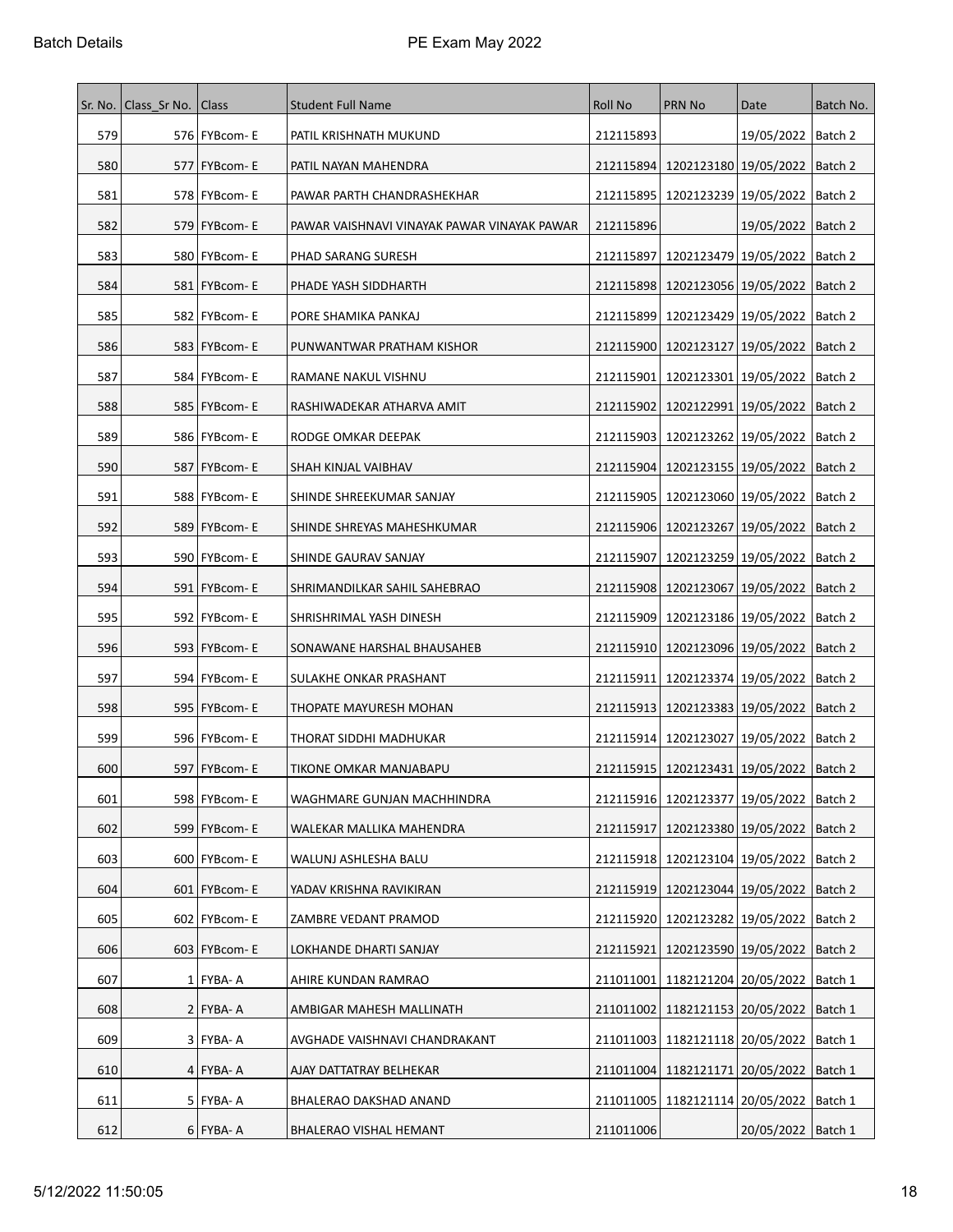| Sr. No. | Class Sr No. | <b>Class</b>    | <b>Student Full Name</b>                    | Roll No   | <b>PRN No</b>                                 | Date                            | Batch No. |
|---------|--------------|-----------------|---------------------------------------------|-----------|-----------------------------------------------|---------------------------------|-----------|
| 579     |              | 576   FYBcom-E  | PATIL KRISHNATH MUKUND                      | 212115893 |                                               | 19/05/2022   Batch 2            |           |
| 580     |              | 577   FYBcom-E  | PATIL NAYAN MAHENDRA                        | 212115894 | 1202123180 19/05/2022                         |                                 | Batch 2   |
| 581     |              | 578   FYBcom-E  | PAWAR PARTH CHANDRASHEKHAR                  | 212115895 | 1202123239 19/05/2022                         |                                 | Batch 2   |
| 582     |              | 579   FYBcom-E  | PAWAR VAISHNAVI VINAYAK PAWAR VINAYAK PAWAR | 212115896 |                                               | 19/05/2022   Batch 2            |           |
| 583     |              | 580   FYBcom-E  | PHAD SARANG SURESH                          | 212115897 | 1202123479   19/05/2022                       |                                 | Batch 2   |
| 584     |              | 581   FYBcom-E  | PHADE YASH SIDDHARTH                        |           | 212115898   1202123056   19/05/2022           |                                 | Batch 2   |
| 585     |              | 582   FYBcom- E | PORE SHAMIKA PANKAJ                         |           | 212115899   1202123429   19/05/2022           |                                 | Batch 2   |
| 586     |              | 583   FYBcom-E  | PUNWANTWAR PRATHAM KISHOR                   |           | 212115900   1202123127   19/05/2022           |                                 | Batch 2   |
| 587     |              | 584   FYBcom-E  | RAMANE NAKUL VISHNU                         | 212115901 | 1202123301 19/05/2022                         |                                 | Batch 2   |
| 588     |              | 585   FYBcom- E | RASHIWADEKAR ATHARVA AMIT                   |           | 212115902   1202122991   19/05/2022           |                                 | Batch 2   |
| 589     |              | 586   FYBcom-E  | RODGE OMKAR DEEPAK                          |           | 212115903   1202123262   19/05/2022           |                                 | Batch 2   |
| 590     |              | 587   FYBcom-E  | SHAH KINJAL VAIBHAV                         |           | 212115904   1202123155   19/05/2022   Batch 2 |                                 |           |
| 591     |              | 588   FYBcom-E  | SHINDE SHREEKUMAR SANJAY                    |           | 212115905   1202123060   19/05/2022           |                                 | Batch 2   |
| 592     |              | 589   FYBcom- E | SHINDE SHREYAS MAHESHKUMAR                  |           | 212115906   1202123267   19/05/2022           |                                 | Batch 2   |
| 593     |              | 590   FYBcom-E  | SHINDE GAURAV SANJAY                        | 212115907 | 1202123259 19/05/2022   Batch 2               |                                 |           |
| 594     |              | 591   FYBcom-E  | SHRIMANDILKAR SAHIL SAHEBRAO                |           | 212115908   1202123067   19/05/2022           |                                 | Batch 2   |
| 595     |              | 592   FYBcom-E  | SHRISHRIMAL YASH DINESH                     |           | 212115909   1202123186   19/05/2022   Batch 2 |                                 |           |
| 596     |              | 593   FYBcom-E  | SONAWANE HARSHAL BHAUSAHEB                  |           | 212115910   1202123096   19/05/2022           |                                 | Batch 2   |
| 597     |              | 594 FYBcom-E    | SULAKHE ONKAR PRASHANT                      | 212115911 | 1202123374   19/05/2022                       |                                 | Batch 2   |
| 598     |              | 595   FYBcom- E | THOPATE MAYURESH MOHAN                      |           | 212115913   1202123383   19/05/2022           |                                 | Batch 2   |
| 599     |              | 596 FYBcom-E    | THORAT SIDDHI MADHUKAR                      |           | 212115914   1202123027   19/05/2022   Batch 2 |                                 |           |
| 600     |              | 597   FYBcom-E  | TIKONE OMKAR MANJABAPU                      |           | 212115915 1202123431 19/05/2022 Batch 2       |                                 |           |
| 601     |              | 598 FYBcom-E    | WAGHMARE GUNJAN MACHHINDRA                  |           | 212115916   1202123377   19/05/2022   Batch 2 |                                 |           |
| 602     |              | 599 FYBcom- E   | WALEKAR MALLIKA MAHENDRA                    | 212115917 | 1202123380 19/05/2022 Batch 2                 |                                 |           |
| 603     |              | 600   FYBcom-E  | WALUNJ ASHLESHA BALU                        |           | 212115918   1202123104   19/05/2022           |                                 | Batch 2   |
| 604     |              | 601   FYBcom-E  | YADAV KRISHNA RAVIKIRAN                     | 212115919 | 1202123044 19/05/2022                         |                                 | Batch 2   |
| 605     |              | 602   FYBcom-E  | ZAMBRE VEDANT PRAMOD                        |           | 212115920   1202123282   19/05/2022           |                                 | Batch 2   |
| 606     |              | $603$ FYBcom-E  | LOKHANDE DHARTI SANJAY                      | 212115921 |                                               | 1202123590 19/05/2022   Batch 2 |           |
| 607     |              | $1$ FYBA-A      | AHIRE KUNDAN RAMRAO                         | 211011001 | 1182121204 20/05/2022                         |                                 | Batch 1   |
| 608     |              | $2$ FYBA-A      | AMBIGAR MAHESH MALLINATH                    | 211011002 | 1182121153 20/05/2022                         |                                 | Batch 1   |
| 609     |              | $3$ FYBA-A      | AVGHADE VAISHNAVI CHANDRAKANT               |           | 211011003   1182121118   20/05/2022           |                                 | Batch 1   |
| 610     |              | $4$ FYBA-A      | AJAY DATTATRAY BELHEKAR                     |           | 211011004   1182121171   20/05/2022           |                                 | Batch 1   |
| 611     |              | $5$ FYBA-A      | BHALERAO DAKSHAD ANAND                      |           | 211011005   1182121114   20/05/2022           |                                 | Batch 1   |
| 612     |              | $6$ FYBA-A      | BHALERAO VISHAL HEMANT                      | 211011006 |                                               | 20/05/2022   Batch 1            |           |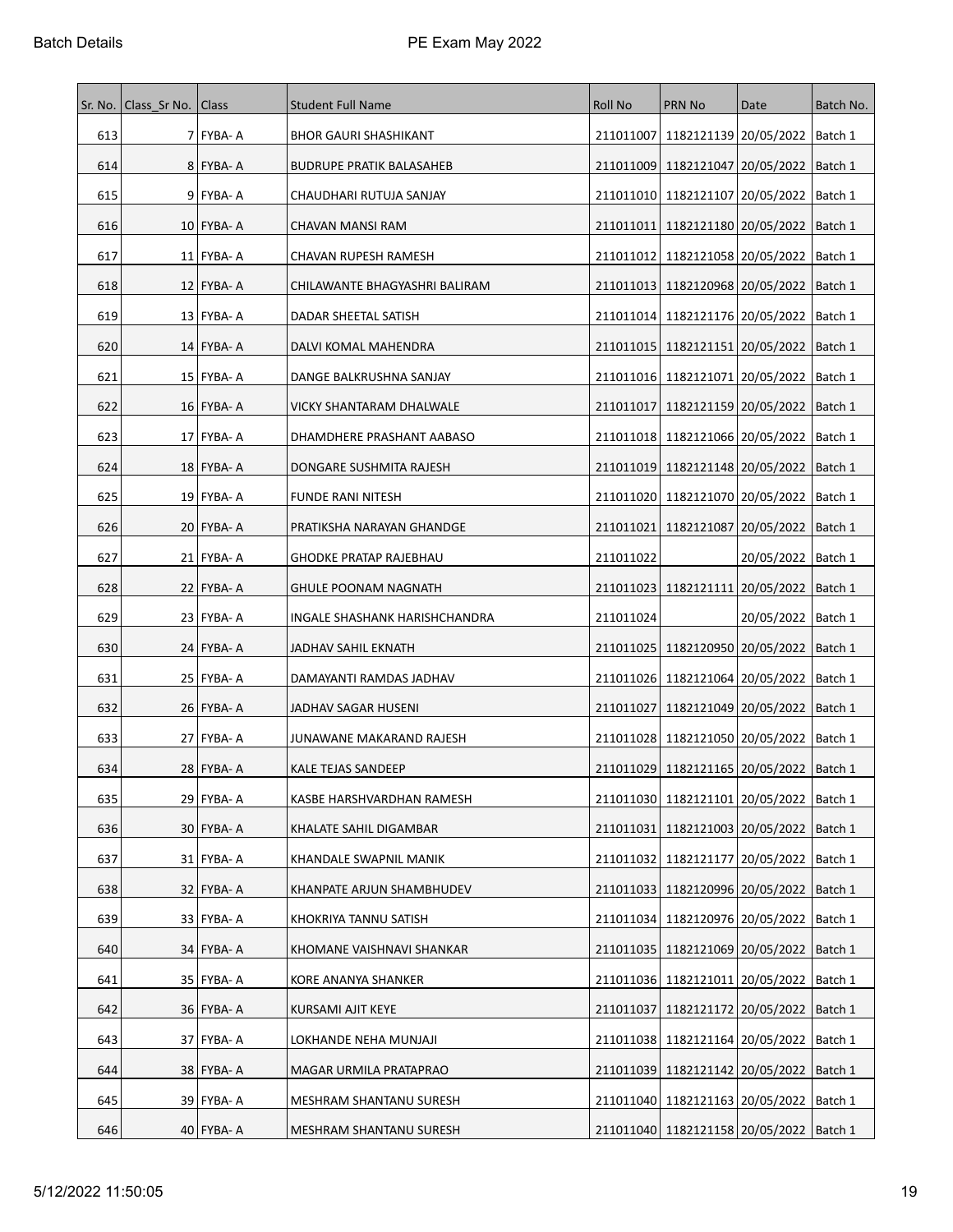|     | Sr. No.   Class Sr No.   Class |                | <b>Student Full Name</b>        | <b>Roll No</b> | <b>PRN No</b>                                 | Date                              | Batch No. |
|-----|--------------------------------|----------------|---------------------------------|----------------|-----------------------------------------------|-----------------------------------|-----------|
| 613 |                                | 7 FYBA-A       | <b>BHOR GAURI SHASHIKANT</b>    | 211011007      | 1182121139 20/05/2022                         |                                   | Batch 1   |
| 614 |                                | 8 FYBA-A       | <b>BUDRUPE PRATIK BALASAHEB</b> | 211011009      |                                               | 1182121047 20/05/2022   Batch 1   |           |
| 615 |                                | $9$  FYBA-A    | CHAUDHARI RUTUJA SANJAY         | 211011010      | 1182121107 20/05/2022                         |                                   | Batch 1   |
| 616 |                                | $10$  FYBA-A   | CHAVAN MANSI RAM                | 211011011      |                                               | 1182121180   20/05/2022   Batch 1 |           |
| 617 |                                | 11   FYBA- A   | CHAVAN RUPESH RAMESH            | 211011012      | 1182121058 20/05/2022                         |                                   | Batch 1   |
| 618 |                                | 12   FYBA- A   | CHILAWANTE BHAGYASHRI BALIRAM   |                | 211011013 1182120968 20/05/2022   Batch 1     |                                   |           |
| 619 |                                | 13 FYBA- A     | DADAR SHEETAL SATISH            |                | 211011014   1182121176   20/05/2022           |                                   | Batch 1   |
| 620 |                                | 14 FYBA- A     | DALVI KOMAL MAHENDRA            | 211011015      | 1182121151 20/05/2022                         |                                   | Batch 1   |
| 621 |                                | 15   FYBA- A   | DANGE BALKRUSHNA SANJAY         |                | 211011016   1182121071   20/05/2022   Batch 1 |                                   |           |
| 622 |                                | $16$   FYBA- A | VICKY SHANTARAM DHALWALE        | 211011017      | 1182121159 20/05/2022                         |                                   | Batch 1   |
| 623 |                                | 17   FYBA- A   | DHAMDHERE PRASHANT AABASO       |                | 211011018 1182121066 20/05/2022               |                                   | Batch 1   |
| 624 |                                | 18   FYBA- A   | DONGARE SUSHMITA RAJESH         | 211011019      |                                               | 1182121148 20/05/2022   Batch 1   |           |
| 625 |                                | $19$ FYBA-A    | <b>FUNDE RANI NITESH</b>        | 211011020      |                                               | 1182121070 20/05/2022             | Batch 1   |
| 626 |                                | 20   FYBA- A   | PRATIKSHA NARAYAN GHANDGE       | 211011021      | 1182121087   20/05/2022                       |                                   | Batch 1   |
| 627 |                                | 21   FYBA- A   | <b>GHODKE PRATAP RAJEBHAU</b>   | 211011022      |                                               | 20/05/2022   Batch 1              |           |
| 628 |                                | $22$ FYBA-A    | <b>GHULE POONAM NAGNATH</b>     | 211011023      | 1182121111   20/05/2022                       |                                   | Batch 1   |
| 629 |                                | 23   FYBA- A   | INGALE SHASHANK HARISHCHANDRA   | 211011024      |                                               | 20/05/2022   Batch 1              |           |
| 630 |                                | 24   FYBA- A   | JADHAV SAHIL EKNATH             | 211011025      | 1182120950   20/05/2022                       |                                   | Batch 1   |
| 631 |                                | $25$ FYBA-A    | DAMAYANTI RAMDAS JADHAV         |                | 211011026 1182121064 20/05/2022               |                                   | Batch 1   |
| 632 |                                | 26   FYBA- A   | JADHAV SAGAR HUSENI             | 211011027      | 1182121049 20/05/2022                         |                                   | Batch 1   |
| 633 |                                | $27$ FYBA-A    | JUNAWANE MAKARAND RAJESH        |                | 211011028   1182121050   20/05/2022   Batch 1 |                                   |           |
| 634 |                                | 28 FYBA- A     | <b>KALE TEJAS SANDEEP</b>       | 211011029      | 1182121165 20/05/2022 Batch 1                 |                                   |           |
| 635 |                                | $29$ FYBA-A    | KASBE HARSHVARDHAN RAMESH       |                | 211011030 1182121101 20/05/2022   Batch 1     |                                   |           |
| 636 |                                | $30$ FYBA-A    | KHALATE SAHIL DIGAMBAR          | 211011031      |                                               | 1182121003 20/05/2022 Batch 1     |           |
| 637 |                                | $31$ FYBA-A    | KHANDALE SWAPNIL MANIK          | 211011032      | 1182121177 20/05/2022                         |                                   | Batch 1   |
| 638 |                                | $32$ FYBA-A    | KHANPATE ARJUN SHAMBHUDEV       | 211011033      |                                               | 1182120996 20/05/2022             | Batch 1   |
| 639 |                                | $33$ FYBA-A    | KHOKRIYA TANNU SATISH           |                | 211011034 1182120976 20/05/2022               |                                   | Batch 1   |
| 640 |                                | $34$ FYBA-A    | KHOMANE VAISHNAVI SHANKAR       | 211011035      | 1182121069 20/05/2022   Batch 1               |                                   |           |
| 641 |                                | 35   FYBA- A   | KORE ANANYA SHANKER             |                | 211011036   1182121011   20/05/2022           |                                   | Batch 1   |
| 642 |                                | $36$ FYBA-A    | KURSAMI AJIT KEYE               | 211011037      |                                               | 1182121172   20/05/2022           | Batch 1   |
| 643 |                                | 37 FYBA- A     | LOKHANDE NEHA MUNJAJI           |                | 211011038   1182121164   20/05/2022           |                                   | Batch 1   |
| 644 |                                | 38 FYBA- A     | MAGAR URMILA PRATAPRAO          |                | 211011039 1182121142 20/05/2022 Batch 1       |                                   |           |
| 645 |                                | 39 FYBA- A     | MESHRAM SHANTANU SURESH         |                | 211011040   1182121163   20/05/2022   Batch 1 |                                   |           |
| 646 |                                | $40$ FYBA-A    | MESHRAM SHANTANU SURESH         |                | 211011040 1182121158 20/05/2022   Batch 1     |                                   |           |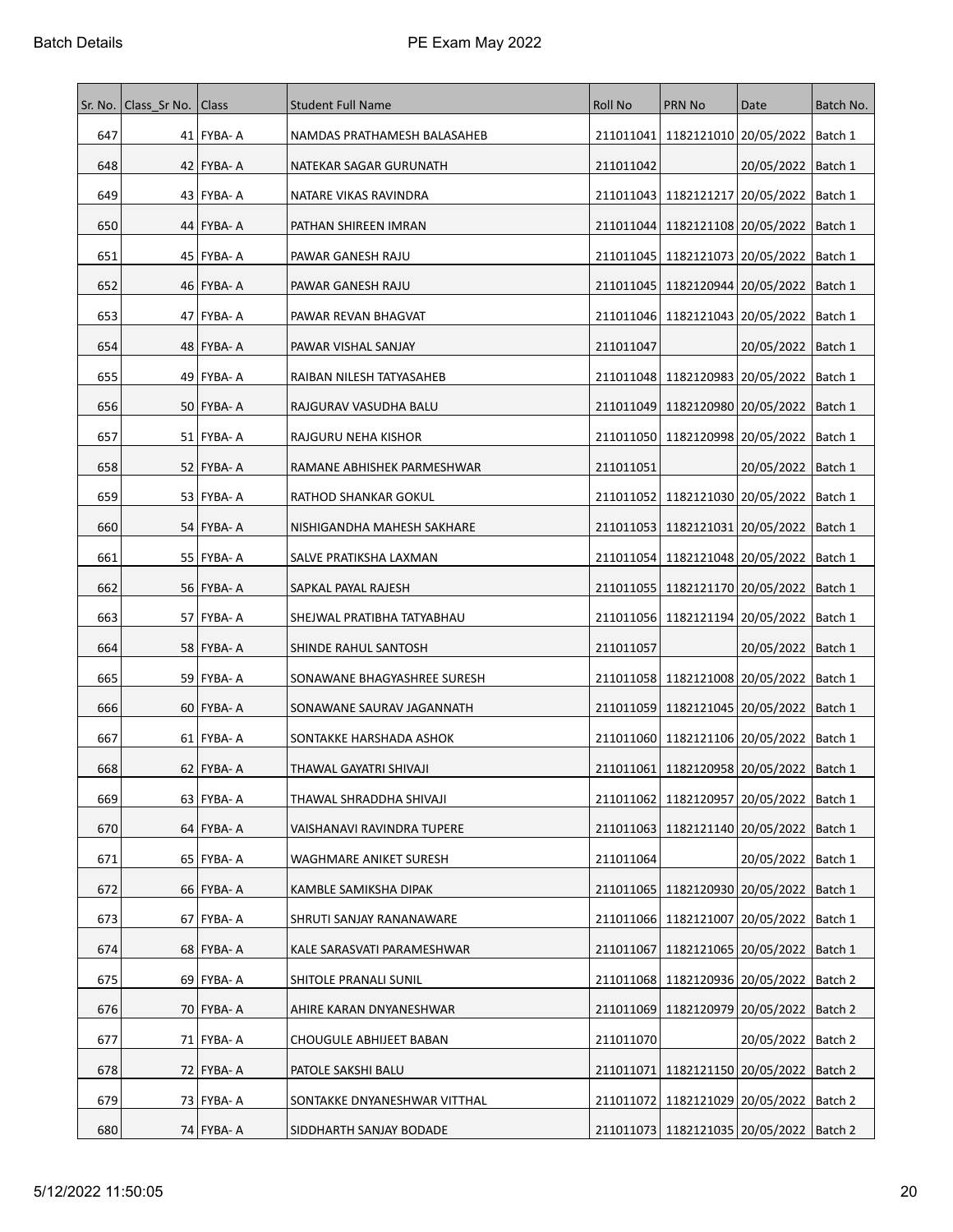|     | Sr. No.   Class Sr No.   Class |              | <b>Student Full Name</b>     | <b>Roll No</b> | <b>PRN No</b>                                 | Date                              | Batch No. |
|-----|--------------------------------|--------------|------------------------------|----------------|-----------------------------------------------|-----------------------------------|-----------|
| 647 |                                | 41 FYBA- A   | NAMDAS PRATHAMESH BALASAHEB  | 211011041      |                                               | 1182121010 20/05/2022   Batch 1   |           |
| 648 |                                | $42$ FYBA-A  | NATEKAR SAGAR GURUNATH       | 211011042      |                                               | 20/05/2022   Batch 1              |           |
| 649 |                                | 43   FYBA- A | NATARE VIKAS RAVINDRA        | 211011043      | 1182121217   20/05/2022                       |                                   | Batch 1   |
| 650 |                                | 44 FYBA- A   | PATHAN SHIREEN IMRAN         | 211011044      |                                               | 1182121108   20/05/2022   Batch 1 |           |
| 651 |                                | 45   FYBA- A | PAWAR GANESH RAJU            | 211011045      | 1182121073 20/05/2022                         |                                   | Batch 1   |
| 652 |                                | $46$ FYBA-A  | PAWAR GANESH RAJU            | 211011045      | 1182120944 20/05/2022                         |                                   | Batch 1   |
| 653 |                                | 47   FYBA- A | PAWAR REVAN BHAGVAT          |                | 211011046   1182121043   20/05/2022           |                                   | Batch 1   |
| 654 |                                | $48$ FYBA-A  | PAWAR VISHAL SANJAY          | 211011047      |                                               | 20/05/2022   Batch 1              |           |
| 655 |                                | 49   FYBA- A | RAIBAN NILESH TATYASAHEB     |                | 211011048 1182120983 20/05/2022               |                                   | Batch 1   |
| 656 |                                | 50   FYBA- A | RAJGURAV VASUDHA BALU        |                | 211011049   1182120980   20/05/2022   Batch 1 |                                   |           |
| 657 |                                | $51$ FYBA-A  | RAJGURU NEHA KISHOR          |                | 211011050 1182120998 20/05/2022               |                                   | Batch 1   |
| 658 |                                | 52   FYBA- A | RAMANE ABHISHEK PARMESHWAR   | 211011051      |                                               | 20/05/2022   Batch 1              |           |
| 659 |                                | 53 FYBA- A   | RATHOD SHANKAR GOKUL         | 211011052      | 1182121030 20/05/2022                         |                                   | Batch 1   |
| 660 |                                | 54   FYBA- A | NISHIGANDHA MAHESH SAKHARE   | 211011053      | 1182121031 20/05/2022                         |                                   | Batch 1   |
| 661 |                                | 55   FYBA- A | SALVE PRATIKSHA LAXMAN       | 211011054      |                                               | 1182121048 20/05/2022   Batch 1   |           |
| 662 |                                | $56$ FYBA-A  | SAPKAL PAYAL RAJESH          | 211011055      | 1182121170   20/05/2022                       |                                   | Batch 1   |
| 663 |                                | 57 FYBA- A   | SHEJWAL PRATIBHA TATYABHAU   | 211011056      |                                               | 1182121194   20/05/2022   Batch 1 |           |
| 664 |                                | 58   FYBA- A | SHINDE RAHUL SANTOSH         | 211011057      |                                               | 20/05/2022                        | Batch 1   |
| 665 |                                | 59 FYBA- A   | SONAWANE BHAGYASHREE SURESH  |                | 211011058   1182121008   20/05/2022           |                                   | Batch 1   |
| 666 |                                | 60   FYBA- A | SONAWANE SAURAV JAGANNATH    | 211011059      | 1182121045 20/05/2022                         |                                   | Batch 1   |
| 667 |                                | $61$ FYBA-A  | SONTAKKE HARSHADA ASHOK      |                | 211011060 1182121106 20/05/2022   Batch 1     |                                   |           |
| 668 |                                | 62   FYBA- A | THAWAL GAYATRI SHIVAJI       | 211011061      | 1182120958 20/05/2022                         |                                   | Batch 1   |
| 669 |                                | $63$ FYBA-A  | THAWAL SHRADDHA SHIVAJI      |                | 211011062 1182120957 20/05/2022   Batch 1     |                                   |           |
| 670 |                                | $64$ FYBA-A  | VAISHANAVI RAVINDRA TUPERE   | 211011063      |                                               | 1182121140 20/05/2022 Batch 1     |           |
| 671 |                                | 65   FYBA- A | WAGHMARE ANIKET SURESH       | 211011064      |                                               | 20/05/2022   Batch 1              |           |
| 672 |                                | 66 FYBA- A   | KAMBLE SAMIKSHA DIPAK        | 211011065      |                                               | 1182120930 20/05/2022   Batch 1   |           |
| 673 |                                | 67   FYBA- A | SHRUTI SANJAY RANANAWARE     |                | 211011066 1182121007 20/05/2022   Batch 1     |                                   |           |
| 674 |                                | 68   FYBA- A | KALE SARASVATI PARAMESHWAR   | 211011067      |                                               | 1182121065 20/05/2022   Batch 1   |           |
| 675 |                                | $69$ FYBA-A  | SHITOLE PRANALI SUNIL        | 211011068      | 1182120936 20/05/2022                         |                                   | Batch 2   |
| 676 |                                | 70 FYBA- A   | AHIRE KARAN DNYANESHWAR      | 211011069      |                                               | 1182120979 20/05/2022             | Batch 2   |
| 677 |                                | 71 FYBA- A   | CHOUGULE ABHIJEET BABAN      | 211011070      |                                               | 20/05/2022   Batch 2              |           |
| 678 |                                | 72 FYBA-A    | PATOLE SAKSHI BALU           | 211011071      |                                               | 1182121150 20/05/2022   Batch 2   |           |
| 679 |                                | 73 FYBA-A    | SONTAKKE DNYANESHWAR VITTHAL | 211011072      | 1182121029 20/05/2022                         |                                   | Batch 2   |
| 680 |                                | 74 FYBA- A   | SIDDHARTH SANJAY BODADE      |                | 211011073 1182121035 20/05/2022 Batch 2       |                                   |           |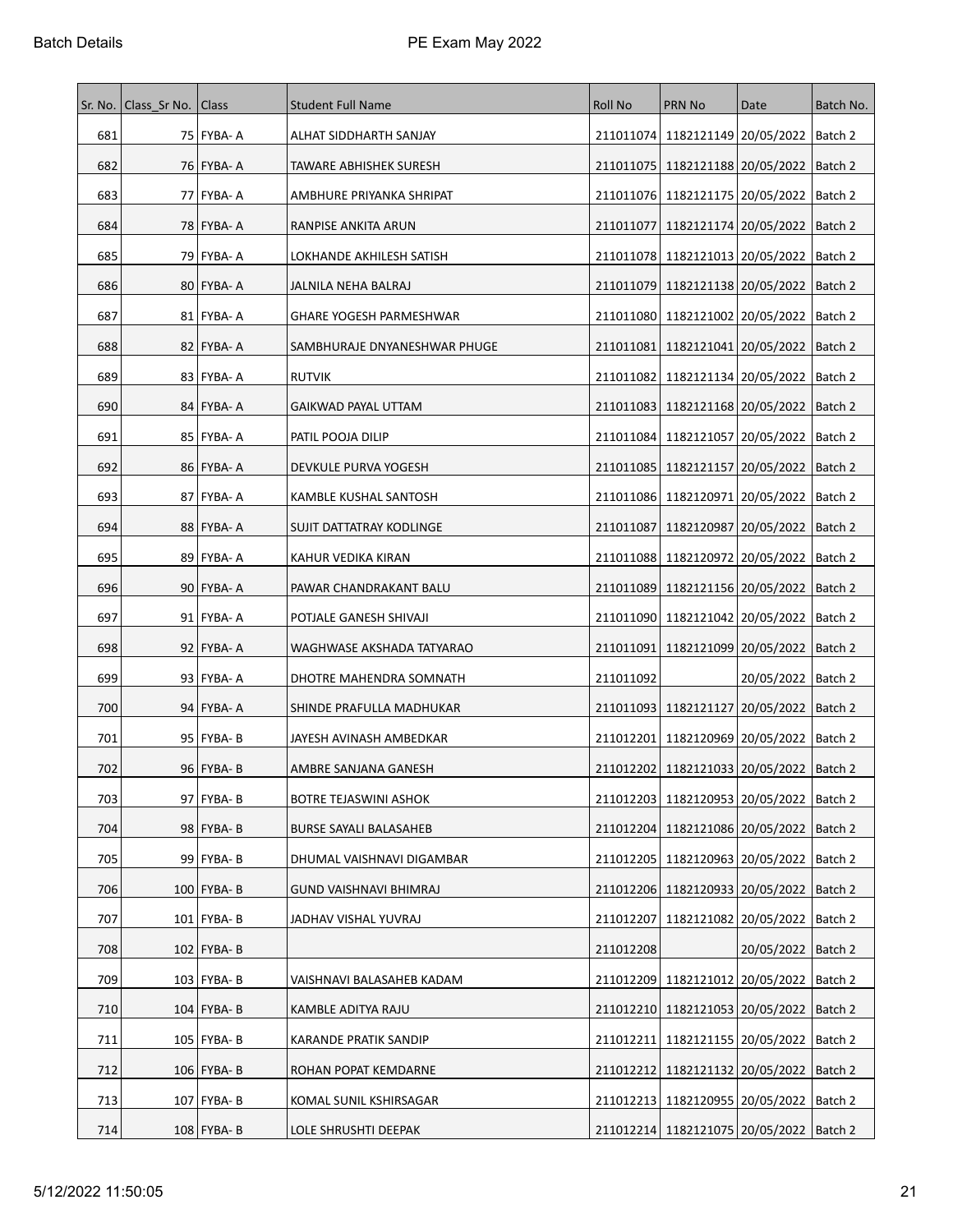| Sr. No. | Class Sr No.   Class |               | <b>Student Full Name</b>      | <b>Roll No</b> | <b>PRN No</b>                                 | Date                              | Batch No. |
|---------|----------------------|---------------|-------------------------------|----------------|-----------------------------------------------|-----------------------------------|-----------|
| 681     |                      | 75   FYBA- A  | ALHAT SIDDHARTH SANJAY        |                | 211011074 1182121149 20/05/2022 Batch 2       |                                   |           |
| 682     |                      | 76 FYBA- A    | TAWARE ABHISHEK SURESH        |                | 211011075   1182121188   20/05/2022   Batch 2 |                                   |           |
| 683     |                      | 77   FYBA- A  | AMBHURE PRIYANKA SHRIPAT      |                | 211011076   1182121175   20/05/2022           |                                   | Batch 2   |
| 684     |                      | 78   FYBA- A  | RANPISE ANKITA ARUN           | 211011077      |                                               | 1182121174   20/05/2022   Batch 2 |           |
| 685     |                      | 79 FYBA- A    | LOKHANDE AKHILESH SATISH      |                | 211011078   1182121013   20/05/2022   Batch 2 |                                   |           |
| 686     |                      | 80 FYBA- A    | JALNILA NEHA BALRAJ           |                | 211011079 1182121138 20/05/2022   Batch 2     |                                   |           |
| 687     |                      | 81   FYBA- A  | GHARE YOGESH PARMESHWAR       |                | 211011080   1182121002   20/05/2022   Batch 2 |                                   |           |
| 688     |                      | 82   FYBA- A  | SAMBHURAJE DNYANESHWAR PHUGE  | 211011081      |                                               | 1182121041   20/05/2022   Batch 2 |           |
| 689     |                      | 83   FYBA- A  | <b>RUTVIK</b>                 | 211011082      | 1182121134   20/05/2022   Batch 2             |                                   |           |
| 690     |                      | 84   FYBA- A  | GAIKWAD PAYAL UTTAM           |                | 211011083   1182121168   20/05/2022   Batch 2 |                                   |           |
| 691     |                      | 85   FYBA- A  | PATIL POOJA DILIP             |                | 211011084 1182121057 20/05/2022   Batch 2     |                                   |           |
| 692     |                      | 86 FYBA-A     | DEVKULE PURVA YOGESH          |                | 211011085   1182121157   20/05/2022   Batch 2 |                                   |           |
| 693     |                      | 87   FYBA- A  | KAMBLE KUSHAL SANTOSH         | 211011086      | 1182120971   20/05/2022   Batch 2             |                                   |           |
| 694     |                      | 88 FYBA-A     | SUJIT DATTATRAY KODLINGE      | 211011087      |                                               | 1182120987   20/05/2022   Batch 2 |           |
| 695     |                      | 89   FYBA- A  | KAHUR VEDIKA KIRAN            |                | 211011088 1182120972 20/05/2022   Batch 2     |                                   |           |
| 696     |                      | 90 FYBA-A     | PAWAR CHANDRAKANT BALU        | 211011089      | 1182121156   20/05/2022                       |                                   | Batch 2   |
| 697     |                      | 91   FYBA- A  | POTJALE GANESH SHIVAJI        |                | 211011090   1182121042   20/05/2022   Batch 2 |                                   |           |
| 698     |                      | 92 FYBA- A    | WAGHWASE AKSHADA TATYARAO     | 211011091      | 1182121099 20/05/2022  Batch 2                |                                   |           |
| 699     |                      | 93   FYBA- A  | DHOTRE MAHENDRA SOMNATH       | 211011092      |                                               | 20/05/2022   Batch 2              |           |
| 700     |                      | 94 FYBA- A    | SHINDE PRAFULLA MADHUKAR      |                | 211011093   1182121127   20/05/2022   Batch 2 |                                   |           |
| 701     |                      | 95   FYBA- B  | JAYESH AVINASH AMBEDKAR       | 211012201      | 1182120969 20/05/2022  Batch 2                |                                   |           |
| 702     |                      | $96$ FYBA-B   | AMBRE SANJANA GANESH          |                | 211012202 1182121033 20/05/2022 Batch 2       |                                   |           |
| 703     |                      | 97 FYBA-B     | BOTRE TEJASWINI ASHOK         |                | 211012203 1182120953 20/05/2022   Batch 2     |                                   |           |
| 704     |                      | 98 FYBA-B     | <b>BURSE SAYALI BALASAHEB</b> |                | 211012204   1182121086   20/05/2022   Batch 2 |                                   |           |
| 705     |                      | 99   FYBA- B  | DHUMAL VAISHNAVI DIGAMBAR     |                | 211012205   1182120963   20/05/2022   Batch 2 |                                   |           |
| 706     |                      | 100   FYBA- B | GUND VAISHNAVI BHIMRAJ        |                | 211012206 1182120933 20/05/2022 Batch 2       |                                   |           |
| 707     |                      | 101   FYBA- B | JADHAV VISHAL YUVRAJ          | 211012207      | 1182121082 20/05/2022   Batch 2               |                                   |           |
| 708     |                      | $102$ FYBA-B  |                               | 211012208      |                                               | 20/05/2022   Batch 2              |           |
| 709     |                      | $103$ FYBA-B  | VAISHNAVI BALASAHEB KADAM     | 211012209      | 1182121012   20/05/2022   Batch 2             |                                   |           |
| 710     |                      | $104$ FYBA-B  | KAMBLE ADITYA RAJU            |                | 211012210   1182121053   20/05/2022   Batch 2 |                                   |           |
| 711     |                      | 105   FYBA- B | KARANDE PRATIK SANDIP         | 211012211      | 1182121155   20/05/2022   Batch 2             |                                   |           |
| 712     |                      | $106$ FYBA-B  | ROHAN POPAT KEMDARNE          |                | 211012212 1182121132 20/05/2022   Batch 2     |                                   |           |
| 713     |                      | 107   FYBA- B | KOMAL SUNIL KSHIRSAGAR        |                | 211012213   1182120955   20/05/2022   Batch 2 |                                   |           |
| 714     |                      | 108 FYBA- B   | LOLE SHRUSHTI DEEPAK          |                | 211012214 1182121075 20/05/2022 Batch 2       |                                   |           |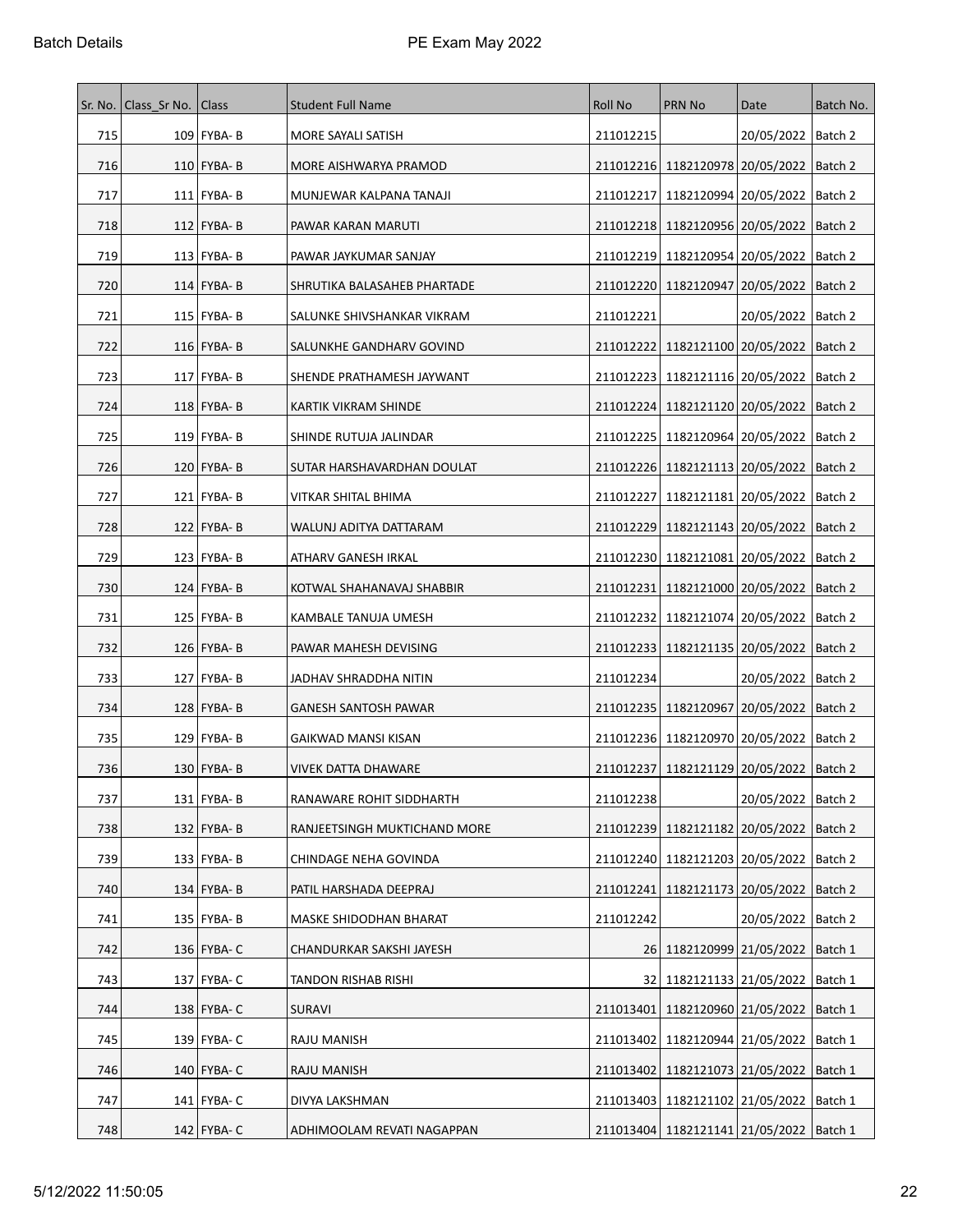|     | Sr. No.   Class Sr No.   Class |                 | <b>Student Full Name</b>     | Roll No   | <b>PRN No</b>                                 | Date                              | Batch No. |
|-----|--------------------------------|-----------------|------------------------------|-----------|-----------------------------------------------|-----------------------------------|-----------|
| 715 |                                | 109   FYBA- B   | MORE SAYALI SATISH           | 211012215 |                                               | 20/05/2022   Batch 2              |           |
| 716 |                                | $110$ FYBA-B    | MORE AISHWARYA PRAMOD        | 211012216 | 1182120978 20/05/2022                         |                                   | Batch 2   |
| 717 |                                | $111$ FYBA-B    | MUNJEWAR KALPANA TANAJI      | 211012217 | 1182120994 20/05/2022                         |                                   | Batch 2   |
| 718 |                                | $112$ FYBA-B    | PAWAR KARAN MARUTI           |           | 211012218   1182120956   20/05/2022   Batch 2 |                                   |           |
| 719 |                                | $113$ FYBA-B    | PAWAR JAYKUMAR SANJAY        | 211012219 | 1182120954 20/05/2022                         |                                   | Batch 2   |
| 720 |                                | $114$   FYBA- B | SHRUTIKA BALASAHEB PHARTADE  |           | 211012220 1182120947 20/05/2022               |                                   | Batch 2   |
| 721 |                                | 115   FYBA- B   | SALUNKE SHIVSHANKAR VIKRAM   | 211012221 |                                               | 20/05/2022   Batch 2              |           |
| 722 |                                | $116$   FYBA- B | SALUNKHE GANDHARV GOVIND     | 211012222 |                                               | 1182121100   20/05/2022   Batch 2 |           |
| 723 |                                | $117$ FYBA-B    | SHENDE PRATHAMESH JAYWANT    |           | 211012223   1182121116   20/05/2022           |                                   | Batch 2   |
| 724 |                                | $118$ FYBA-B    | KARTIK VIKRAM SHINDE         |           | 211012224   1182121120   20/05/2022   Batch 2 |                                   |           |
| 725 |                                | $119$ FYBA-B    | SHINDE RUTUJA JALINDAR       |           | 211012225   1182120964   20/05/2022           |                                   | Batch 2   |
| 726 |                                | $120$ FYBA-B    | SUTAR HARSHAVARDHAN DOULAT   |           | 211012226   1182121113   20/05/2022   Batch 2 |                                   |           |
| 727 |                                | 121   FYBA- B   | VITKAR SHITAL BHIMA          | 211012227 | 1182121181   20/05/2022                       |                                   | Batch 2   |
| 728 |                                | $122$ FYBA-B    | WALUNJ ADITYA DATTARAM       | 211012229 |                                               | 1182121143 20/05/2022   Batch 2   |           |
| 729 |                                | 123 FYBA-B      | ATHARV GANESH IRKAL          |           | 211012230 1182121081 20/05/2022 Batch 2       |                                   |           |
| 730 |                                | $124$ FYBA-B    | KOTWAL SHAHANAVAJ SHABBIR    | 211012231 | 1182121000   20/05/2022                       |                                   | Batch 2   |
| 731 |                                | 125   FYBA- B   | KAMBALE TANUJA UMESH         | 211012232 |                                               | 1182121074   20/05/2022   Batch 2 |           |
| 732 |                                | $126$ FYBA-B    | PAWAR MAHESH DEVISING        |           | 211012233   1182121135   20/05/2022           |                                   | Batch 2   |
| 733 |                                | 127   FYBA- B   | JADHAV SHRADDHA NITIN        | 211012234 |                                               | 20/05/2022   Batch 2              |           |
| 734 |                                | 128   FYBA- B   | <b>GANESH SANTOSH PAWAR</b>  | 211012235 | 1182120967   20/05/2022                       |                                   | Batch 2   |
| 735 |                                | 129 FYBA-B      | GAIKWAD MANSI KISAN          |           | 211012236 1182120970 20/05/2022 Batch 2       |                                   |           |
| 736 |                                | 130 FYBA-B      | VIVEK DATTA DHAWARE          |           | 211012237 1182121129 20/05/2022   Batch 2     |                                   |           |
| 737 |                                | $131$ FYBA-B    | RANAWARE ROHIT SIDDHARTH     | 211012238 |                                               | 20/05/2022   Batch 2              |           |
| 738 |                                | $132$ FYBA-B    | RANJEETSINGH MUKTICHAND MORE | 211012239 |                                               | 1182121182 20/05/2022   Batch 2   |           |
| 739 |                                | $133$ FYBA-B    | CHINDAGE NEHA GOVINDA        | 211012240 |                                               | 1182121203   20/05/2022           | Batch 2   |
| 740 |                                | $134$ FYBA-B    | PATIL HARSHADA DEEPRAJ       | 211012241 |                                               | 1182121173 20/05/2022             | Batch 2   |
| 741 |                                | $135$ FYBA-B    | MASKE SHIDODHAN BHARAT       | 211012242 |                                               | 20/05/2022   Batch 2              |           |
| 742 |                                | 136 FYBA- C     | CHANDURKAR SAKSHI JAYESH     |           | 26 1182120999 21/05/2022 Batch 1              |                                   |           |
| 743 |                                | 137 FYBA- C     | TANDON RISHAB RISHI          | 32        | 1182121133 21/05/2022                         |                                   | Batch 1   |
| 744 |                                | $138$ FYBA-C    | SURAVI                       | 211013401 |                                               | 1182120960 21/05/2022   Batch 1   |           |
| 745 |                                | 139 FYBA- C     | RAJU MANISH                  | 211013402 | 1182120944 21/05/2022                         |                                   | Batch 1   |
| 746 |                                | 140 FYBA- C     | RAJU MANISH                  |           | 211013402   1182121073   21/05/2022   Batch 1 |                                   |           |
| 747 |                                | 141   FYBA- C   | DIVYA LAKSHMAN               |           | 211013403   1182121102   21/05/2022           |                                   | Batch 1   |
| 748 |                                | 142 FYBA- C     | ADHIMOOLAM REVATI NAGAPPAN   |           | 211013404   1182121141   21/05/2022   Batch 1 |                                   |           |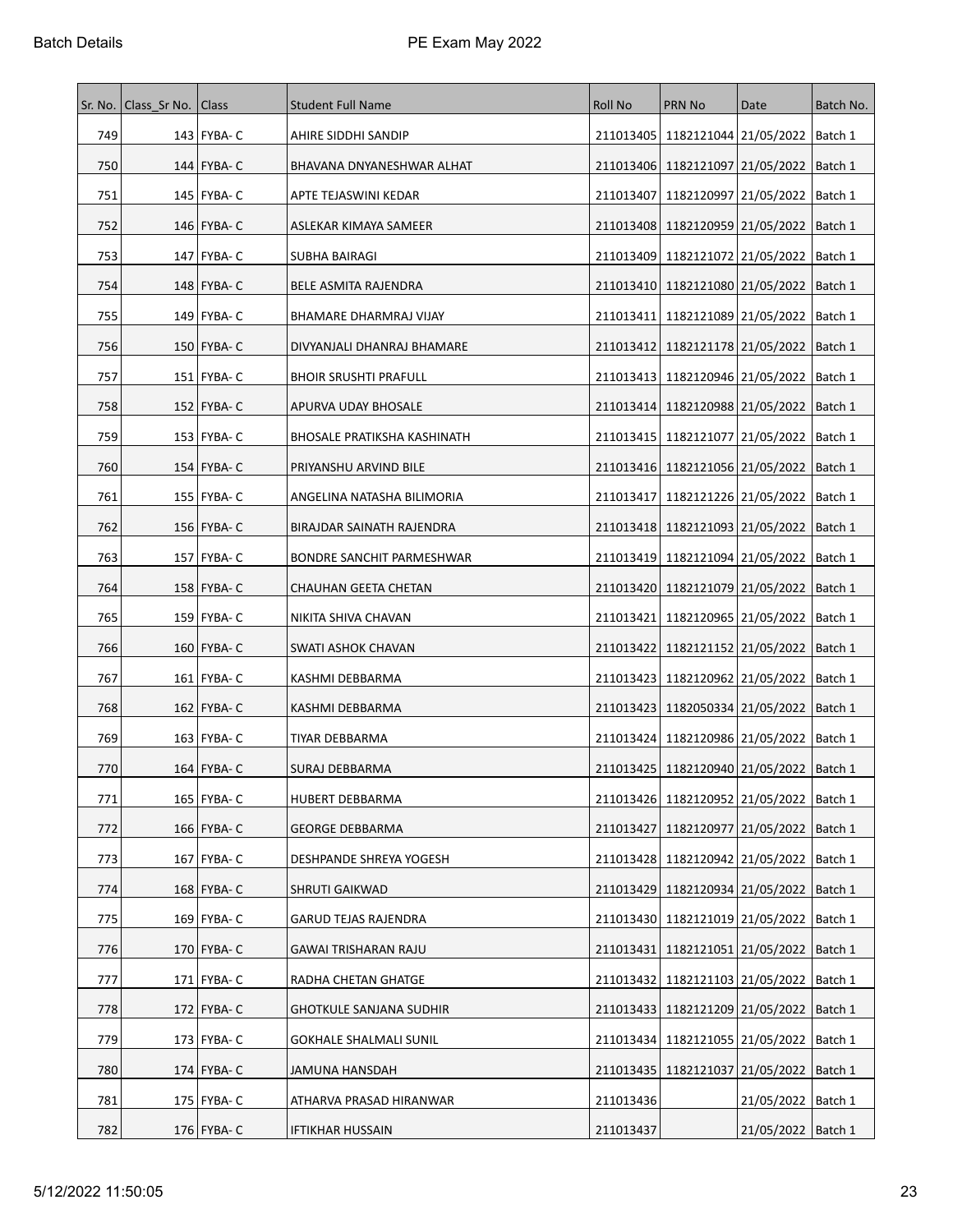|     | Sr. No.   Class Sr No.   Class |               | <b>Student Full Name</b>           | Roll No   | <b>PRN No</b>                                 | Date                            | Batch No. |
|-----|--------------------------------|---------------|------------------------------------|-----------|-----------------------------------------------|---------------------------------|-----------|
| 749 |                                | 143   FYBA- C | AHIRE SIDDHI SANDIP                | 211013405 | 1182121044 21/05/2022   Batch 1               |                                 |           |
| 750 |                                | 144 FYBA- C   | BHAVANA DNYANESHWAR ALHAT          | 211013406 |                                               | 1182121097 21/05/2022   Batch 1 |           |
| 751 |                                | 145   FYBA- C | APTE TEJASWINI KEDAR               | 211013407 | 1182120997 21/05/2022                         |                                 | Batch 1   |
| 752 |                                | 146   FYBA- C | ASLEKAR KIMAYA SAMEER              | 211013408 | 1182120959 21/05/2022   Batch 1               |                                 |           |
| 753 |                                | 147   FYBA- C | SUBHA BAIRAGI                      | 211013409 | 1182121072 21/05/2022                         |                                 | Batch 1   |
| 754 |                                | 148   FYBA- C | BELE ASMITA RAJENDRA               |           | 211013410 1182121080 21/05/2022               |                                 | Batch 1   |
| 755 |                                | 149   FYBA- C | BHAMARE DHARMRAJ VIJAY             | 211013411 | 1182121089   21/05/2022                       |                                 | ∣Batch 1  |
| 756 |                                | 150   FYBA- C | DIVYANJALI DHANRAJ BHAMARE         | 211013412 |                                               | 1182121178 21/05/2022   Batch 1 |           |
| 757 |                                | 151   FYBA- C | <b>BHOIR SRUSHTI PRAFULL</b>       |           | 211013413   1182120946   21/05/2022           |                                 | Batch 1   |
| 758 |                                | 152   FYBA- C | APURVA UDAY BHOSALE                |           | 211013414   1182120988   21/05/2022   Batch 1 |                                 |           |
| 759 |                                | $153$ FYBA-C  | <b>BHOSALE PRATIKSHA KASHINATH</b> |           | 211013415   1182121077   21/05/2022           |                                 | Batch 1   |
| 760 |                                | 154   FYBA- C | PRIYANSHU ARVIND BILE              |           | 211013416   1182121056   21/05/2022   Batch 1 |                                 |           |
| 761 |                                | 155   FYBA- C | ANGELINA NATASHA BILIMORIA         | 211013417 | 1182121226 21/05/2022                         |                                 | Batch 1   |
| 762 |                                | 156 FYBA- C   | BIRAJDAR SAINATH RAJENDRA          |           | 211013418 1182121093 21/05/2022               |                                 | Batch 1   |
| 763 |                                | 157 FYBA- C   | BONDRE SANCHIT PARMESHWAR          |           | 211013419 1182121094 21/05/2022   Batch 1     |                                 |           |
| 764 |                                | 158 FYBA- C   | CHAUHAN GEETA CHETAN               | 211013420 | 1182121079 21/05/2022                         |                                 | Batch 1   |
| 765 |                                | 159   FYBA- C | NIKITA SHIVA CHAVAN                | 211013421 |                                               | 1182120965 21/05/2022   Batch 1 |           |
| 766 |                                | 160   FYBA- C | SWATI ASHOK CHAVAN                 | 211013422 | 1182121152 21/05/2022                         |                                 | Batch 1   |
| 767 |                                | $161$ FYBA-C  | KASHMI DEBBARMA                    |           | 211013423   1182120962   21/05/2022           |                                 | ∣Batch 1  |
| 768 |                                | 162   FYBA- C | KASHMI DEBBARMA                    | 211013423 | 1182050334 21/05/2022                         |                                 | Batch 1   |
| 769 |                                | $163$ FYBA-C  | TIYAR DEBBARMA                     |           | 211013424   1182120986   21/05/2022   Batch 1 |                                 |           |
| 770 |                                | 164 FYBA-C    | SURAJ DEBBARMA                     |           | 211013425   1182120940   21/05/2022   Batch 1 |                                 |           |
| 771 |                                | 165   FYBA- C | HUBERT DEBBARMA                    |           | 211013426 1182120952 21/05/2022 Batch 1       |                                 |           |
| 772 |                                | 166 FYBA- C   | <b>GEORGE DEBBARMA</b>             | 211013427 |                                               | 1182120977 21/05/2022 Batch 1   |           |
| 773 |                                | 167 FYBA- C   | DESHPANDE SHREYA YOGESH            |           | 211013428   1182120942   21/05/2022           |                                 | Batch 1   |
| 774 |                                | 168   FYBA- C | <b>SHRUTI GAIKWAD</b>              | 211013429 |                                               | 1182120934 21/05/2022   Batch 1 |           |
| 775 |                                | 169 FYBA- C   | <b>GARUD TEJAS RAJENDRA</b>        |           | 211013430 1182121019 21/05/2022   Batch 1     |                                 |           |
| 776 |                                | 170 FYBA- C   | GAWAI TRISHARAN RAJU               | 211013431 |                                               | 1182121051 21/05/2022   Batch 1 |           |
| 777 |                                | 171 FYBA- C   | RADHA CHETAN GHATGE                | 211013432 | 1182121103 21/05/2022                         |                                 | Batch 1   |
| 778 |                                | 172   FYBA- C | <b>GHOTKULE SANJANA SUDHIR</b>     | 211013433 | 1182121209 21/05/2022                         |                                 | Batch 1   |
| 779 |                                | 173   FYBA- C | <b>GOKHALE SHALMALI SUNIL</b>      |           | 211013434   1182121055   21/05/2022           |                                 | Batch 1   |
| 780 |                                | 174 FYBA- C   | JAMUNA HANSDAH                     | 211013435 |                                               | 1182121037 21/05/2022 Batch 1   |           |
| 781 |                                | 175   FYBA- C | ATHARVA PRASAD HIRANWAR            | 211013436 |                                               | 21/05/2022                      | Batch 1   |
| 782 |                                | 176   FYBA- C | <b>IFTIKHAR HUSSAIN</b>            | 211013437 |                                               | 21/05/2022   Batch 1            |           |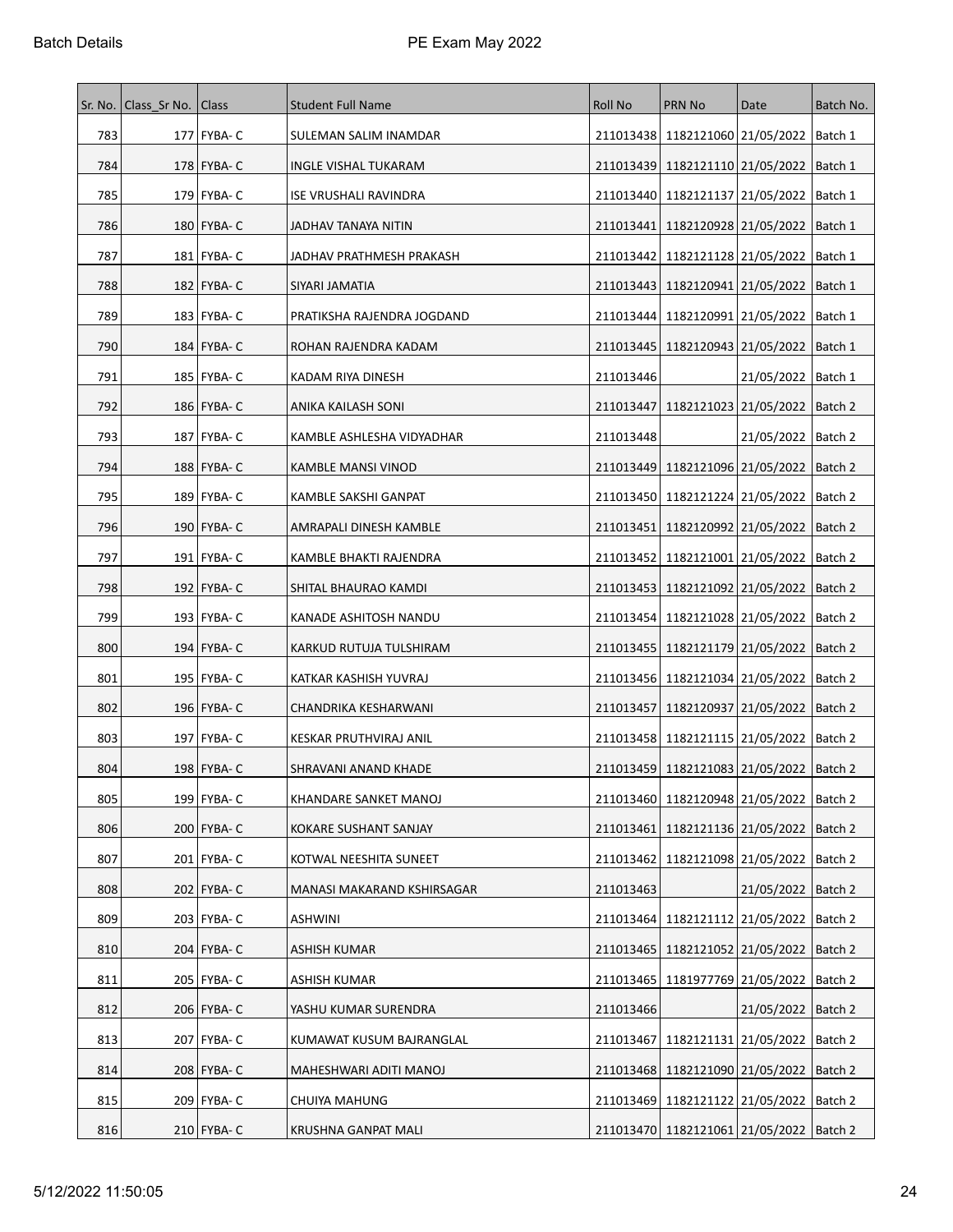|     | Sr. No.   Class Sr No.   Class |               | <b>Student Full Name</b>     | <b>Roll No</b> | <b>PRN No</b>                                 | Date                            | Batch No. |
|-----|--------------------------------|---------------|------------------------------|----------------|-----------------------------------------------|---------------------------------|-----------|
| 783 |                                | 177   FYBA- C | SULEMAN SALIM INAMDAR        |                | 211013438 1182121060 21/05/2022 Batch 1       |                                 |           |
| 784 |                                | 178 FYBA- C   | <b>INGLE VISHAL TUKARAM</b>  | 211013439      | 1182121110 21/05/2022                         |                                 | Batch 1   |
| 785 |                                | 179   FYBA- C | <b>ISE VRUSHALI RAVINDRA</b> | 211013440      | 1182121137   21/05/2022                       |                                 | Batch 1   |
| 786 |                                | 180   FYBA- C | JADHAV TANAYA NITIN          | 211013441      |                                               | 1182120928 21/05/2022   Batch 1 |           |
| 787 |                                | 181   FYBA- C | JADHAV PRATHMESH PRAKASH     | 211013442      | 1182121128 21/05/2022                         |                                 | Batch 1   |
| 788 |                                | 182 FYBA- C   | SIYARI JAMATIA               |                | 211013443   1182120941   21/05/2022           |                                 | Batch 1   |
| 789 |                                | 183   FYBA- C | PRATIKSHA RAJENDRA JOGDAND   |                | 211013444   1182120991   21/05/2022           |                                 | Batch 1   |
| 790 |                                | 184 FYBA- C   | ROHAN RAJENDRA KADAM         | 211013445      |                                               | 1182120943 21/05/2022   Batch 1 |           |
| 791 |                                | 185   FYBA- C | KADAM RIYA DINESH            | 211013446      |                                               | 21/05/2022   Batch 1            |           |
| 792 |                                | 186   FYBA- C | ANIKA KAILASH SONI           | 211013447      |                                               | 1182121023 21/05/2022   Batch 2 |           |
| 793 |                                | 187 FYBA- C   | KAMBLE ASHLESHA VIDYADHAR    | 211013448      |                                               | 21/05/2022   Batch 2            |           |
| 794 |                                | 188   FYBA- C | KAMBLE MANSI VINOD           | 211013449      |                                               | 1182121096 21/05/2022   Batch 2 |           |
| 795 |                                | 189   FYBA- C | KAMBLE SAKSHI GANPAT         | 211013450      | 1182121224 21/05/2022                         |                                 | Batch 2   |
| 796 |                                | 190 FYBA- C   | AMRAPALI DINESH KAMBLE       | 211013451      | 1182120992 21/05/2022                         |                                 | Batch 2   |
| 797 |                                | 191   FYBA- C | KAMBLE BHAKTI RAJENDRA       | 211013452      |                                               | 1182121001 21/05/2022   Batch 2 |           |
| 798 |                                | 192 FYBA- C   | SHITAL BHAURAO KAMDI         | 211013453      | 1182121092 21/05/2022                         |                                 | Batch 2   |
| 799 |                                | 193   FYBA- C | KANADE ASHITOSH NANDU        | 211013454      | 1182121028 21/05/2022   Batch 2               |                                 |           |
| 800 |                                | 194   FYBA- C | KARKUD RUTUJA TULSHIRAM      | 211013455      | 1182121179 21/05/2022                         |                                 | Batch 2   |
| 801 |                                | 195   FYBA- C | KATKAR KASHISH YUVRAJ        |                | 211013456   1182121034   21/05/2022           |                                 | Batch 2   |
| 802 |                                | 196   FYBA- C | CHANDRIKA KESHARWANI         | 211013457      | 1182120937 21/05/2022                         |                                 | Batch 2   |
| 803 |                                | 197   FYBA- C | KESKAR PRUTHVIRAJ ANIL       |                | 211013458 1182121115 21/05/2022   Batch 2     |                                 |           |
| 804 |                                | 198   FYBA- C | SHRAVANI ANAND KHADE         |                | 211013459 1182121083 21/05/2022 Batch 2       |                                 |           |
| 805 |                                | 199 FYBA- C   | KHANDARE SANKET MANOJ        |                | 211013460 1182120948 21/05/2022   Batch 2     |                                 |           |
| 806 |                                | 200 FYBA- C   | KOKARE SUSHANT SANJAY        | 211013461      |                                               | 1182121136 21/05/2022 Batch 2   |           |
| 807 |                                | 201   FYBA- C | KOTWAL NEESHITA SUNEET       | 211013462      | 1182121098 21/05/2022                         |                                 | Batch 2   |
| 808 |                                | 202   FYBA- C | MANASI MAKARAND KSHIRSAGAR   | 211013463      |                                               | 21/05/2022   Batch 2            |           |
| 809 |                                | 203   FYBA- C | ASHWINI                      | 211013464      |                                               | 1182121112 21/05/2022           | Batch 2   |
| 810 |                                | 204 FYBA- C   | <b>ASHISH KUMAR</b>          |                | 211013465   1182121052   21/05/2022   Batch 2 |                                 |           |
| 811 |                                | 205   FYBA- C | ASHISH KUMAR                 | 211013465      | 1181977769 21/05/2022                         |                                 | Batch 2   |
| 812 |                                | 206 FYBA- C   | YASHU KUMAR SURENDRA         | 211013466      |                                               | 21/05/2022   Batch 2            |           |
| 813 |                                | 207 FYBA- C   | KUMAWAT KUSUM BAJRANGLAL     | 211013467      | 1182121131 21/05/2022                         |                                 | Batch 2   |
| 814 |                                | 208 FYBA- C   | MAHESHWARI ADITI MANOJ       |                | 211013468 1182121090 21/05/2022   Batch 2     |                                 |           |
| 815 |                                | 209 FYBA- C   | CHUIYA MAHUNG                |                | 211013469   1182121122   21/05/2022           |                                 | Batch 2   |
| 816 |                                | 210 FYBA- C   | KRUSHNA GANPAT MALI          |                | 211013470 1182121061 21/05/2022 Batch 2       |                                 |           |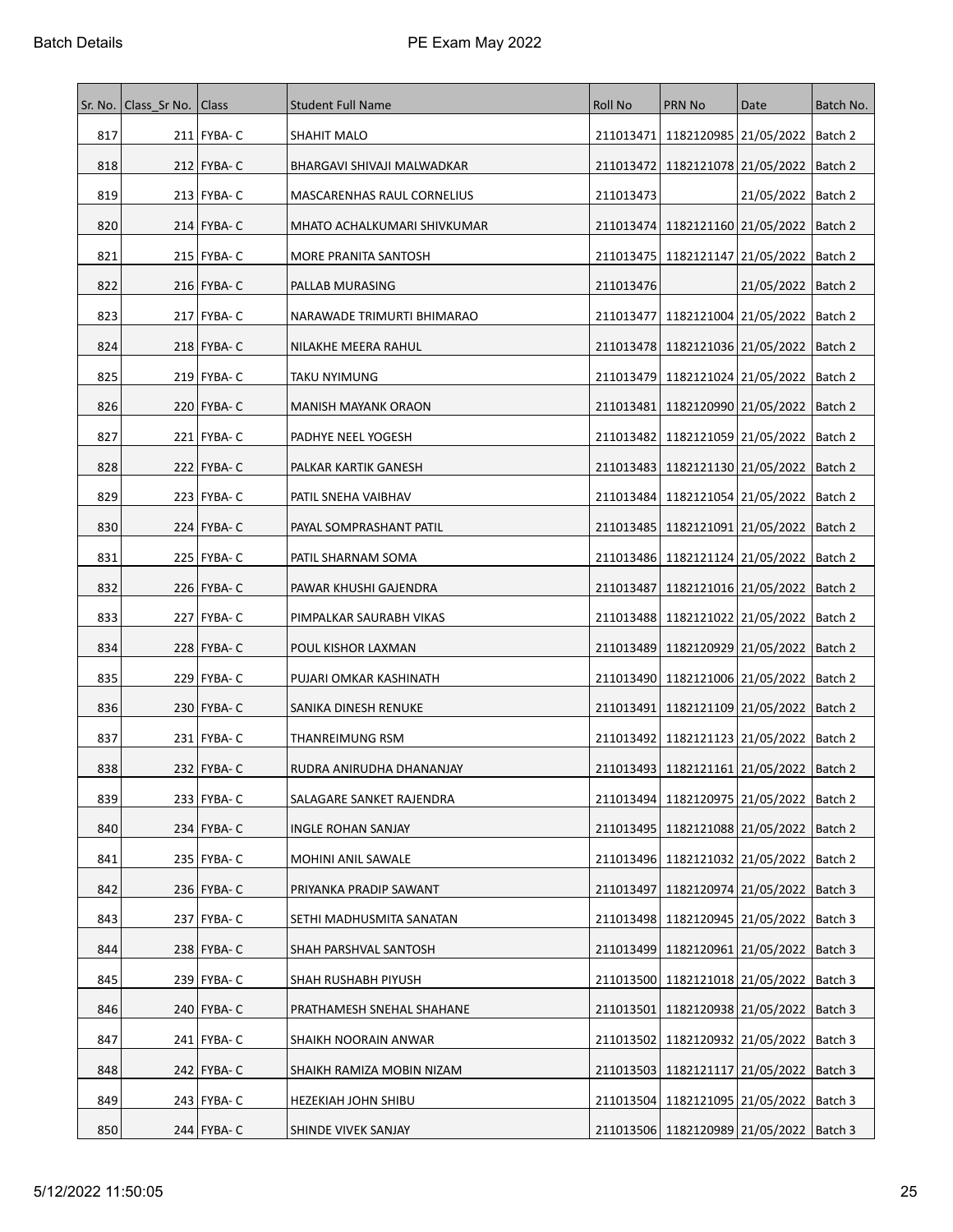| Sr. No. | Class Sr No.   Class |               | <b>Student Full Name</b>          | <b>Roll No</b> | <b>PRN No</b>                                 | Date                            | Batch No. |
|---------|----------------------|---------------|-----------------------------------|----------------|-----------------------------------------------|---------------------------------|-----------|
| 817     |                      | 211 FYBA- C   | SHAHIT MALO                       |                | 211013471   1182120985   21/05/2022   Batch 2 |                                 |           |
| 818     |                      | $212$ FYBA-C  | BHARGAVI SHIVAJI MALWADKAR        |                | 211013472   1182121078   21/05/2022   Batch 2 |                                 |           |
| 819     |                      | 213   FYBA- C | <b>MASCARENHAS RAUL CORNELIUS</b> | 211013473      |                                               | 21/05/2022   Batch 2            |           |
| 820     |                      | $214$ FYBA-C  | MHATO ACHALKUMARI SHIVKUMAR       |                | 211013474   1182121160   21/05/2022   Batch 2 |                                 |           |
| 821     |                      | 215 FYBA- C   | MORE PRANITA SANTOSH              |                | 211013475   1182121147   21/05/2022   Batch 2 |                                 |           |
| 822     |                      | $216$ FYBA-C  | PALLAB MURASING                   | 211013476      |                                               | 21/05/2022   Batch 2            |           |
| 823     |                      | 217   FYBA- C | NARAWADE TRIMURTI BHIMARAO        |                | 211013477   1182121004   21/05/2022   Batch 2 |                                 |           |
| 824     |                      | 218   FYBA- C | NILAKHE MEERA RAHUL               |                | 211013478   1182121036   21/05/2022   Batch 2 |                                 |           |
| 825     |                      | 219   FYBA- C | TAKU NYIMUNG                      |                | 211013479   1182121024   21/05/2022   Batch 2 |                                 |           |
| 826     |                      | 220   FYBA- C | <b>MANISH MAYANK ORAON</b>        |                | 211013481   1182120990   21/05/2022   Batch 2 |                                 |           |
| 827     |                      | 221 FYBA-C    | PADHYE NEEL YOGESH                |                | 211013482 1182121059 21/05/2022   Batch 2     |                                 |           |
| 828     |                      | 222   FYBA- C | PALKAR KARTIK GANESH              |                | 211013483   1182121130   21/05/2022   Batch 2 |                                 |           |
| 829     |                      | 223 FYBA- C   | PATIL SNEHA VAIBHAV               |                | 211013484   1182121054   21/05/2022   Batch 2 |                                 |           |
| 830     |                      | 224   FYBA- C | PAYAL SOMPRASHANT PATIL           |                | 211013485   1182121091   21/05/2022   Batch 2 |                                 |           |
| 831     |                      | 225   FYBA- C | PATIL SHARNAM SOMA                |                | 211013486   1182121124   21/05/2022   Batch 2 |                                 |           |
| 832     |                      | $226$ FYBA-C  | PAWAR KHUSHI GAJENDRA             | 211013487      | 1182121016 21/05/2022   Batch 2               |                                 |           |
| 833     |                      | 227   FYBA- C | PIMPALKAR SAURABH VIKAS           |                | 211013488   1182121022   21/05/2022   Batch 2 |                                 |           |
| 834     |                      | 228   FYBA- C | POUL KISHOR LAXMAN                |                | 211013489   1182120929   21/05/2022   Batch 2 |                                 |           |
| 835     |                      | 229   FYBA- C | PUJARI OMKAR KASHINATH            |                | 211013490 1182121006 21/05/2022   Batch 2     |                                 |           |
| 836     |                      | 230 FYBA-C    | SANIKA DINESH RENUKE              | 211013491      | 1182121109 21/05/2022 Batch 2                 |                                 |           |
| 837     |                      | 231 FYBA-C    | THANREIMUNG RSM                   |                | 211013492   1182121123   21/05/2022   Batch 2 |                                 |           |
| 838     |                      | 232   FYBA- C | RUDRA ANIRUDHA DHANANJAY          |                | 211013493 1182121161 21/05/2022 Batch 2       |                                 |           |
| 839     |                      | 233 FYBA-C    | SALAGARE SANKET RAJENDRA          |                | 211013494 1182120975 21/05/2022   Batch 2     |                                 |           |
| 840     |                      | 234 FYBA- C   | INGLE ROHAN SANJAY                |                | 211013495   1182121088   21/05/2022   Batch 2 |                                 |           |
| 841     |                      | 235   FYBA- C | MOHINI ANIL SAWALE                |                | 211013496 1182121032 21/05/2022 Batch 2       |                                 |           |
| 842     |                      | 236   FYBA- C | PRIYANKA PRADIP SAWANT            | 211013497      |                                               | 1182120974 21/05/2022   Batch 3 |           |
| 843     |                      | 237 FYBA- C   | SETHI MADHUSMITA SANATAN          |                | 211013498 1182120945 21/05/2022   Batch 3     |                                 |           |
| 844     |                      | 238 FYBA-C    | SHAH PARSHVAL SANTOSH             |                | 211013499 1182120961 21/05/2022   Batch 3     |                                 |           |
| 845     |                      | 239 FYBA- C   | SHAH RUSHABH PIYUSH               | 211013500      | 1182121018   21/05/2022   Batch 3             |                                 |           |
| 846     |                      | 240   FYBA- C | PRATHAMESH SNEHAL SHAHANE         | 211013501      |                                               | 1182120938 21/05/2022   Batch 3 |           |
| 847     |                      | 241   FYBA- C | SHAIKH NOORAIN ANWAR              |                | 211013502   1182120932   21/05/2022   Batch 3 |                                 |           |
| 848     |                      | 242   FYBA- C | SHAIKH RAMIZA MOBIN NIZAM         |                | 211013503   1182121117   21/05/2022   Batch 3 |                                 |           |
| 849     |                      | 243   FYBA- C | HEZEKIAH JOHN SHIBU               |                | 211013504   1182121095   21/05/2022   Batch 3 |                                 |           |
| 850     |                      | 244 FYBA-C    | SHINDE VIVEK SANJAY               |                | 211013506   1182120989   21/05/2022   Batch 3 |                                 |           |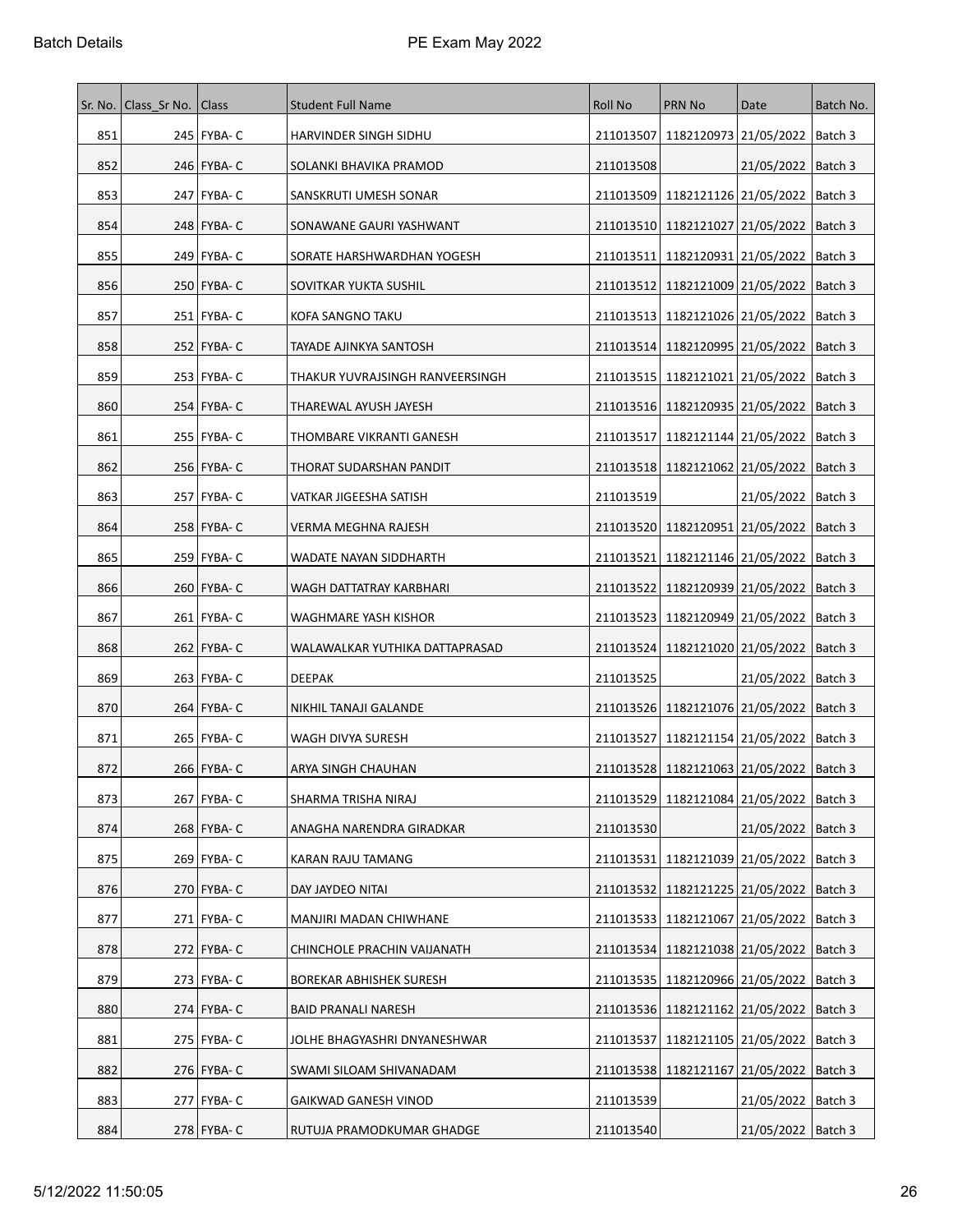| Sr. No. | Class Sr No. | <b>Class</b>  | <b>Student Full Name</b>        | Roll No   | <b>PRN No</b>                                 | Date                            | Batch No. |
|---------|--------------|---------------|---------------------------------|-----------|-----------------------------------------------|---------------------------------|-----------|
| 851     |              | 245   FYBA- C | HARVINDER SINGH SIDHU           | 211013507 | 1182120973 21/05/2022   Batch 3               |                                 |           |
| 852     |              | 246 FYBA- C   | SOLANKI BHAVIKA PRAMOD          | 211013508 |                                               | 21/05/2022   Batch 3            |           |
| 853     |              | 247   FYBA- C | SANSKRUTI UMESH SONAR           |           | 211013509   1182121126   21/05/2022   Batch 3 |                                 |           |
| 854     |              | 248   FYBA- C | SONAWANE GAURI YASHWANT         |           | 211013510   1182121027   21/05/2022   Batch 3 |                                 |           |
| 855     |              | 249   FYBA- C | SORATE HARSHWARDHAN YOGESH      | 211013511 | 1182120931 21/05/2022   Batch 3               |                                 |           |
| 856     |              | 250 FYBA- C   | SOVITKAR YUKTA SUSHIL           |           | 211013512 1182121009 21/05/2022   Batch 3     |                                 |           |
| 857     |              | 251   FYBA- C | KOFA SANGNO TAKU                |           | 211013513   1182121026   21/05/2022   Batch 3 |                                 |           |
| 858     |              | 252   FYBA- C | TAYADE AJINKYA SANTOSH          |           | 211013514   1182120995   21/05/2022   Batch 3 |                                 |           |
| 859     |              | 253   FYBA- C | THAKUR YUVRAJSINGH RANVEERSINGH |           | 211013515   1182121021   21/05/2022   Batch 3 |                                 |           |
| 860     |              | 254   FYBA- C | THAREWAL AYUSH JAYESH           |           | 211013516   1182120935   21/05/2022   Batch 3 |                                 |           |
| 861     |              | 255   FYBA- C | THOMBARE VIKRANTI GANESH        |           | 211013517   1182121144   21/05/2022   Batch 3 |                                 |           |
| 862     |              | 256   FYBA- C | THORAT SUDARSHAN PANDIT         |           | 211013518   1182121062   21/05/2022   Batch 3 |                                 |           |
| 863     |              | 257   FYBA- C | VATKAR JIGEESHA SATISH          | 211013519 |                                               | 21/05/2022   Batch 3            |           |
| 864     |              | 258   FYBA- C | VERMA MEGHNA RAJESH             |           | 211013520   1182120951   21/05/2022   Batch 3 |                                 |           |
| 865     |              | 259 FYBA- C   | WADATE NAYAN SIDDHARTH          |           | 211013521 1182121146 21/05/2022   Batch 3     |                                 |           |
| 866     |              | 260 FYBA- C   | WAGH DATTATRAY KARBHARI         | 211013522 | 1182120939 21/05/2022                         |                                 | Batch 3   |
| 867     |              | 261   FYBA- C | WAGHMARE YASH KISHOR            |           | 211013523   1182120949   21/05/2022   Batch 3 |                                 |           |
| 868     |              | 262   FYBA- C | WALAWALKAR YUTHIKA DATTAPRASAD  |           | 211013524   1182121020   21/05/2022   Batch 3 |                                 |           |
| 869     |              | 263 FYBA- C   | DEEPAK                          | 211013525 |                                               | 21/05/2022   Batch 3            |           |
| 870     |              | 264   FYBA- C | NIKHIL TANAJI GALANDE           |           | 211013526   1182121076   21/05/2022   Batch 3 |                                 |           |
| 871     |              | 265   FYBA- C | WAGH DIVYA SURESH               | 211013527 | 1182121154 21/05/2022   Batch 3               |                                 |           |
| 872     |              | 266   FYBA- C | ARYA SINGH CHAUHAN              |           | 211013528 1182121063 21/05/2022   Batch 3     |                                 |           |
| 873     |              | 267 FYBA- C   | SHARMA TRISHA NIRAJ             |           | 211013529 1182121084 21/05/2022   Batch 3     |                                 |           |
| 874     |              | $268$ FYBA-C  | ANAGHA NARENDRA GIRADKAR        | 211013530 |                                               | 21/05/2022   Batch 3            |           |
| 875     |              | 269 FYBA- C   | KARAN RAJU TAMANG               | 211013531 |                                               | 1182121039 21/05/2022   Batch 3 |           |
| 876     |              | 270   FYBA- C | DAY JAYDEO NITAI                | 211013532 |                                               | 1182121225 21/05/2022   Batch 3 |           |
| 877     |              | 271 FYBA- C   | MANJIRI MADAN CHIWHANE          |           | 211013533   1182121067   21/05/2022   Batch 3 |                                 |           |
| 878     |              | $272$ FYBA-C  | CHINCHOLE PRACHIN VAIJANATH     |           | 211013534   1182121038   21/05/2022   Batch 3 |                                 |           |
| 879     |              | $273$ FYBA-C  | BOREKAR ABHISHEK SURESH         | 211013535 |                                               | 1182120966 21/05/2022   Batch 3 |           |
| 880     |              | $274$ FYBA-C  | <b>BAID PRANALI NARESH</b>      |           | 211013536   1182121162   21/05/2022   Batch 3 |                                 |           |
| 881     |              | 275   FYBA- C | JOLHE BHAGYASHRI DNYANESHWAR    | 211013537 | 1182121105 21/05/2022   Batch 3               |                                 |           |
| 882     |              | 276   FYBA- C | SWAMI SILOAM SHIVANADAM         |           | 211013538   1182121167   21/05/2022   Batch 3 |                                 |           |
| 883     |              | 277 FYBA- C   | GAIKWAD GANESH VINOD            | 211013539 |                                               | 21/05/2022   Batch 3            |           |
| 884     |              | 278   FYBA- C | RUTUJA PRAMODKUMAR GHADGE       | 211013540 |                                               | 21/05/2022   Batch 3            |           |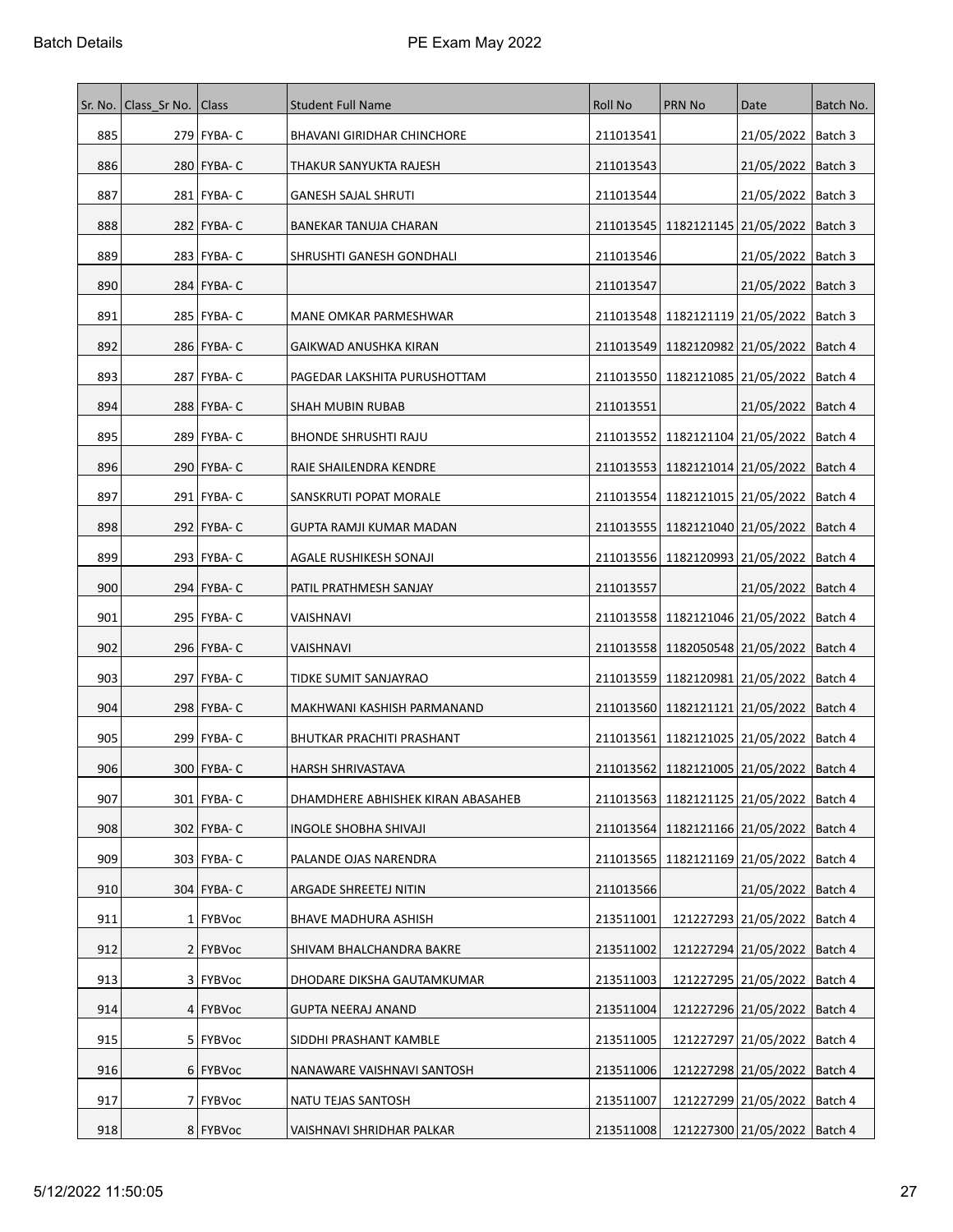| Sr. No. | Class Sr No. | <b>Class</b>  | <b>Student Full Name</b>          | Roll No   | <b>PRN No</b>                                 | Date                           | Batch No. |
|---------|--------------|---------------|-----------------------------------|-----------|-----------------------------------------------|--------------------------------|-----------|
| 885     |              | 279   FYBA- C | <b>BHAVANI GIRIDHAR CHINCHORE</b> | 211013541 |                                               | 21/05/2022   Batch 3           |           |
| 886     |              | 280 FYBA- C   | THAKUR SANYUKTA RAJESH            | 211013543 |                                               | 21/05/2022   Batch 3           |           |
| 887     |              | 281   FYBA- C | <b>GANESH SAJAL SHRUTI</b>        | 211013544 |                                               | 21/05/2022                     | Batch 3   |
| 888     |              | 282   FYBA- C | BANEKAR TANUJA CHARAN             |           | 211013545   1182121145   21/05/2022   Batch 3 |                                |           |
| 889     |              | 283   FYBA- C | SHRUSHTI GANESH GONDHALI          | 211013546 |                                               | 21/05/2022                     | Batch 3   |
| 890     |              | 284 FYBA- C   |                                   | 211013547 |                                               | 21/05/2022   Batch 3           |           |
| 891     |              | 285   FYBA- C | MANE OMKAR PARMESHWAR             |           | 211013548   1182121119   21/05/2022           |                                | Batch 3   |
| 892     |              | 286 FYBA- C   | GAIKWAD ANUSHKA KIRAN             |           | 211013549   1182120982   21/05/2022   Batch 4 |                                |           |
| 893     |              | 287   FYBA- C | PAGEDAR LAKSHITA PURUSHOTTAM      |           | 211013550 1182121085 21/05/2022               |                                | Batch 4   |
| 894     |              | 288   FYBA- C | SHAH MUBIN RUBAB                  | 211013551 |                                               | 21/05/2022   Batch 4           |           |
| 895     |              | 289 FYBA-C    | <b>BHONDE SHRUSHTI RAJU</b>       |           | 211013552 1182121104 21/05/2022               |                                | Batch 4   |
| 896     |              | 290   FYBA- C | RAIE SHAILENDRA KENDRE            |           | 211013553   1182121014   21/05/2022   Batch 4 |                                |           |
| 897     |              | 291   FYBA- C | SANSKRUTI POPAT MORALE            |           | 211013554   1182121015   21/05/2022           |                                | Batch 4   |
| 898     |              | 292   FYBA- C | GUPTA RAMJI KUMAR MADAN           |           | 211013555   1182121040   21/05/2022           |                                | Batch 4   |
| 899     |              | 293   FYBA- C | AGALE RUSHIKESH SONAJI            |           | 211013556   1182120993   21/05/2022   Batch 4 |                                |           |
| 900     |              | 294   FYBA- C | PATIL PRATHMESH SANJAY            | 211013557 |                                               | 21/05/2022                     | Batch 4   |
| 901     |              | 295   FYBA- C | VAISHNAVI                         |           | 211013558   1182121046   21/05/2022   Batch 4 |                                |           |
| 902     |              | 296   FYBA- C | VAISHNAVI                         |           | 211013558   1182050548   21/05/2022           |                                | Batch 4   |
| 903     |              | 297   FYBA- C | TIDKE SUMIT SANJAYRAO             |           | 211013559   1182120981   21/05/2022           |                                | Batch 4   |
| 904     |              | 298   FYBA- C | MAKHWANI KASHISH PARMANAND        |           | 211013560   1182121121   21/05/2022           |                                | Batch 4   |
| 905     |              | 299   FYBA-C  | BHUTKAR PRACHITI PRASHANT         |           | 211013561   1182121025   21/05/2022   Batch 4 |                                |           |
| 906     |              | 300   FYBA- C | HARSH SHRIVASTAVA                 |           | 211013562 1182121005 21/05/2022 Batch 4       |                                |           |
| 907     |              | 301 FYBA- C   | DHAMDHERE ABHISHEK KIRAN ABASAHEB |           | 211013563 1182121125 21/05/2022 Batch 4       |                                |           |
| 908     |              | 302   FYBA- C | INGOLE SHOBHA SHIVAJI             |           | 211013564 1182121166 21/05/2022   Batch 4     |                                |           |
| 909     |              | 303 FYBA- C   | PALANDE OJAS NARENDRA             |           | 211013565   1182121169   21/05/2022           |                                | Batch 4   |
| 910     |              | 304   FYBA- C | ARGADE SHREETEJ NITIN             | 211013566 |                                               | 21/05/2022   Batch 4           |           |
| 911     |              | 1 FYBVoc      | BHAVE MADHURA ASHISH              | 213511001 |                                               | 121227293 21/05/2022   Batch 4 |           |
| 912     |              | 2 FYBVoc      | SHIVAM BHALCHANDRA BAKRE          | 213511002 |                                               | 121227294 21/05/2022   Batch 4 |           |
| 913     |              | 3 FYBVoc      | DHODARE DIKSHA GAUTAMKUMAR        | 213511003 |                                               | 121227295 21/05/2022           | Batch 4   |
| 914     |              | 4 FYBVoc      | GUPTA NEERAJ ANAND                | 213511004 |                                               | 121227296 21/05/2022           | Batch 4   |
| 915     |              | 5 FYBVoc      | SIDDHI PRASHANT KAMBLE            | 213511005 |                                               | 121227297 21/05/2022           | Batch 4   |
| 916     |              | 6 FYBVoc      | NANAWARE VAISHNAVI SANTOSH        | 213511006 |                                               | 121227298 21/05/2022           | Batch 4   |
| 917     |              | 7 FYBVoc      | NATU TEJAS SANTOSH                | 213511007 |                                               | 121227299 21/05/2022           | Batch 4   |
| 918     |              | 8   FYBVoc    | VAISHNAVI SHRIDHAR PALKAR         | 213511008 |                                               | 121227300 21/05/2022   Batch 4 |           |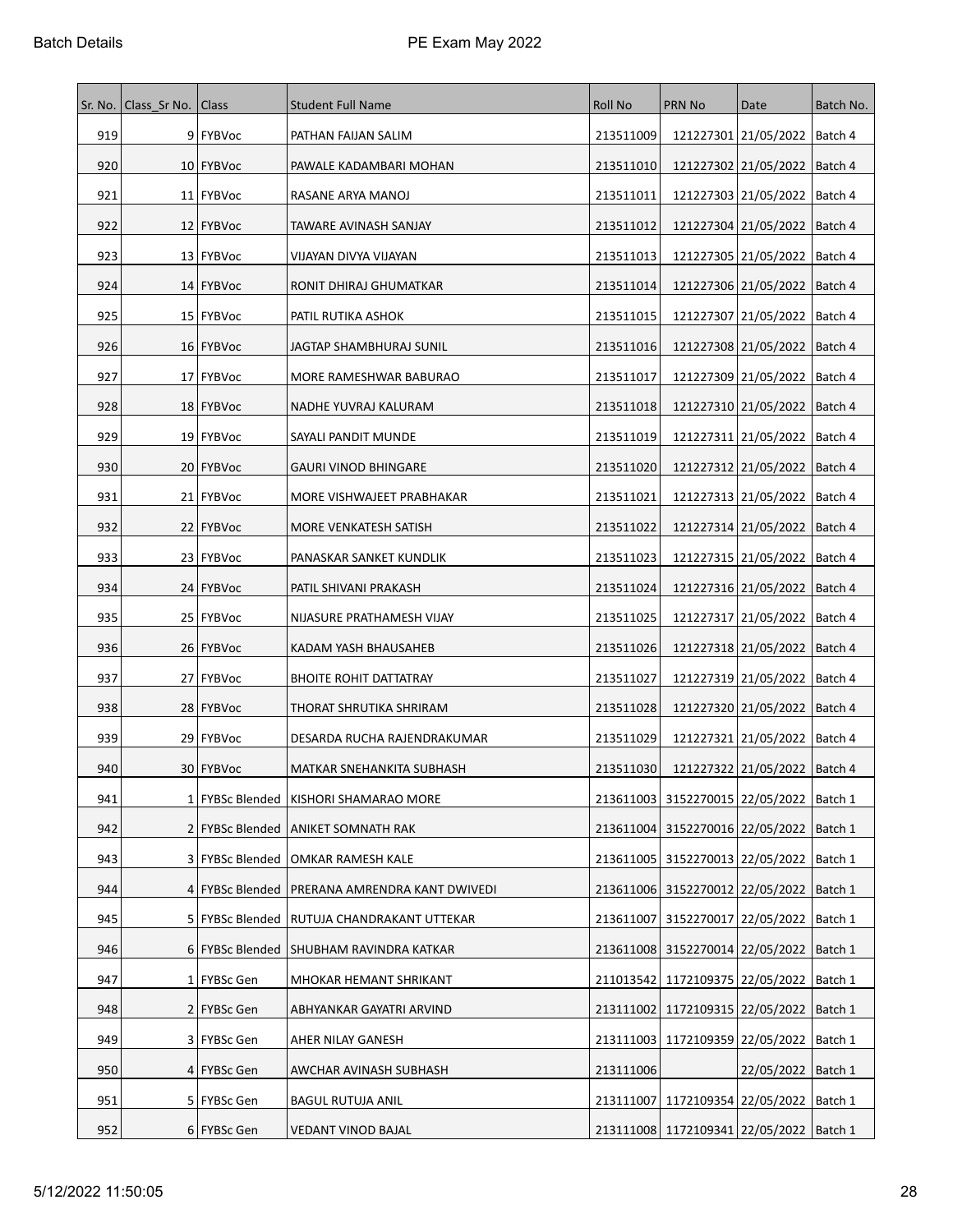|     | Sr. No.   Class Sr No.   Class |                   | <b>Student Full Name</b>                  | Roll No   | <b>PRN No</b>                             | Date                            | Batch No. |
|-----|--------------------------------|-------------------|-------------------------------------------|-----------|-------------------------------------------|---------------------------------|-----------|
| 919 |                                | 9 FYBVoc          | PATHAN FAIJAN SALIM                       | 213511009 |                                           | 121227301 21/05/2022   Batch 4  |           |
| 920 |                                | 10 FYBVoc         | PAWALE KADAMBARI MOHAN                    | 213511010 |                                           | 121227302 21/05/2022   Batch 4  |           |
| 921 |                                | 11 FYBVoc         | RASANE ARYA MANOJ                         | 213511011 |                                           | 121227303 21/05/2022            | Batch 4   |
| 922 |                                | 12 FYBVoc         | TAWARE AVINASH SANJAY                     | 213511012 |                                           | 121227304 21/05/2022   Batch 4  |           |
| 923 |                                | 13 FYBVoc         | VIJAYAN DIVYA VIJAYAN                     | 213511013 |                                           | 121227305 21/05/2022            | Batch 4   |
| 924 |                                | 14 FYBVoc         | RONIT DHIRAJ GHUMATKAR                    | 213511014 |                                           | 121227306 21/05/2022            | Batch 4   |
| 925 |                                | 15 FYBVoc         | PATIL RUTIKA ASHOK                        | 213511015 |                                           | 121227307 21/05/2022            | Batch 4   |
| 926 |                                | 16 FYBVoc         | JAGTAP SHAMBHURAJ SUNIL                   | 213511016 |                                           | 121227308 21/05/2022   Batch 4  |           |
| 927 |                                | 17 FYBVoc         | MORE RAMESHWAR BABURAO                    | 213511017 |                                           | 121227309 21/05/2022            | Batch 4   |
| 928 |                                | 18 FYBVoc         | NADHE YUVRAJ KALURAM                      | 213511018 |                                           | 121227310 21/05/2022   Batch 4  |           |
| 929 |                                | 19 FYBVoc         | SAYALI PANDIT MUNDE                       | 213511019 |                                           | 121227311 21/05/2022            | Batch 4   |
| 930 |                                | 20 FYBVoc         | <b>GAURI VINOD BHINGARE</b>               | 213511020 |                                           | 121227312 21/05/2022   Batch 4  |           |
| 931 |                                | 21   FYBVoc       | MORE VISHWAJEET PRABHAKAR                 | 213511021 |                                           | 121227313 21/05/2022            | Batch 4   |
| 932 |                                | 22 FYBVoc         | MORE VENKATESH SATISH                     | 213511022 |                                           | 121227314 21/05/2022            | Batch 4   |
| 933 |                                | 23 FYBVoc         | PANASKAR SANKET KUNDLIK                   | 213511023 |                                           | 121227315 21/05/2022   Batch 4  |           |
| 934 |                                | 24 FYBVoc         | PATIL SHIVANI PRAKASH                     | 213511024 |                                           | 121227316 21/05/2022            | Batch 4   |
| 935 |                                | 25 FYBVoc         | NIJASURE PRATHAMESH VIJAY                 | 213511025 |                                           | 121227317 21/05/2022   Batch 4  |           |
| 936 |                                | 26   FYBVoc       | KADAM YASH BHAUSAHEB                      | 213511026 |                                           | 121227318 21/05/2022            | Batch 4   |
| 937 |                                | 27 FYBVoc         | <b>BHOITE ROHIT DATTATRAY</b>             | 213511027 |                                           | 121227319 21/05/2022            | Batch 4   |
| 938 |                                | 28   FYBVoc       | THORAT SHRUTIKA SHRIRAM                   | 213511028 |                                           | 121227320 21/05/2022            | Batch 4   |
| 939 |                                | 29 FYBVoc         | DESARDA RUCHA RAJENDRAKUMAR               | 213511029 |                                           | 121227321 21/05/2022   Batch 4  |           |
| 940 |                                | 30   FYBVoc       | MATKAR SNEHANKITA SUBHASH                 | 213511030 |                                           | 121227322 21/05/2022   Batch 4  |           |
| 941 |                                |                   | 1 FYBSc Blended   KISHORI SHAMARAO MORE   |           | 213611003 3152270015 22/05/2022   Batch 1 |                                 |           |
| 942 |                                |                   | 2 FYBSc Blended   ANIKET SOMNATH RAK      | 213611004 |                                           | 3152270016 22/05/2022   Batch 1 |           |
| 943 |                                |                   | 3   FYBSc Blended   OMKAR RAMESH KALE     | 213611005 | 3152270013 22/05/2022                     |                                 | Batch 1   |
| 944 |                                | 4 FYBSc Blended   | <b>PRERANA AMRENDRA KANT DWIVEDI</b>      | 213611006 | 3152270012 22/05/2022                     |                                 | Batch 1   |
| 945 |                                | 5   FYBSc Blended | RUTUJA CHANDRAKANT UTTEKAR                | 213611007 |                                           | 3152270017 22/05/2022           | Batch 1   |
| 946 |                                |                   | 6 FYBSc Blended   SHUBHAM RAVINDRA KATKAR |           | 213611008 3152270014 22/05/2022   Batch 1 |                                 |           |
| 947 |                                | 1 FYBSc Gen       | MHOKAR HEMANT SHRIKANT                    | 211013542 | 1172109375 22/05/2022                     |                                 | Batch 1   |
| 948 |                                | 2   FYBSc Gen     | ABHYANKAR GAYATRI ARVIND                  | 213111002 | 1172109315 22/05/2022                     |                                 | Batch 1   |
| 949 |                                | 3   FYBSc Gen     | AHER NILAY GANESH                         |           | 213111003   1172109359   22/05/2022       |                                 | Batch 1   |
| 950 |                                | 4 FYBSc Gen       | AWCHAR AVINASH SUBHASH                    | 213111006 |                                           | 22/05/2022   Batch 1            |           |
| 951 |                                | 5 FYBSc Gen       | <b>BAGUL RUTUJA ANIL</b>                  | 213111007 | 1172109354 22/05/2022                     |                                 | Batch 1   |
| 952 |                                | 6 FYBSc Gen       | <b>VEDANT VINOD BAJAL</b>                 |           | 213111008 1172109341 22/05/2022   Batch 1 |                                 |           |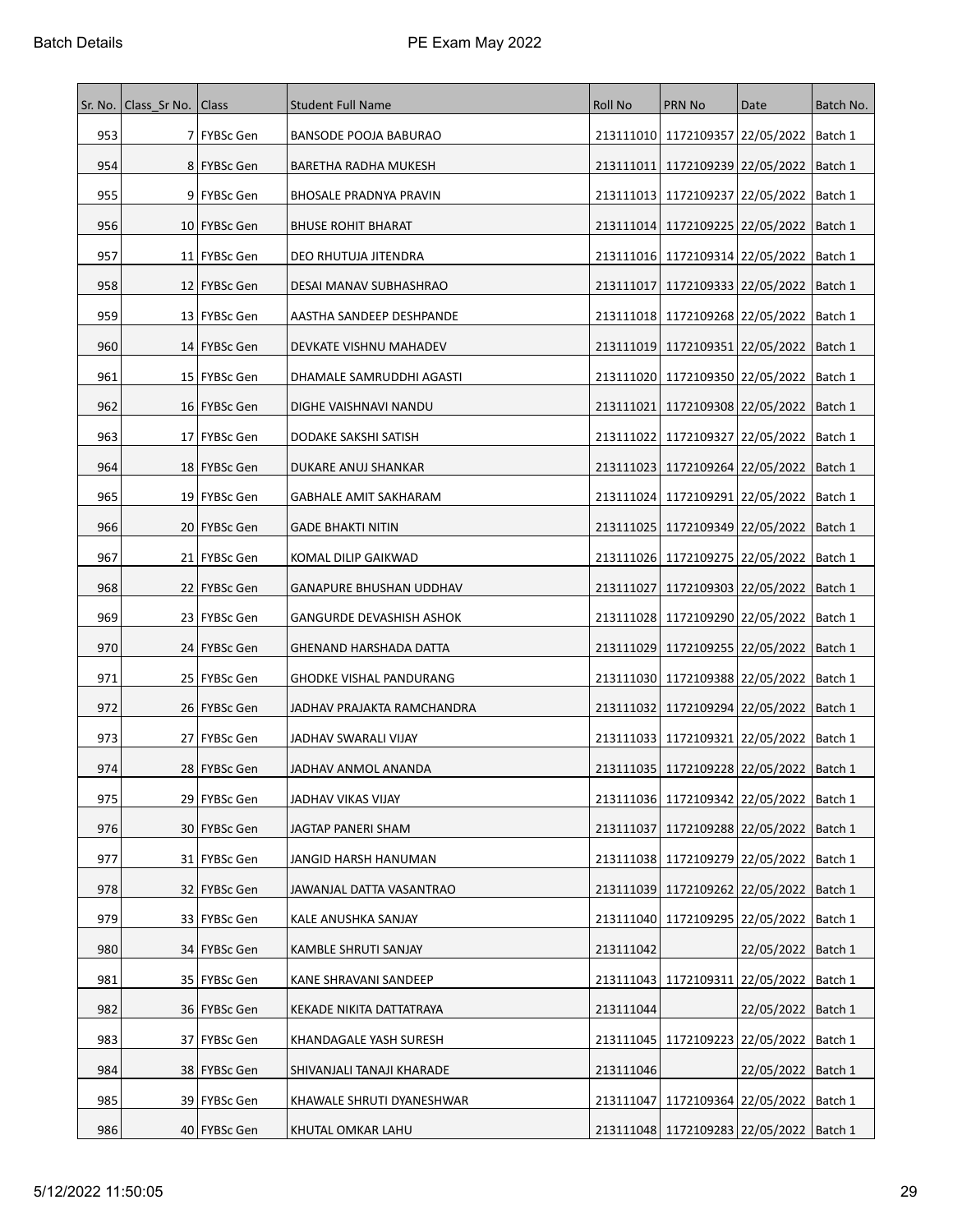|     | Sr. No.   Class Sr No.   Class |                | <b>Student Full Name</b>        | Roll No   | PRN No                                        | Date                            | Batch No. |
|-----|--------------------------------|----------------|---------------------------------|-----------|-----------------------------------------------|---------------------------------|-----------|
| 953 |                                | 7   FYBSc Gen  | BANSODE POOJA BABURAO           |           | 213111010 1172109357 22/05/2022   Batch 1     |                                 |           |
| 954 |                                | 8   FYBSc Gen  | BARETHA RADHA MUKESH            | 213111011 | 1172109239 22/05/2022                         |                                 | Batch 1   |
| 955 |                                | 9 FYBSc Gen    | BHOSALE PRADNYA PRAVIN          |           | 213111013   1172109237   22/05/2022           |                                 | ∣Batch 1  |
| 956 |                                | 10   FYBSc Gen | <b>BHUSE ROHIT BHARAT</b>       | 213111014 | 1172109225 22/05/2022                         |                                 | Batch 1   |
| 957 |                                | 11   FYBSc Gen | DEO RHUTUJA JITENDRA            |           | 213111016 1172109314 22/05/2022               |                                 | Batch 1   |
| 958 |                                | 12 FYBSc Gen   | DESAI MANAV SUBHASHRAO          | 213111017 | 1172109333 22/05/2022                         |                                 | Batch 1   |
| 959 |                                | 13   FYBSc Gen | AASTHA SANDEEP DESHPANDE        |           | 213111018 1172109268 22/05/2022   Batch 1     |                                 |           |
| 960 |                                | 14 FYBSc Gen   | DEVKATE VISHNU MAHADEV          | 213111019 | 1172109351 22/05/2022                         |                                 | Batch 1   |
| 961 |                                | 15   FYBSc Gen | DHAMALE SAMRUDDHI AGASTI        |           | 213111020   1172109350   22/05/2022           |                                 | Batch 1   |
| 962 |                                | 16   FYBSc Gen | DIGHE VAISHNAVI NANDU           | 213111021 |                                               | 1172109308 22/05/2022   Batch 1 |           |
| 963 |                                | 17 FYBSc Gen   | DODAKE SAKSHI SATISH            | 213111022 | 1172109327 22/05/2022                         |                                 | Batch 1   |
| 964 |                                | 18   FYBSc Gen | DUKARE ANUJ SHANKAR             |           | 213111023   1172109264   22/05/2022   Batch 1 |                                 |           |
| 965 |                                | 19 FYBSc Gen   | <b>GABHALE AMIT SAKHARAM</b>    | 213111024 | 1172109291 22/05/2022                         |                                 | Batch 1   |
| 966 |                                | 20   FYBSc Gen | <b>GADE BHAKTI NITIN</b>        | 213111025 | 1172109349 22/05/2022   Batch 1               |                                 |           |
| 967 |                                | 21   FYBSc Gen | KOMAL DILIP GAIKWAD             |           | 213111026   1172109275   22/05/2022           |                                 | Batch 1   |
| 968 |                                | 22   FYBSc Gen | <b>GANAPURE BHUSHAN UDDHAV</b>  | 213111027 | 1172109303 22/05/2022                         |                                 | ∣Batch 1  |
| 969 |                                | 23   FYBSc Gen | <b>GANGURDE DEVASHISH ASHOK</b> |           | 213111028   1172109290   22/05/2022           |                                 | Batch 1   |
| 970 |                                | 24   FYBSc Gen | GHENAND HARSHADA DATTA          |           | 213111029 1172109255 22/05/2022               |                                 | Batch 1   |
| 971 |                                | 25 FYBSc Gen   | <b>GHODKE VISHAL PANDURANG</b>  |           | 213111030   1172109388   22/05/2022           |                                 | Batch 1   |
| 972 |                                | 26   FYBSc Gen | JADHAV PRAJAKTA RAMCHANDRA      | 213111032 |                                               | 1172109294 22/05/2022   Batch 1 |           |
| 973 |                                | 27   FYBSc Gen | JADHAV SWARALI VIJAY            | 213111033 | 1172109321 22/05/2022   Batch 1               |                                 |           |
| 974 |                                | 28   FYBSc Gen | JADHAV ANMOL ANANDA             | 213111035 | 1172109228 22/05/2022                         |                                 | Batch 1   |
| 975 |                                | 29 FYBSc Gen   | JADHAV VIKAS VIJAY              |           | 213111036 1172109342 22/05/2022   Batch 1     |                                 |           |
| 976 |                                | 30   FYBSc Gen | JAGTAP PANERI SHAM              | 213111037 | 1172109288 22/05/2022                         |                                 | Batch 1   |
| 977 |                                | 31 FYBSc Gen   | JANGID HARSH HANUMAN            |           | 213111038   1172109279   22/05/2022           |                                 | Batch 1   |
| 978 |                                | 32   FYBSc Gen | JAWANJAL DATTA VASANTRAO        | 213111039 | 1172109262 22/05/2022                         |                                 | Batch 1   |
| 979 |                                | 33 FYBSc Gen   | KALE ANUSHKA SANJAY             |           | 213111040 1172109295 22/05/2022   Batch 1     |                                 |           |
| 980 |                                | 34 FYBSc Gen   | KAMBLE SHRUTI SANJAY            | 213111042 |                                               | 22/05/2022   Batch 1            |           |
| 981 |                                | 35   FYBSc Gen | KANE SHRAVANI SANDEEP           |           | 213111043   1172109311   22/05/2022   Batch 1 |                                 |           |
| 982 |                                | 36   FYBSc Gen | KEKADE NIKITA DATTATRAYA        | 213111044 |                                               | 22/05/2022   Batch 1            |           |
| 983 |                                | 37   FYBSc Gen | KHANDAGALE YASH SURESH          |           | 213111045   1172109223   22/05/2022   Batch 1 |                                 |           |
| 984 |                                | 38 FYBSc Gen   | SHIVANJALI TANAJI KHARADE       | 213111046 |                                               | 22/05/2022   Batch 1            |           |
| 985 |                                | 39 FYBSc Gen   | KHAWALE SHRUTI DYANESHWAR       | 213111047 |                                               | 1172109364 22/05/2022           | Batch 1   |
| 986 |                                | 40 FYBSc Gen   | KHUTAL OMKAR LAHU               |           | 213111048 1172109283 22/05/2022   Batch 1     |                                 |           |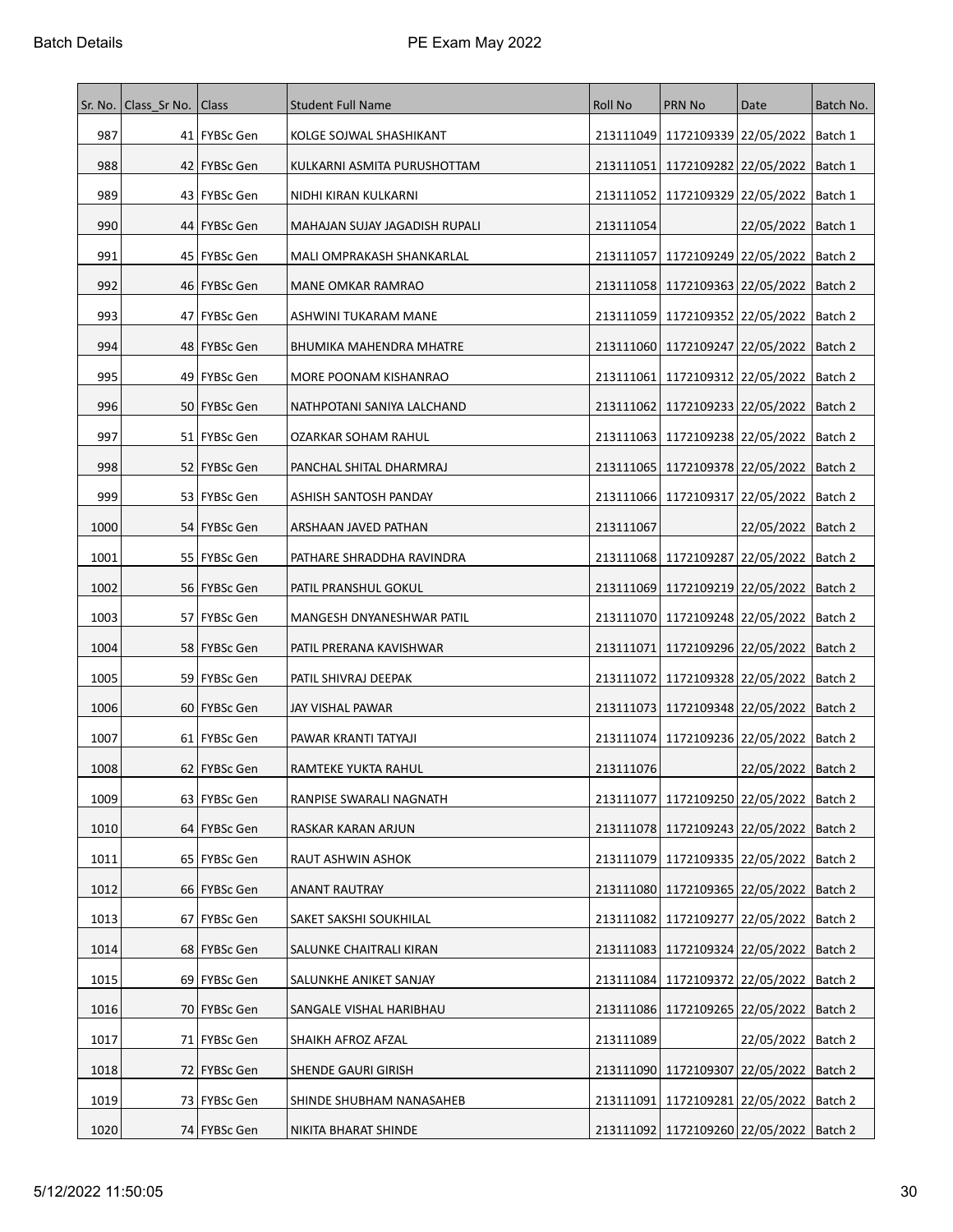|      | Sr. No.   Class Sr No. | Class          | <b>Student Full Name</b>      | Roll No   | PRN No                                        | Date                            | Batch No. |
|------|------------------------|----------------|-------------------------------|-----------|-----------------------------------------------|---------------------------------|-----------|
| 987  |                        | 41   FYBSc Gen | KOLGE SOJWAL SHASHIKANT       |           | 213111049 1172109339 22/05/2022   Batch 1     |                                 |           |
| 988  |                        | 42   FYBSc Gen | KULKARNI ASMITA PURUSHOTTAM   | 213111051 | 1172109282 22/05/2022                         |                                 | Batch 1   |
| 989  |                        | 43   FYBSc Gen | NIDHI KIRAN KULKARNI          | 213111052 | 1172109329 22/05/2022                         |                                 | Batch 1   |
| 990  |                        | 44 FYBSc Gen   | MAHAJAN SUJAY JAGADISH RUPALI | 213111054 |                                               | 22/05/2022   Batch 1            |           |
| 991  |                        | 45 FYBSc Gen   | MALI OMPRAKASH SHANKARLAL     | 213111057 | 1172109249 22/05/2022                         |                                 | Batch 2   |
| 992  |                        | 46   FYBSc Gen | <b>MANE OMKAR RAMRAO</b>      |           | 213111058 1172109363 22/05/2022   Batch 2     |                                 |           |
| 993  |                        | 47   FYBSc Gen | ASHWINI TUKARAM MANE          | 213111059 | 1172109352 22/05/2022                         |                                 | Batch 2   |
| 994  |                        | 48   FYBSc Gen | BHUMIKA MAHENDRA MHATRE       |           | 213111060   1172109247   22/05/2022           |                                 | Batch 2   |
| 995  |                        | 49   FYBSc Gen | MORE POONAM KISHANRAO         | 213111061 | 1172109312 22/05/2022                         |                                 | Batch 2   |
| 996  |                        | 50   FYBSc Gen | NATHPOTANI SANIYA LALCHAND    | 213111062 | 1172109233   22/05/2022   Batch 2             |                                 |           |
| 997  |                        | 51   FYBSc Gen | OZARKAR SOHAM RAHUL           | 213111063 | 1172109238 22/05/2022                         |                                 | Batch 2   |
| 998  |                        | 52   FYBSc Gen | PANCHAL SHITAL DHARMRAJ       |           | 213111065   1172109378   22/05/2022   Batch 2 |                                 |           |
| 999  |                        | 53   FYBSc Gen | ASHISH SANTOSH PANDAY         |           | 213111066   1172109317   22/05/2022           |                                 | Batch 2   |
| 1000 |                        | 54   FYBSc Gen | ARSHAAN JAVED PATHAN          | 213111067 |                                               | 22/05/2022   Batch 2            |           |
| 1001 |                        | 55   FYBSc Gen | PATHARE SHRADDHA RAVINDRA     |           | 213111068   1172109287   22/05/2022           |                                 | Batch 2   |
| 1002 |                        | 56   FYBSc Gen | PATIL PRANSHUL GOKUL          | 213111069 | 1172109219 22/05/2022                         |                                 | Batch 2   |
| 1003 |                        | 57 FYBSc Gen   | MANGESH DNYANESHWAR PATIL     | 213111070 |                                               | 1172109248 22/05/2022   Batch 2 |           |
| 1004 |                        | 58   FYBSc Gen | PATIL PRERANA KAVISHWAR       | 213111071 | 1172109296 22/05/2022                         |                                 | Batch 2   |
| 1005 |                        | 59   FYBSc Gen | PATIL SHIVRAJ DEEPAK          |           | 213111072   1172109328   22/05/2022   Batch 2 |                                 |           |
| 1006 |                        | 60   FYBSc Gen | JAY VISHAL PAWAR              |           | 213111073   1172109348   22/05/2022           |                                 | Batch 2   |
| 1007 |                        | 61   FYBSc Gen | PAWAR KRANTI TATYAJI          |           | 213111074   1172109236   22/05/2022   Batch 2 |                                 |           |
| 1008 |                        | 62   FYBSc Gen | RAMTEKE YUKTA RAHUL           | 213111076 |                                               | 22/05/2022   Batch 2            |           |
| 1009 |                        | 63 FYBSc Gen   | RANPISE SWARALI NAGNATH       |           | 213111077   1172109250   22/05/2022   Batch 2 |                                 |           |
| 1010 |                        | 64 FYBSc Gen   | RASKAR KARAN ARJUN            |           | 213111078 1172109243 22/05/2022               |                                 | Batch 2   |
| 1011 |                        | 65 FYBSc Gen   | RAUT ASHWIN ASHOK             |           | 213111079 1172109335 22/05/2022               |                                 | Batch 2   |
| 1012 |                        | 66   FYBSc Gen | <b>ANANT RAUTRAY</b>          | 213111080 | 1172109365 22/05/2022                         |                                 | Batch 2   |
| 1013 |                        | 67 FYBSc Gen   | SAKET SAKSHI SOUKHILAL        |           | 213111082 1172109277 22/05/2022 Batch 2       |                                 |           |
| 1014 |                        | 68 FYBSc Gen   | SALUNKE CHAITRALI KIRAN       | 213111083 |                                               | 1172109324 22/05/2022 Batch 2   |           |
| 1015 |                        | 69 FYBSc Gen   | SALUNKHE ANIKET SANJAY        | 213111084 |                                               | 1172109372 22/05/2022           | Batch 2   |
| 1016 |                        | 70   FYBSc Gen | SANGALE VISHAL HARIBHAU       | 213111086 |                                               | 1172109265 22/05/2022           | Batch 2   |
| 1017 |                        | 71   FYBSc Gen | SHAIKH AFROZ AFZAL            | 213111089 |                                               | 22/05/2022   Batch 2            |           |
| 1018 |                        | 72 FYBSc Gen   | SHENDE GAURI GIRISH           | 213111090 |                                               | 1172109307 22/05/2022 Batch 2   |           |
| 1019 |                        | 73   FYBSc Gen | SHINDE SHUBHAM NANASAHEB      | 213111091 | 1172109281 22/05/2022                         |                                 | Batch 2   |
| 1020 |                        | 74   FYBSc Gen | NIKITA BHARAT SHINDE          |           | 213111092 1172109260 22/05/2022 Batch 2       |                                 |           |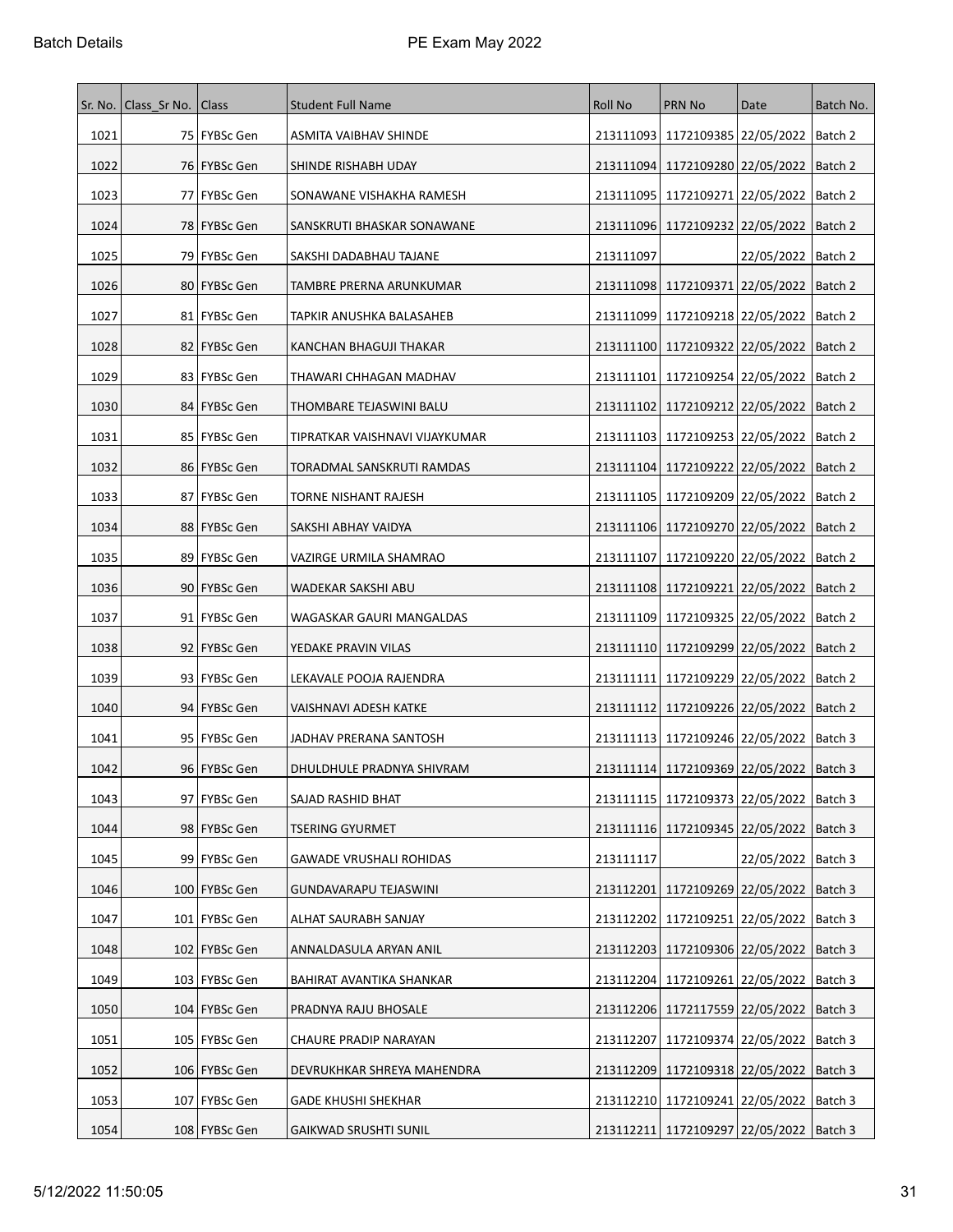|      | Sr. No.   Class Sr No.   Class |                 | <b>Student Full Name</b>       | <b>Roll No</b> | PRN No                                        | Date                            | Batch No. |
|------|--------------------------------|-----------------|--------------------------------|----------------|-----------------------------------------------|---------------------------------|-----------|
| 1021 |                                | 75   FYBSc Gen  | ASMITA VAIBHAV SHINDE          | 213111093      | 1172109385 22/05/2022   Batch 2               |                                 |           |
| 1022 |                                | 76   FYBSc Gen  | SHINDE RISHABH UDAY            |                | 213111094   1172109280   22/05/2022           |                                 | Batch 2   |
| 1023 |                                | 77   FYBSc Gen  | SONAWANE VISHAKHA RAMESH       | 213111095      | 1172109271 22/05/2022                         |                                 | Batch 2   |
| 1024 |                                | 78   FYBSc Gen  | SANSKRUTI BHASKAR SONAWANE     |                | 213111096   1172109232   22/05/2022           |                                 | Batch 2   |
| 1025 |                                | 79   FYBSc Gen  | SAKSHI DADABHAU TAJANE         | 213111097      |                                               | 22/05/2022   Batch 2            |           |
| 1026 |                                | 80 FYBSc Gen    | TAMBRE PRERNA ARUNKUMAR        |                | 213111098 1172109371 22/05/2022               |                                 | Batch 2   |
| 1027 |                                | 81   FYBSc Gen  | TAPKIR ANUSHKA BALASAHEB       | 213111099      | 1172109218 22/05/2022                         |                                 | Batch 2   |
| 1028 |                                | 82   FYBSc Gen  | KANCHAN BHAGUJI THAKAR         | 213111100      | 1172109322 22/05/2022                         |                                 | Batch 2   |
| 1029 |                                | 83   FYBSc Gen  | THAWARI CHHAGAN MADHAV         | 213111101      | 1172109254 22/05/2022                         |                                 | Batch 2   |
| 1030 |                                | 84 FYBSc Gen    | THOMBARE TEJASWINI BALU        | 213111102      | 1172109212 22/05/2022   Batch 2               |                                 |           |
| 1031 |                                | 85   FYBSc Gen  | TIPRATKAR VAISHNAVI VIJAYKUMAR |                | 213111103   1172109253   22/05/2022           |                                 | Batch 2   |
| 1032 |                                | 86   FYBSc Gen  | TORADMAL SANSKRUTI RAMDAS      |                | 213111104   1172109222   22/05/2022   Batch 2 |                                 |           |
| 1033 |                                | 87 FYBSc Gen    | <b>TORNE NISHANT RAJESH</b>    | 213111105      | 1172109209 22/05/2022                         |                                 | Batch 2   |
| 1034 |                                | 88   FYBSc Gen  | SAKSHI ABHAY VAIDYA            |                | 213111106 1172109270 22/05/2022               |                                 | Batch 2   |
| 1035 |                                | 89   FYBSc Gen  | VAZIRGE URMILA SHAMRAO         | 213111107      | 1172109220 22/05/2022                         |                                 | Batch 2   |
| 1036 |                                | 90 FYBSc Gen    | WADEKAR SAKSHI ABU             |                | 213111108 1172109221 22/05/2022               |                                 | Batch 2   |
| 1037 |                                | 91 FYBSc Gen    | WAGASKAR GAURI MANGALDAS       | 213111109      | 1172109325 22/05/2022                         |                                 | Batch 2   |
| 1038 |                                | 92   FYBSc Gen  | YEDAKE PRAVIN VILAS            |                | 213111110 1172109299 22/05/2022               |                                 | Batch 2   |
| 1039 |                                | 93   FYBSc Gen  | LEKAVALE POOJA RAJENDRA        | 213111111      | 1172109229 22/05/2022                         |                                 | Batch 2   |
| 1040 |                                | 94 FYBSc Gen    | VAISHNAVI ADESH KATKE          | 213111112      |                                               | 1172109226 22/05/2022   Batch 2 |           |
| 1041 |                                | 95   FYBSc Gen  | JADHAV PRERANA SANTOSH         | 213111113      | 1172109246 22/05/2022   Batch 3               |                                 |           |
| 1042 |                                | 96   FYBSc Gen  | DHULDHULE PRADNYA SHIVRAM      |                | 213111114 1172109369 22/05/2022               |                                 | Batch 3   |
| 1043 |                                | 97 FYBSc Gen    | SAJAD RASHID BHAT              |                | 213111115   1172109373   22/05/2022   Batch 3 |                                 |           |
| 1044 |                                | 98 FYBSc Gen    | <b>TSERING GYURMET</b>         |                | 213111116 1172109345 22/05/2022               |                                 | Batch 3   |
| 1045 |                                | 99 FYBSc Gen    | GAWADE VRUSHALI ROHIDAS        | 213111117      |                                               | 22/05/2022   Batch 3            |           |
| 1046 |                                | 100   FYBSc Gen | GUNDAVARAPU TEJASWINI          | 213112201      | 1172109269 22/05/2022                         |                                 | Batch 3   |
| 1047 |                                | 101   FYBSc Gen | ALHAT SAURABH SANJAY           |                | 213112202   1172109251   22/05/2022           |                                 | Batch 3   |
| 1048 |                                | 102 FYBSc Gen   | ANNALDASULA ARYAN ANIL         | 213112203      | 1172109306 22/05/2022                         |                                 | Batch 3   |
| 1049 |                                | 103   FYBSc Gen | BAHIRAT AVANTIKA SHANKAR       | 213112204      |                                               | 1172109261 22/05/2022           | Batch 3   |
| 1050 |                                | 104   FYBSc Gen | PRADNYA RAJU BHOSALE           | 213112206      | 1172117559 22/05/2022                         |                                 | Batch 3   |
| 1051 |                                | 105   FYBSc Gen | CHAURE PRADIP NARAYAN          | 213112207      | 1172109374 22/05/2022   Batch 3               |                                 |           |
| 1052 |                                | 106   FYBSc Gen | DEVRUKHKAR SHREYA MAHENDRA     | 213112209      |                                               | 1172109318 22/05/2022 Batch 3   |           |
| 1053 |                                | 107   FYBSc Gen | GADE KHUSHI SHEKHAR            | 213112210      |                                               | 1172109241 22/05/2022           | Batch 3   |
| 1054 |                                | 108 FYBSc Gen   | <b>GAIKWAD SRUSHTI SUNIL</b>   |                | 213112211 1172109297 22/05/2022   Batch 3     |                                 |           |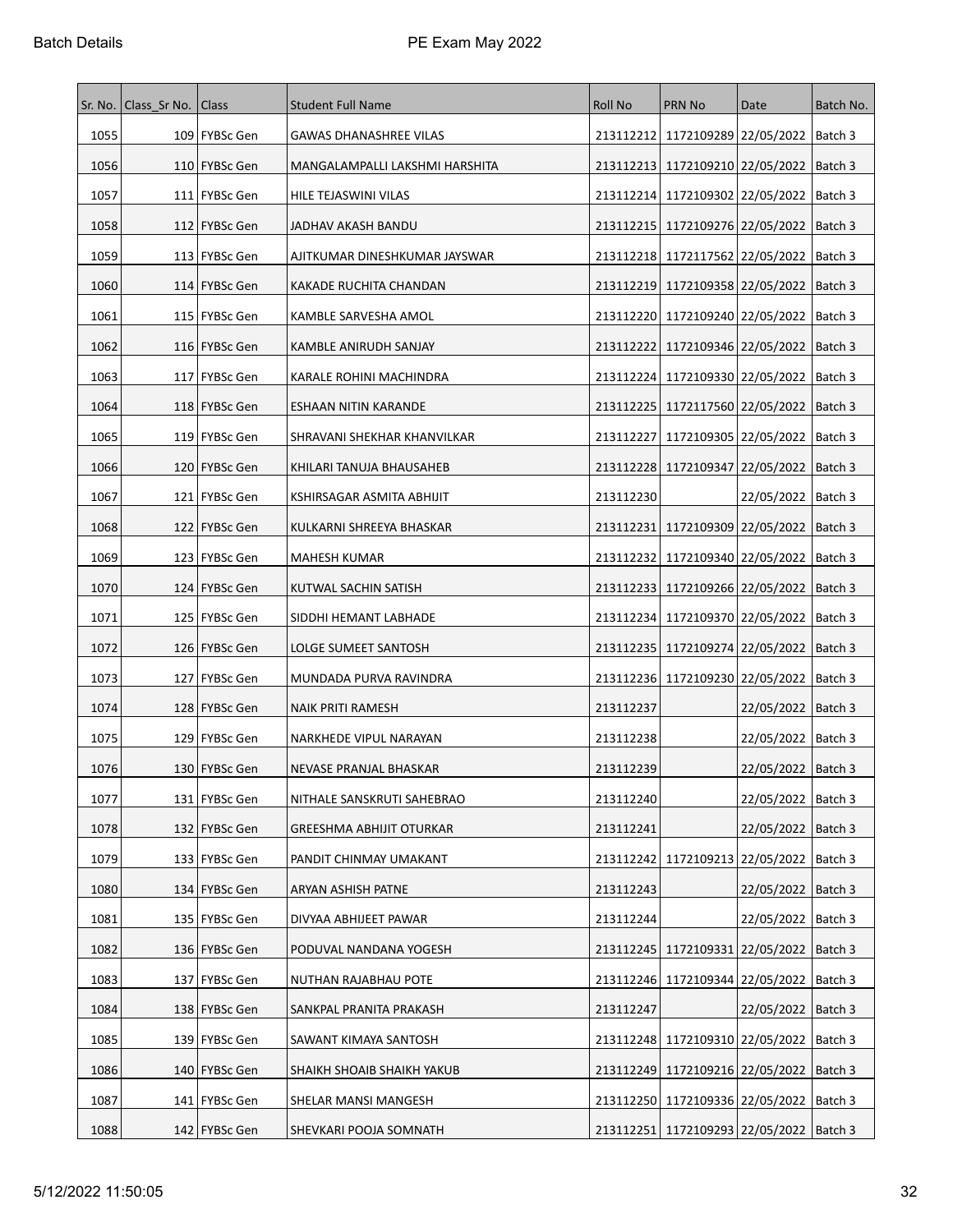| Sr. No. | Class Sr No. | <b>Class</b>    | <b>Student Full Name</b>       | <b>Roll No</b> | <b>PRN No</b>                                 | Date                            | Batch No. |
|---------|--------------|-----------------|--------------------------------|----------------|-----------------------------------------------|---------------------------------|-----------|
| 1055    |              | 109   FYBSc Gen | <b>GAWAS DHANASHREE VILAS</b>  |                | 213112212 1172109289 22/05/2022   Batch 3     |                                 |           |
| 1056    |              | 110   FYBSc Gen | MANGALAMPALLI LAKSHMI HARSHITA |                | 213112213   1172109210   22/05/2022           |                                 | Batch 3   |
| 1057    |              | 111   FYBSc Gen | HILE TEJASWINI VILAS           |                | 213112214   1172109302   22/05/2022           |                                 | Batch 3   |
| 1058    |              | 112   FYBSc Gen | JADHAV AKASH BANDU             |                | 213112215   1172109276   22/05/2022           |                                 | Batch 3   |
| 1059    |              | 113   FYBSc Gen | AJITKUMAR DINESHKUMAR JAYSWAR  |                | 213112218   1172117562   22/05/2022           |                                 | Batch 3   |
| 1060    |              | 114   FYBSc Gen | KAKADE RUCHITA CHANDAN         |                | 213112219 1172109358 22/05/2022               |                                 | Batch 3   |
| 1061    |              | 115   FYBSc Gen | KAMBLE SARVESHA AMOL           |                | 213112220   1172109240   22/05/2022           |                                 | Batch 3   |
| 1062    |              | 116   FYBSc Gen | KAMBLE ANIRUDH SANJAY          |                | 213112222   1172109346   22/05/2022           |                                 | Batch 3   |
| 1063    |              | 117   FYBSc Gen | KARALE ROHINI MACHINDRA        |                | 213112224   1172109330   22/05/2022           |                                 | Batch 3   |
| 1064    |              | 118   FYBSc Gen | ESHAAN NITIN KARANDE           |                | 213112225   1172117560   22/05/2022           |                                 | Batch 3   |
| 1065    |              | 119   FYBSc Gen | SHRAVANI SHEKHAR KHANVILKAR    | 213112227      | 1172109305   22/05/2022                       |                                 | Batch 3   |
| 1066    |              | 120   FYBSc Gen | KHILARI TANUJA BHAUSAHEB       |                | 213112228   1172109347   22/05/2022   Batch 3 |                                 |           |
| 1067    |              | 121   FYBSc Gen | KSHIRSAGAR ASMITA ABHIJIT      | 213112230      |                                               | 22/05/2022                      | Batch 3   |
| 1068    |              | 122   FYBSc Gen | KULKARNI SHREEYA BHASKAR       |                | 213112231   1172109309   22/05/2022           |                                 | Batch 3   |
| 1069    |              | 123   FYBSc Gen | MAHESH KUMAR                   |                | 213112232   1172109340   22/05/2022           |                                 | Batch 3   |
| 1070    |              | 124   FYBSc Gen | KUTWAL SACHIN SATISH           |                | 213112233   1172109266   22/05/2022           |                                 | Batch 3   |
| 1071    |              | 125   FYBSc Gen | SIDDHI HEMANT LABHADE          | 213112234      | 1172109370 22/05/2022                         |                                 | Batch 3   |
| 1072    |              | 126   FYBSc Gen | LOLGE SUMEET SANTOSH           |                | 213112235   1172109274   22/05/2022           |                                 | Batch 3   |
| 1073    |              | 127   FYBSc Gen | MUNDADA PURVA RAVINDRA         |                | 213112236   1172109230   22/05/2022           |                                 | Batch 3   |
| 1074    |              | 128   FYBSc Gen | NAIK PRITI RAMESH              | 213112237      |                                               | 22/05/2022                      | Batch 3   |
| 1075    |              | 129   FYBSc Gen | NARKHEDE VIPUL NARAYAN         | 213112238      |                                               | 22/05/2022   Batch 3            |           |
| 1076    |              | 130   FYBSc Gen | NEVASE PRANJAL BHASKAR         | 213112239      |                                               | 22/05/2022  Batch 3             |           |
| 1077    |              | 131 FYBSc Gen   | NITHALE SANSKRUTI SAHEBRAO     | 213112240      |                                               | 22/05/2022   Batch 3            |           |
| 1078    |              | 132 FYBSc Gen   | GREESHMA ABHIJIT OTURKAR       | 213112241      |                                               | 22/05/2022                      | Batch 3   |
| 1079    |              | 133   FYBSc Gen | PANDIT CHINMAY UMAKANT         | 213112242      |                                               | 1172109213 22/05/2022   Batch 3 |           |
| 1080    |              | 134 FYBSc Gen   | ARYAN ASHISH PATNE             | 213112243      |                                               | 22/05/2022                      | Batch 3   |
| 1081    |              | 135   FYBSc Gen | DIVYAA ABHIJEET PAWAR          | 213112244      |                                               | 22/05/2022   Batch 3            |           |
| 1082    |              | 136 FYBSc Gen   | PODUVAL NANDANA YOGESH         |                | 213112245   1172109331   22/05/2022           |                                 | Batch 3   |
| 1083    |              | 137   FYBSc Gen | NUTHAN RAJABHAU POTE           |                | 213112246   1172109344   22/05/2022           |                                 | Batch 3   |
| 1084    |              | 138   FYBSc Gen | SANKPAL PRANITA PRAKASH        | 213112247      |                                               | 22/05/2022   Batch 3            |           |
| 1085    |              | 139   FYBSc Gen | SAWANT KIMAYA SANTOSH          |                | 213112248 1172109310 22/05/2022   Batch 3     |                                 |           |
| 1086    |              | 140   FYBSc Gen | SHAIKH SHOAIB SHAIKH YAKUB     |                | 213112249 1172109216 22/05/2022   Batch 3     |                                 |           |
| 1087    |              | 141   FYBSc Gen | SHELAR MANSI MANGESH           |                | 213112250   1172109336   22/05/2022           |                                 | Batch 3   |
| 1088    |              | 142   FYBSc Gen | SHEVKARI POOJA SOMNATH         |                | 213112251   1172109293   22/05/2022   Batch 3 |                                 |           |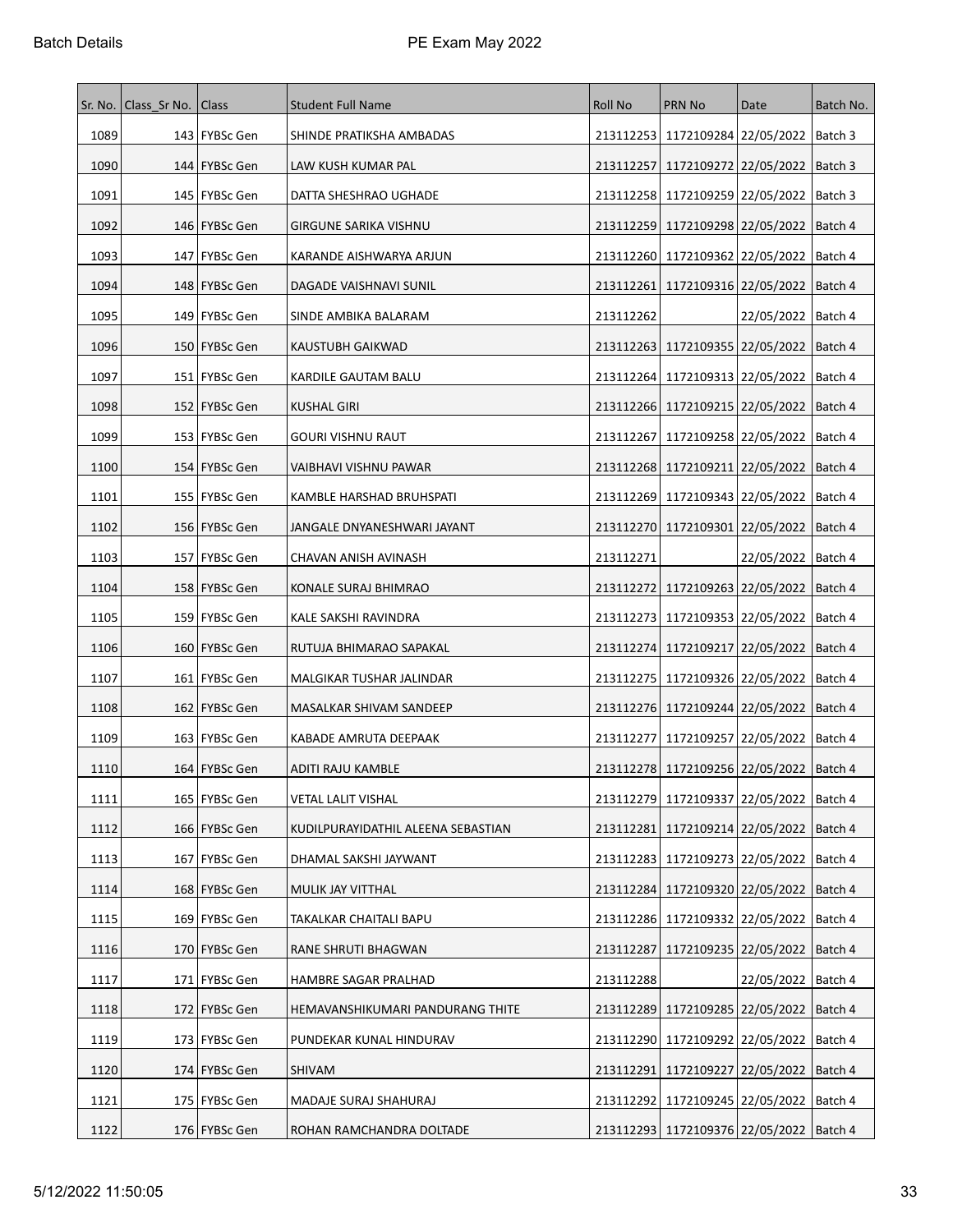| Sr. No. | Class Sr No.   Class |                  | <b>Student Full Name</b>           | Roll No   | <b>PRN No</b>                                 | Date                 | Batch No. |
|---------|----------------------|------------------|------------------------------------|-----------|-----------------------------------------------|----------------------|-----------|
| 1089    |                      | 143   FYBSc Gen  | SHINDE PRATIKSHA AMBADAS           |           | 213112253 1172109284 22/05/2022   Batch 3     |                      |           |
| 1090    |                      | 144   FYBSc Gen  | LAW KUSH KUMAR PAL                 | 213112257 | 1172109272 22/05/2022                         |                      | Batch 3   |
| 1091    |                      | 145   FYBSc Gen  | DATTA SHESHRAO UGHADE              |           | 213112258   1172109259   22/05/2022           |                      | Batch 3   |
| 1092    |                      | 146   FYBSc Gen  | GIRGUNE SARIKA VISHNU              |           | 213112259   1172109298   22/05/2022   Batch 4 |                      |           |
| 1093    |                      | 147   FYBSc Gen  | KARANDE AISHWARYA ARJUN            |           | 213112260   1172109362   22/05/2022           |                      | Batch 4   |
| 1094    |                      | 148   FYBSc Gen  | DAGADE VAISHNAVI SUNIL             |           | 213112261   1172109316   22/05/2022           |                      | Batch 4   |
| 1095    |                      | 149   FYBSc Gen  | SINDE AMBIKA BALARAM               | 213112262 |                                               | 22/05/2022           | Batch 4   |
| 1096    |                      | 150   FYBSc Gen  | KAUSTUBH GAIKWAD                   |           | 213112263   1172109355   22/05/2022   Batch 4 |                      |           |
| 1097    |                      | 151   FYBSc Gen  | KARDILE GAUTAM BALU                |           | 213112264   1172109313   22/05/2022           |                      | Batch 4   |
| 1098    |                      | 152   FYBSc Gen  | <b>KUSHAL GIRI</b>                 |           | 213112266   1172109215   22/05/2022           |                      | Batch 4   |
| 1099    |                      | 153   FYBSc Gen  | GOURI VISHNU RAUT                  |           | 213112267   1172109258   22/05/2022           |                      | Batch 4   |
| 1100    |                      | 154   FYBSc Gen  | VAIBHAVI VISHNU PAWAR              |           | 213112268 1172109211 22/05/2022               |                      | Batch 4   |
| 1101    |                      | 155   FYBSc Gen  | KAMBLE HARSHAD BRUHSPATI           |           | 213112269   1172109343   22/05/2022           |                      | Batch 4   |
| 1102    |                      | 156   FYBSc Gen  | JANGALE DNYANESHWARI JAYANT        |           | 213112270 1172109301 22/05/2022               |                      | Batch 4   |
| 1103    |                      | 157   FYBSc Gen  | CHAVAN ANISH AVINASH               | 213112271 |                                               | 22/05/2022   Batch 4 |           |
| 1104    |                      | 158   FYBSc Gen  | KONALE SURAJ BHIMRAO               | 213112272 | 1172109263 22/05/2022                         |                      | Batch 4   |
| 1105    |                      | 159   FYBSc Gen  | KALE SAKSHI RAVINDRA               |           | 213112273   1172109353   22/05/2022   Batch 4 |                      |           |
| 1106    |                      | 160   FYBSc Gen  | RUTUJA BHIMARAO SAPAKAL            |           | 213112274   1172109217   22/05/2022           |                      | Batch 4   |
| 1107    |                      | 161   FYBSc Gen  | MALGIKAR TUSHAR JALINDAR           |           | 213112275   1172109326   22/05/2022           |                      | Batch 4   |
| 1108    |                      | 162   FYBSc Gen  | MASALKAR SHIVAM SANDEEP            |           | 213112276 1172109244 22/05/2022               |                      | Batch 4   |
| 1109    |                      | 163   FYBSc Gen  | KABADE AMRUTA DEEPAAK              | 213112277 | 1172109257   22/05/2022   Batch 4             |                      |           |
| 1110    |                      | 164   FYBSc Gen  | ADITI RAJU KAMBLE                  |           | 213112278   1172109256   22/05/2022           |                      | Batch 4   |
| 1111    |                      | 165   FYBSc Gen  | VETAL LALIT VISHAL                 |           | 213112279 1172109337 22/05/2022   Batch 4     |                      |           |
| 1112    |                      | 166   FYBSc Gen  | KUDILPURAYIDATHIL ALEENA SEBASTIAN | 213112281 | 1172109214 22/05/2022                         |                      | Batch 4   |
| 1113    |                      | 167   FYBSc Gen  | DHAMAL SAKSHI JAYWANT              | 213112283 | 1172109273 22/05/2022                         |                      | Batch 4   |
| 1114    |                      | 168   FYBSc Gen  | MULIK JAY VITTHAL                  | 213112284 | 1172109320 22/05/2022                         |                      | Batch 4   |
| 1115    |                      | 169 FYBSc Gen    | TAKALKAR CHAITALI BAPU             |           | 213112286 1172109332 22/05/2022               |                      | Batch 4   |
| 1116    |                      | 170 FYBSc Gen    | RANE SHRUTI BHAGWAN                | 213112287 | 1172109235 22/05/2022                         |                      | Batch 4   |
| 1117    |                      | 171   FYBSc Gen  | HAMBRE SAGAR PRALHAD               | 213112288 |                                               | 22/05/2022           | Batch 4   |
| 1118    | 172                  | <b>FYBSc Gen</b> | HEMAVANSHIKUMARI PANDURANG THITE   | 213112289 | 1172109285 22/05/2022                         |                      | Batch 4   |
| 1119    |                      | 173   FYBSc Gen  | PUNDEKAR KUNAL HINDURAV            |           | 213112290 1172109292 22/05/2022               |                      | Batch 4   |
| 1120    |                      | 174   FYBSc Gen  | SHIVAM                             | 213112291 | 1172109227 22/05/2022                         |                      | Batch 4   |
| 1121    |                      | 175   FYBSc Gen  | MADAJE SURAJ SHAHURAJ              |           | 213112292   1172109245   22/05/2022           |                      | Batch 4   |
| 1122    |                      | 176   FYBSc Gen  | ROHAN RAMCHANDRA DOLTADE           |           | 213112293   1172109376   22/05/2022   Batch 4 |                      |           |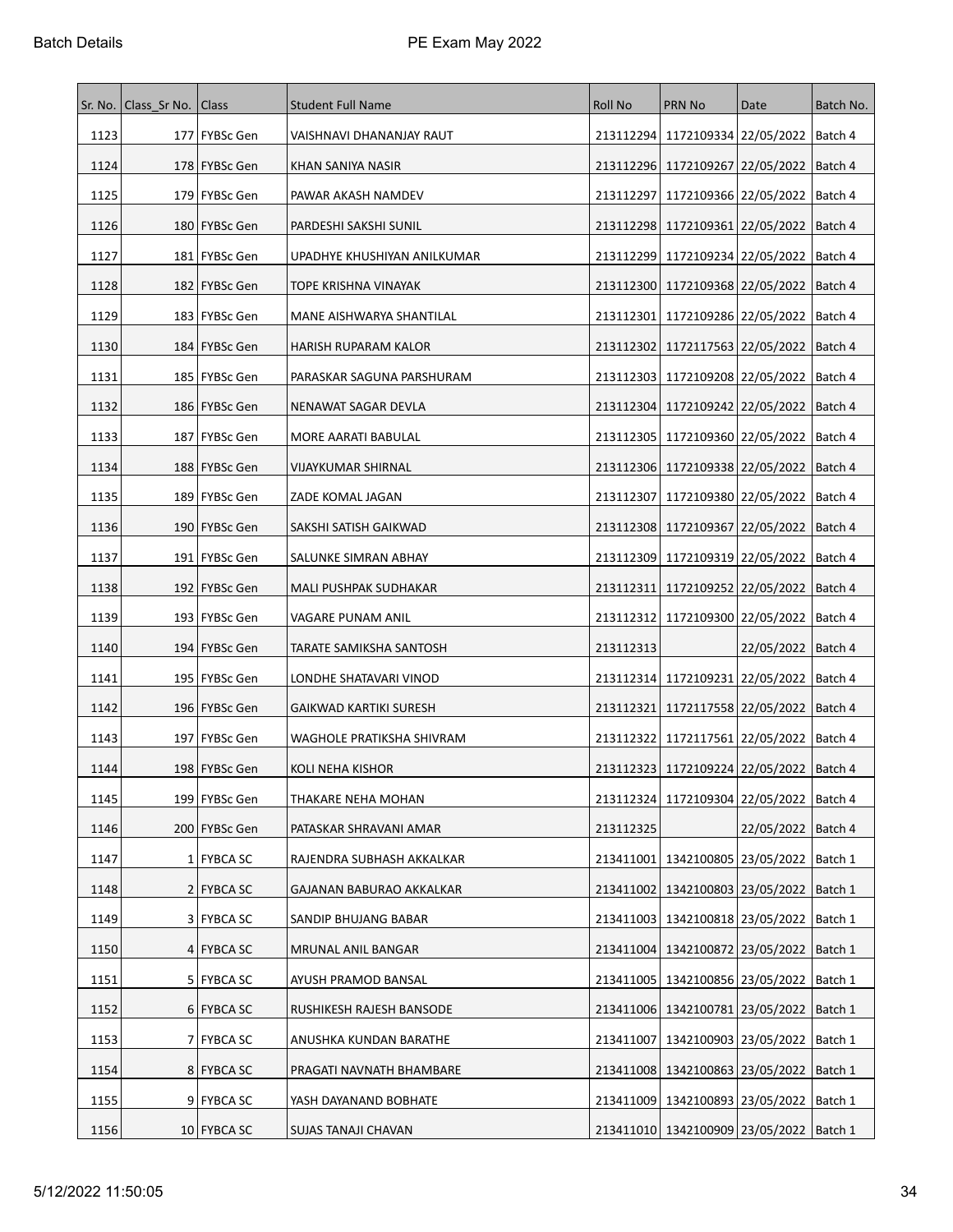| Sr. No. | Class Sr No.   Class |                 | <b>Student Full Name</b>      | Roll No   | <b>PRN No</b>                                 | Date                 | Batch No. |
|---------|----------------------|-----------------|-------------------------------|-----------|-----------------------------------------------|----------------------|-----------|
| 1123    |                      | 177   FYBSc Gen | VAISHNAVI DHANANJAY RAUT      |           | 213112294   1172109334   22/05/2022   Batch 4 |                      |           |
| 1124    |                      | 178   FYBSc Gen | KHAN SANIYA NASIR             |           | 213112296 1172109267 22/05/2022               |                      | Batch 4   |
| 1125    |                      | 179   FYBSc Gen | PAWAR AKASH NAMDEV            | 213112297 | 1172109366 22/05/2022                         |                      | Batch 4   |
| 1126    |                      | 180   FYBSc Gen | PARDESHI SAKSHI SUNIL         |           | 213112298   1172109361   22/05/2022           |                      | Batch 4   |
| 1127    |                      | 181   FYBSc Gen | UPADHYE KHUSHIYAN ANILKUMAR   | 213112299 | 1172109234   22/05/2022                       |                      | Batch 4   |
| 1128    |                      | 182   FYBSc Gen | TOPE KRISHNA VINAYAK          |           | 213112300 1172109368 22/05/2022               |                      | Batch 4   |
| 1129    |                      | 183   FYBSc Gen | MANE AISHWARYA SHANTILAL      | 213112301 | 1172109286 22/05/2022                         |                      | Batch 4   |
| 1130    |                      | 184   FYBSc Gen | HARISH RUPARAM KALOR          |           | 213112302   1172117563   22/05/2022           |                      | Batch 4   |
| 1131    |                      | 185   FYBSc Gen | PARASKAR SAGUNA PARSHURAM     |           | 213112303   1172109208   22/05/2022           |                      | Batch 4   |
| 1132    |                      | 186   FYBSc Gen | NENAWAT SAGAR DEVLA           |           | 213112304   1172109242   22/05/2022           |                      | Batch 4   |
| 1133    |                      | 187   FYBSc Gen | MORE AARATI BABULAL           |           | 213112305   1172109360   22/05/2022           |                      | Batch 4   |
| 1134    |                      | 188   FYBSc Gen | VIJAYKUMAR SHIRNAL            |           | 213112306   1172109338   22/05/2022   Batch 4 |                      |           |
| 1135    |                      | 189   FYBSc Gen | ZADE KOMAL JAGAN              | 213112307 | 1172109380 22/05/2022                         |                      | Batch 4   |
| 1136    |                      | 190   FYBSc Gen | SAKSHI SATISH GAIKWAD         |           | 213112308   1172109367   22/05/2022           |                      | Batch 4   |
| 1137    |                      | 191   FYBSc Gen | SALUNKE SIMRAN ABHAY          |           | 213112309 1172109319 22/05/2022               |                      | Batch 4   |
| 1138    |                      | 192   FYBSc Gen | MALI PUSHPAK SUDHAKAR         |           | 213112311   1172109252   22/05/2022           |                      | Batch 4   |
| 1139    |                      | 193   FYBSc Gen | VAGARE PUNAM ANIL             |           | 213112312   1172109300   22/05/2022   Batch 4 |                      |           |
| 1140    |                      | 194   FYBSc Gen | TARATE SAMIKSHA SANTOSH       | 213112313 |                                               | 22/05/2022   Batch 4 |           |
| 1141    |                      | 195   FYBSc Gen | LONDHE SHATAVARI VINOD        |           | 213112314   1172109231   22/05/2022   Batch 4 |                      |           |
| 1142    |                      | 196   FYBSc Gen | <b>GAIKWAD KARTIKI SURESH</b> | 213112321 | 1172117558 22/05/2022                         |                      | Batch 4   |
| 1143    |                      | 197   FYBSc Gen | WAGHOLE PRATIKSHA SHIVRAM     |           | 213112322   1172117561   22/05/2022   Batch 4 |                      |           |
| 1144    |                      | 198   FYBSc Gen | KOLI NEHA KISHOR              |           | 213112323   1172109224   22/05/2022           |                      | Batch 4   |
| 1145    |                      | 199 FYBSc Gen   | THAKARE NEHA MOHAN            |           | 213112324 1172109304 22/05/2022 Batch 4       |                      |           |
| 1146    |                      | 200 FYBSc Gen   | PATASKAR SHRAVANI AMAR        | 213112325 |                                               | 22/05/2022           | Batch 4   |
| 1147    |                      | 1 FYBCA SC      | RAJENDRA SUBHASH AKKALKAR     |           | 213411001   1342100805   23/05/2022   Batch 1 |                      |           |
| 1148    |                      | 2 FYBCA SC      | GAJANAN BABURAO AKKALKAR      |           | 213411002   1342100803   23/05/2022           |                      | Batch 1   |
| 1149    |                      | 3 FYBCA SC      | SANDIP BHUJANG BABAR          |           | 213411003   1342100818   23/05/2022   Batch 1 |                      |           |
| 1150    |                      | 4 FYBCA SC      | MRUNAL ANIL BANGAR            |           | 213411004   1342100872   23/05/2022   Batch 1 |                      |           |
| 1151    |                      | 5 FYBCA SC      | AYUSH PRAMOD BANSAL           |           | 213411005   1342100856   23/05/2022           |                      | Batch 1   |
| 1152    |                      | 6 FYBCA SC      | RUSHIKESH RAJESH BANSODE      |           | 213411006   1342100781   23/05/2022           |                      | Batch 1   |
| 1153    |                      | 7 FYBCA SC      | ANUSHKA KUNDAN BARATHE        | 213411007 | 1342100903   23/05/2022                       |                      | Batch 1   |
| 1154    |                      | 8 FYBCA SC      | PRAGATI NAVNATH BHAMBARE      |           | 213411008   1342100863   23/05/2022   Batch 1 |                      |           |
| 1155    |                      | 9 FYBCA SC      | YASH DAYANAND BOBHATE         |           | 213411009   1342100893   23/05/2022           |                      | Batch 1   |
| 1156    |                      | 10 FYBCA SC     | SUJAS TANAJI CHAVAN           |           | 213411010 1342100909 23/05/2022   Batch 1     |                      |           |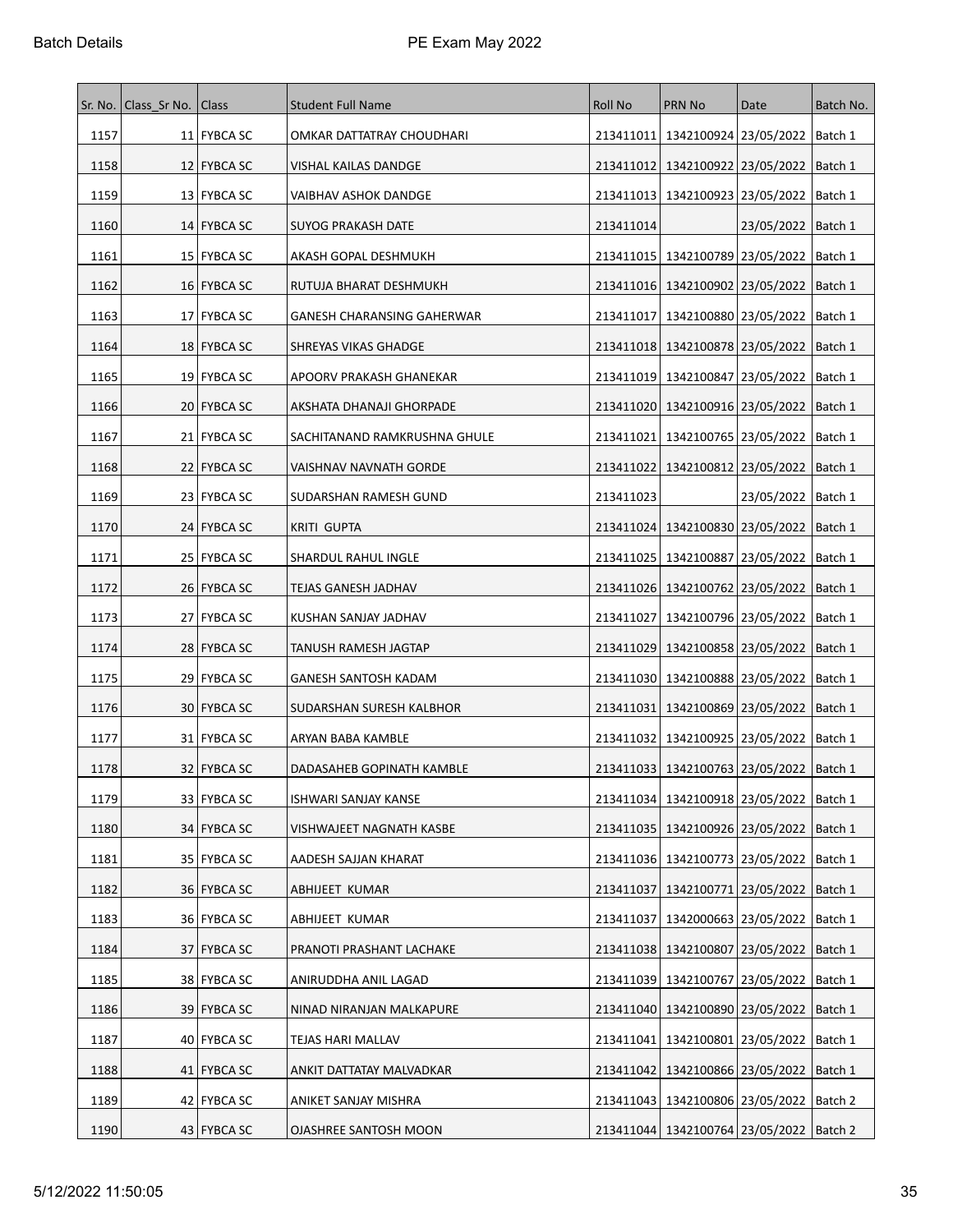|      | Sr. No.   Class Sr No. | Class         | <b>Student Full Name</b>          | <b>Roll No</b> | PRN No                                        | Date                            | Batch No. |
|------|------------------------|---------------|-----------------------------------|----------------|-----------------------------------------------|---------------------------------|-----------|
| 1157 |                        | 11 FYBCA SC   | OMKAR DATTATRAY CHOUDHARI         | 213411011      | 1342100924 23/05/2022   Batch 1               |                                 |           |
| 1158 |                        | 12   FYBCA SC | VISHAL KAILAS DANDGE              | 213411012      | 1342100922 23/05/2022                         |                                 | Batch 1   |
| 1159 |                        | 13 FYBCA SC   | <b>VAIBHAV ASHOK DANDGE</b>       |                | 213411013   1342100923   23/05/2022           |                                 | Batch 1   |
| 1160 |                        | 14 FYBCA SC   | SUYOG PRAKASH DATE                | 213411014      |                                               | 23/05/2022   Batch 1            |           |
| 1161 |                        | 15 FYBCA SC   | AKASH GOPAL DESHMUKH              | 213411015      | 1342100789 23/05/2022                         |                                 | Batch 1   |
| 1162 |                        | 16 FYBCA SC   | RUTUJA BHARAT DESHMUKH            |                | 213411016   1342100902   23/05/2022   Batch 1 |                                 |           |
| 1163 |                        | 17   FYBCA SC | <b>GANESH CHARANSING GAHERWAR</b> | 213411017      | 1342100880   23/05/2022                       |                                 | Batch 1   |
| 1164 |                        | 18 FYBCA SC   | SHREYAS VIKAS GHADGE              |                | 213411018   1342100878   23/05/2022           |                                 | Batch 1   |
| 1165 |                        | 19 FYBCA SC   | APOORV PRAKASH GHANEKAR           |                | 213411019   1342100847   23/05/2022           |                                 | Batch 1   |
| 1166 |                        | 20 FYBCA SC   | AKSHATA DHANAJI GHORPADE          |                | 213411020   1342100916   23/05/2022           |                                 | Batch 1   |
| 1167 |                        | 21 FYBCA SC   | SACHITANAND RAMKRUSHNA GHULE      | 213411021      | 1342100765 23/05/2022                         |                                 | Batch 1   |
| 1168 |                        | 22   FYBCA SC | VAISHNAV NAVNATH GORDE            |                | 213411022   1342100812   23/05/2022   Batch 1 |                                 |           |
| 1169 |                        | 23 FYBCA SC   | SUDARSHAN RAMESH GUND             | 213411023      |                                               | 23/05/2022                      | Batch 1   |
| 1170 |                        | 24 FYBCA SC   | <b>KRITI GUPTA</b>                |                | 213411024   1342100830   23/05/2022   Batch 1 |                                 |           |
| 1171 |                        | 25   FYBCA SC | SHARDUL RAHUL INGLE               |                | 213411025   1342100887   23/05/2022           |                                 | Batch 1   |
| 1172 |                        | 26   FYBCA SC | <b>TEJAS GANESH JADHAV</b>        |                | 213411026 1342100762 23/05/2022               |                                 | Batch 1   |
| 1173 |                        | 27 FYBCA SC   | KUSHAN SANJAY JADHAV              | 213411027      |                                               | 1342100796 23/05/2022   Batch 1 |           |
| 1174 |                        | 28 FYBCA SC   | TANUSH RAMESH JAGTAP              | 213411029      | 1342100858 23/05/2022                         |                                 | Batch 1   |
| 1175 |                        | 29 FYBCA SC   | GANESH SANTOSH KADAM              |                | 213411030   1342100888   23/05/2022   Batch 1 |                                 |           |
| 1176 |                        | 30 FYBCA SC   | SUDARSHAN SURESH KALBHOR          | 213411031      | 1342100869   23/05/2022                       |                                 | Batch 1   |
| 1177 |                        | 31 FYBCA SC   | ARYAN BABA KAMBLE                 | 213411032      |                                               | 1342100925 23/05/2022   Batch 1 |           |
| 1178 |                        | 32 FYBCA SC   | DADASAHEB GOPINATH KAMBLE         |                | 213411033   1342100763   23/05/2022   Batch 1 |                                 |           |
| 1179 |                        | 33 FYBCA SC   | ISHWARI SANJAY KANSE              |                | 213411034   1342100918   23/05/2022   Batch 1 |                                 |           |
| 1180 |                        | 34 FYBCA SC   | VISHWAJEET NAGNATH KASBE          |                | 213411035   1342100926   23/05/2022           |                                 | Batch 1   |
| 1181 |                        | 35 FYBCA SC   | AADESH SAJJAN KHARAT              |                | 213411036   1342100773   23/05/2022   Batch 1 |                                 |           |
| 1182 |                        | 36 FYBCA SC   | ABHIJEET KUMAR                    | 213411037      | 1342100771   23/05/2022                       |                                 | Batch 1   |
| 1183 |                        | 36 FYBCA SC   | ABHIJEET KUMAR                    | 213411037      | 1342000663 23/05/2022 Batch 1                 |                                 |           |
| 1184 |                        | 37 FYBCA SC   | PRANOTI PRASHANT LACHAKE          |                | 213411038   1342100807   23/05/2022   Batch 1 |                                 |           |
| 1185 |                        | 38 FYBCA SC   | ANIRUDDHA ANIL LAGAD              |                | 213411039 1342100767 23/05/2022 Batch 1       |                                 |           |
| 1186 |                        | 39 FYBCA SC   | NINAD NIRANJAN MALKAPURE          | 213411040      |                                               | 1342100890 23/05/2022   Batch 1 |           |
| 1187 |                        | 40   FYBCA SC | TEJAS HARI MALLAV                 | 213411041      | 1342100801 23/05/2022   Batch 1               |                                 |           |
| 1188 |                        | 41 FYBCA SC   | ANKIT DATTATAY MALVADKAR          | 213411042      | 1342100866 23/05/2022   Batch 1               |                                 |           |
| 1189 |                        | 42   FYBCA SC | ANIKET SANJAY MISHRA              |                | 213411043   1342100806   23/05/2022           |                                 | Batch 2   |
| 1190 |                        | 43 FYBCA SC   | OJASHREE SANTOSH MOON             |                | 213411044   1342100764   23/05/2022   Batch 2 |                                 |           |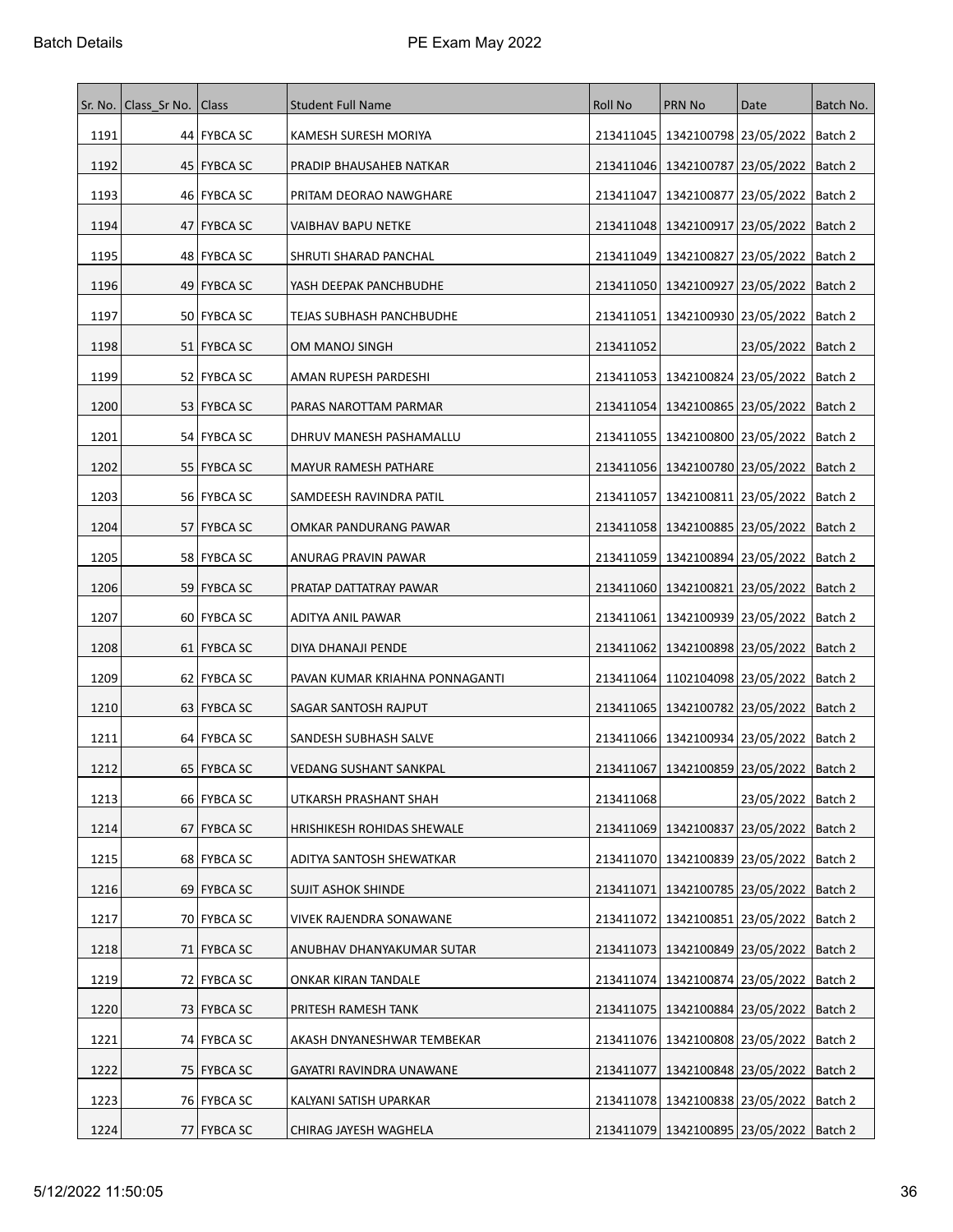|      | Sr. No.   Class Sr No.   Class |               | <b>Student Full Name</b>       | <b>Roll No</b> | PRN No                                        | Date                            | Batch No. |
|------|--------------------------------|---------------|--------------------------------|----------------|-----------------------------------------------|---------------------------------|-----------|
| 1191 |                                | 44 FYBCA SC   | KAMESH SURESH MORIYA           | 213411045      |                                               | 1342100798 23/05/2022   Batch 2 |           |
| 1192 |                                | 45   FYBCA SC | PRADIP BHAUSAHEB NATKAR        |                | 213411046   1342100787   23/05/2022           |                                 | Batch 2   |
| 1193 |                                | 46   FYBCA SC | PRITAM DEORAO NAWGHARE         | 213411047      | 1342100877 23/05/2022                         |                                 | Batch 2   |
| 1194 |                                | 47   FYBCA SC | VAIBHAV BAPU NETKE             | 213411048      | 1342100917   23/05/2022                       |                                 | Batch 2   |
| 1195 |                                | 48 FYBCA SC   | SHRUTI SHARAD PANCHAL          | 213411049      | 1342100827   23/05/2022                       |                                 | Batch 2   |
| 1196 |                                | 49 FYBCA SC   | YASH DEEPAK PANCHBUDHE         |                | 213411050   1342100927   23/05/2022           |                                 | Batch 2   |
| 1197 |                                | 50   FYBCA SC | TEJAS SUBHASH PANCHBUDHE       | 213411051      |                                               | 1342100930 23/05/2022   Batch 2 |           |
| 1198 |                                | 51   FYBCA SC | OM MANOJ SINGH                 | 213411052      |                                               | 23/05/2022   Batch 2            |           |
| 1199 |                                | 52 FYBCA SC   | AMAN RUPESH PARDESHI           |                | 213411053   1342100824   23/05/2022           |                                 | Batch 2   |
| 1200 |                                | 53 FYBCA SC   | PARAS NAROTTAM PARMAR          |                | 213411054   1342100865   23/05/2022   Batch 2 |                                 |           |
| 1201 |                                | 54 FYBCA SC   | DHRUV MANESH PASHAMALLU        |                | 213411055   1342100800   23/05/2022           |                                 | Batch 2   |
| 1202 |                                | 55 FYBCA SC   | MAYUR RAMESH PATHARE           |                | 213411056   1342100780   23/05/2022   Batch 2 |                                 |           |
| 1203 |                                | 56   FYBCA SC | SAMDEESH RAVINDRA PATIL        | 213411057      | 1342100811 23/05/2022                         |                                 | Batch 2   |
| 1204 |                                | 57 FYBCA SC   | OMKAR PANDURANG PAWAR          |                | 213411058 1342100885 23/05/2022 Batch 2       |                                 |           |
| 1205 |                                | 58 FYBCA SC   | ANURAG PRAVIN PAWAR            |                | 213411059   1342100894   23/05/2022           |                                 | Batch 2   |
| 1206 |                                | 59 FYBCA SC   | PRATAP DATTATRAY PAWAR         |                | 213411060   1342100821   23/05/2022           |                                 | Batch 2   |
| 1207 |                                | 60   FYBCA SC | ADITYA ANIL PAWAR              | 213411061      | 1342100939 23/05/2022                         |                                 | Batch 2   |
| 1208 |                                | 61   FYBCA SC | DIYA DHANAJI PENDE             |                | 213411062   1342100898   23/05/2022           |                                 | Batch 2   |
| 1209 |                                | 62 FYBCA SC   | PAVAN KUMAR KRIAHNA PONNAGANTI | 213411064      | 1102104098 23/05/2022                         |                                 | Batch 2   |
| 1210 |                                | 63   FYBCA SC | SAGAR SANTOSH RAJPUT           | 213411065      |                                               | 1342100782 23/05/2022   Batch 2 |           |
| 1211 |                                | 64 FYBCA SC   | SANDESH SUBHASH SALVE          | 213411066      | 1342100934 23/05/2022                         |                                 | Batch 2   |
| 1212 |                                | 65   FYBCA SC | VEDANG SUSHANT SANKPAL         | 213411067      | 1342100859 23/05/2022                         |                                 | Batch 2   |
| 1213 |                                | 66 FYBCA SC   | UTKARSH PRASHANT SHAH          | 213411068      |                                               | 23/05/2022   Batch 2            |           |
| 1214 |                                | 67 FYBCA SC   | HRISHIKESH ROHIDAS SHEWALE     | 213411069      |                                               | 1342100837 23/05/2022   Batch 2 |           |
| 1215 |                                | 68 FYBCA SC   | ADITYA SANTOSH SHEWATKAR       |                | 213411070   1342100839   23/05/2022           |                                 | Batch 2   |
| 1216 |                                | 69 FYBCA SC   | <b>SUJIT ASHOK SHINDE</b>      | 213411071      | 1342100785 23/05/2022                         |                                 | Batch 2   |
| 1217 |                                | 70 FYBCA SC   | <b>VIVEK RAJENDRA SONAWANE</b> |                | 213411072   1342100851   23/05/2022   Batch 2 |                                 |           |
| 1218 |                                | 71 FYBCA SC   | ANUBHAV DHANYAKUMAR SUTAR      |                | 213411073   1342100849   23/05/2022           |                                 | Batch 2   |
| 1219 |                                | 72 FYBCA SC   | ONKAR KIRAN TANDALE            |                | 213411074   1342100874   23/05/2022           |                                 | Batch 2   |
| 1220 |                                | 73 FYBCA SC   | PRITESH RAMESH TANK            |                | 213411075   1342100884   23/05/2022           |                                 | Batch 2   |
| 1221 |                                | 74   FYBCA SC | AKASH DNYANESHWAR TEMBEKAR     |                | 213411076   1342100808   23/05/2022   Batch 2 |                                 |           |
| 1222 |                                | 75 FYBCA SC   | GAYATRI RAVINDRA UNAWANE       | 213411077      |                                               | 1342100848 23/05/2022 Batch 2   |           |
| 1223 |                                | 76 FYBCA SC   | KALYANI SATISH UPARKAR         |                | 213411078   1342100838   23/05/2022           |                                 | Batch 2   |
| 1224 |                                | 77 FYBCA SC   | CHIRAG JAYESH WAGHELA          |                | 213411079 1342100895 23/05/2022 Batch 2       |                                 |           |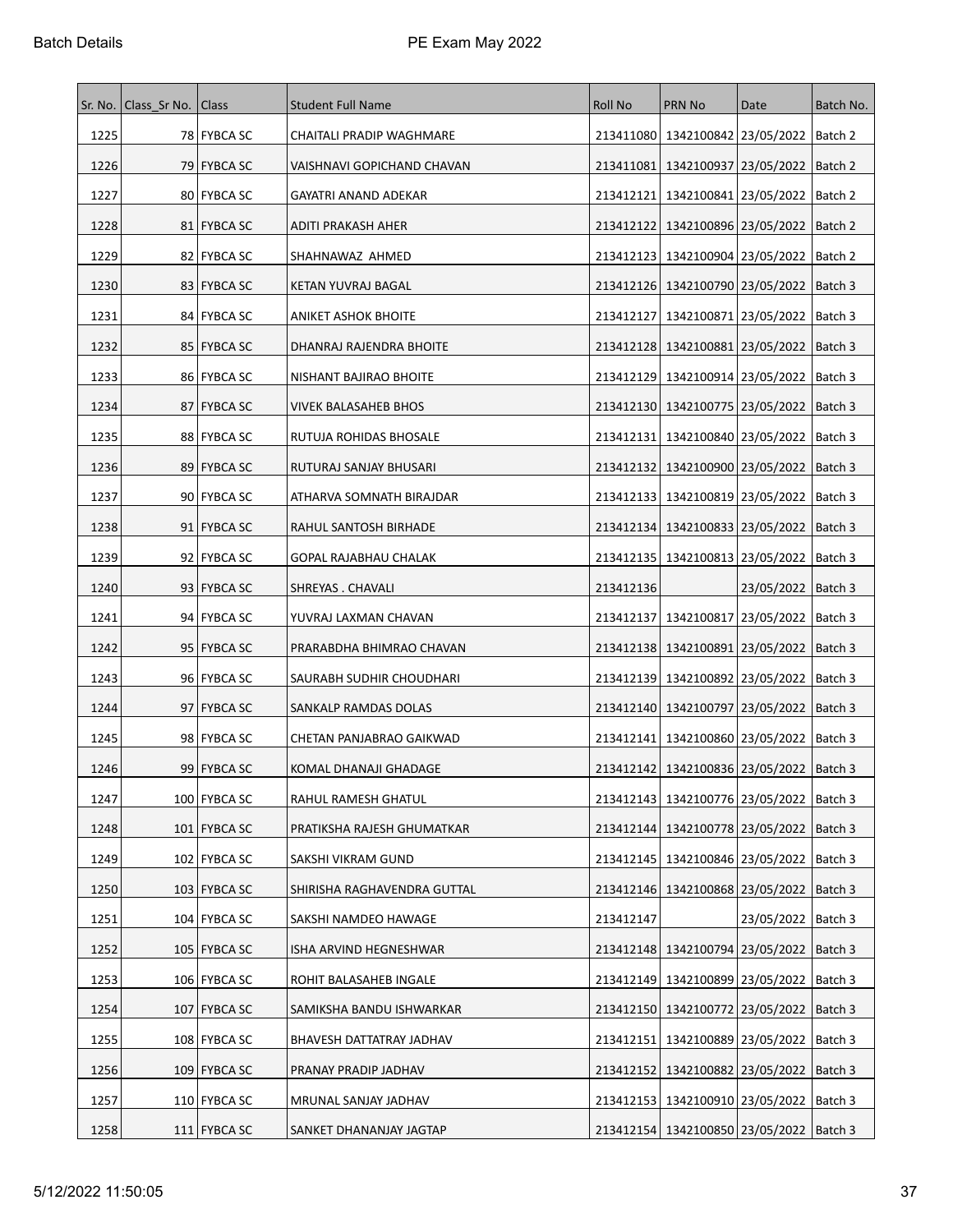|      | Sr. No.   Class Sr No.   Class |                | <b>Student Full Name</b>    | <b>Roll No</b> | PRN No                                        | Date                            | Batch No. |
|------|--------------------------------|----------------|-----------------------------|----------------|-----------------------------------------------|---------------------------------|-----------|
| 1225 |                                | 78 FYBCA SC    | CHAITALI PRADIP WAGHMARE    |                | 213411080   1342100842   23/05/2022   Batch 2 |                                 |           |
| 1226 |                                | 79   FYBCA SC  | VAISHNAVI GOPICHAND CHAVAN  | 213411081      | 1342100937 23/05/2022                         |                                 | Batch 2   |
| 1227 |                                | 80 FYBCA SC    | GAYATRI ANAND ADEKAR        | 213412121      | 1342100841 23/05/2022                         |                                 | Batch 2   |
| 1228 |                                | 81   FYBCA SC  | ADITI PRAKASH AHER          | 213412122      | 1342100896 23/05/2022                         |                                 | Batch 2   |
| 1229 |                                | 82 FYBCA SC    | SHAHNAWAZ AHMED             |                | 213412123   1342100904   23/05/2022           |                                 | Batch 2   |
| 1230 |                                | 83 FYBCA SC    | KETAN YUVRAJ BAGAL          |                | 213412126   1342100790   23/05/2022           |                                 | Batch 3   |
| 1231 |                                | 84   FYBCA SC  | <b>ANIKET ASHOK BHOITE</b>  | 213412127      |                                               | 1342100871 23/05/2022   Batch 3 |           |
| 1232 |                                | 85   FYBCA SC  | DHANRAJ RAJENDRA BHOITE     | 213412128      | 1342100881 23/05/2022                         |                                 | Batch 3   |
| 1233 |                                | 86 FYBCA SC    | NISHANT BAJIRAO BHOITE      |                | 213412129   1342100914   23/05/2022           |                                 | Batch 3   |
| 1234 |                                | 87 FYBCA SC    | VIVEK BALASAHEB BHOS        |                | 213412130   1342100775   23/05/2022   Batch 3 |                                 |           |
| 1235 |                                | 88 FYBCA SC    | RUTUJA ROHIDAS BHOSALE      | 213412131      | 1342100840 23/05/2022                         |                                 | Batch 3   |
| 1236 |                                | 89 FYBCA SC    | RUTURAJ SANJAY BHUSARI      | 213412132      |                                               | 1342100900 23/05/2022   Batch 3 |           |
| 1237 |                                | 90 FYBCA SC    | ATHARVA SOMNATH BIRAJDAR    | 213412133      | 1342100819 23/05/2022                         |                                 | Batch 3   |
| 1238 |                                | 91 FYBCA SC    | RAHUL SANTOSH BIRHADE       |                | 213412134   1342100833   23/05/2022   Batch 3 |                                 |           |
| 1239 |                                | 92   FYBCA SC  | GOPAL RAJABHAU CHALAK       |                | 213412135   1342100813   23/05/2022           |                                 | Batch 3   |
| 1240 |                                | 93   FYBCA SC  | SHREYAS . CHAVALI           | 213412136      |                                               | 23/05/2022   Batch 3            |           |
| 1241 |                                | 94   FYBCA SC  | YUVRAJ LAXMAN CHAVAN        |                | 213412137   1342100817   23/05/2022           |                                 | Batch 3   |
| 1242 |                                | 95   FYBCA SC  | PRARABDHA BHIMRAO CHAVAN    |                | 213412138   1342100891   23/05/2022   Batch 3 |                                 |           |
| 1243 |                                | 96 FYBCA SC    | SAURABH SUDHIR CHOUDHARI    |                | 213412139   1342100892   23/05/2022           |                                 | Batch 3   |
| 1244 |                                | 97   FYBCA SC  | SANKALP RAMDAS DOLAS        | 213412140      |                                               | 1342100797 23/05/2022   Batch 3 |           |
| 1245 |                                | 98 FYBCA SC    | CHETAN PANJABRAO GAIKWAD    | 213412141      |                                               | 1342100860 23/05/2022   Batch 3 |           |
| 1246 |                                | 99 FYBCA SC    | KOMAL DHANAJI GHADAGE       | 213412142      | 1342100836 23/05/2022                         |                                 | Batch 3   |
| 1247 |                                | 100 FYBCA SC   | RAHUL RAMESH GHATUL         |                | 213412143   1342100776   23/05/2022   Batch 3 |                                 |           |
| 1248 |                                | 101 FYBCA SC   | PRATIKSHA RAJESH GHUMATKAR  |                | 213412144   1342100778   23/05/2022           |                                 | Batch 3   |
| 1249 |                                | 102 FYBCA SC   | SAKSHI VIKRAM GUND          |                | 213412145   1342100846   23/05/2022           |                                 | Batch 3   |
| 1250 |                                | 103 FYBCA SC   | SHIRISHA RAGHAVENDRA GUTTAL |                | 213412146   1342100868   23/05/2022           |                                 | Batch 3   |
| 1251 |                                | 104 FYBCA SC   | SAKSHI NAMDEO HAWAGE        | 213412147      |                                               | 23/05/2022   Batch 3            |           |
| 1252 |                                | 105   FYBCA SC | ISHA ARVIND HEGNESHWAR      |                | 213412148   1342100794   23/05/2022           |                                 | Batch 3   |
| 1253 |                                | 106 FYBCA SC   | ROHIT BALASAHEB INGALE      |                | 213412149   1342100899   23/05/2022           |                                 | Batch 3   |
| 1254 |                                | 107 FYBCA SC   | SAMIKSHA BANDU ISHWARKAR    | 213412150      | 1342100772 23/05/2022                         |                                 | Batch 3   |
| 1255 |                                | 108 FYBCA SC   | BHAVESH DATTATRAY JADHAV    |                | 213412151   1342100889   23/05/2022   Batch 3 |                                 |           |
| 1256 |                                | 109 FYBCA SC   | PRANAY PRADIP JADHAV        | 213412152      |                                               | 1342100882 23/05/2022 Batch 3   |           |
| 1257 |                                | 110 FYBCA SC   | MRUNAL SANJAY JADHAV        |                | 213412153   1342100910   23/05/2022           |                                 | Batch 3   |
| 1258 |                                | 111 FYBCA SC   | SANKET DHANANJAY JAGTAP     |                | 213412154   1342100850   23/05/2022   Batch 3 |                                 |           |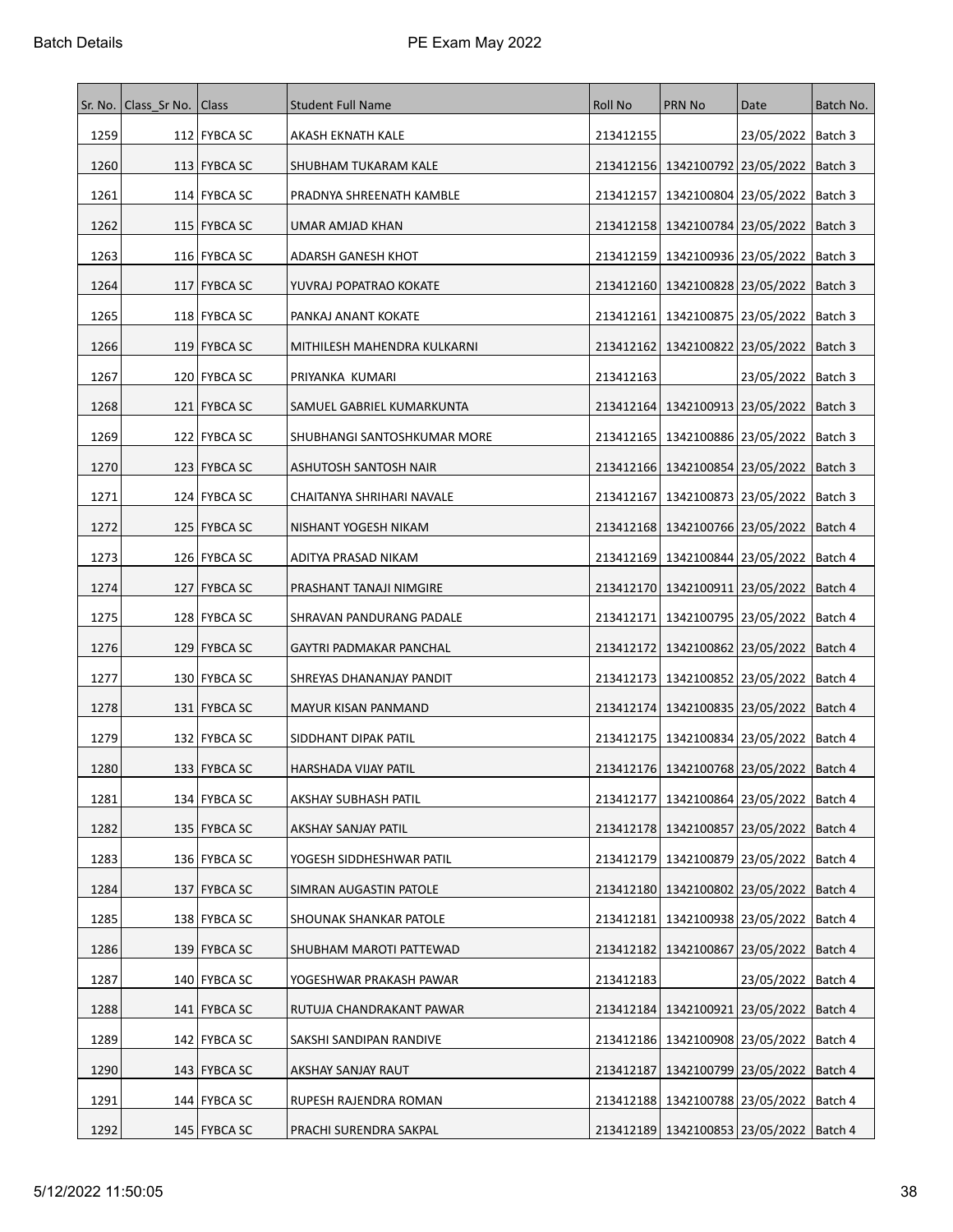| Sr. No. | Class Sr No.   Class |                | <b>Student Full Name</b>    | <b>Roll No</b> | <b>PRN No</b>                                 | Date                          | Batch No. |
|---------|----------------------|----------------|-----------------------------|----------------|-----------------------------------------------|-------------------------------|-----------|
| 1259    |                      | 112 FYBCA SC   | AKASH EKNATH KALE           | 213412155      |                                               | 23/05/2022   Batch 3          |           |
| 1260    |                      | 113 FYBCA SC   | SHUBHAM TUKARAM KALE        |                | 213412156   1342100792   23/05/2022           |                               | Batch 3   |
| 1261    |                      | 114 FYBCA SC   | PRADNYA SHREENATH KAMBLE    | 213412157      | 1342100804   23/05/2022                       |                               | Batch 3   |
| 1262    |                      | 115   FYBCA SC | UMAR AMJAD KHAN             |                | 213412158   1342100784   23/05/2022           |                               | Batch 3   |
| 1263    |                      | 116   FYBCA SC | ADARSH GANESH KHOT          |                | 213412159   1342100936   23/05/2022           |                               | Batch 3   |
| 1264    |                      | 117 FYBCA SC   | YUVRAJ POPATRAO KOKATE      |                | 213412160   1342100828   23/05/2022           |                               | Batch 3   |
| 1265    |                      | 118   FYBCA SC | PANKAJ ANANT KOKATE         |                | 213412161   1342100875   23/05/2022           |                               | Batch 3   |
| 1266    |                      | 119 FYBCA SC   | MITHILESH MAHENDRA KULKARNI | 213412162      | 1342100822 23/05/2022                         |                               | Batch 3   |
| 1267    |                      | 120 FYBCA SC   | PRIYANKA KUMARI             | 213412163      |                                               | 23/05/2022   Batch 3          |           |
| 1268    |                      | 121   FYBCA SC | SAMUEL GABRIEL KUMARKUNTA   |                | 213412164   1342100913   23/05/2022   Batch 3 |                               |           |
| 1269    |                      | 122   FYBCA SC | SHUBHANGI SANTOSHKUMAR MORE |                | 213412165   1342100886   23/05/2022           |                               | Batch 3   |
| 1270    |                      | 123   FYBCA SC | ASHUTOSH SANTOSH NAIR       |                | 213412166   1342100854   23/05/2022   Batch 3 |                               |           |
| 1271    |                      | 124 FYBCA SC   | CHAITANYA SHRIHARI NAVALE   |                | 213412167   1342100873   23/05/2022           |                               | Batch 3   |
| 1272    |                      | 125   FYBCA SC | NISHANT YOGESH NIKAM        |                | 213412168   1342100766   23/05/2022           |                               | Batch 4   |
| 1273    |                      | 126   FYBCA SC | ADITYA PRASAD NIKAM         |                | 213412169   1342100844   23/05/2022           |                               | Batch 4   |
| 1274    |                      | 127   FYBCA SC | PRASHANT TANAJI NIMGIRE     |                | 213412170   1342100911   23/05/2022           |                               | Batch 4   |
| 1275    |                      | 128 FYBCA SC   | SHRAVAN PANDURANG PADALE    |                | 213412171   1342100795   23/05/2022           |                               | Batch 4   |
| 1276    |                      | 129   FYBCA SC | GAYTRI PADMAKAR PANCHAL     |                | 213412172   1342100862   23/05/2022           |                               | Batch 4   |
| 1277    |                      | 130 FYBCA SC   | SHREYAS DHANANJAY PANDIT    |                | 213412173   1342100852   23/05/2022           |                               | Batch 4   |
| 1278    |                      | 131   FYBCA SC | MAYUR KISAN PANMAND         |                | 213412174   1342100835   23/05/2022           |                               | Batch 4   |
| 1279    |                      | 132   FYBCA SC | SIDDHANT DIPAK PATIL        |                | 213412175   1342100834   23/05/2022           |                               | Batch 4   |
| 1280    |                      | 133   FYBCA SC | HARSHADA VIJAY PATIL        |                | 213412176   1342100768   23/05/2022           |                               | Batch 4   |
| 1281    |                      | 134 FYBCA SC   | AKSHAY SUBHASH PATIL        |                | 213412177   1342100864   23/05/2022   Batch 4 |                               |           |
| 1282    |                      | 135   FYBCA SC | AKSHAY SANJAY PATIL         |                | 213412178 1342100857 23/05/2022               |                               | Batch 4   |
| 1283    |                      | 136 FYBCA SC   | YOGESH SIDDHESHWAR PATIL    |                | 213412179   1342100879   23/05/2022           |                               | Batch 4   |
| 1284    |                      | 137 FYBCA SC   | SIMRAN AUGASTIN PATOLE      |                | 213412180   1342100802   23/05/2022           |                               | Batch 4   |
| 1285    |                      | 138 FYBCA SC   | SHOUNAK SHANKAR PATOLE      |                | 213412181   1342100938   23/05/2022   Batch 4 |                               |           |
| 1286    |                      | 139 FYBCA SC   | SHUBHAM MAROTI PATTEWAD     |                | 213412182   1342100867   23/05/2022           |                               | Batch 4   |
| 1287    |                      | 140 FYBCA SC   | YOGESHWAR PRAKASH PAWAR     | 213412183      |                                               | 23/05/2022   Batch 4          |           |
| 1288    |                      | 141 FYBCA SC   | RUTUJA CHANDRAKANT PAWAR    | 213412184      | 1342100921 23/05/2022                         |                               | Batch 4   |
| 1289    |                      | 142 FYBCA SC   | SAKSHI SANDIPAN RANDIVE     |                | 213412186   1342100908   23/05/2022   Batch 4 |                               |           |
| 1290    |                      | 143 FYBCA SC   | AKSHAY SANJAY RAUT          | 213412187      |                                               | 1342100799 23/05/2022 Batch 4 |           |
| 1291    |                      | 144 FYBCA SC   | RUPESH RAJENDRA ROMAN       |                | 213412188   1342100788   23/05/2022           |                               | Batch 4   |
| 1292    |                      | 145 FYBCA SC   | PRACHI SURENDRA SAKPAL      |                | 213412189 1342100853 23/05/2022   Batch 4     |                               |           |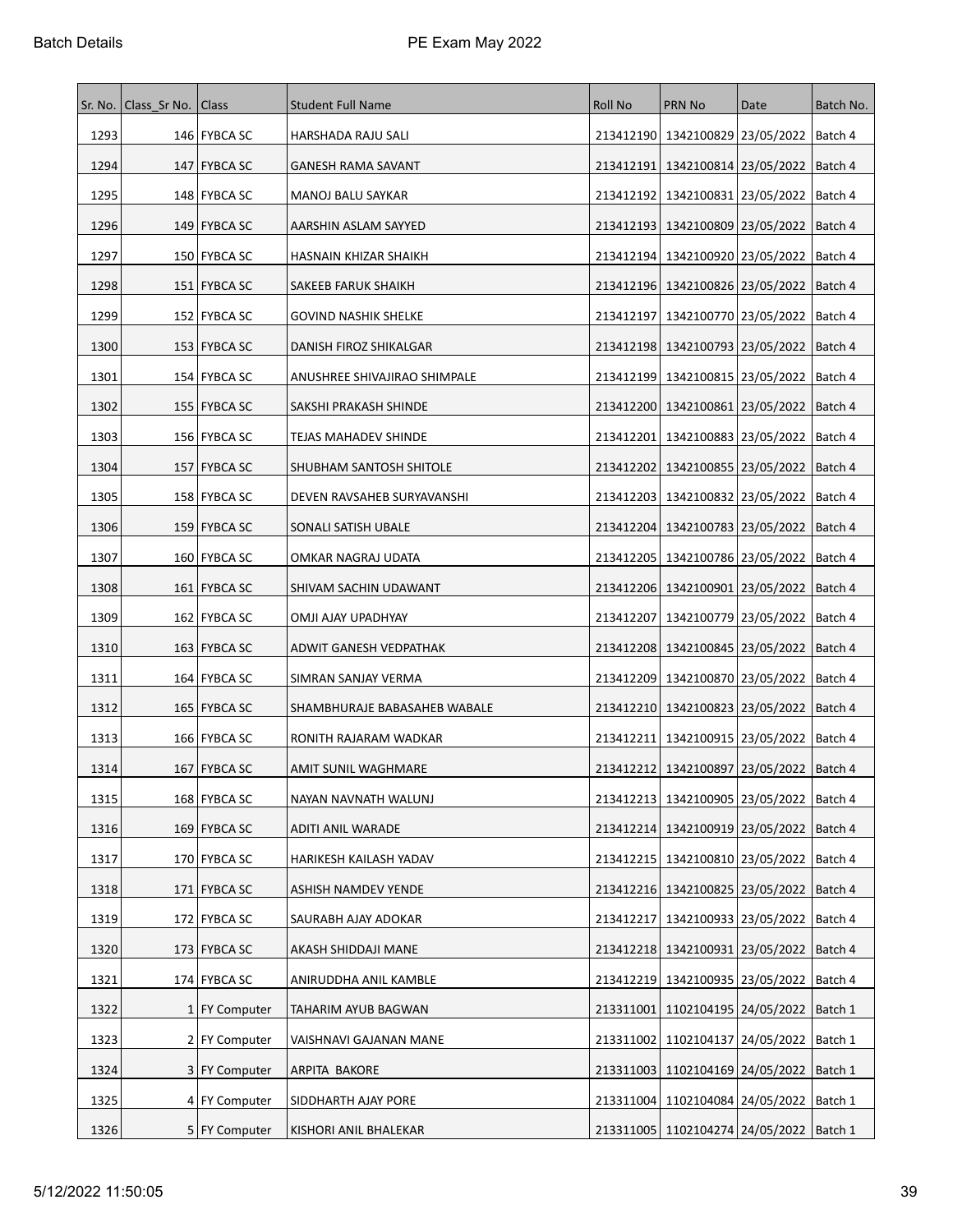|      | Sr. No.   Class Sr No. | Class           | <b>Student Full Name</b>     | Roll No   | PRN No                                        | Date                            | Batch No. |
|------|------------------------|-----------------|------------------------------|-----------|-----------------------------------------------|---------------------------------|-----------|
| 1293 |                        | 146   FYBCA SC  | HARSHADA RAJU SALI           |           | 213412190   1342100829   23/05/2022   Batch 4 |                                 |           |
| 1294 |                        | 147 FYBCA SC    | <b>GANESH RAMA SAVANT</b>    | 213412191 | 1342100814 23/05/2022                         |                                 | Batch 4   |
| 1295 |                        | 148   FYBCA SC  | MANOJ BALU SAYKAR            | 213412192 | 1342100831 23/05/2022                         |                                 | Batch 4   |
| 1296 |                        | 149   FYBCA SC  | AARSHIN ASLAM SAYYED         | 213412193 | 1342100809 23/05/2022                         |                                 | Batch 4   |
| 1297 |                        | 150 FYBCA SC    | HASNAIN KHIZAR SHAIKH        | 213412194 | 1342100920 23/05/2022                         |                                 | Batch 4   |
| 1298 |                        | 151   FYBCA SC  | SAKEEB FARUK SHAIKH          |           | 213412196   1342100826   23/05/2022   Batch 4 |                                 |           |
| 1299 |                        | 152   FYBCA SC  | <b>GOVIND NASHIK SHELKE</b>  | 213412197 | 1342100770 23/05/2022                         |                                 | ∣Batch 4  |
| 1300 |                        | 153   FYBCA SC  | DANISH FIROZ SHIKALGAR       |           | 213412198   1342100793   23/05/2022           |                                 | Batch 4   |
| 1301 |                        | 154   FYBCA SC  | ANUSHREE SHIVAJIRAO SHIMPALE | 213412199 | 1342100815   23/05/2022                       |                                 | Batch 4   |
| 1302 |                        | 155   FYBCA SC  | SAKSHI PRAKASH SHINDE        |           | 213412200   1342100861   23/05/2022           |                                 | Batch 4   |
| 1303 |                        | 156   FYBCA SC  | <b>TEJAS MAHADEV SHINDE</b>  | 213412201 | 1342100883 23/05/2022                         |                                 | Batch 4   |
| 1304 |                        | 157   FYBCA SC  | SHUBHAM SANTOSH SHITOLE      |           | 213412202   1342100855   23/05/2022   Batch 4 |                                 |           |
| 1305 |                        | 158   FYBCA SC  | DEVEN RAVSAHEB SURYAVANSHI   | 213412203 | 1342100832 23/05/2022                         |                                 | Batch 4   |
| 1306 |                        | 159 FYBCA SC    | SONALI SATISH UBALE          |           | 213412204   1342100783   23/05/2022           |                                 | Batch 4   |
| 1307 |                        | 160   FYBCA SC  | OMKAR NAGRAJ UDATA           |           | 213412205   1342100786   23/05/2022           |                                 | Batch 4   |
| 1308 |                        | 161   FYBCA SC  | SHIVAM SACHIN UDAWANT        | 213412206 | 1342100901 23/05/2022                         |                                 | Batch 4   |
| 1309 |                        | 162   FYBCA SC  | OMJI AJAY UPADHYAY           | 213412207 |                                               | 1342100779 23/05/2022   Batch 4 |           |
| 1310 |                        | 163 FYBCA SC    | ADWIT GANESH VEDPATHAK       | 213412208 | 1342100845   23/05/2022                       |                                 | Batch 4   |
| 1311 |                        | 164 FYBCA SC    | SIMRAN SANJAY VERMA          |           | 213412209   1342100870   23/05/2022   Batch 4 |                                 |           |
| 1312 |                        | 165   FYBCA SC  | SHAMBHURAJE BABASAHEB WABALE | 213412210 | 1342100823 23/05/2022                         |                                 | Batch 4   |
| 1313 |                        | 166 FYBCA SC    | RONITH RAJARAM WADKAR        | 213412211 |                                               | 1342100915 23/05/2022   Batch 4 |           |
| 1314 |                        | 167 FYBCA SC    | AMIT SUNIL WAGHMARE          |           | 213412212   1342100897   23/05/2022           |                                 | Batch 4   |
| 1315 |                        | 168 FYBCA SC    | NAYAN NAVNATH WALUNJ         |           | 213412213   1342100905   23/05/2022   Batch 4 |                                 |           |
| 1316 |                        | 169 FYBCA SC    | ADITI ANIL WARADE            |           | 213412214   1342100919   23/05/2022           |                                 | Batch 4   |
| 1317 |                        | 170 FYBCA SC    | HARIKESH KAILASH YADAV       |           | 213412215   1342100810   23/05/2022           |                                 | Batch 4   |
| 1318 |                        | 171 FYBCA SC    | ASHISH NAMDEV YENDE          |           | 213412216   1342100825   23/05/2022           |                                 | Batch 4   |
| 1319 |                        | 172 FYBCA SC    | SAURABH AJAY ADOKAR          | 213412217 | 1342100933 23/05/2022   Batch 4               |                                 |           |
| 1320 |                        | 173 FYBCA SC    | AKASH SHIDDAJI MANE          |           | 213412218   1342100931   23/05/2022   Batch 4 |                                 |           |
| 1321 |                        | 174 FYBCA SC    | ANIRUDDHA ANIL KAMBLE        | 213412219 | 1342100935 23/05/2022                         |                                 | Batch 4   |
| 1322 |                        | 1   FY Computer | TAHARIM AYUB BAGWAN          | 213311001 |                                               | 1102104195 24/05/2022           | Batch 1   |
| 1323 |                        | 2 FY Computer   | VAISHNAVI GAJANAN MANE       | 213311002 |                                               | 1102104137 24/05/2022           | Batch 1   |
| 1324 |                        | 3 FY Computer   | ARPITA BAKORE                | 213311003 | 1102104169 24/05/2022 Batch 1                 |                                 |           |
| 1325 |                        | 4 FY Computer   | SIDDHARTH AJAY PORE          |           | 213311004   1102104084   24/05/2022           |                                 | Batch 1   |
| 1326 |                        | 5   FY Computer | KISHORI ANIL BHALEKAR        |           | 213311005   1102104274   24/05/2022   Batch 1 |                                 |           |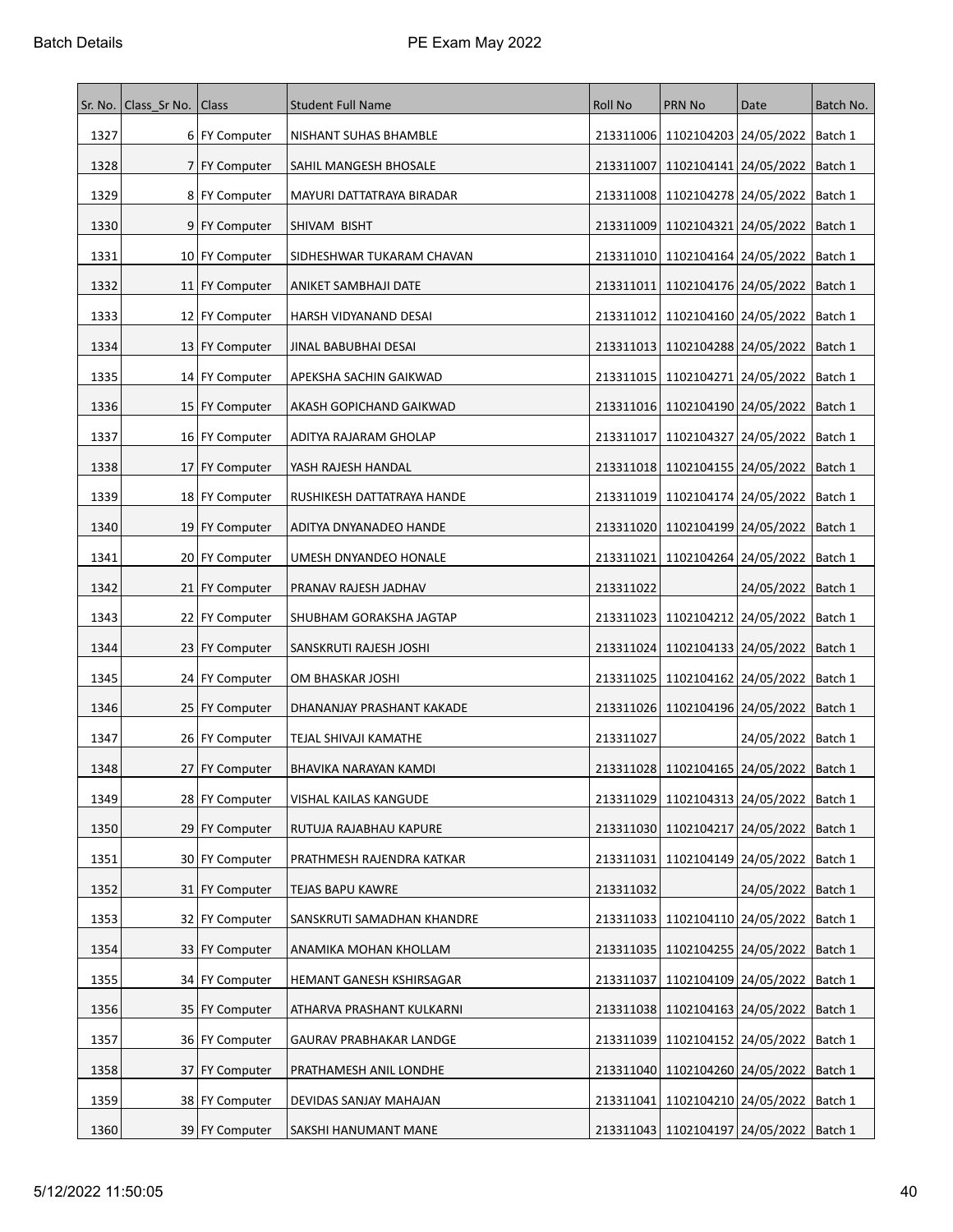|      | Sr. No.   Class Sr No. | Class            | <b>Student Full Name</b>    | <b>Roll No</b> | <b>PRN No</b>                                 | Date                            | Batch No. |
|------|------------------------|------------------|-----------------------------|----------------|-----------------------------------------------|---------------------------------|-----------|
| 1327 |                        | 6 FY Computer    | NISHANT SUHAS BHAMBLE       |                | 213311006   1102104203   24/05/2022   Batch 1 |                                 |           |
| 1328 |                        | 7 FY Computer    | SAHIL MANGESH BHOSALE       | 213311007      | 1102104141 24/05/2022                         |                                 | Batch 1   |
| 1329 |                        | 8 FY Computer    | MAYURI DATTATRAYA BIRADAR   | 213311008      | 1102104278 24/05/2022                         |                                 | Batch 1   |
| 1330 |                        | 9 FY Computer    | SHIVAM BISHT                | 213311009      | 1102104321   24/05/2022                       |                                 | Batch 1   |
| 1331 |                        | 10 FY Computer   | SIDHESHWAR TUKARAM CHAVAN   | 213311010      | 1102104164 24/05/2022                         |                                 | Batch 1   |
| 1332 |                        | 11 FY Computer   | ANIKET SAMBHAJI DATE        | 213311011      |                                               | 1102104176 24/05/2022   Batch 1 |           |
| 1333 |                        | 12   FY Computer | HARSH VIDYANAND DESAI       | 213311012      | 1102104160 24/05/2022                         |                                 | Batch 1   |
| 1334 |                        | 13   FY Computer | JINAL BABUBHAI DESAI        | 213311013      | 1102104288 24/05/2022                         |                                 | Batch 1   |
| 1335 |                        | 14 FY Computer   | APEKSHA SACHIN GAIKWAD      | 213311015      | 1102104271 24/05/2022                         |                                 | Batch 1   |
| 1336 |                        | 15   FY Computer | AKASH GOPICHAND GAIKWAD     |                | 213311016 1102104190 24/05/2022 Batch 1       |                                 |           |
| 1337 |                        | 16 FY Computer   | ADITYA RAJARAM GHOLAP       | 213311017      | 1102104327 24/05/2022                         |                                 | Batch 1   |
| 1338 |                        | 17 FY Computer   | YASH RAJESH HANDAL          |                | 213311018   1102104155   24/05/2022   Batch 1 |                                 |           |
| 1339 |                        | 18 FY Computer   | RUSHIKESH DATTATRAYA HANDE  | 213311019      | 1102104174 24/05/2022                         |                                 | Batch 1   |
| 1340 |                        | 19 FY Computer   | ADITYA DNYANADEO HANDE      |                | 213311020 1102104199 24/05/2022               |                                 | Batch 1   |
| 1341 |                        | 20 FY Computer   | UMESH DNYANDEO HONALE       | 213311021      | 1102104264 24/05/2022                         |                                 | Batch 1   |
| 1342 |                        | 21 FY Computer   | PRANAV RAJESH JADHAV        | 213311022      |                                               | 24/05/2022                      | Batch 1   |
| 1343 |                        | 22   FY Computer | SHUBHAM GORAKSHA JAGTAP     | 213311023      | 1102104212 24/05/2022   Batch 1               |                                 |           |
| 1344 |                        | 23   FY Computer | SANSKRUTI RAJESH JOSHI      | 213311024      | 1102104133 24/05/2022                         |                                 | Batch 1   |
| 1345 |                        | 24 FY Computer   | OM BHASKAR JOSHI            | 213311025      | 1102104162 24/05/2022                         |                                 | Batch 1   |
| 1346 |                        | 25   FY Computer | DHANANJAY PRASHANT KAKADE   | 213311026      | 1102104196 24/05/2022                         |                                 | Batch 1   |
| 1347 |                        | 26 FY Computer   | TEJAL SHIVAJI KAMATHE       | 213311027      |                                               | 24/05/2022   Batch 1            |           |
| 1348 |                        | 27 FY Computer   | BHAVIKA NARAYAN KAMDI       |                | 213311028 1102104165 24/05/2022 Batch 1       |                                 |           |
| 1349 |                        | 28 FY Computer   | VISHAL KAILAS KANGUDE       |                | 213311029 1102104313 24/05/2022   Batch 1     |                                 |           |
| 1350 |                        | 29 FY Computer   | RUTUJA RAJABHAU KAPURE      |                | 213311030 1102104217 24/05/2022               |                                 | Batch 1   |
| 1351 |                        | 30 FY Computer   | PRATHMESH RAJENDRA KATKAR   | 213311031      |                                               | 1102104149 24/05/2022           | Batch 1   |
| 1352 |                        | 31 FY Computer   | TEJAS BAPU KAWRE            | 213311032      |                                               | 24/05/2022                      | Batch 1   |
| 1353 |                        | 32 FY Computer   | SANSKRUTI SAMADHAN KHANDRE  |                | 213311033   1102104110   24/05/2022   Batch 1 |                                 |           |
| 1354 |                        | 33 FY Computer   | ANAMIKA MOHAN KHOLLAM       | 213311035      |                                               | 1102104255 24/05/2022   Batch 1 |           |
| 1355 |                        | 34 FY Computer   | HEMANT GANESH KSHIRSAGAR    | 213311037      | 1102104109 24/05/2022                         |                                 | Batch 1   |
| 1356 |                        | 35   FY Computer | ATHARVA PRASHANT KULKARNI   | 213311038      |                                               | 1102104163 24/05/2022           | Batch 1   |
| 1357 |                        | 36 FY Computer   | GAURAV PRABHAKAR LANDGE     | 213311039      | 1102104152 24/05/2022                         |                                 | Batch 1   |
| 1358 |                        | 37 FY Computer   | PRATHAMESH ANIL LONDHE      | 213311040      | 1102104260 24/05/2022 Batch 1                 |                                 |           |
| 1359 |                        | 38 FY Computer   | DEVIDAS SANJAY MAHAJAN      | 213311041      | 1102104210 24/05/2022                         |                                 | Batch 1   |
| 1360 |                        | 39 FY Computer   | <b>SAKSHI HANUMANT MANE</b> |                | 213311043   1102104197   24/05/2022   Batch 1 |                                 |           |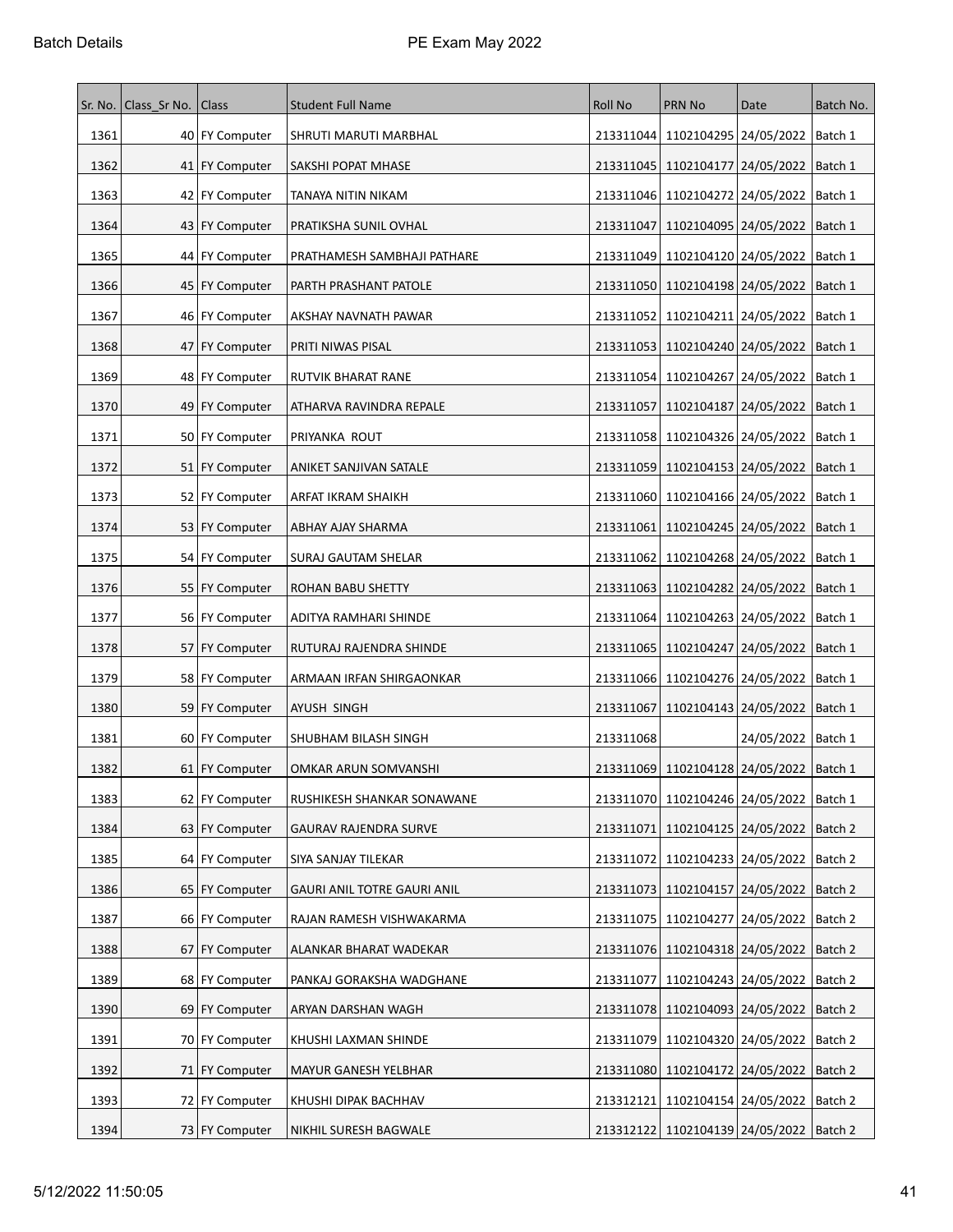|      | Sr. No.   Class Sr No. | Class            | <b>Student Full Name</b>    | <b>Roll No</b> | <b>PRN No</b>                             | Date       | Batch No. |
|------|------------------------|------------------|-----------------------------|----------------|-------------------------------------------|------------|-----------|
| 1361 |                        | 40 FY Computer   | SHRUTI MARUTI MARBHAL       |                | 213311044 1102104295 24/05/2022           |            | Batch 1   |
| 1362 |                        | 41   FY Computer | SAKSHI POPAT MHASE          |                | 213311045   1102104177   24/05/2022       |            | Batch 1   |
| 1363 |                        | 42 FY Computer   | TANAYA NITIN NIKAM          |                | 213311046 1102104272 24/05/2022           |            | Batch 1   |
| 1364 |                        | 43 FY Computer   | PRATIKSHA SUNIL OVHAL       | 213311047      | 1102104095   24/05/2022                   |            | Batch 1   |
| 1365 |                        | 44   FY Computer | PRATHAMESH SAMBHAJI PATHARE | 213311049      | 1102104120 24/05/2022                     |            | Batch 1   |
| 1366 |                        | 45 FY Computer   | PARTH PRASHANT PATOLE       |                | 213311050   1102104198   24/05/2022       |            | Batch 1   |
| 1367 |                        | 46   FY Computer | AKSHAY NAVNATH PAWAR        | 213311052      | 1102104211 24/05/2022                     |            | Batch 1   |
| 1368 |                        | 47   FY Computer | PRITI NIWAS PISAL           | 213311053      | 1102104240 24/05/2022                     |            | Batch 1   |
| 1369 |                        | 48 FY Computer   | RUTVIK BHARAT RANE          |                | 213311054   1102104267   24/05/2022       |            | Batch 1   |
| 1370 |                        | 49 FY Computer   | ATHARVA RAVINDRA REPALE     | 213311057      | 1102104187 24/05/2022                     |            | Batch 1   |
| 1371 |                        | 50 FY Computer   | PRIYANKA ROUT               |                | 213311058   1102104326   24/05/2022       |            | Batch 1   |
| 1372 |                        | 51 FY Computer   | ANIKET SANJIVAN SATALE      |                | 213311059   1102104153   24/05/2022       |            | Batch 1   |
| 1373 |                        | 52 FY Computer   | ARFAT IKRAM SHAIKH          | 213311060      | 1102104166 24/05/2022                     |            | Batch 1   |
| 1374 |                        | 53 FY Computer   | ABHAY AJAY SHARMA           |                | 213311061   1102104245   24/05/2022       |            | Batch 1   |
| 1375 |                        | 54 FY Computer   | SURAJ GAUTAM SHELAR         | 213311062      | 1102104268 24/05/2022                     |            | Batch 1   |
| 1376 |                        | 55   FY Computer | ROHAN BABU SHETTY           | 213311063      | 1102104282 24/05/2022                     |            | Batch 1   |
| 1377 |                        | 56 FY Computer   | ADITYA RAMHARI SHINDE       | 213311064      | 1102104263 24/05/2022                     |            | Batch 1   |
| 1378 |                        | 57   FY Computer | RUTURAJ RAJENDRA SHINDE     |                | 213311065   1102104247   24/05/2022       |            | Batch 1   |
| 1379 |                        | 58   FY Computer | ARMAAN IRFAN SHIRGAONKAR    |                | 213311066   1102104276   24/05/2022       |            | Batch 1   |
| 1380 |                        | 59 FY Computer   | AYUSH SINGH                 | 213311067      | 1102104143 24/05/2022                     |            | Batch 1   |
| 1381 |                        | 60 FY Computer   | SHUBHAM BILASH SINGH        | 213311068      |                                           | 24/05/2022 | Batch 1   |
| 1382 |                        | 61 FY Computer   | OMKAR ARUN SOMVANSHI        |                | 213311069 1102104128 24/05/2022           |            | Batch 1   |
| 1383 |                        | 62 FY Computer   | RUSHIKESH SHANKAR SONAWANE  |                | 213311070 1102104246 24/05/2022           |            | Batch 1   |
| 1384 |                        | 63   FY Computer | GAURAV RAJENDRA SURVE       |                | 213311071   1102104125   24/05/2022       |            | Batch 2   |
| 1385 |                        | 64 FY Computer   | SIYA SANJAY TILEKAR         |                | 213311072 1102104233 24/05/2022           |            | Batch 2   |
| 1386 |                        | 65 FY Computer   | GAURI ANIL TOTRE GAURI ANIL |                | 213311073 1102104157 24/05/2022           |            | Batch 2   |
| 1387 |                        | 66 FY Computer   | RAJAN RAMESH VISHWAKARMA    |                | 213311075   1102104277   24/05/2022       |            | Batch 2   |
| 1388 |                        | 67 FY Computer   | ALANKAR BHARAT WADEKAR      |                | 213311076 1102104318 24/05/2022           |            | Batch 2   |
| 1389 |                        | 68 FY Computer   | PANKAJ GORAKSHA WADGHANE    | 213311077      | 1102104243 24/05/2022                     |            | Batch 2   |
| 1390 |                        | 69 FY Computer   | ARYAN DARSHAN WAGH          |                | 213311078 1102104093 24/05/2022           |            | Batch 2   |
| 1391 |                        | 70 FY Computer   | KHUSHI LAXMAN SHINDE        |                | 213311079 1102104320 24/05/2022           |            | Batch 2   |
| 1392 |                        | 71 FY Computer   | MAYUR GANESH YELBHAR        |                | 213311080 1102104172 24/05/2022           |            | Batch 2   |
| 1393 |                        | 72 FY Computer   | KHUSHI DIPAK BACHHAV        | 213312121      | 1102104154 24/05/2022                     |            | Batch 2   |
| 1394 |                        | 73 FY Computer   | NIKHIL SURESH BAGWALE       |                | 213312122 1102104139 24/05/2022   Batch 2 |            |           |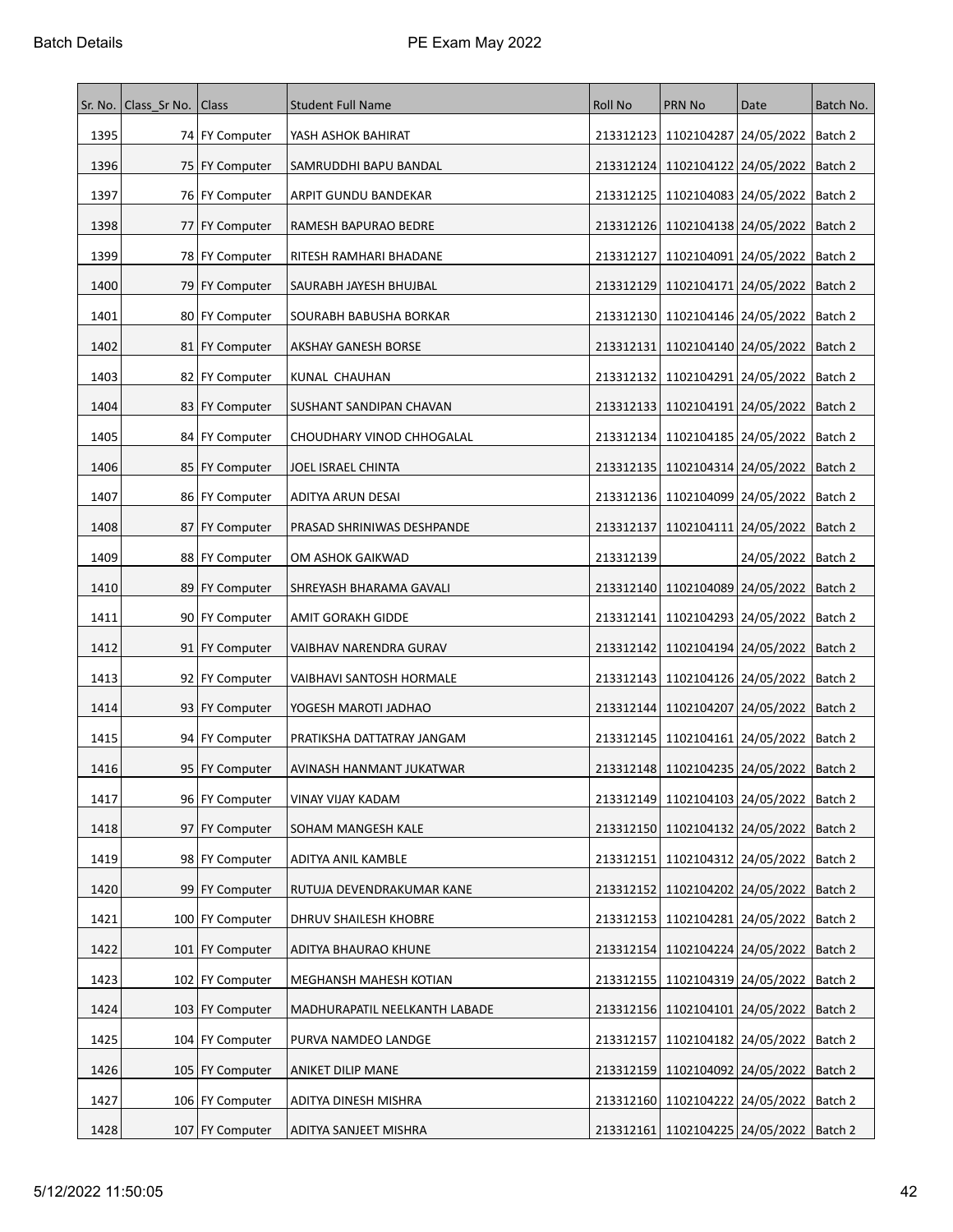|      | Sr. No.   Class Sr No. | Class             | <b>Student Full Name</b>      | <b>Roll No</b> | <b>PRN No</b>                                 | Date                          | Batch No. |
|------|------------------------|-------------------|-------------------------------|----------------|-----------------------------------------------|-------------------------------|-----------|
| 1395 |                        | 74 FY Computer    | YASH ASHOK BAHIRAT            |                | 213312123 1102104287 24/05/2022   Batch 2     |                               |           |
| 1396 |                        | 75   FY Computer  | SAMRUDDHI BAPU BANDAL         | 213312124      | 1102104122 24/05/2022                         |                               | Batch 2   |
| 1397 |                        | 76   FY Computer  | ARPIT GUNDU BANDEKAR          | 213312125      | 1102104083 24/05/2022                         |                               | Batch 2   |
| 1398 |                        | 77 FY Computer    | RAMESH BAPURAO BEDRE          | 213312126      | 1102104138 24/05/2022                         |                               | Batch 2   |
| 1399 |                        | 78   FY Computer  | RITESH RAMHARI BHADANE        | 213312127      | 1102104091 24/05/2022                         |                               | Batch 2   |
| 1400 |                        | 79 FY Computer    | SAURABH JAYESH BHUJBAL        | 213312129      |                                               | 1102104171 24/05/2022 Batch 2 |           |
| 1401 |                        | 80 FY Computer    | SOURABH BABUSHA BORKAR        | 213312130      | 1102104146 24/05/2022                         |                               | Batch 2   |
| 1402 |                        | 81   FY Computer  | <b>AKSHAY GANESH BORSE</b>    | 213312131      | 1102104140 24/05/2022                         |                               | Batch 2   |
| 1403 |                        | 82 FY Computer    | KUNAL CHAUHAN                 | 213312132      | 1102104291 24/05/2022                         |                               | Batch 2   |
| 1404 |                        | 83 FY Computer    | SUSHANT SANDIPAN CHAVAN       | 213312133      | 1102104191 24/05/2022 Batch 2                 |                               |           |
| 1405 |                        | 84 FY Computer    | CHOUDHARY VINOD CHHOGALAL     |                | 213312134   1102104185   24/05/2022           |                               | Batch 2   |
| 1406 |                        | 85 FY Computer    | JOEL ISRAEL CHINTA            |                | 213312135   1102104314   24/05/2022   Batch 2 |                               |           |
| 1407 |                        | 86   FY Computer  | ADITYA ARUN DESAI             | 213312136      | 1102104099 24/05/2022                         |                               | Batch 2   |
| 1408 |                        | 87 FY Computer    | PRASAD SHRINIWAS DESHPANDE    | 213312137      | 1102104111 24/05/2022                         |                               | Batch 2   |
| 1409 |                        | 88 FY Computer    | OM ASHOK GAIKWAD              | 213312139      |                                               | 24/05/2022   Batch 2          |           |
| 1410 |                        | 89   FY Computer  | SHREYASH BHARAMA GAVALI       | 213312140      | 1102104089 24/05/2022                         |                               | Batch 2   |
| 1411 |                        | 90 FY Computer    | AMIT GORAKH GIDDE             | 213312141      |                                               | 1102104293   24/05/2022       | Batch 2   |
| 1412 |                        | 91   FY Computer  | VAIBHAV NARENDRA GURAV        | 213312142      | 1102104194 24/05/2022                         |                               | Batch 2   |
| 1413 |                        | 92 FY Computer    | VAIBHAVI SANTOSH HORMALE      |                | 213312143   1102104126   24/05/2022           |                               | Batch 2   |
| 1414 |                        | 93 FY Computer    | YOGESH MAROTI JADHAO          | 213312144      | 1102104207   24/05/2022                       |                               | Batch 2   |
| 1415 |                        | 94 FY Computer    | PRATIKSHA DATTATRAY JANGAM    | 213312145      | 1102104161 24/05/2022                         |                               | Batch 2   |
| 1416 |                        | 95 FY Computer    | AVINASH HANMANT JUKATWAR      |                | 213312148   1102104235   24/05/2022           |                               | Batch 2   |
| 1417 |                        | 96 FY Computer    | VINAY VIJAY KADAM             |                | 213312149   1102104103   24/05/2022   Batch 2 |                               |           |
| 1418 |                        | 97 FY Computer    | SOHAM MANGESH KALE            |                | 213312150 1102104132 24/05/2022               |                               | Batch 2   |
| 1419 |                        | 98 FY Computer    | ADITYA ANIL KAMBLE            | 213312151      |                                               | 1102104312 24/05/2022         | Batch 2   |
| 1420 |                        | 99 FY Computer    | RUTUJA DEVENDRAKUMAR KANE     | 213312152      | 1102104202 24/05/2022                         |                               | Batch 2   |
| 1421 |                        | 100 FY Computer   | DHRUV SHAILESH KHOBRE         |                | 213312153 1102104281 24/05/2022   Batch 2     |                               |           |
| 1422 |                        | 101   FY Computer | ADITYA BHAURAO KHUNE          | 213312154      |                                               | 1102104224 24/05/2022         | Batch 2   |
| 1423 |                        | 102   FY Computer | MEGHANSH MAHESH KOTIAN        | 213312155      | 1102104319 24/05/2022                         |                               | Batch 2   |
| 1424 |                        | 103 FY Computer   | MADHURAPATIL NEELKANTH LABADE | 213312156      |                                               | 1102104101 24/05/2022         | Batch 2   |
| 1425 |                        | 104 FY Computer   | PURVA NAMDEO LANDGE           | 213312157      |                                               | 1102104182 24/05/2022         | Batch 2   |
| 1426 |                        | 105   FY Computer | ANIKET DILIP MANE             | 213312159      | 1102104092 24/05/2022 Batch 2                 |                               |           |
| 1427 |                        | 106 FY Computer   | ADITYA DINESH MISHRA          |                | 213312160 1102104222 24/05/2022               |                               | Batch 2   |
| 1428 |                        | 107 FY Computer   | ADITYA SANJEET MISHRA         |                | 213312161   1102104225   24/05/2022   Batch 2 |                               |           |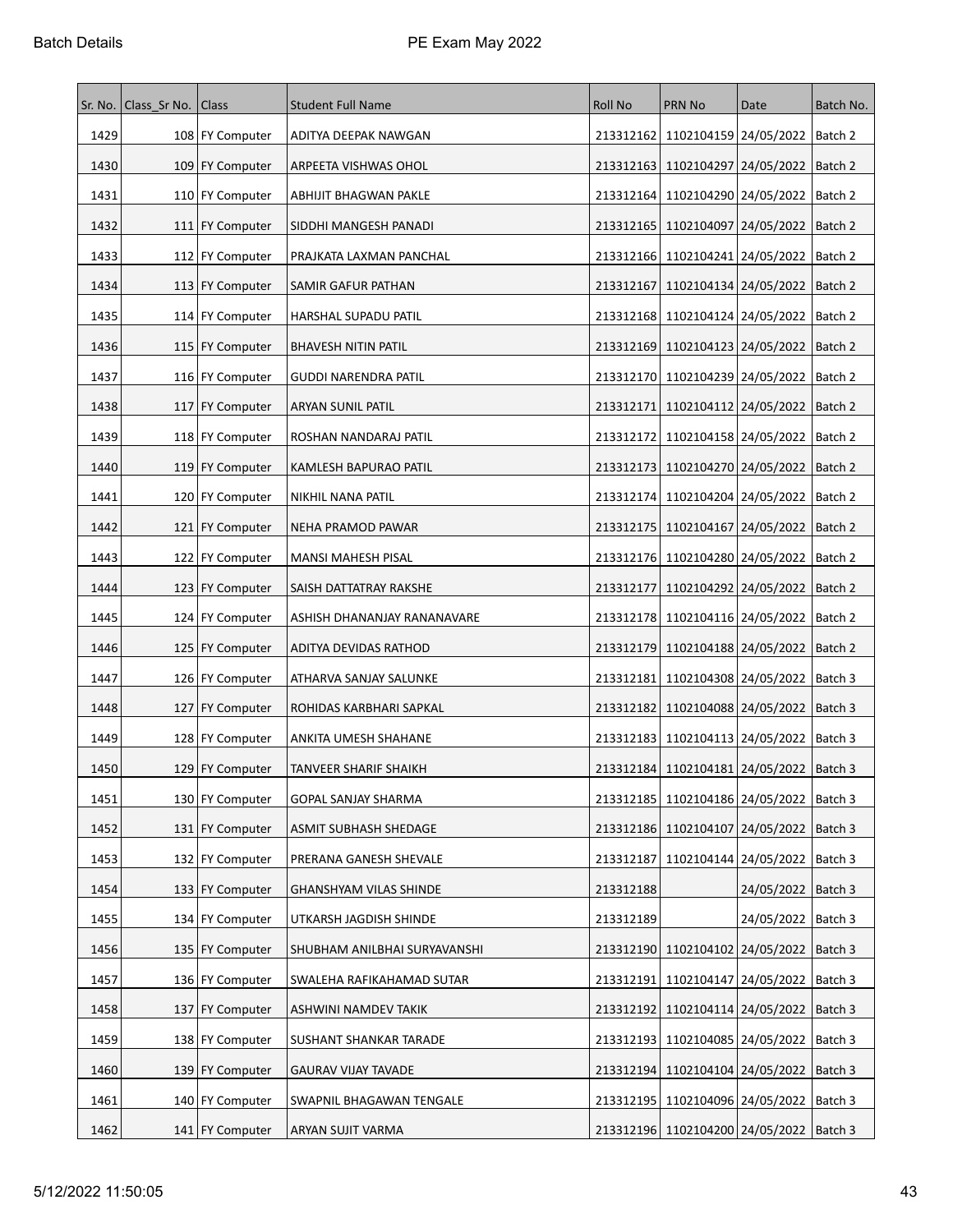| Sr. No. | Class_Sr No. Class |                    | <b>Student Full Name</b>      | <b>Roll No</b> | <b>PRN No</b>                                 | Date                            | Batch No. |
|---------|--------------------|--------------------|-------------------------------|----------------|-----------------------------------------------|---------------------------------|-----------|
| 1429    |                    | 108 FY Computer    | ADITYA DEEPAK NAWGAN          |                | 213312162 1102104159 24/05/2022   Batch 2     |                                 |           |
| 1430    |                    | 109 FY Computer    | ARPEETA VISHWAS OHOL          |                | 213312163 1102104297 24/05/2022 Batch 2       |                                 |           |
| 1431    |                    | 110 FY Computer    | ABHIJIT BHAGWAN PAKLE         | 213312164      | 1102104290 24/05/2022                         |                                 | Batch 2   |
| 1432    |                    | 111 FY Computer    | SIDDHI MANGESH PANADI         | 213312165      | 1102104097 24/05/2022  Batch 2                |                                 |           |
| 1433    |                    | 112   FY Computer  | PRAJKATA LAXMAN PANCHAL       |                | 213312166   1102104241   24/05/2022   Batch 2 |                                 |           |
| 1434    |                    | 113 FY Computer    | SAMIR GAFUR PATHAN            | 213312167      | 1102104134 24/05/2022 Batch 2                 |                                 |           |
| 1435    |                    | 114 FY Computer    | HARSHAL SUPADU PATIL          |                | 213312168   1102104124   24/05/2022   Batch 2 |                                 |           |
| 1436    |                    | 115   FY Computer  | <b>BHAVESH NITIN PATIL</b>    |                | 213312169 1102104123 24/05/2022   Batch 2     |                                 |           |
| 1437    |                    | 116 FY Computer    | GUDDI NARENDRA PATIL          |                | 213312170 1102104239 24/05/2022               |                                 | Batch 2   |
| 1438    |                    | 117 FY Computer    | ARYAN SUNIL PATIL             | 213312171      | 1102104112   24/05/2022   Batch 2             |                                 |           |
| 1439    |                    | 118 FY Computer    | ROSHAN NANDARAJ PATIL         | 213312172      | 1102104158   24/05/2022                       |                                 | Batch 2   |
| 1440    |                    | 119 FY Computer    | KAMLESH BAPURAO PATIL         |                | 213312173   1102104270   24/05/2022   Batch 2 |                                 |           |
| 1441    |                    | 120 FY Computer    | NIKHIL NANA PATIL             | 213312174      | 1102104204 24/05/2022                         |                                 | Batch 2   |
| 1442    |                    | 121 FY Computer    | NEHA PRAMOD PAWAR             |                | 213312175   1102104167   24/05/2022   Batch 2 |                                 |           |
| 1443    |                    | 122 FY Computer    | <b>MANSI MAHESH PISAL</b>     |                | 213312176 1102104280 24/05/2022 Batch 2       |                                 |           |
| 1444    |                    | 123   FY Computer  | SAISH DATTATRAY RAKSHE        | 213312177      | 1102104292 24/05/2022                         |                                 | Batch 2   |
| 1445    |                    | 124 FY Computer    | ASHISH DHANANJAY RANANAVARE   | 213312178      | 1102104116   24/05/2022   Batch 2             |                                 |           |
| 1446    |                    | 125   FY Computer  | ADITYA DEVIDAS RATHOD         |                | 213312179 1102104188 24/05/2022   Batch 2     |                                 |           |
| 1447    |                    | 126 FY Computer    | ATHARVA SANJAY SALUNKE        | 213312181      | 1102104308 24/05/2022 Batch 3                 |                                 |           |
| 1448    |                    | 127   FY Computer  | ROHIDAS KARBHARI SAPKAL       | 213312182      |                                               | 1102104088 24/05/2022   Batch 3 |           |
| 1449    |                    | 128 FY Computer    | ANKITA UMESH SHAHANE          |                | 213312183   1102104113   24/05/2022   Batch 3 |                                 |           |
| 1450    |                    | 129 FY Computer    | TANVEER SHARIF SHAIKH         |                | 213312184 1102104181 24/05/2022 Batch 3       |                                 |           |
| 1451    |                    | 130 FY Computer    | GOPAL SANJAY SHARMA           |                | 213312185   1102104186   24/05/2022   Batch 3 |                                 |           |
| 1452    |                    | 131 FY Computer    | ASMIT SUBHASH SHEDAGE         |                | 213312186 1102104107 24/05/2022               |                                 | Batch 3   |
| 1453    |                    | 132 FY Computer    | PRERANA GANESH SHEVALE        | 213312187      | 1102104144 24/05/2022   Batch 3               |                                 |           |
| 1454    |                    | 133 FY Computer    | <b>GHANSHYAM VILAS SHINDE</b> | 213312188      |                                               | 24/05/2022   Batch 3            |           |
| 1455    |                    | 134 FY Computer    | UTKARSH JAGDISH SHINDE        | 213312189      |                                               | 24/05/2022   Batch 3            |           |
| 1456    |                    | 135   FY Computer  | SHUBHAM ANILBHAI SURYAVANSHI  |                | 213312190 1102104102 24/05/2022   Batch 3     |                                 |           |
| 1457    |                    | 136 FY Computer    | SWALEHA RAFIKAHAMAD SUTAR     | 213312191      |                                               | 1102104147 24/05/2022   Batch 3 |           |
| 1458    | 137                | <b>FY Computer</b> | ASHWINI NAMDEV TAKIK          | 213312192      |                                               | 1102104114 24/05/2022   Batch 3 |           |
| 1459    |                    | 138 FY Computer    | SUSHANT SHANKAR TARADE        |                | 213312193 1102104085 24/05/2022   Batch 3     |                                 |           |
| 1460    |                    | 139 FY Computer    | GAURAV VIJAY TAVADE           |                | 213312194   1102104104   24/05/2022   Batch 3 |                                 |           |
| 1461    |                    | 140 FY Computer    | SWAPNIL BHAGAWAN TENGALE      |                | 213312195   1102104096   24/05/2022   Batch 3 |                                 |           |
| 1462    |                    | 141 FY Computer    | ARYAN SUJIT VARMA             |                | 213312196 1102104200 24/05/2022   Batch 3     |                                 |           |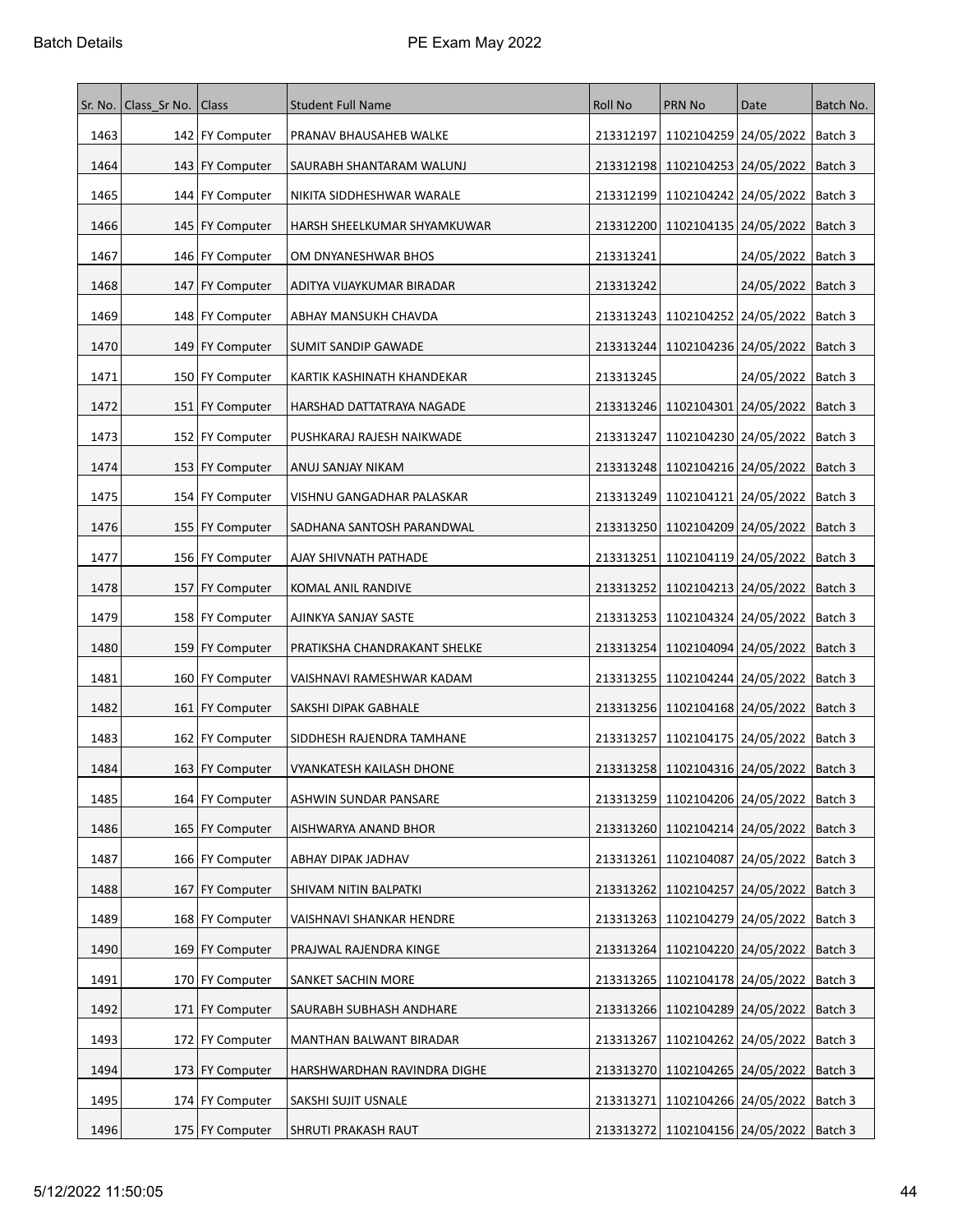| Sr. No. | Class_Sr No. Class |                   | <b>Student Full Name</b>     | <b>Roll No</b> | <b>PRN No</b>                                 | Date                 | Batch No. |
|---------|--------------------|-------------------|------------------------------|----------------|-----------------------------------------------|----------------------|-----------|
| 1463    |                    | 142   FY Computer | PRANAV BHAUSAHEB WALKE       | 213312197      | 1102104259 24/05/2022   Batch 3               |                      |           |
| 1464    |                    | 143   FY Computer | SAURABH SHANTARAM WALUNJ     |                | 213312198   1102104253   24/05/2022           |                      | Batch 3   |
| 1465    |                    | 144 FY Computer   | NIKITA SIDDHESHWAR WARALE    |                | 213312199   1102104242   24/05/2022           |                      | Batch 3   |
| 1466    |                    | 145   FY Computer | HARSH SHEELKUMAR SHYAMKUWAR  |                | 213312200 1102104135 24/05/2022               |                      | Batch 3   |
| 1467    |                    | 146 FY Computer   | OM DNYANESHWAR BHOS          | 213313241      |                                               | 24/05/2022   Batch 3 |           |
| 1468    |                    | 147   FY Computer | ADITYA VIJAYKUMAR BIRADAR    | 213313242      |                                               | 24/05/2022           | Batch 3   |
| 1469    |                    | 148   FY Computer | ABHAY MANSUKH CHAVDA         |                | 213313243   1102104252   24/05/2022           |                      | Batch 3   |
| 1470    |                    | 149 FY Computer   | SUMIT SANDIP GAWADE          | 213313244      | 1102104236 24/05/2022                         |                      | Batch 3   |
| 1471    |                    | 150 FY Computer   | KARTIK KASHINATH KHANDEKAR   | 213313245      |                                               | 24/05/2022   Batch 3 |           |
| 1472    |                    | 151 FY Computer   | HARSHAD DATTATRAYA NAGADE    |                | 213313246 1102104301 24/05/2022 Batch 3       |                      |           |
| 1473    |                    | 152   FY Computer | PUSHKARAJ RAJESH NAIKWADE    | 213313247      | 1102104230   24/05/2022                       |                      | Batch 3   |
| 1474    |                    | 153 FY Computer   | ANUJ SANJAY NIKAM            |                | 213313248   1102104216   24/05/2022   Batch 3 |                      |           |
| 1475    |                    | 154 FY Computer   | VISHNU GANGADHAR PALASKAR    |                | 213313249 1102104121 24/05/2022               |                      | Batch 3   |
| 1476    |                    | 155   FY Computer | SADHANA SANTOSH PARANDWAL    |                | 213313250   1102104209   24/05/2022           |                      | Batch 3   |
| 1477    |                    | 156 FY Computer   | AJAY SHIVNATH PATHADE        | 213313251      | 1102104119   24/05/2022                       |                      | Batch 3   |
| 1478    |                    | 157   FY Computer | KOMAL ANIL RANDIVE           |                | 213313252 1102104213 24/05/2022               |                      | Batch 3   |
| 1479    |                    | 158 FY Computer   | AJINKYA SANJAY SASTE         |                | 213313253   1102104324   24/05/2022           |                      | Batch 3   |
| 1480    |                    | 159 FY Computer   | PRATIKSHA CHANDRAKANT SHELKE |                | 213313254   1102104094   24/05/2022           |                      | Batch 3   |
| 1481    |                    | 160 FY Computer   | VAISHNAVI RAMESHWAR KADAM    | 213313255      | 1102104244   24/05/2022                       |                      | Batch 3   |
| 1482    |                    | 161 FY Computer   | SAKSHI DIPAK GABHALE         | 213313256      | 1102104168 24/05/2022                         |                      | Batch 3   |
| 1483    |                    | 162 FY Computer   | SIDDHESH RAJENDRA TAMHANE    | 213313257      | 1102104175 24/05/2022                         |                      | Batch 3   |
| 1484    |                    | 163 FY Computer   | VYANKATESH KAILASH DHONE     |                | 213313258   1102104316   24/05/2022           |                      | Batch 3   |
| 1485    |                    | 164 FY Computer   | ASHWIN SUNDAR PANSARE        |                | 213313259 1102104206 24/05/2022 Batch 3       |                      |           |
| 1486    |                    | 165   FY Computer | AISHWARYA ANAND BHOR         |                | 213313260   1102104214   24/05/2022           |                      | Batch 3   |
| 1487    |                    | 166 FY Computer   | ABHAY DIPAK JADHAV           | 213313261      | 1102104087 24/05/2022                         |                      | Batch 3   |
| 1488    |                    | 167 FY Computer   | SHIVAM NITIN BALPATKI        | 213313262      | 1102104257 24/05/2022                         |                      | Batch 3   |
| 1489    |                    | 168   FY Computer | VAISHNAVI SHANKAR HENDRE     |                | 213313263   1102104279   24/05/2022           |                      | Batch 3   |
| 1490    |                    | 169 FY Computer   | PRAJWAL RAJENDRA KINGE       | 213313264      | 1102104220 24/05/2022                         |                      | Batch 3   |
| 1491    |                    | 170 FY Computer   | SANKET SACHIN MORE           | 213313265      | 1102104178 24/05/2022                         |                      | Batch 3   |
| 1492    |                    | 171 FY Computer   | SAURABH SUBHASH ANDHARE      |                | 213313266 1102104289 24/05/2022               |                      | Batch 3   |
| 1493    |                    | 172   FY Computer | MANTHAN BALWANT BIRADAR      | 213313267      | 1102104262 24/05/2022   Batch 3               |                      |           |
| 1494    |                    | 173   FY Computer | HARSHWARDHAN RAVINDRA DIGHE  |                | 213313270 1102104265 24/05/2022               |                      | Batch 3   |
| 1495    |                    | 174 FY Computer   | SAKSHI SUJIT USNALE          | 213313271      | 1102104266 24/05/2022                         |                      | Batch 3   |
| 1496    |                    | 175   FY Computer | SHRUTI PRAKASH RAUT          |                | 213313272 1102104156 24/05/2022   Batch 3     |                      |           |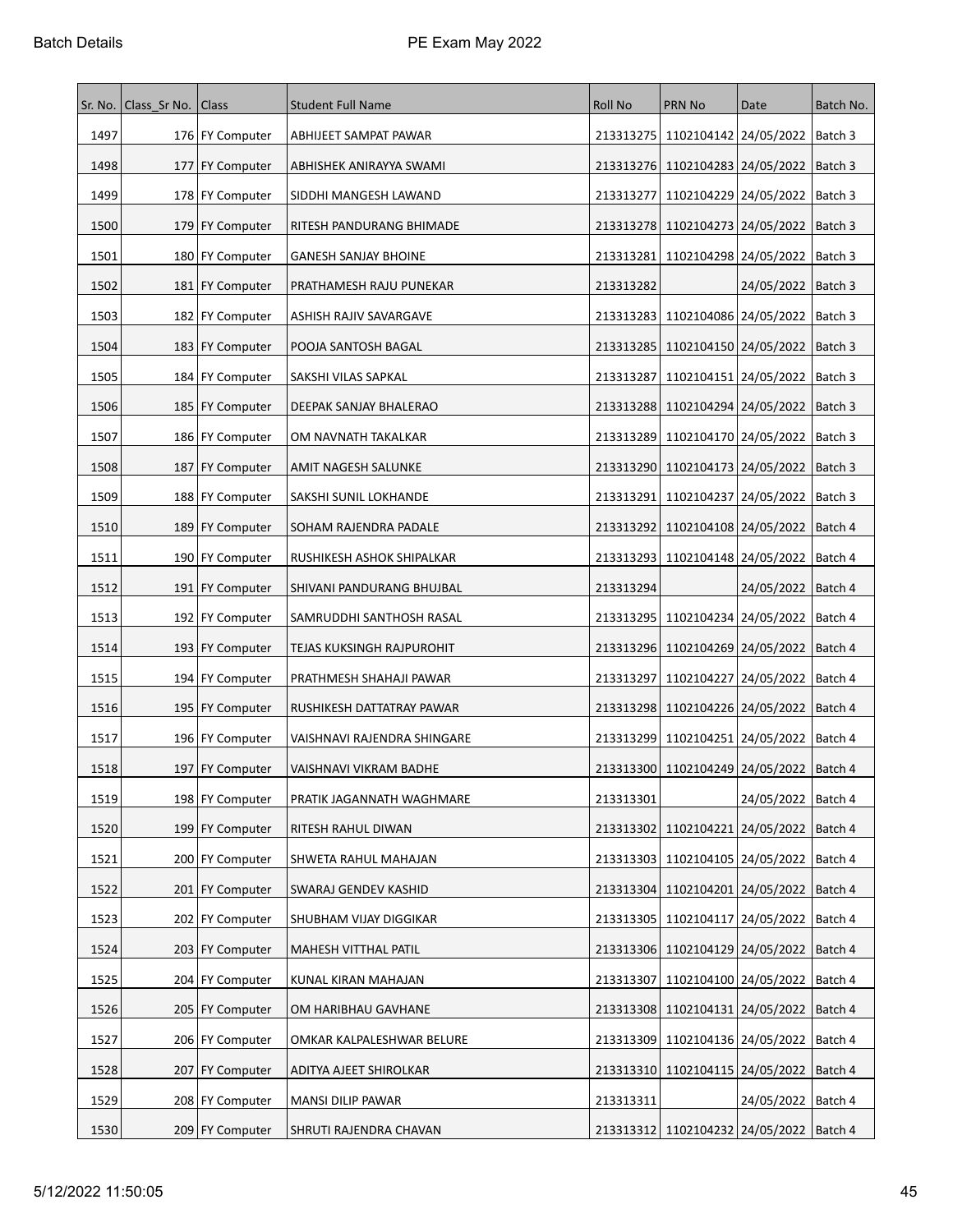| Sr. No. | Class_Sr No. Class |                   | <b>Student Full Name</b>    | <b>Roll No</b> | PRN No                                        | Date                 | Batch No. |
|---------|--------------------|-------------------|-----------------------------|----------------|-----------------------------------------------|----------------------|-----------|
| 1497    |                    | 176   FY Computer | ABHIJEET SAMPAT PAWAR       |                | 213313275   1102104142   24/05/2022   Batch 3 |                      |           |
| 1498    |                    | 177   FY Computer | ABHISHEK ANIRAYYA SWAMI     |                | 213313276   1102104283   24/05/2022           |                      | Batch 3   |
| 1499    |                    | 178 FY Computer   | SIDDHI MANGESH LAWAND       | 213313277      | 1102104229 24/05/2022                         |                      | Batch 3   |
| 1500    |                    | 179 FY Computer   | RITESH PANDURANG BHIMADE    |                | 213313278 1102104273 24/05/2022               |                      | Batch 3   |
| 1501    |                    | 180 FY Computer   | <b>GANESH SANJAY BHOINE</b> |                | 213313281 1102104298 24/05/2022               |                      | Batch 3   |
| 1502    |                    | 181   FY Computer | PRATHAMESH RAJU PUNEKAR     | 213313282      |                                               | 24/05/2022           | Batch 3   |
| 1503    |                    | 182   FY Computer | ASHISH RAJIV SAVARGAVE      | 213313283      | 1102104086 24/05/2022                         |                      | Batch 3   |
| 1504    |                    | 183 FY Computer   | POOJA SANTOSH BAGAL         | 213313285      | 1102104150 24/05/2022                         |                      | Batch 3   |
| 1505    |                    | 184 FY Computer   | SAKSHI VILAS SAPKAL         | 213313287      | 1102104151 24/05/2022                         |                      | Batch 3   |
| 1506    |                    | 185   FY Computer | DEEPAK SANJAY BHALERAO      |                | 213313288   1102104294   24/05/2022   Batch 3 |                      |           |
| 1507    |                    | 186 FY Computer   | OM NAVNATH TAKALKAR         | 213313289      | 1102104170   24/05/2022                       |                      | Batch 3   |
| 1508    |                    | 187   FY Computer | AMIT NAGESH SALUNKE         |                | 213313290   1102104173   24/05/2022   Batch 3 |                      |           |
| 1509    |                    | 188   FY Computer | SAKSHI SUNIL LOKHANDE       | 213313291      | 1102104237 24/05/2022                         |                      | Batch 3   |
| 1510    |                    | 189 FY Computer   | SOHAM RAJENDRA PADALE       |                | 213313292   1102104108   24/05/2022           |                      | Batch 4   |
| 1511    |                    | 190 FY Computer   | RUSHIKESH ASHOK SHIPALKAR   |                | 213313293   1102104148   24/05/2022           |                      | Batch 4   |
| 1512    |                    | 191   FY Computer | SHIVANI PANDURANG BHUJBAL   | 213313294      |                                               | 24/05/2022   Batch 4 |           |
| 1513    |                    | 192   FY Computer | SAMRUDDHI SANTHOSH RASAL    |                | 213313295   1102104234   24/05/2022           |                      | Batch 4   |
| 1514    |                    | 193   FY Computer | TEJAS KUKSINGH RAJPUROHIT   |                | 213313296   1102104269   24/05/2022           |                      | Batch 4   |
| 1515    |                    | 194 FY Computer   | PRATHMESH SHAHAJI PAWAR     | 213313297      | 1102104227 24/05/2022                         |                      | Batch 4   |
| 1516    |                    | 195   FY Computer | RUSHIKESH DATTATRAY PAWAR   | 213313298      | 1102104226 24/05/2022                         |                      | Batch 4   |
| 1517    |                    | 196 FY Computer   | VAISHNAVI RAJENDRA SHINGARE | 213313299      | 1102104251 24/05/2022                         |                      | Batch 4   |
| 1518    |                    | 197 FY Computer   | VAISHNAVI VIKRAM BADHE      |                | 213313300 1102104249 24/05/2022               |                      | Batch 4   |
| 1519    |                    | 198   FY Computer | PRATIK JAGANNATH WAGHMARE   | 213313301      |                                               | 24/05/2022   Batch 4 |           |
| 1520    |                    | 199 FY Computer   | RITESH RAHUL DIWAN          | 213313302      | 1102104221 24/05/2022                         |                      | Batch 4   |
| 1521    |                    | 200 FY Computer   | SHWETA RAHUL MAHAJAN        |                | 213313303 1102104105 24/05/2022               |                      | Batch 4   |
| 1522    |                    | 201 FY Computer   | SWARAJ GENDEV KASHID        |                | 213313304   1102104201   24/05/2022           |                      | Batch 4   |
| 1523    |                    | 202   FY Computer | SHUBHAM VIJAY DIGGIKAR      |                | 213313305   1102104117   24/05/2022           |                      | Batch 4   |
| 1524    |                    | 203   FY Computer | MAHESH VITTHAL PATIL        |                | 213313306   1102104129   24/05/2022           |                      | Batch 4   |
| 1525    |                    | 204 FY Computer   | KUNAL KIRAN MAHAJAN         | 213313307      | 1102104100 24/05/2022                         |                      | Batch 4   |
| 1526    |                    | 205   FY Computer | OM HARIBHAU GAVHANE         |                | 213313308 1102104131 24/05/2022               |                      | Batch 4   |
| 1527    |                    | 206   FY Computer | OMKAR KALPALESHWAR BELURE   |                | 213313309 1102104136 24/05/2022   Batch 4     |                      |           |
| 1528    |                    | 207   FY Computer | ADITYA AJEET SHIROLKAR      |                | 213313310 1102104115 24/05/2022               |                      | Batch 4   |
| 1529    |                    | 208 FY Computer   | MANSI DILIP PAWAR           | 213313311      |                                               | 24/05/2022           | Batch 4   |
| 1530    |                    | 209 FY Computer   | SHRUTI RAJENDRA CHAVAN      |                | 213313312 1102104232 24/05/2022 Batch 4       |                      |           |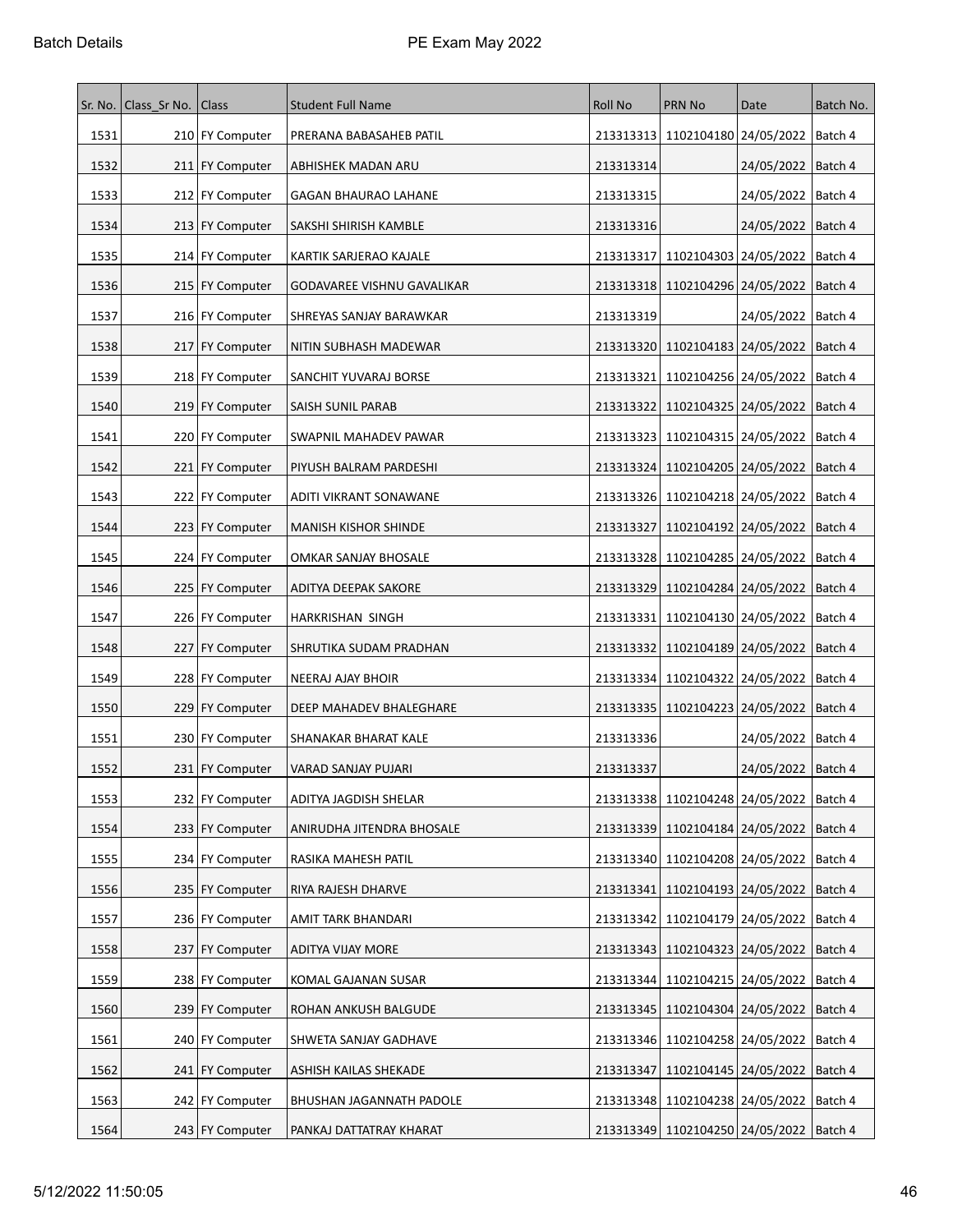| Sr. No. | Class_Sr No. Class |                   | <b>Student Full Name</b>    | <b>Roll No</b> | <b>PRN No</b>                                 | Date                            | Batch No. |
|---------|--------------------|-------------------|-----------------------------|----------------|-----------------------------------------------|---------------------------------|-----------|
| 1531    |                    | 210 FY Computer   | PRERANA BABASAHEB PATIL     |                | 213313313 1102104180 24/05/2022 Batch 4       |                                 |           |
| 1532    |                    | 211 FY Computer   | ABHISHEK MADAN ARU          | 213313314      |                                               | 24/05/2022   Batch 4            |           |
| 1533    |                    | 212 FY Computer   | <b>GAGAN BHAURAO LAHANE</b> | 213313315      |                                               | 24/05/2022                      | Batch 4   |
| 1534    |                    | 213 FY Computer   | SAKSHI SHIRISH KAMBLE       | 213313316      |                                               | 24/05/2022   Batch 4            |           |
| 1535    |                    | 214 FY Computer   | KARTIK SARJERAO KAJALE      | 213313317      | 1102104303 24/05/2022                         |                                 | Batch 4   |
| 1536    |                    | 215   FY Computer | GODAVAREE VISHNU GAVALIKAR  |                | 213313318 1102104296 24/05/2022               |                                 | Batch 4   |
| 1537    |                    | 216   FY Computer | SHREYAS SANJAY BARAWKAR     | 213313319      |                                               | 24/05/2022                      | Batch 4   |
| 1538    |                    | 217   FY Computer | NITIN SUBHASH MADEWAR       |                | 213313320 1102104183 24/05/2022               |                                 | Batch 4   |
| 1539    |                    | 218 FY Computer   | SANCHIT YUVARAJ BORSE       | 213313321      | 1102104256 24/05/2022                         |                                 | Batch 4   |
| 1540    |                    | 219 FY Computer   | SAISH SUNIL PARAB           |                | 213313322   1102104325   24/05/2022           |                                 | Batch 4   |
| 1541    |                    | 220 FY Computer   | SWAPNIL MAHADEV PAWAR       |                | 213313323   1102104315   24/05/2022           |                                 | Batch 4   |
| 1542    |                    | 221 FY Computer   | PIYUSH BALRAM PARDESHI      |                | 213313324   1102104205   24/05/2022   Batch 4 |                                 |           |
| 1543    |                    | 222 FY Computer   | ADITI VIKRANT SONAWANE      |                | 213313326 1102104218 24/05/2022               |                                 | Batch 4   |
| 1544    |                    | 223 FY Computer   | MANISH KISHOR SHINDE        | 213313327      | 1102104192 24/05/2022                         |                                 | Batch 4   |
| 1545    |                    | 224 FY Computer   | OMKAR SANJAY BHOSALE        |                | 213313328   1102104285   24/05/2022           |                                 | Batch 4   |
| 1546    |                    | 225   FY Computer | ADITYA DEEPAK SAKORE        |                | 213313329   1102104284   24/05/2022           |                                 | Batch 4   |
| 1547    |                    | 226 FY Computer   | HARKRISHAN SINGH            | 213313331      |                                               | 1102104130 24/05/2022   Batch 4 |           |
| 1548    |                    | 227 FY Computer   | SHRUTIKA SUDAM PRADHAN      |                | 213313332   1102104189   24/05/2022           |                                 | Batch 4   |
| 1549    |                    | 228 FY Computer   | NEERAJ AJAY BHOIR           |                | 213313334   1102104322   24/05/2022           |                                 | Batch 4   |
| 1550    |                    | 229 FY Computer   | DEEP MAHADEV BHALEGHARE     | 213313335      | 1102104223 24/05/2022                         |                                 | Batch 4   |
| 1551    |                    | 230 FY Computer   | SHANAKAR BHARAT KALE        | 213313336      |                                               | 24/05/2022   Batch 4            |           |
| 1552    |                    | 231 FY Computer   | VARAD SANJAY PUJARI         | 213313337      |                                               | 24/05/2022   Batch 4            |           |
| 1553    |                    | 232 FY Computer   | ADITYA JAGDISH SHELAR       |                | 213313338   1102104248   24/05/2022   Batch 4 |                                 |           |
| 1554    |                    | 233   FY Computer | ANIRUDHA JITENDRA BHOSALE   |                | 213313339   1102104184   24/05/2022           |                                 | Batch 4   |
| 1555    |                    | 234 FY Computer   | RASIKA MAHESH PATIL         |                | 213313340 1102104208 24/05/2022               |                                 | Batch 4   |
| 1556    |                    | 235   FY Computer | RIYA RAJESH DHARVE          | 213313341      | 1102104193 24/05/2022                         |                                 | Batch 4   |
| 1557    |                    | 236   FY Computer | AMIT TARK BHANDARI          |                | 213313342 1102104179 24/05/2022 Batch 4       |                                 |           |
| 1558    |                    | 237 FY Computer   | ADITYA VIJAY MORE           |                | 213313343   1102104323   24/05/2022           |                                 | Batch 4   |
| 1559    |                    | 238   FY Computer | KOMAL GAJANAN SUSAR         | 213313344      | 1102104215 24/05/2022                         |                                 | Batch 4   |
| 1560    |                    | 239 FY Computer   | ROHAN ANKUSH BALGUDE        | 213313345      | 1102104304 24/05/2022                         |                                 | Batch 4   |
| 1561    |                    | 240 FY Computer   | SHWETA SANJAY GADHAVE       |                | 213313346   1102104258   24/05/2022           |                                 | Batch 4   |
| 1562    |                    | 241   FY Computer | ASHISH KAILAS SHEKADE       | 213313347      | 1102104145 24/05/2022 Batch 4                 |                                 |           |
| 1563    |                    | 242 FY Computer   | BHUSHAN JAGANNATH PADOLE    |                | 213313348   1102104238   24/05/2022           |                                 | Batch 4   |
| 1564    |                    | 243   FY Computer | PANKAJ DATTATRAY KHARAT     |                | 213313349 1102104250 24/05/2022 Batch 4       |                                 |           |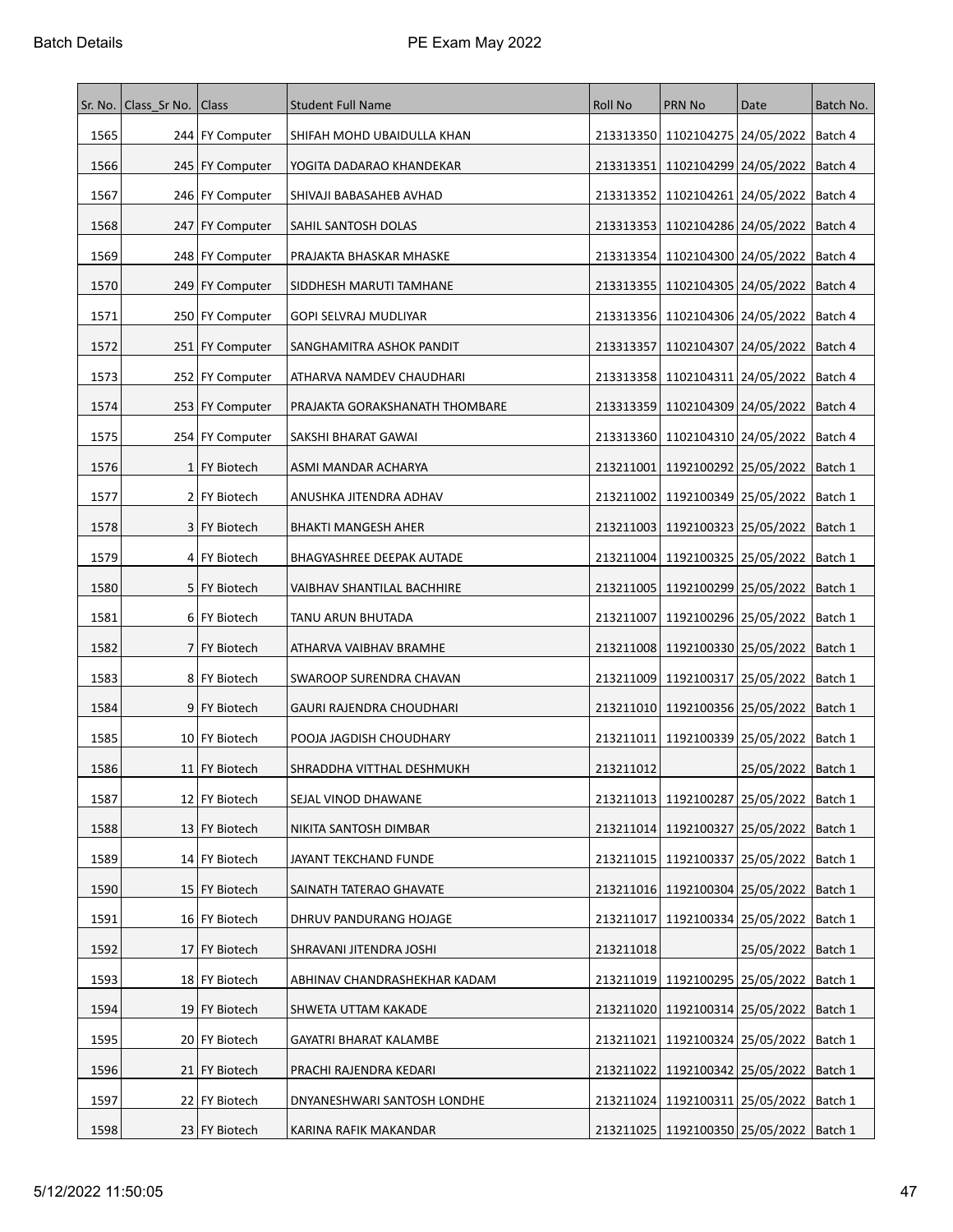| Sr. No. | Class_Sr No. Class |                   | <b>Student Full Name</b>       | <b>Roll No</b> | <b>PRN No</b>                                 | Date                            | Batch No. |
|---------|--------------------|-------------------|--------------------------------|----------------|-----------------------------------------------|---------------------------------|-----------|
| 1565    |                    | 244 FY Computer   | SHIFAH MOHD UBAIDULLA KHAN     |                | 213313350 1102104275 24/05/2022   Batch 4     |                                 |           |
| 1566    |                    | 245   FY Computer | YOGITA DADARAO KHANDEKAR       | 213313351      | 1102104299 24/05/2022                         |                                 | Batch 4   |
| 1567    |                    | 246 FY Computer   | SHIVAJI BABASAHEB AVHAD        | 213313352      | 1102104261 24/05/2022                         |                                 | Batch 4   |
| 1568    |                    | 247 FY Computer   | SAHIL SANTOSH DOLAS            | 213313353      | 1102104286 24/05/2022                         |                                 | Batch 4   |
| 1569    |                    | 248   FY Computer | PRAJAKTA BHASKAR MHASKE        | 213313354      | 1102104300 24/05/2022                         |                                 | Batch 4   |
| 1570    |                    | 249 FY Computer   | SIDDHESH MARUTI TAMHANE        |                | 213313355   1102104305   24/05/2022           |                                 | Batch 4   |
| 1571    |                    | 250 FY Computer   | GOPI SELVRAJ MUDLIYAR          |                | 213313356   1102104306   24/05/2022           |                                 | Batch 4   |
| 1572    |                    | 251   FY Computer | SANGHAMITRA ASHOK PANDIT       | 213313357      | 1102104307 24/05/2022                         |                                 | Batch 4   |
| 1573    |                    | 252 FY Computer   | ATHARVA NAMDEV CHAUDHARI       |                | 213313358   1102104311   24/05/2022           |                                 | Batch 4   |
| 1574    |                    | 253   FY Computer | PRAJAKTA GORAKSHANATH THOMBARE |                | 213313359   1102104309   24/05/2022           |                                 | Batch 4   |
| 1575    |                    | 254 FY Computer   | SAKSHI BHARAT GAWAI            |                | 213313360   1102104310   24/05/2022           |                                 | Batch 4   |
| 1576    |                    | 1 FY Biotech      | ASMI MANDAR ACHARYA            |                | 213211001   1192100292   25/05/2022   Batch 1 |                                 |           |
| 1577    |                    | 2 FY Biotech      | ANUSHKA JITENDRA ADHAV         |                | 213211002 1192100349 25/05/2022               |                                 | Batch 1   |
| 1578    |                    | 3   FY Biotech    | <b>BHAKTI MANGESH AHER</b>     |                | 213211003 1192100323 25/05/2022               |                                 | Batch 1   |
| 1579    |                    | 4 FY Biotech      | BHAGYASHREE DEEPAK AUTADE      |                | 213211004   1192100325   25/05/2022           |                                 | Batch 1   |
| 1580    |                    | 5 FY Biotech      | VAIBHAV SHANTILAL BACHHIRE     | 213211005      | 1192100299   25/05/2022                       |                                 | Batch 1   |
| 1581    |                    | 6 FY Biotech      | TANU ARUN BHUTADA              | 213211007      |                                               | 1192100296 25/05/2022   Batch 1 |           |
| 1582    |                    | 7 FY Biotech      | ATHARVA VAIBHAV BRAMHE         |                | 213211008 1192100330 25/05/2022               |                                 | Batch 1   |
| 1583    |                    | 8 FY Biotech      | SWAROOP SURENDRA CHAVAN        |                | 213211009   1192100317   25/05/2022           |                                 | Batch 1   |
| 1584    |                    | 9 FY Biotech      | GAURI RAJENDRA CHOUDHARI       |                | 213211010   1192100356   25/05/2022           |                                 | Batch 1   |
| 1585    |                    | 10 FY Biotech     | POOJA JAGDISH CHOUDHARY        |                | 213211011 1192100339 25/05/2022               |                                 | Batch 1   |
| 1586    |                    | 11 FY Biotech     | SHRADDHA VITTHAL DESHMUKH      | 213211012      |                                               | 25/05/2022   Batch 1            |           |
| 1587    |                    | 12 FY Biotech     | SEJAL VINOD DHAWANE            |                | 213211013   1192100287   25/05/2022   Batch 1 |                                 |           |
| 1588    |                    | 13 FY Biotech     | NIKITA SANTOSH DIMBAR          |                | 213211014   1192100327   25/05/2022           |                                 | Batch 1   |
| 1589    |                    | 14 FY Biotech     | JAYANT TEKCHAND FUNDE          |                | 213211015   1192100337   25/05/2022           |                                 | Batch 1   |
| 1590    |                    | 15 FY Biotech     | SAINATH TATERAO GHAVATE        |                | 213211016 1192100304 25/05/2022               |                                 | Batch 1   |
| 1591    |                    | 16 FY Biotech     | DHRUV PANDURANG HOJAGE         | 213211017      | 1192100334 25/05/2022 Batch 1                 |                                 |           |
| 1592    |                    | 17 FY Biotech     | SHRAVANI JITENDRA JOSHI        | 213211018      |                                               | 25/05/2022   Batch 1            |           |
| 1593    |                    | 18   FY Biotech   | ABHINAV CHANDRASHEKHAR KADAM   |                | 213211019 1192100295 25/05/2022               |                                 | Batch 1   |
| 1594    |                    | 19 FY Biotech     | SHWETA UTTAM KAKADE            | 213211020      | 1192100314 25/05/2022                         |                                 | Batch 1   |
| 1595    |                    | 20   FY Biotech   | GAYATRI BHARAT KALAMBE         |                | 213211021 1192100324 25/05/2022               |                                 | Batch 1   |
| 1596    |                    | 21 FY Biotech     | PRACHI RAJENDRA KEDARI         |                | 213211022   1192100342   25/05/2022   Batch 1 |                                 |           |
| 1597    |                    | 22 FY Biotech     | DNYANESHWARI SANTOSH LONDHE    |                | 213211024   1192100311   25/05/2022           |                                 | Batch 1   |
| 1598    |                    | 23 FY Biotech     | KARINA RAFIK MAKANDAR          |                | 213211025   1192100350   25/05/2022   Batch 1 |                                 |           |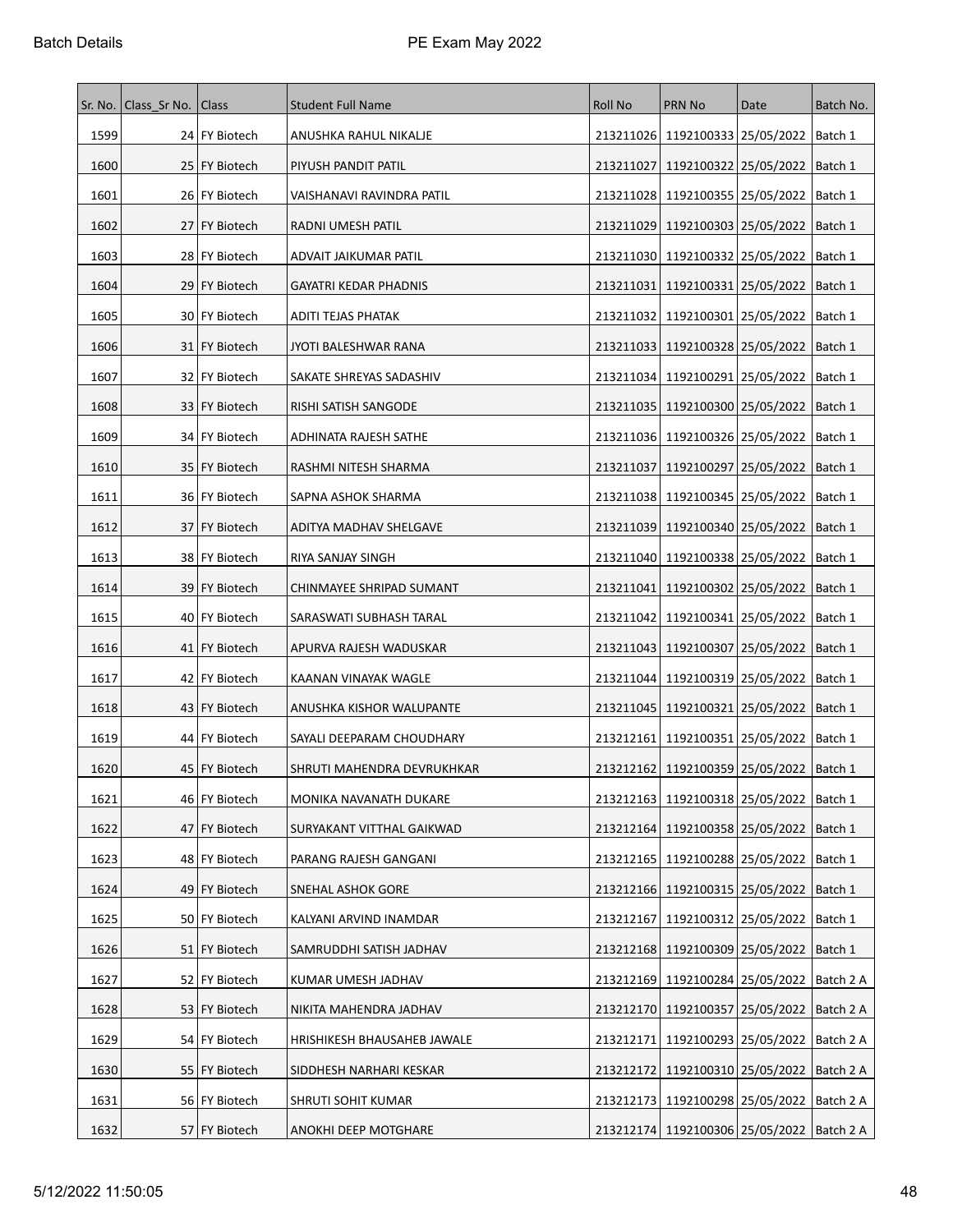| Sr. No. | Class Sr No.   Class |                 | <b>Student Full Name</b>    | Roll No   | <b>PRN No</b>                                   | Date                    | Batch No. |
|---------|----------------------|-----------------|-----------------------------|-----------|-------------------------------------------------|-------------------------|-----------|
| 1599    |                      | 24 FY Biotech   | ANUSHKA RAHUL NIKALJE       |           | 213211026   1192100333   25/05/2022   Batch 1   |                         |           |
| 1600    |                      | 25   FY Biotech | PIYUSH PANDIT PATIL         | 213211027 | 1192100322 25/05/2022                           |                         | Batch 1   |
| 1601    |                      | 26   FY Biotech | VAISHANAVI RAVINDRA PATIL   |           | 213211028 1192100355 25/05/2022                 |                         | Batch 1   |
| 1602    |                      | 27 FY Biotech   | RADNI UMESH PATIL           |           | 213211029   1192100303   25/05/2022             |                         | Batch 1   |
| 1603    |                      | 28 FY Biotech   | ADVAIT JAIKUMAR PATIL       |           | 213211030   1192100332   25/05/2022             |                         | Batch 1   |
| 1604    |                      | 29 FY Biotech   | GAYATRI KEDAR PHADNIS       | 213211031 | 1192100331   25/05/2022                         |                         | Batch 1   |
| 1605    |                      | 30   FY Biotech | ADITI TEJAS PHATAK          |           | 213211032   1192100301   25/05/2022             |                         | Batch 1   |
| 1606    |                      | 31   FY Biotech | JYOTI BALESHWAR RANA        |           | 213211033   1192100328   25/05/2022             |                         | Batch 1   |
| 1607    |                      | 32   FY Biotech | SAKATE SHREYAS SADASHIV     |           | 213211034   1192100291   25/05/2022             |                         | Batch 1   |
| 1608    |                      | 33   FY Biotech | RISHI SATISH SANGODE        |           | 213211035   1192100300   25/05/2022             |                         | Batch 1   |
| 1609    |                      | 34 FY Biotech   | ADHINATA RAJESH SATHE       |           | 213211036   1192100326   25/05/2022             |                         | Batch 1   |
| 1610    |                      | 35   FY Biotech | RASHMI NITESH SHARMA        | 213211037 | 1192100297   25/05/2022   Batch 1               |                         |           |
| 1611    |                      | 36   FY Biotech | SAPNA ASHOK SHARMA          |           | 213211038 1192100345 25/05/2022                 |                         | Batch 1   |
| 1612    |                      | 37 FY Biotech   | ADITYA MADHAV SHELGAVE      |           | 213211039   1192100340   25/05/2022             |                         | Batch 1   |
| 1613    |                      | 38   FY Biotech | RIYA SANJAY SINGH           |           | 213211040   1192100338   25/05/2022             |                         | Batch 1   |
| 1614    |                      | 39   FY Biotech | CHINMAYEE SHRIPAD SUMANT    | 213211041 | 1192100302 25/05/2022                           |                         | Batch 1   |
| 1615    |                      | 40   FY Biotech | SARASWATI SUBHASH TARAL     | 213211042 |                                                 | 1192100341   25/05/2022 | Batch 1   |
| 1616    |                      | 41   FY Biotech | APURVA RAJESH WADUSKAR      |           | 213211043   1192100307   25/05/2022             |                         | Batch 1   |
| 1617    |                      | 42   FY Biotech | KAANAN VINAYAK WAGLE        |           | 213211044   1192100319   25/05/2022             |                         | Batch 1   |
| 1618    |                      | 43   FY Biotech | ANUSHKA KISHOR WALUPANTE    | 213211045 | 1192100321 25/05/2022                           |                         | Batch 1   |
| 1619    |                      | 44   FY Biotech | SAYALI DEEPARAM CHOUDHARY   |           | 213212161   1192100351   25/05/2022             |                         | Batch 1   |
| 1620    |                      | 45   FY Biotech | SHRUTI MAHENDRA DEVRUKHKAR  |           | 213212162   1192100359   25/05/2022             |                         | Batch 1   |
| 1621    |                      | 46 FY Biotech   | MONIKA NAVANATH DUKARE      |           | 213212163   1192100318   25/05/2022   Batch 1   |                         |           |
| 1622    |                      | 47 FY Biotech   | SURYAKANT VITTHAL GAIKWAD   |           | 213212164   1192100358   25/05/2022             |                         | Batch 1   |
| 1623    |                      | 48 FY Biotech   | PARANG RAJESH GANGANI       |           | 213212165   1192100288   25/05/2022   Batch 1   |                         |           |
| 1624    |                      | 49 FY Biotech   | SNEHAL ASHOK GORE           |           | 213212166   1192100315   25/05/2022             |                         | Batch 1   |
| 1625    |                      | 50 FY Biotech   | KALYANI ARVIND INAMDAR      |           | 213212167 1192100312 25/05/2022   Batch 1       |                         |           |
| 1626    |                      | 51 FY Biotech   | SAMRUDDHI SATISH JADHAV     |           | 213212168 1192100309 25/05/2022   Batch 1       |                         |           |
| 1627    |                      | 52   FY Biotech | KUMAR UMESH JADHAV          |           | 213212169   1192100284   25/05/2022             |                         | Batch 2 A |
| 1628    |                      | 53 FY Biotech   | NIKITA MAHENDRA JADHAV      |           | 213212170 1192100357 25/05/2022                 |                         | Batch 2 A |
| 1629    |                      | 54   FY Biotech | HRISHIKESH BHAUSAHEB JAWALE |           | 213212171   1192100293   25/05/2022             |                         | Batch 2 A |
| 1630    |                      | 55   FY Biotech | SIDDHESH NARHARI KESKAR     |           | 213212172 1192100310 25/05/2022 Batch 2 A       |                         |           |
| 1631    |                      | 56 FY Biotech   | SHRUTI SOHIT KUMAR          |           | 213212173   1192100298   25/05/2022             |                         | Batch 2 A |
| 1632    |                      | 57 FY Biotech   | ANOKHI DEEP MOTGHARE        |           | 213212174   1192100306   25/05/2022   Batch 2 A |                         |           |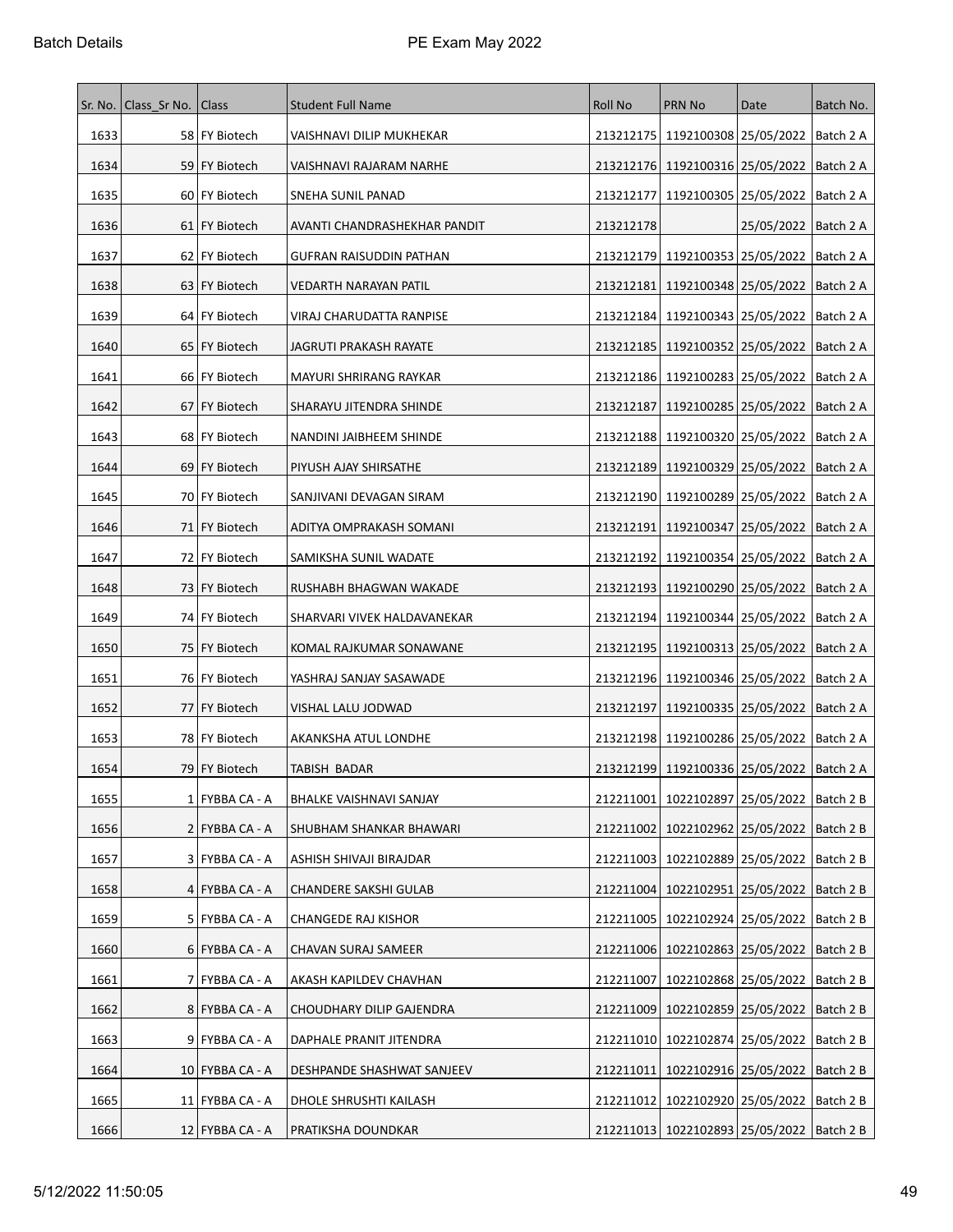| Sr. No. | Class Sr No. | Class             | <b>Student Full Name</b>        | <b>Roll No</b> | PRN No                                          | Date                              | Batch No. |
|---------|--------------|-------------------|---------------------------------|----------------|-------------------------------------------------|-----------------------------------|-----------|
| 1633    |              | 58 FY Biotech     | VAISHNAVI DILIP MUKHEKAR        |                | 213212175   1192100308   25/05/2022             |                                   | Batch 2 A |
| 1634    |              | 59 FY Biotech     | VAISHNAVI RAJARAM NARHE         |                | 213212176   1192100316   25/05/2022             |                                   | Batch 2 A |
| 1635    |              | 60   FY Biotech   | SNEHA SUNIL PANAD               | 213212177      | 1192100305   25/05/2022                         |                                   | Batch 2 A |
| 1636    |              | 61   FY Biotech   | AVANTI CHANDRASHEKHAR PANDIT    | 213212178      |                                                 | 25/05/2022   Batch 2 A            |           |
| 1637    |              | 62   FY Biotech   | GUFRAN RAISUDDIN PATHAN         | 213212179      | 1192100353 25/05/2022                           |                                   | Batch 2 A |
| 1638    |              | 63   FY Biotech   | VEDARTH NARAYAN PATIL           |                | 213212181   1192100348   25/05/2022             |                                   | Batch 2 A |
| 1639    |              | 64 FY Biotech     | VIRAJ CHARUDATTA RANPISE        |                | 213212184   1192100343   25/05/2022             |                                   | Batch 2 A |
| 1640    |              | 65   FY Biotech   | JAGRUTI PRAKASH RAYATE          |                | 213212185   1192100352   25/05/2022             |                                   | Batch 2 A |
| 1641    |              | 66   FY Biotech   | MAYURI SHRIRANG RAYKAR          |                | 213212186   1192100283   25/05/2022             |                                   | Batch 2 A |
| 1642    |              | 67 FY Biotech     | SHARAYU JITENDRA SHINDE         | 213212187      | 1192100285 25/05/2022                           |                                   | Batch 2 A |
| 1643    |              | 68 FY Biotech     | NANDINI JAIBHEEM SHINDE         |                | 213212188   1192100320   25/05/2022             |                                   | Batch 2 A |
| 1644    |              | 69   FY Biotech   | PIYUSH AJAY SHIRSATHE           |                | 213212189   1192100329   25/05/2022             |                                   | Batch 2 A |
| 1645    |              | 70 FY Biotech     | SANJIVANI DEVAGAN SIRAM         |                | 213212190   1192100289   25/05/2022             |                                   | Batch 2 A |
| 1646    |              | 71 FY Biotech     | ADITYA OMPRAKASH SOMANI         |                | 213212191   1192100347   25/05/2022             |                                   | Batch 2 A |
| 1647    |              | 72 FY Biotech     | SAMIKSHA SUNIL WADATE           |                | 213212192   1192100354   25/05/2022             |                                   | Batch 2 A |
| 1648    |              | 73   FY Biotech   | RUSHABH BHAGWAN WAKADE          |                | 213212193   1192100290   25/05/2022             |                                   | Batch 2 A |
| 1649    |              | 74 FY Biotech     | SHARVARI VIVEK HALDAVANEKAR     | 213212194      | 1192100344 25/05/2022                           |                                   | Batch 2 A |
| 1650    |              | 75   FY Biotech   | KOMAL RAJKUMAR SONAWANE         |                | 213212195   1192100313   25/05/2022             |                                   | Batch 2 A |
| 1651    |              | 76   FY Biotech   | YASHRAJ SANJAY SASAWADE         |                | 213212196   1192100346   25/05/2022             |                                   | Batch 2 A |
| 1652    |              | 77 FY Biotech     | VISHAL LALU JODWAD              | 213212197      | 1192100335 25/05/2022                           |                                   | Batch 2 A |
| 1653    |              | 78 FY Biotech     | AKANKSHA ATUL LONDHE            |                | 213212198   1192100286   25/05/2022             |                                   | Batch 2 A |
| 1654    |              | 79 FY Biotech     | TABISH BADAR                    |                | 213212199   1192100336   25/05/2022             |                                   | Batch 2 A |
| 1655    |              | 1 FYBBA CA - A    | BHALKE VAISHNAVI SANJAY         |                | 212211001   1022102897   25/05/2022   Batch 2 B |                                   |           |
| 1656    |              | 2   FYBBA CA - A  | SHUBHAM SHANKAR BHAWARI         | 212211002      | 1022102962 25/05/2022                           |                                   | Batch 2 B |
| 1657    |              | 3 FYBBA CA - A    | ASHISH SHIVAJI BIRAJDAR         | 212211003      | 1022102889 25/05/2022                           |                                   | Batch 2 B |
| 1658    |              | 4 FYBBA CA - A    | <b>CHANDERE SAKSHI GULAB</b>    | 212211004      | 1022102951 25/05/2022                           |                                   | Batch 2 B |
| 1659    |              | 5 FYBBA CA - A    | <b>CHANGEDE RAJ KISHOR</b>      |                | 212211005   1022102924   25/05/2022   Batch 2 B |                                   |           |
| 1660    |              | $6$ FYBBA CA - A  | CHAVAN SURAJ SAMEER             |                | 212211006   1022102863   25/05/2022             |                                   | Batch 2 B |
| 1661    |              | 7   FYBBA CA - A  | AKASH KAPILDEV CHAVHAN          | 212211007      | 1022102868 25/05/2022                           |                                   | Batch 2 B |
| 1662    |              | 8 FYBBA CA - A    | <b>CHOUDHARY DILIP GAJENDRA</b> | 212211009      | 1022102859 25/05/2022                           |                                   | Batch 2 B |
| 1663    |              | 9 FYBBA CA - A    | DAPHALE PRANIT JITENDRA         |                | 212211010   1022102874   25/05/2022             |                                   | Batch 2 B |
| 1664    |              | $10$ FYBBA CA - A | DESHPANDE SHASHWAT SANJEEV      | 212211011      |                                                 | 1022102916 25/05/2022   Batch 2 B |           |
| 1665    |              | 11 FYBBA CA - A   | DHOLE SHRUSHTI KAILASH          |                | 212211012   1022102920   25/05/2022             |                                   | Batch 2 B |
| 1666    |              | $12$ FYBBA CA - A | PRATIKSHA DOUNDKAR              |                | 212211013   1022102893   25/05/2022   Batch 2 B |                                   |           |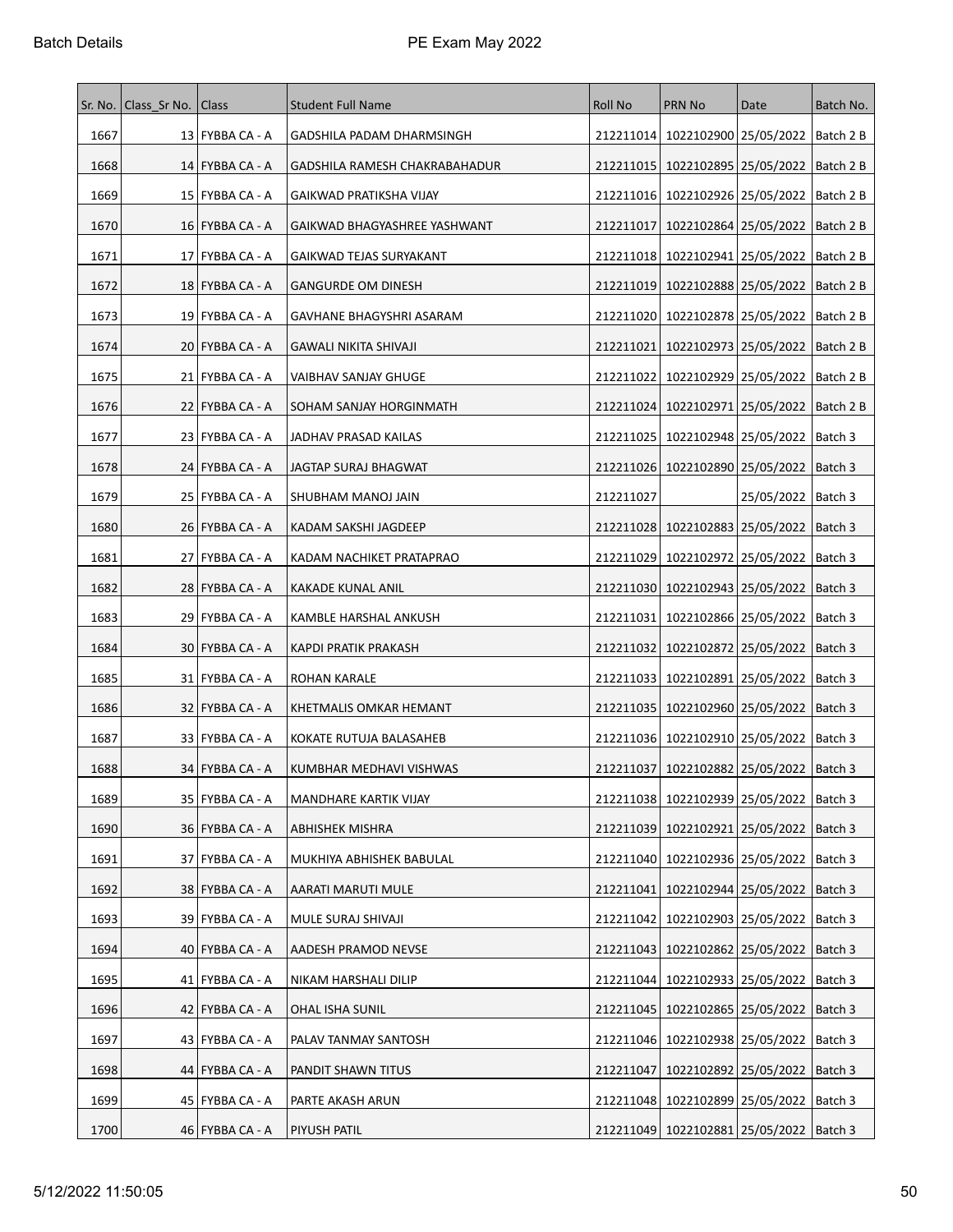|      | Sr. No. Class Sr No. Class |                   | <b>Student Full Name</b>      | <b>Roll No</b> | <b>PRN No</b>                                 | Date                              | Batch No. |
|------|----------------------------|-------------------|-------------------------------|----------------|-----------------------------------------------|-----------------------------------|-----------|
| 1667 |                            | 13 FYBBA CA - A   | GADSHILA PADAM DHARMSINGH     | 212211014      | 1022102900 25/05/2022                         |                                   | Batch 2 B |
| 1668 |                            | $14$ FYBBA CA - A | GADSHILA RAMESH CHAKRABAHADUR | 212211015      | 1022102895 25/05/2022                         |                                   | Batch 2 B |
| 1669 |                            | 15   FYBBA CA - A | GAIKWAD PRATIKSHA VIJAY       | 212211016      | 1022102926 25/05/2022                         |                                   | Batch 2 B |
| 1670 |                            | 16   FYBBA CA - A | GAIKWAD BHAGYASHREE YASHWANT  | 212211017      |                                               | 1022102864 25/05/2022   Batch 2 B |           |
| 1671 |                            | 17   FYBBA CA - A | GAIKWAD TEJAS SURYAKANT       | 212211018      | 1022102941   25/05/2022                       |                                   | Batch 2 B |
| 1672 |                            | 18 FYBBA CA - A   | <b>GANGURDE OM DINESH</b>     | 212211019      | 1022102888 25/05/2022                         |                                   | Batch 2 B |
| 1673 |                            | 19   FYBBA CA - A | GAVHANE BHAGYSHRI ASARAM      | 212211020      | 1022102878 25/05/2022                         |                                   | Batch 2 B |
| 1674 |                            | 20   FYBBA CA - A | GAWALI NIKITA SHIVAJI         | 212211021      | 1022102973   25/05/2022                       |                                   | Batch 2 B |
| 1675 |                            | 21   FYBBA CA - A | VAIBHAV SANJAY GHUGE          | 212211022      | 1022102929 25/05/2022                         |                                   | Batch 2 B |
| 1676 |                            | 22   FYBBA CA - A | SOHAM SANJAY HORGINMATH       | 212211024      | 1022102971   25/05/2022                       |                                   | Batch 2 B |
| 1677 |                            | 23   FYBBA CA - A | JADHAV PRASAD KAILAS          | 212211025      | 1022102948 25/05/2022                         |                                   | Batch 3   |
| 1678 |                            | 24   FYBBA CA - A | JAGTAP SURAJ BHAGWAT          | 212211026      |                                               | 1022102890 25/05/2022   Batch 3   |           |
| 1679 |                            | 25 FYBBA CA - A   | SHUBHAM MANOJ JAIN            | 212211027      |                                               | 25/05/2022                        | Batch 3   |
| 1680 |                            | 26   FYBBA CA - A | KADAM SAKSHI JAGDEEP          |                | 212211028 1022102883 25/05/2022               |                                   | Batch 3   |
| 1681 |                            | 27   FYBBA CA - A | KADAM NACHIKET PRATAPRAO      | 212211029      |                                               | 1022102972 25/05/2022   Batch 3   |           |
| 1682 |                            | 28 FYBBA CA - A   | KAKADE KUNAL ANIL             | 212211030      | 1022102943 25/05/2022                         |                                   | Batch 3   |
| 1683 |                            | 29   FYBBA CA - A | KAMBLE HARSHAL ANKUSH         | 212211031      |                                               | 1022102866 25/05/2022   Batch 3   |           |
| 1684 |                            | 30   FYBBA CA - A | KAPDI PRATIK PRAKASH          | 212211032      | 1022102872   25/05/2022                       |                                   | Batch 3   |
| 1685 |                            | 31 FYBBA CA - A   | ROHAN KARALE                  | 212211033      | 1022102891 25/05/2022                         |                                   | Batch 3   |
| 1686 |                            | 32   FYBBA CA - A | KHETMALIS OMKAR HEMANT        | 212211035      | 1022102960 25/05/2022                         |                                   | Batch 3   |
| 1687 |                            | 33   FYBBA CA - A | KOKATE RUTUJA BALASAHEB       | 212211036      | 1022102910 25/05/2022                         |                                   | Batch 3   |
| 1688 |                            | 34 FYBBA CA - A   | KUMBHAR MEDHAVI VISHWAS       | 212211037      | 1022102882 25/05/2022                         |                                   | Batch 3   |
| 1689 |                            | 35 FYBBA CA - A   | MANDHARE KARTIK VIJAY         |                | 212211038 1022102939 25/05/2022   Batch 3     |                                   |           |
| 1690 |                            | 36   FYBBA CA - A | ABHISHEK MISHRA               | 212211039      |                                               | 1022102921 25/05/2022   Batch 3   |           |
| 1691 |                            | 37   FYBBA CA - A | MUKHIYA ABHISHEK BABULAL      | 212211040      | 1022102936 25/05/2022                         |                                   | Batch 3   |
| 1692 |                            | 38   FYBBA CA - A | AARATI MARUTI MULE            | 212211041      | 1022102944 25/05/2022                         |                                   | Batch 3   |
| 1693 |                            | 39   FYBBA CA - A | MULE SURAJ SHIVAJI            | 212211042      |                                               | 1022102903 25/05/2022             | Batch 3   |
| 1694 |                            | $40$ FYBBA CA - A | AADESH PRAMOD NEVSE           | 212211043      |                                               | 1022102862 25/05/2022   Batch 3   |           |
| 1695 |                            | 41   FYBBA CA - A | NIKAM HARSHALI DILIP          | 212211044      | 1022102933 25/05/2022                         |                                   | Batch 3   |
| 1696 |                            | 42   FYBBA CA - A | OHAL ISHA SUNIL               | 212211045      |                                               | 1022102865   25/05/2022           | Batch 3   |
| 1697 |                            | 43   FYBBA CA - A | PALAV TANMAY SANTOSH          | 212211046      | 1022102938 25/05/2022                         |                                   | Batch 3   |
| 1698 |                            | 44   FYBBA CA - A | PANDIT SHAWN TITUS            | 212211047      | 1022102892 25/05/2022                         |                                   | Batch 3   |
| 1699 |                            | 45   FYBBA CA - A | PARTE AKASH ARUN              |                | 212211048   1022102899   25/05/2022           |                                   | Batch 3   |
| 1700 |                            | 46   FYBBA CA - A | <b>PIYUSH PATIL</b>           |                | 212211049   1022102881   25/05/2022   Batch 3 |                                   |           |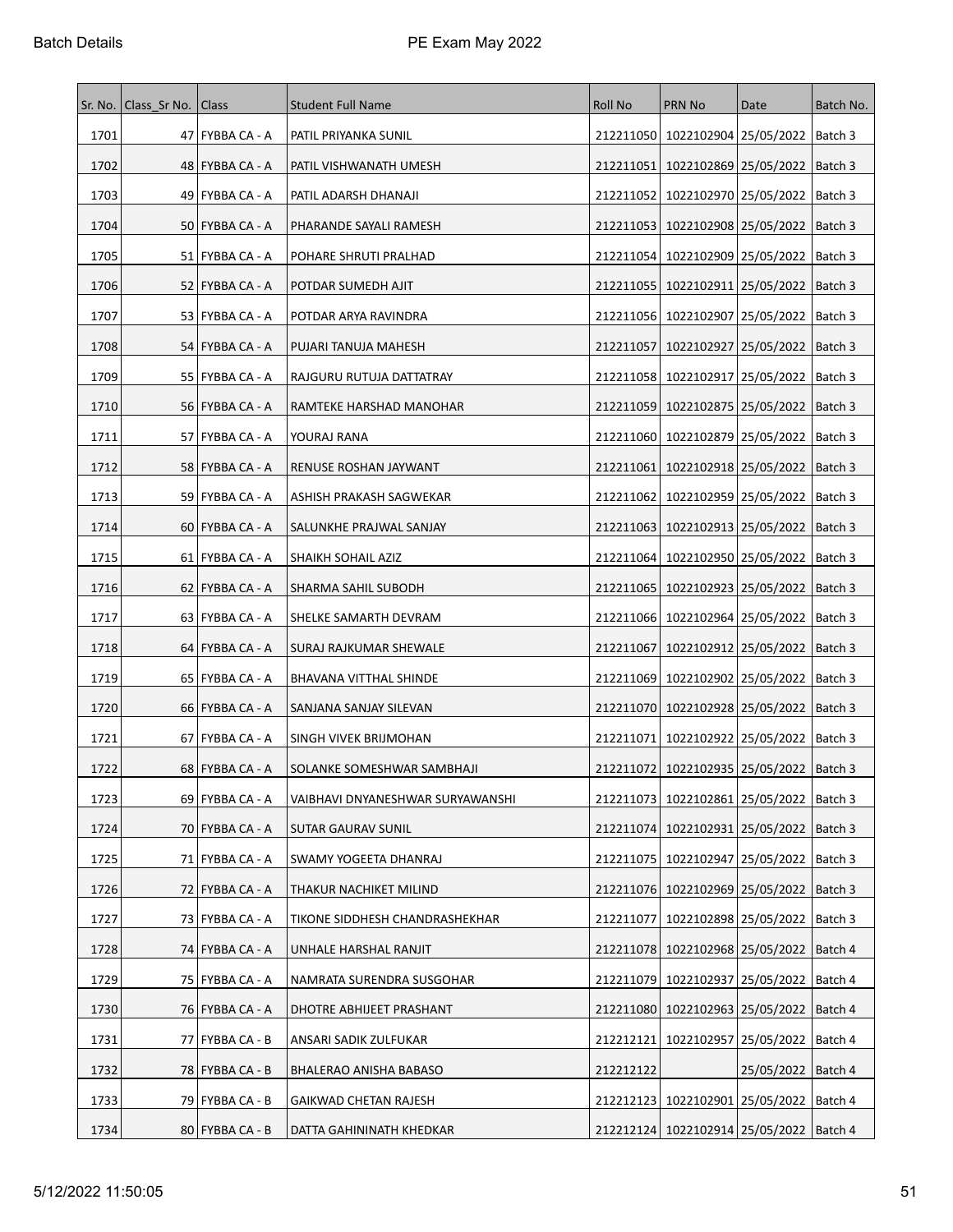|      | Sr. No.   Class_Sr No. | Class             | <b>Student Full Name</b>         | Roll No   | PRN No                                        | Date                            | Batch No. |
|------|------------------------|-------------------|----------------------------------|-----------|-----------------------------------------------|---------------------------------|-----------|
| 1701 |                        | 47   FYBBA CA - A | PATIL PRIYANKA SUNIL             |           | 212211050   1022102904   25/05/2022   Batch 3 |                                 |           |
| 1702 |                        | 48   FYBBA CA - A | PATIL VISHWANATH UMESH           | 212211051 | 1022102869 25/05/2022                         |                                 | Batch 3   |
| 1703 |                        | 49   FYBBA CA - A | PATIL ADARSH DHANAJI             | 212211052 | 1022102970 25/05/2022                         |                                 | Batch 3   |
| 1704 |                        | 50   FYBBA CA - A | PHARANDE SAYALI RAMESH           | 212211053 | 1022102908 25/05/2022                         |                                 | Batch 3   |
| 1705 |                        | 51   FYBBA CA - A | POHARE SHRUTI PRALHAD            | 212211054 | 1022102909 25/05/2022                         |                                 | Batch 3   |
| 1706 |                        | 52   FYBBA CA - A | POTDAR SUMEDH AJIT               | 212211055 |                                               | 1022102911 25/05/2022   Batch 3 |           |
| 1707 |                        | 53   FYBBA CA - A | POTDAR ARYA RAVINDRA             | 212211056 | 1022102907 25/05/2022                         |                                 | Batch 3   |
| 1708 |                        | 54   FYBBA CA - A | PUJARI TANUJA MAHESH             | 212211057 | 1022102927   25/05/2022                       |                                 | Batch 3   |
| 1709 |                        | 55   FYBBA CA - A | RAJGURU RUTUJA DATTATRAY         | 212211058 | 1022102917   25/05/2022                       |                                 | Batch 3   |
| 1710 |                        | 56   FYBBA CA - A | RAMTEKE HARSHAD MANOHAR          | 212211059 |                                               | 1022102875 25/05/2022   Batch 3 |           |
| 1711 |                        | 57 FYBBA CA - A   | YOURAJ RANA                      | 212211060 | 1022102879 25/05/2022                         |                                 | Batch 3   |
| 1712 |                        | 58   FYBBA CA - A | RENUSE ROSHAN JAYWANT            | 212211061 |                                               | 1022102918 25/05/2022   Batch 3 |           |
| 1713 |                        | 59   FYBBA CA - A | ASHISH PRAKASH SAGWEKAR          | 212211062 | 1022102959 25/05/2022                         |                                 | Batch 3   |
| 1714 |                        | 60   FYBBA CA - A | SALUNKHE PRAJWAL SANJAY          | 212211063 | 1022102913 25/05/2022                         |                                 | Batch 3   |
| 1715 |                        | 61   FYBBA CA - A | SHAIKH SOHAIL AZIZ               | 212211064 | 1022102950 25/05/2022                         |                                 | Batch 3   |
| 1716 |                        | 62   FYBBA CA - A | SHARMA SAHIL SUBODH              | 212211065 | 1022102923 25/05/2022                         |                                 | Batch 3   |
| 1717 |                        | 63   FYBBA CA - A | SHELKE SAMARTH DEVRAM            | 212211066 |                                               | 1022102964 25/05/2022   Batch 3 |           |
| 1718 |                        | 64   FYBBA CA - A | SURAJ RAJKUMAR SHEWALE           | 212211067 | 1022102912   25/05/2022                       |                                 | Batch 3   |
| 1719 |                        | 65   FYBBA CA - A | BHAVANA VITTHAL SHINDE           | 212211069 |                                               | 1022102902 25/05/2022   Batch 3 |           |
| 1720 |                        | 66   FYBBA CA - A | SANJANA SANJAY SILEVAN           | 212211070 | 1022102928 25/05/2022                         |                                 | Batch 3   |
| 1721 |                        | 67   FYBBA CA - A | SINGH VIVEK BRIJMOHAN            | 212211071 |                                               | 1022102922 25/05/2022   Batch 3 |           |
| 1722 |                        | 68   FYBBA CA - A | SOLANKE SOMESHWAR SAMBHAJI       |           | 212211072 1022102935 25/05/2022   Batch 3     |                                 |           |
| 1723 |                        | 69 FYBBA CA - A   | VAIBHAVI DNYANESHWAR SURYAWANSHI |           | 212211073   1022102861   25/05/2022   Batch 3 |                                 |           |
| 1724 |                        | 70   FYBBA CA - A | SUTAR GAURAV SUNIL               |           | 212211074   1022102931   25/05/2022           |                                 | Batch 3   |
| 1725 |                        | 71   FYBBA CA - A | SWAMY YOGEETA DHANRAJ            |           | 212211075   1022102947   25/05/2022           |                                 | Batch 3   |
| 1726 |                        | 72 FYBBA CA - A   | THAKUR NACHIKET MILIND           |           | 212211076   1022102969   25/05/2022           |                                 | Batch 3   |
| 1727 |                        | 73   FYBBA CA - A | TIKONE SIDDHESH CHANDRASHEKHAR   | 212211077 |                                               | 1022102898 25/05/2022   Batch 3 |           |
| 1728 |                        | 74 FYBBA CA - A   | UNHALE HARSHAL RANJIT            | 212211078 |                                               | 1022102968 25/05/2022 Batch 4   |           |
| 1729 |                        | 75   FYBBA CA - A | NAMRATA SURENDRA SUSGOHAR        | 212211079 |                                               | 1022102937 25/05/2022           | Batch 4   |
| 1730 |                        | 76   FYBBA CA - A | DHOTRE ABHIJEET PRASHANT         | 212211080 |                                               | 1022102963 25/05/2022           | Batch 4   |
| 1731 |                        | 77   FYBBA CA - B | ANSARI SADIK ZULFUKAR            | 212212121 |                                               | 1022102957 25/05/2022           | Batch 4   |
| 1732 |                        | 78 FYBBA CA - B   | BHALERAO ANISHA BABASO           | 212212122 |                                               | 25/05/2022   Batch 4            |           |
| 1733 |                        | 79   FYBBA CA - B | GAIKWAD CHETAN RAJESH            | 212212123 | 1022102901 25/05/2022                         |                                 | Batch 4   |
| 1734 |                        | 80   FYBBA CA - B | DATTA GAHININATH KHEDKAR         |           | 212212124   1022102914   25/05/2022   Batch 4 |                                 |           |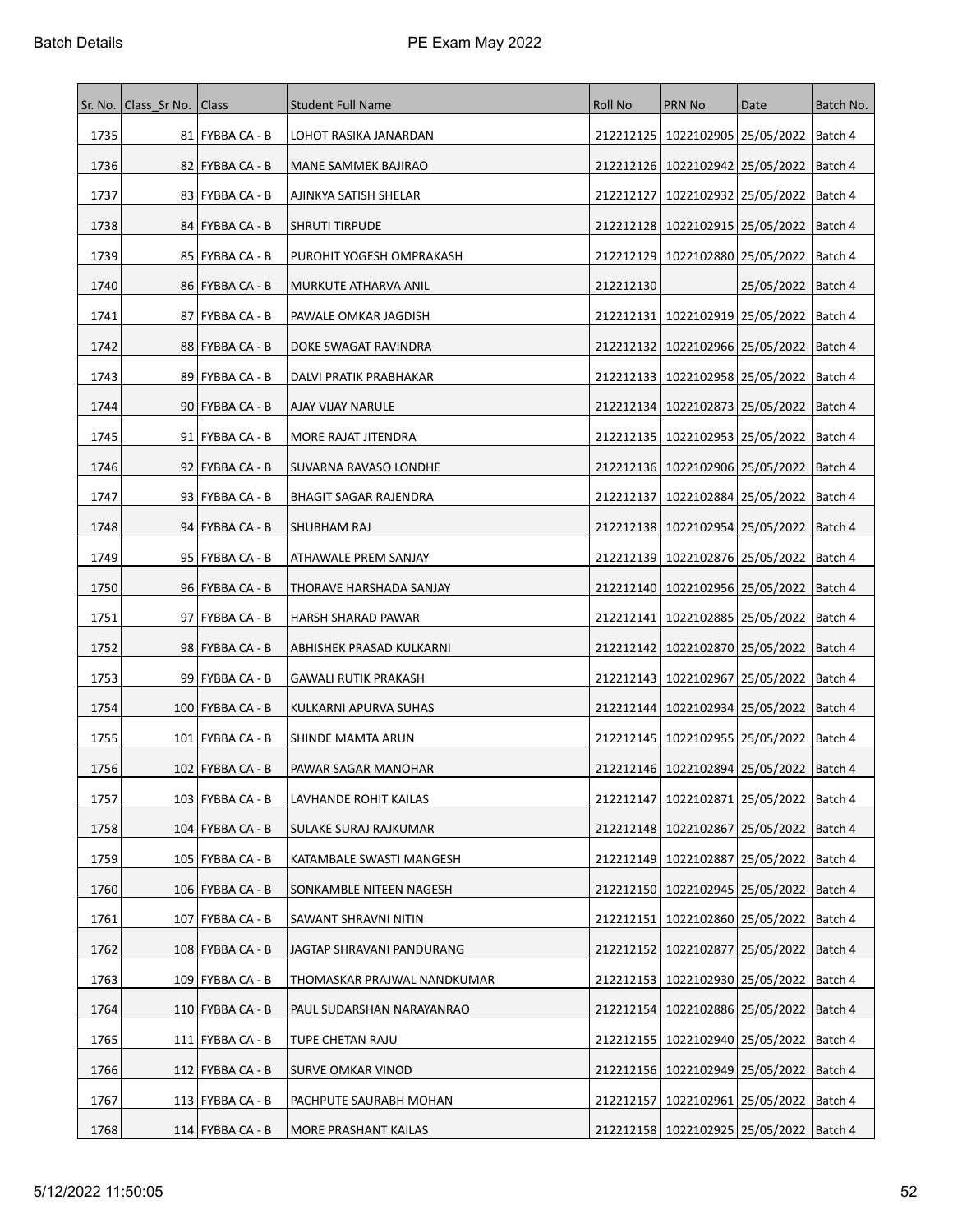|      | Sr. No.   Class_Sr No. | Class                | <b>Student Full Name</b>     | Roll No   | PRN No                                        | Date                            | Batch No. |
|------|------------------------|----------------------|------------------------------|-----------|-----------------------------------------------|---------------------------------|-----------|
| 1735 |                        | 81   FYBBA CA - B    | LOHOT RASIKA JANARDAN        | 212212125 | 1022102905 25/05/2022   Batch 4               |                                 |           |
| 1736 |                        | 82   FYBBA CA - B    | MANE SAMMEK BAJIRAO          | 212212126 | 1022102942 25/05/2022                         |                                 | Batch 4   |
| 1737 |                        | 83   FYBBA CA - B    | AJINKYA SATISH SHELAR        | 212212127 | 1022102932 25/05/2022                         |                                 | Batch 4   |
| 1738 |                        | 84   FYBBA CA - B    | <b>SHRUTI TIRPUDE</b>        | 212212128 |                                               | 1022102915 25/05/2022   Batch 4 |           |
| 1739 |                        | 85   FYBBA CA - B    | PUROHIT YOGESH OMPRAKASH     | 212212129 | 1022102880 25/05/2022                         |                                 | Batch 4   |
| 1740 |                        | 86   FYBBA CA - B    | MURKUTE ATHARVA ANIL         | 212212130 |                                               | 25/05/2022   Batch 4            |           |
| 1741 |                        | 87   FYBBA CA - B    | PAWALE OMKAR JAGDISH         | 212212131 | 1022102919 25/05/2022                         |                                 | ∣Batch 4  |
| 1742 |                        | 88   FYBBA CA - B    | DOKE SWAGAT RAVINDRA         | 212212132 | 1022102966 25/05/2022                         |                                 | Batch 4   |
| 1743 |                        | 89   FYBBA CA - B    | DALVI PRATIK PRABHAKAR       | 212212133 | 1022102958 25/05/2022                         |                                 | Batch 4   |
| 1744 |                        | $90$  FYBBA CA - B   | AJAY VIJAY NARULE            | 212212134 | 1022102873 25/05/2022   Batch 4               |                                 |           |
| 1745 |                        | 91   FYBBA CA - B    | MORE RAJAT JITENDRA          | 212212135 | 1022102953 25/05/2022                         |                                 | Batch 4   |
| 1746 |                        | $92$  FYBBA CA - B   | <b>SUVARNA RAVASO LONDHE</b> |           | 212212136   1022102906   25/05/2022   Batch 4 |                                 |           |
| 1747 |                        | $93$   FYBBA CA - B  | <b>BHAGIT SAGAR RAJENDRA</b> | 212212137 | 1022102884 25/05/2022                         |                                 | Batch 4   |
| 1748 |                        | 94   FYBBA CA - B    | SHUBHAM RAJ                  |           | 212212138   1022102954   25/05/2022           |                                 | Batch 4   |
| 1749 |                        | 95   FYBBA CA - B    | ATHAWALE PREM SANJAY         | 212212139 | 1022102876   25/05/2022                       |                                 | Batch 4   |
| 1750 |                        | 96   FYBBA CA - B    | THORAVE HARSHADA SANJAY      | 212212140 | 1022102956 25/05/2022                         |                                 | Batch 4   |
| 1751 |                        | 97   FYBBA CA - B    | HARSH SHARAD PAWAR           | 212212141 |                                               | 1022102885 25/05/2022   Batch 4 |           |
| 1752 |                        | 98   FYBBA CA - B    | ABHISHEK PRASAD KULKARNI     | 212212142 | 1022102870   25/05/2022                       |                                 | Batch 4   |
| 1753 |                        | 99 FYBBA CA - B      | <b>GAWALI RUTIK PRAKASH</b>  |           | 212212143   1022102967   25/05/2022   Batch 4 |                                 |           |
| 1754 |                        | $100$   FYBBA CA - B | KULKARNI APURVA SUHAS        | 212212144 | 1022102934 25/05/2022                         |                                 | Batch 4   |
| 1755 |                        | 101   FYBBA CA - B   | SHINDE MAMTA ARUN            |           | 212212145   1022102955   25/05/2022   Batch 4 |                                 |           |
| 1756 |                        | 102   FYBBA CA - B   | PAWAR SAGAR MANOHAR          |           | 212212146   1022102894   25/05/2022           |                                 | ∣Batch 4  |
| 1757 |                        | 103   FYBBA CA - B   | LAVHANDE ROHIT KAILAS        | 212212147 | 1022102871 25/05/2022   Batch 4               |                                 |           |
| 1758 |                        | $104$ FYBBA CA - B   | SULAKE SURAJ RAJKUMAR        |           | 212212148   1022102867   25/05/2022           |                                 | Batch 4   |
| 1759 |                        | 105   FYBBA CA - B   | KATAMBALE SWASTI MANGESH     |           | 212212149   1022102887   25/05/2022           |                                 | Batch 4   |
| 1760 |                        | 106   FYBBA CA - B   | SONKAMBLE NITEEN NAGESH      | 212212150 | 1022102945 25/05/2022                         |                                 | Batch 4   |
| 1761 |                        | $107$ FYBBA CA - B   | SAWANT SHRAVNI NITIN         | 212212151 | 1022102860 25/05/2022   Batch 4               |                                 |           |
| 1762 |                        | $108$ FYBBA CA - B   | JAGTAP SHRAVANI PANDURANG    | 212212152 |                                               | 1022102877 25/05/2022 Batch 4   |           |
| 1763 |                        | 109 FYBBA CA - B     | THOMASKAR PRAJWAL NANDKUMAR  | 212212153 |                                               | 1022102930 25/05/2022           | Batch 4   |
| 1764 |                        | 110   FYBBA CA - B   | PAUL SUDARSHAN NARAYANRAO    | 212212154 |                                               | 1022102886 25/05/2022           | Batch 4   |
| 1765 |                        | $111$   FYBBA CA - B | TUPE CHETAN RAJU             | 212212155 | 1022102940   25/05/2022                       |                                 | Batch 4   |
| 1766 |                        | 112 FYBBA CA - B     | SURVE OMKAR VINOD            |           | 212212156   1022102949   25/05/2022   Batch 4 |                                 |           |
| 1767 |                        | $113$ FYBBA CA - B   | PACHPUTE SAURABH MOHAN       | 212212157 | 1022102961 25/05/2022                         |                                 | Batch 4   |
| 1768 |                        | $114$ FYBBA CA - B   | <b>MORE PRASHANT KAILAS</b>  |           | 212212158   1022102925   25/05/2022   Batch 4 |                                 |           |